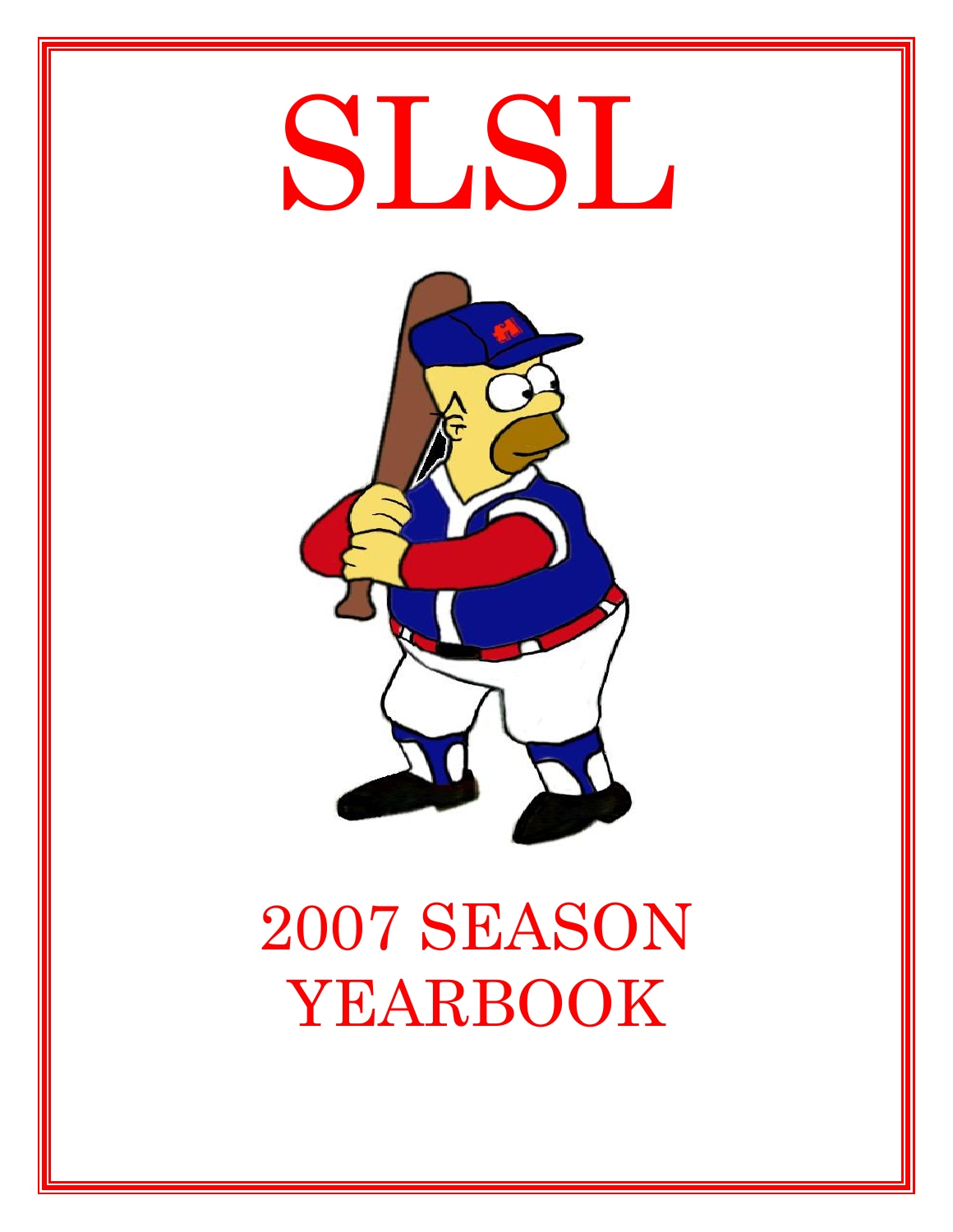

# 2007 SEASON YEARBOOK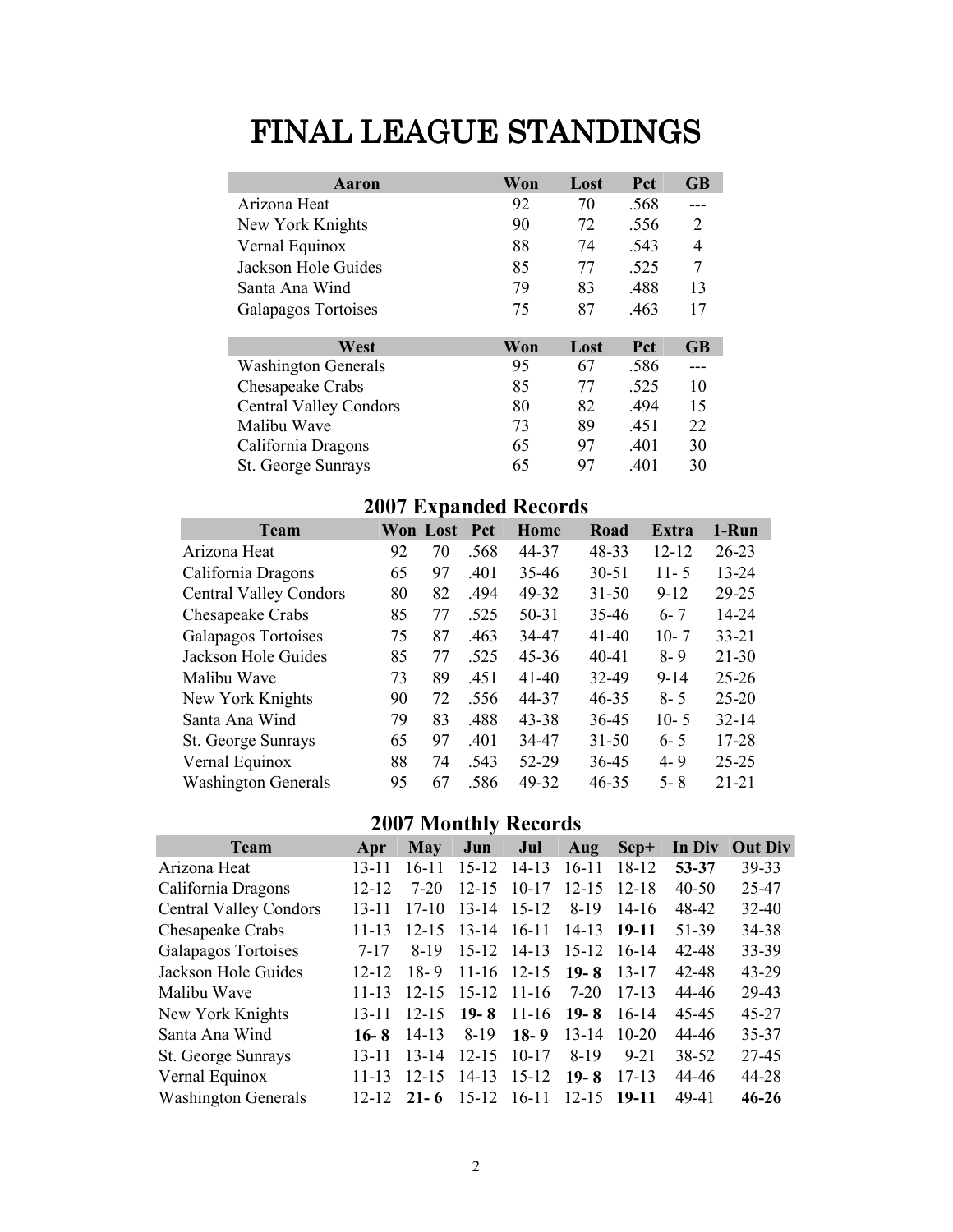# FINAL LEAGUE STANDINGS

| Aaron                         | Won | Lost | Pct  | <b>GB</b> |
|-------------------------------|-----|------|------|-----------|
| Arizona Heat                  | 92  | 70   | .568 |           |
| New York Knights              | 90  | 72   | .556 | 2         |
| Vernal Equinox                | 88  | 74   | .543 | 4         |
| Jackson Hole Guides           | 85  | 77   | .525 | 7         |
| Santa Ana Wind                | 79  | 83   | .488 | 13        |
| Galapagos Tortoises           | 75  | 87   | .463 | 17        |
|                               |     |      |      |           |
| West                          | Won | Lost | Pct  | <b>GB</b> |
| <b>Washington Generals</b>    | 95  | 67   | .586 |           |
| Chesapeake Crabs              | 85  | 77   | .525 | 10        |
| <b>Central Valley Condors</b> | 80  | 82   | .494 | 15        |
| Malibu Wave                   | 73  | 89   | .451 | 22        |
| California Dragons            | 65  | 97   | .401 | 30        |
| St. George Sunrays            | 65  | 97   | .401 | 30        |

# 2007 Expanded Records

| <b>Team</b>                   |    | Won Lost | <b>Pct</b> | Home      | Road      | <b>Extra</b> | 1-Run     |
|-------------------------------|----|----------|------------|-----------|-----------|--------------|-----------|
| Arizona Heat                  | 92 | 70       | .568       | 44-37     | 48-33     | $12 - 12$    | $26 - 23$ |
| California Dragons            | 65 | 97       | .401       | 35-46     | $30 - 51$ | $11 - 5$     | $13 - 24$ |
| <b>Central Valley Condors</b> | 80 | 82       | .494       | 49-32     | $31 - 50$ | $9 - 12$     | 29-25     |
| Chesapeake Crabs              | 85 | 77       | .525       | $50 - 31$ | 35-46     | $6 - 7$      | 14-24     |
| Galapagos Tortoises           | 75 | 87       | .463       | 34-47     | $41 - 40$ | $10 - 7$     | $33 - 21$ |
| Jackson Hole Guides           | 85 | 77       | .525       | $45 - 36$ | $40 - 41$ | $8 - 9$      | $21 - 30$ |
| Malibu Wave                   | 73 | 89       | .451       | $41 - 40$ | 32-49     | $9 - 14$     | $25 - 26$ |
| New York Knights              | 90 | 72       | .556       | 44-37     | $46 - 35$ | $8 - 5$      | $25 - 20$ |
| Santa Ana Wind                | 79 | 83       | .488       | $43 - 38$ | 36-45     | $10 - 5$     | $32 - 14$ |
| St. George Sunrays            | 65 | 97       | .401       | 34-47     | $31 - 50$ | $6 - 5$      | 17-28     |
| Vernal Equinox                | 88 | 74       | .543       | 52-29     | 36-45     | $4 - 9$      | $25 - 25$ |
| <b>Washington Generals</b>    | 95 | 67       | .586       | 49-32     | $46 - 35$ | $5 - 8$      | $21 - 21$ |

# 2007 Monthly Records

| <b>Team</b>                   | Apr       | <b>May</b> | Jun           | Jul         | Aug       | Sep+      | In Div    | <b>Out Div</b> |
|-------------------------------|-----------|------------|---------------|-------------|-----------|-----------|-----------|----------------|
| Arizona Heat                  | $13 - 11$ | $16 - 11$  | $15 - 12$     | $14 - 13$   | $16-11$   | 18-12     | $53 - 37$ | 39-33          |
| California Dragons            | $12 - 12$ | $7 - 20$   | $12 - 15$     | $10 - 17$   | $12 - 15$ | $12 - 18$ | $40 - 50$ | 25-47          |
| <b>Central Valley Condors</b> | $13 - 11$ | $17-10$    | $13 - 14$     | $15 - 12$   | 8-19      | $14-16$   | 48-42     | $32 - 40$      |
| Chesapeake Crabs              | $11 - 13$ | $12 - 15$  | $13-14$ 16-11 |             | $14 - 13$ | 19-11     | 51-39     | 34-38          |
| Galapagos Tortoises           | 7-17      | 8-19       |               | 15-12 14-13 | $15-12$   | -16-14    | 42-48     | 33-39          |
| Jackson Hole Guides           | $12 - 12$ | $18 - 9$   |               | 11-16 12-15 | $19-8$    | 13-17     | $42 - 48$ | $43 - 29$      |
| Malibu Wave                   | 11-13     | $12 - 15$  | $15-12$ 11-16 |             | 7-20      | $17-13$   | 44-46     | 29-43          |
| New York Knights              | 13-11     | $12 - 15$  | $19-8$        | $11-16$     | $19-8$    | $16-14$   | 45-45     | $45 - 27$      |
| Santa Ana Wind                | $16 - 8$  | $14 - 13$  | $8-19$        | $18-9$      | $13 - 14$ | $10 - 20$ | 44-46     | 35-37          |
| St. George Sunrays            | $13 - 11$ | $13 - 14$  | $12 - 15$     | $10-17$     | 8-19      | $9 - 21$  | 38-52     | 27-45          |
| Vernal Equinox                | $11 - 13$ | $12 - 15$  | $14-13$       | $15 - 12$   | $19 - 8$  | $17-13$   | 44-46     | 44-28          |
| <b>Washington Generals</b>    | $12 - 12$ | $21 - 6$   | $15-12$ 16-11 |             | $12 - 15$ | $19-11$   | 49-41     | $46 - 26$      |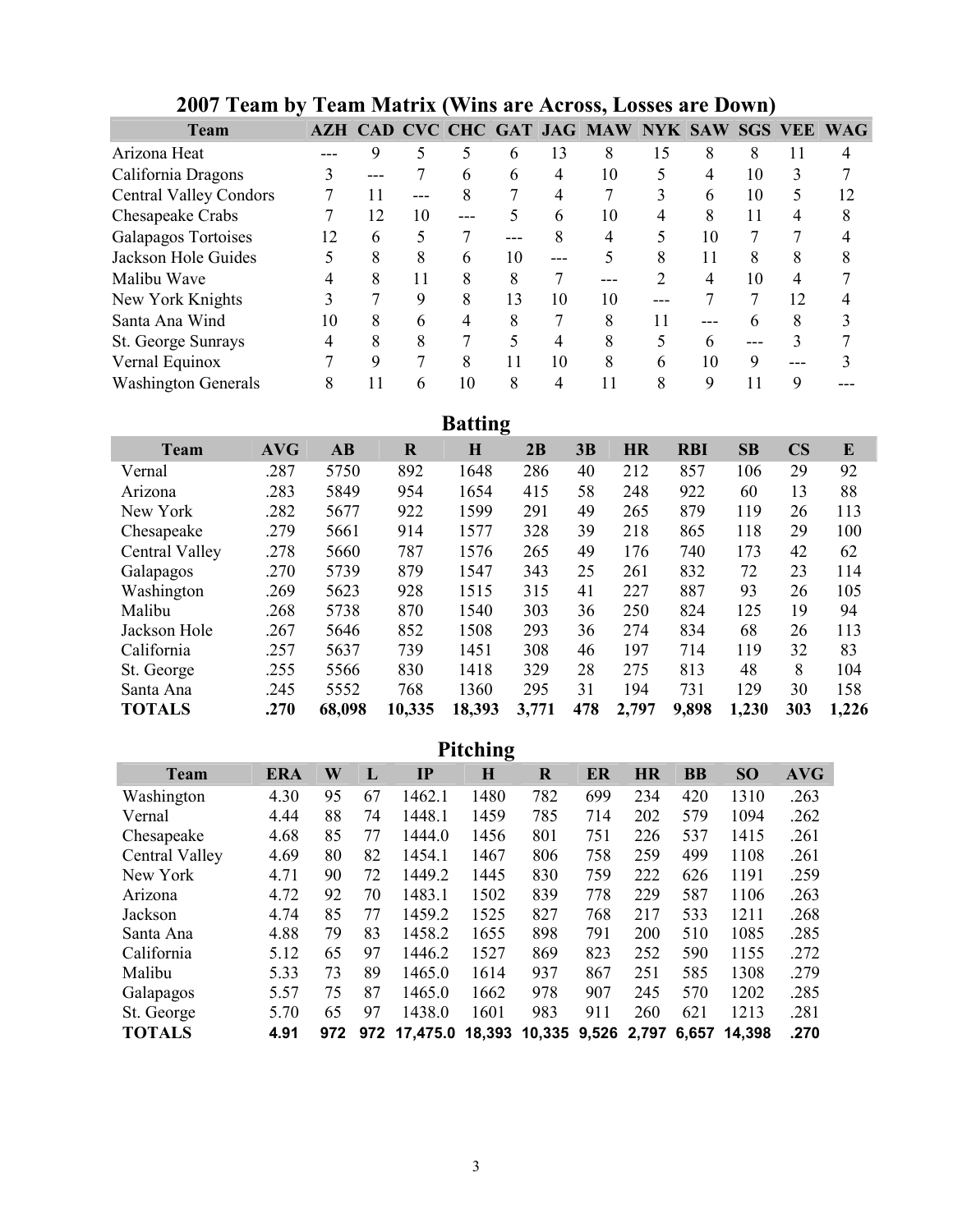| <b>Team</b>                   |    |     |    |     |    |     | AZH CAD CVC CHC GAT JAG MAW NYK SAW SGS VEE WAG |    |          |    |    |    |
|-------------------------------|----|-----|----|-----|----|-----|-------------------------------------------------|----|----------|----|----|----|
| Arizona Heat                  |    | 9   |    |     | 6  | 13  | 8                                               | 15 |          | 8  | 11 |    |
| California Dragons            |    | --- |    | n   | 6  |     | 10                                              |    |          | 10 | 3  |    |
| <b>Central Valley Condors</b> |    |     |    | 8   |    | 4   |                                                 |    | h        | 10 | 5  | 12 |
| Chesapeake Crabs              |    | 12  | 10 | --- |    | 6   | 10                                              |    |          | 11 | 4  |    |
| Galapagos Tortoises           | 12 | 6   | 5  |     |    | 8   |                                                 |    | 10       |    |    |    |
| Jackson Hole Guides           |    | 8   | 8  | h   | 10 | --- |                                                 | 8  | 11       | 8  | 8  |    |
| Malibu Wave                   |    | 8   | 11 | 8   | 8  |     |                                                 |    |          | 10 | 4  |    |
| New York Knights              |    |     | 9  | 8   | 13 | 10  | 10                                              |    |          |    | 12 |    |
| Santa Ana Wind                | 10 | 8   | h  |     | 8  |     | 8                                               | 11 |          |    | 8  |    |
| St. George Sunrays            |    | 8   | 8  |     |    | 4   | 8                                               |    |          |    |    |    |
| Vernal Equinox                |    | Q   |    | 8   |    | 10  | 8                                               | 6  | 10       | 9  |    |    |
| <b>Washington Generals</b>    | 8  |     | 6  | 10  | 8  |     |                                                 |    | $\Omega$ |    | 9  |    |

# 2007 Team by Team Matrix (Wins are Across, Losses are Down)

Batting

|                |            |        |         | э           |       |     |           |            |       |                        |       |
|----------------|------------|--------|---------|-------------|-------|-----|-----------|------------|-------|------------------------|-------|
| <b>Team</b>    | <b>AVG</b> | AB     | $\bf R$ | $\mathbf H$ | 2B    | 3В  | <b>HR</b> | <b>RBI</b> | SB    | $\overline{\text{CS}}$ | E     |
| Vernal         | .287       | 5750   | 892     | 1648        | 286   | 40  | 212       | 857        | 106   | 29                     | 92    |
| Arizona        | .283       | 5849   | 954     | 1654        | 415   | 58  | 248       | 922        | 60    | 13                     | 88    |
| New York       | .282       | 5677   | 922     | 1599        | 291   | 49  | 265       | 879        | 119   | 26                     | 113   |
| Chesapeake     | .279       | 5661   | 914     | 1577        | 328   | 39  | 218       | 865        | 118   | 29                     | 100   |
| Central Valley | .278       | 5660   | 787     | 1576        | 265   | 49  | 176       | 740        | 173   | 42                     | 62    |
| Galapagos      | .270       | 5739   | 879     | 1547        | 343   | 25  | 261       | 832        | 72    | 23                     | 114   |
| Washington     | .269       | 5623   | 928     | 1515        | 315   | 41  | 227       | 887        | 93    | 26                     | 105   |
| Malibu         | .268       | 5738   | 870     | 1540        | 303   | 36  | 250       | 824        | 125   | 19                     | 94    |
| Jackson Hole   | .267       | 5646   | 852     | 1508        | 293   | 36  | 274       | 834        | 68    | 26                     | 113   |
| California     | .257       | 5637   | 739     | 1451        | 308   | 46  | 197       | 714        | 119   | 32                     | 83    |
| St. George     | .255       | 5566   | 830     | 1418        | 329   | 28  | 275       | 813        | 48    | 8                      | 104   |
| Santa Ana      | .245       | 5552   | 768     | 1360        | 295   | 31  | 194       | 731        | 129   | 30                     | 158   |
| <b>TOTALS</b>  | .270       | 68,098 | 10,335  | 18,393      | 3,771 | 478 | 2,797     | 9,898      | 1,230 | 303                    | 1,226 |
|                |            |        |         |             |       |     |           |            |       |                        |       |

|                |            |     |     |               | <b>Pitching</b> |         |             |           |           |           |            |
|----------------|------------|-----|-----|---------------|-----------------|---------|-------------|-----------|-----------|-----------|------------|
| Team           | <b>ERA</b> | W   | L   | $\mathbf{IP}$ | $\bf H$         | $\bf R$ | ER          | <b>HR</b> | <b>BB</b> | <b>SO</b> | <b>AVG</b> |
| Washington     | 4.30       | 95  | 67  | 1462.1        | 1480            | 782     | 699         | 234       | 420       | 1310      | .263       |
| Vernal         | 4.44       | 88  | 74  | 1448.1        | 1459            | 785     | 714         | 202       | 579       | 1094      | .262       |
| Chesapeake     | 4.68       | 85  | 77  | 1444.0        | 1456            | 801     | 751         | 226       | 537       | 1415      | .261       |
| Central Valley | 4.69       | 80  | 82  | 1454.1        | 1467            | 806     | 758         | 259       | 499       | 1108      | .261       |
| New York       | 4.71       | 90  | 72  | 1449.2        | 1445            | 830     | 759         | 222       | 626       | 1191      | .259       |
| Arizona        | 4.72       | 92  | 70  | 1483.1        | 1502            | 839     | 778         | 229       | 587       | 1106      | .263       |
| Jackson        | 4.74       | 85  | 77  | 1459.2        | 1525            | 827     | 768         | 217       | 533       | 1211      | .268       |
| Santa Ana      | 4.88       | 79  | 83  | 1458.2        | 1655            | 898     | 791         | 200       | 510       | 1085      | .285       |
| California     | 5.12       | 65  | 97  | 1446.2        | 1527            | 869     | 823         | 252       | 590       | 1155      | .272       |
| Malibu         | 5.33       | 73  | 89  | 1465.0        | 1614            | 937     | 867         | 251       | 585       | 1308      | .279       |
| Galapagos      | 5.57       | 75  | 87  | 1465.0        | 1662            | 978     | 907         | 245       | 570       | 1202      | .285       |
| St. George     | 5.70       | 65  | 97  | 1438.0        | 1601            | 983     | 911         | 260       | 621       | 1213      | .281       |
| <b>TOTALS</b>  | 4.91       | 972 | 972 | 17,475.0      | 18,393          | 10,335  | 9,526 2,797 |           | 6,657     | 14,398    | .270       |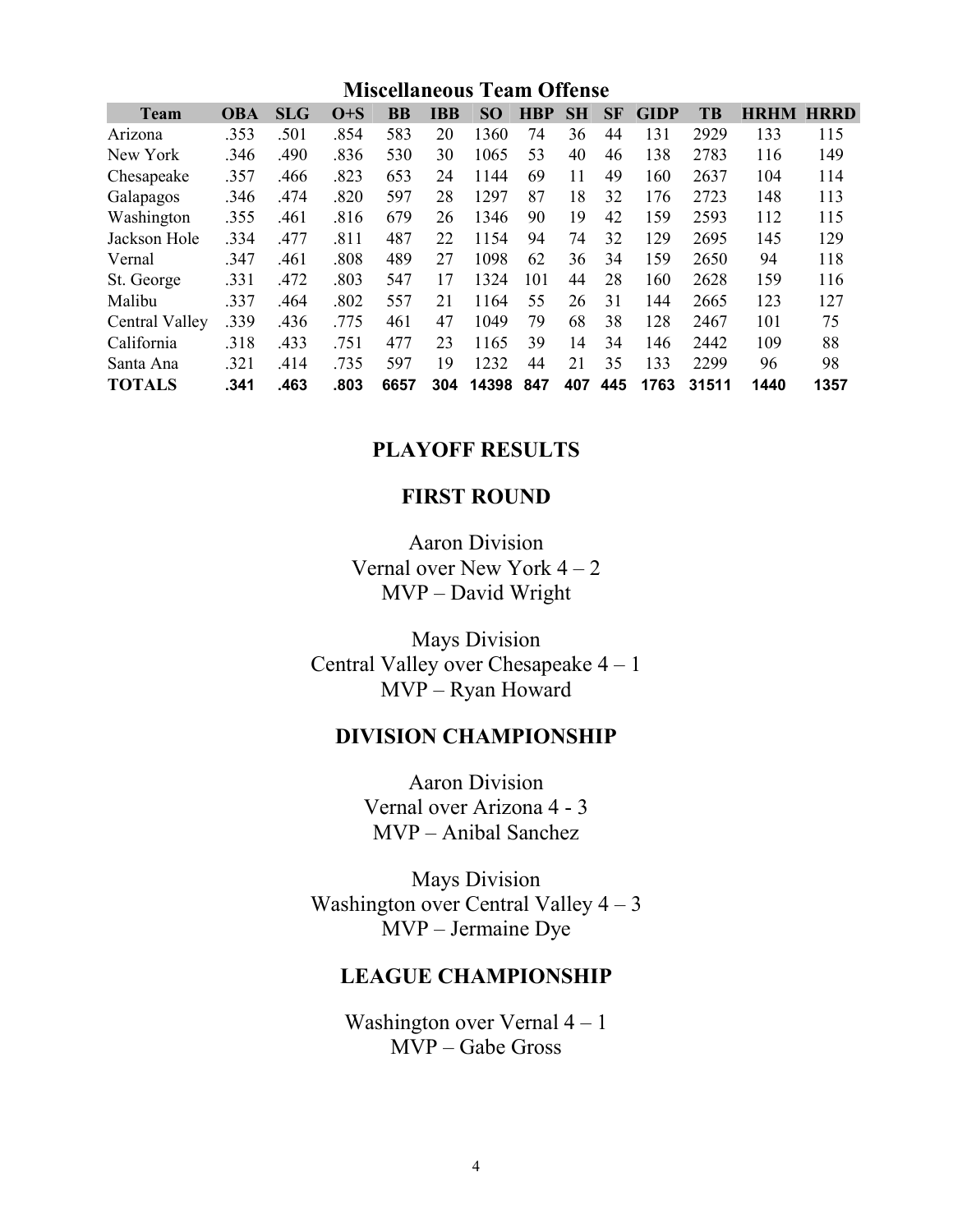|                |            |            |         |           |            | <b>Miscellaneous Team Offense</b> |            |           |           |             |           |             |             |
|----------------|------------|------------|---------|-----------|------------|-----------------------------------|------------|-----------|-----------|-------------|-----------|-------------|-------------|
| <b>Team</b>    | <b>OBA</b> | <b>SLG</b> | $O + S$ | <b>BB</b> | <b>IBB</b> | SO <sub>1</sub>                   | <b>HBP</b> | <b>SH</b> | <b>SF</b> | <b>GIDP</b> | <b>TB</b> | <b>HRHM</b> | <b>HRRD</b> |
| Arizona        | .353       | .501       | .854    | 583       | 20         | 1360                              | 74         | 36        | 44        | 131         | 2929      | 133         | 115         |
| New York       | .346       | .490       | .836    | 530       | 30         | 1065                              | 53         | 40        | 46        | 138         | 2783      | 116         | 149         |
| Chesapeake     | .357       | .466       | .823    | 653       | 24         | 1144                              | 69         | 11        | 49        | 160         | 2637      | 104         | 114         |
| Galapagos      | .346       | .474       | .820    | 597       | 28         | 1297                              | 87         | 18        | 32        | 176         | 2723      | 148         | 113         |
| Washington     | .355       | .461       | .816    | 679       | 26         | 1346                              | 90         | 19        | 42        | 159         | 2593      | 112         | 115         |
| Jackson Hole   | .334       | .477       | .811    | 487       | 22         | 1154                              | 94         | 74        | 32        | 129         | 2695      | 145         | 129         |
| Vernal         | .347       | .461       | .808    | 489       | 27         | 1098                              | 62         | 36        | 34        | 159         | 2650      | 94          | 118         |
| St. George     | .331       | .472       | .803    | 547       | 17         | 1324                              | 101        | 44        | 28        | 160         | 2628      | 159         | 116         |
| Malibu         | .337       | .464       | .802    | 557       | 21         | 1164                              | 55         | 26        | 31        | 144         | 2665      | 123         | 127         |
| Central Valley | .339       | .436       | .775    | 461       | 47         | 1049                              | 79         | 68        | 38        | 128         | 2467      | 101         | 75          |
| California     | .318       | .433       | .751    | 477       | 23         | 1165                              | 39         | 14        | 34        | 146         | 2442      | 109         | 88          |
| Santa Ana      | .321       | .414       | .735    | 597       | 19         | 1232                              | 44         | 21        | 35        | 133         | 2299      | 96          | 98          |
| <b>TOTALS</b>  | .341       | .463       | .803    | 6657      | 304        | 14398                             | 847        | 407       | 445       | 1763        | 31511     | 1440        | 1357        |

#### PLAYOFF RESULTS

### FIRST ROUND

Aaron Division Vernal over New York 4 – 2 MVP – David Wright

Mays Division Central Valley over Chesapeake 4 – 1 MVP – Ryan Howard

#### DIVISION CHAMPIONSHIP

Aaron Division Vernal over Arizona 4 - 3 MVP – Anibal Sanchez

Mays Division Washington over Central Valley 4 – 3 MVP – Jermaine Dye

### LEAGUE CHAMPIONSHIP

Washington over Vernal  $4 - 1$ MVP – Gabe Gross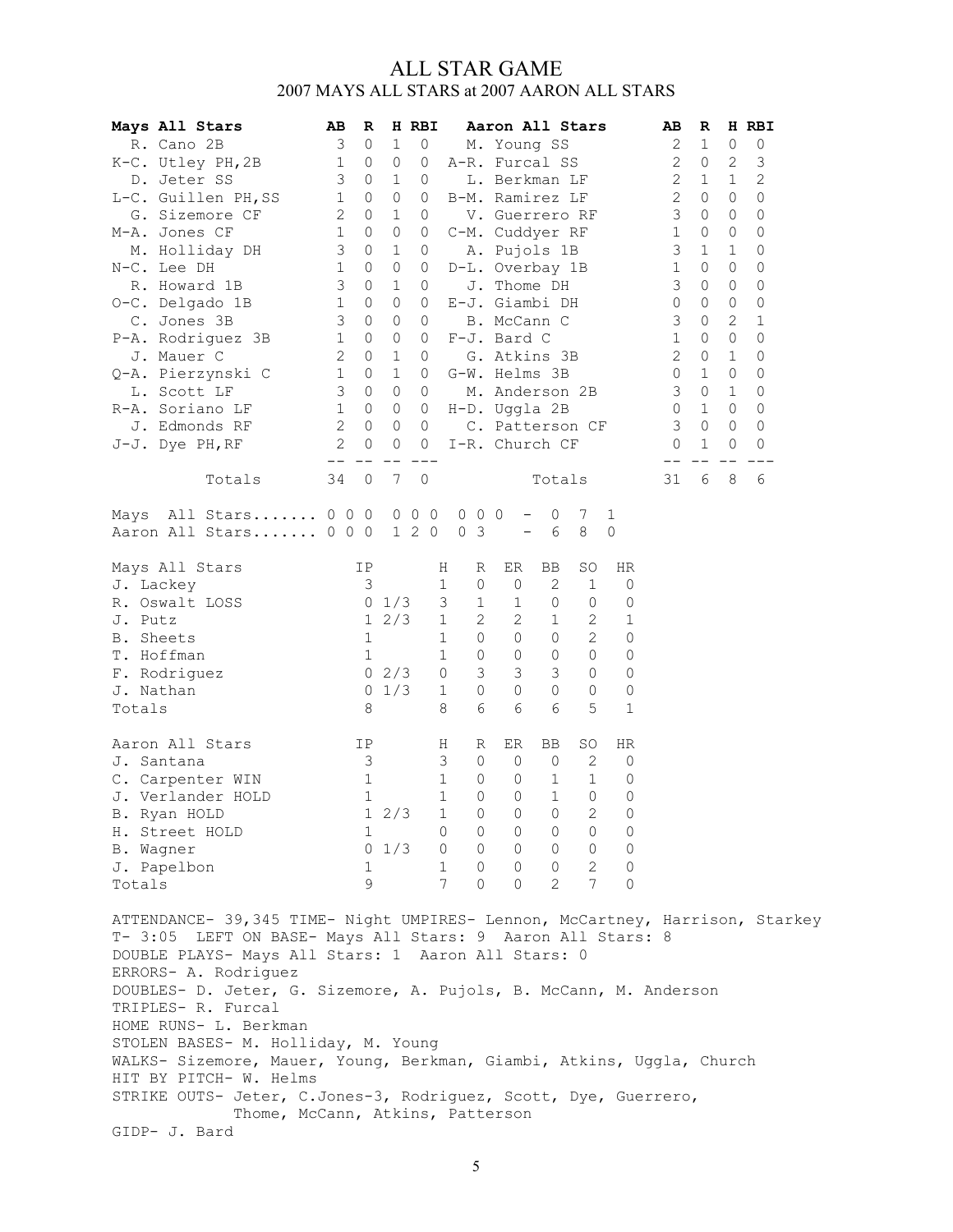#### ALL STAR GAME 2007 MAYS ALL STARS at 2007 AARON ALL STARS

| Mays All Stars                                                                                                                                                                                                           | AВ           | R            |             | H RBI   |                                                 | Aaron All Stars |                          |                |                 |              | AВ         | R           |             | H RBI      |
|--------------------------------------------------------------------------------------------------------------------------------------------------------------------------------------------------------------------------|--------------|--------------|-------------|---------|-------------------------------------------------|-----------------|--------------------------|----------------|-----------------|--------------|------------|-------------|-------------|------------|
| R. Cano 2B                                                                                                                                                                                                               | 3            | 0            | $\mathbf 1$ | 0       |                                                 | M. Young SS     |                          |                |                 |              | 2          | 1           | 0           | 0          |
| K-C. Utley PH, 2B                                                                                                                                                                                                        | 1            | $\circ$      | 0           | 0       | A-R. Furcal SS                                  |                 |                          |                |                 |              | 2          | 0           | 2           | 3          |
| D. Jeter SS                                                                                                                                                                                                              | 3            | 0            | 1           | 0       |                                                 | L. Berkman LF   |                          |                |                 |              | 2          | 1           | 1           | $\sqrt{2}$ |
| L-C. Guillen PH, SS                                                                                                                                                                                                      | 1            | 0            | 0           | 0       | B-M. Ramirez LF                                 |                 |                          |                |                 |              | $\sqrt{2}$ | 0           | 0           | 0          |
| G. Sizemore CF                                                                                                                                                                                                           | 2            | 0            | 1           | 0       |                                                 | V. Guerrero RF  |                          |                |                 |              | 3          | 0           | 0           | 0          |
| M-A. Jones CF                                                                                                                                                                                                            | $1\,$        | $\circ$      | $\circ$     | 0       | C-M. Cuddyer RF                                 |                 |                          |                |                 |              | 1          | 0           | 0           | 0          |
| M. Holliday DH                                                                                                                                                                                                           | 3            | 0            | 1           | 0       |                                                 | A. Pujols 1B    |                          |                |                 |              | 3          | $\mathbf 1$ | $\mathbf 1$ | 0          |
| N-C. Lee DH                                                                                                                                                                                                              | 1            | 0            | 0           | 0       | D-L. Overbay 1B                                 |                 |                          |                |                 |              | 1          | 0           | 0           | 0          |
| R. Howard 1B                                                                                                                                                                                                             | 3            | 0            | $\mathbf 1$ | 0       |                                                 | J. Thome DH     |                          |                |                 |              | 3          | 0           | 0           | 0          |
| O-C. Delgado 1B                                                                                                                                                                                                          | $\mathbf 1$  | 0            | 0           | 0       | E-J. Giambi DH                                  |                 |                          |                |                 |              | 0          | 0           | 0           | 0          |
| C. Jones 3B                                                                                                                                                                                                              | 3            | 0            | 0           | 0       |                                                 | B. McCann C     |                          |                |                 |              | 3          | 0           | 2           | 1          |
| P-A. Rodriguez 3B                                                                                                                                                                                                        | 1            | 0            | 0           | 0       | F-J. Bard C                                     |                 |                          |                |                 |              | 1          | 0           | 0           | 0          |
| J. Mauer C                                                                                                                                                                                                               | 2            | 0            | 1           | 0       |                                                 | G. Atkins 3B    |                          |                |                 |              | 2          | 0           | 1           | 0          |
| Q-A. Pierzynski C                                                                                                                                                                                                        | 1            | 0            | 1           | 0       | G-W. Helms 3B                                   |                 |                          |                |                 |              | 0          | 1           | $\circ$     | 0          |
| L. Scott LF                                                                                                                                                                                                              | 3            | $\circ$      | $\circ$     | 0       |                                                 | M. Anderson 2B  |                          |                |                 |              | 3          | $\circ$     | $\mathbf 1$ | 0          |
| R-A. Soriano LF                                                                                                                                                                                                          | 1            | $\mathbf{0}$ | 0           | 0       | H-D. Uggla 2B                                   |                 |                          |                |                 |              | 0          | $\mathbf 1$ | 0           | 0          |
| J. Edmonds RF                                                                                                                                                                                                            | $\mathbf{2}$ | $\mathbf{0}$ | 0           | 0       |                                                 | C. Patterson CF |                          |                |                 |              | 3          | 0           | 0           | 0          |
| J-J. Dye PH, RF                                                                                                                                                                                                          | $\mathbf{2}$ | $\circ$      | 0           | 0       | I-R. Church CF                                  |                 |                          |                |                 |              | 0          | 1           | 0           | 0          |
|                                                                                                                                                                                                                          | $- -$        |              | 7           | $\circ$ |                                                 |                 |                          |                |                 |              |            | 6           |             |            |
| Totals                                                                                                                                                                                                                   | 34           | 0            |             |         |                                                 |                 |                          | Totals         |                 |              | 31         |             | 8           | 6          |
| Mays All Stars 000000                                                                                                                                                                                                    |              |              |             |         | $0\quad 0\quad 0$                               |                 | -                        | 0              | 7               | 1            |            |             |             |            |
| Aaron All Stars 0 0 0                                                                                                                                                                                                    |              |              |             | 1 2 0   | $\mathcal{E}$<br>0                              |                 | $\overline{\phantom{0}}$ | 6              | 8               | $\mathbf{0}$ |            |             |             |            |
|                                                                                                                                                                                                                          |              |              |             |         |                                                 |                 |                          |                |                 |              |            |             |             |            |
| Mays All Stars                                                                                                                                                                                                           |              | IP           |             |         | Н<br>R                                          | ER              | BB                       |                | SO              | HR           |            |             |             |            |
| J. Lackey                                                                                                                                                                                                                |              | 3            |             |         | $\mathbf 1$<br>$\mathbf{0}$                     | $\mathbf 0$     |                          | $\mathbf{2}$   | $\mathbf 1$     | 0            |            |             |             |            |
| R. Oswalt LOSS                                                                                                                                                                                                           |              |              | $0 \t1/3$   |         | 3<br>1                                          | $\mathbf 1$     |                          | 0              | 0               | 0            |            |             |             |            |
| J. Putz                                                                                                                                                                                                                  |              | $\mathbf{1}$ | 2/3         |         | $\overline{c}$<br>1                             | $\overline{c}$  |                          | $\mathbf{1}$   | $\mathbf{2}$    | 1            |            |             |             |            |
| B. Sheets                                                                                                                                                                                                                |              | 1            |             |         | 1<br>0                                          | $\circ$         |                          | $\Omega$       | $\overline{2}$  | 0            |            |             |             |            |
| T. Hoffman                                                                                                                                                                                                               |              | 1            |             |         | 1<br>0                                          | 0               |                          | 0              | 0               | 0            |            |             |             |            |
| F. Rodriguez                                                                                                                                                                                                             |              |              | $0 \t2/3$   |         | 3<br>0                                          | 3               |                          | 3              | 0               | 0            |            |             |             |            |
| J. Nathan                                                                                                                                                                                                                |              | 0            | 1/3         |         | $\mathbb O$<br>$\mathbf 1$                      | $\circ$         |                          | $\circ$        | 0               | 0            |            |             |             |            |
| Totals                                                                                                                                                                                                                   |              | 8            |             |         | 6<br>8                                          | 6               |                          | 6              | 5               | 1            |            |             |             |            |
| Aaron All Stars                                                                                                                                                                                                          |              | IP           |             |         | H<br>R                                          | ER              | BB                       |                | SO              | HR           |            |             |             |            |
| J. Santana                                                                                                                                                                                                               |              | 3            |             |         | 3<br>0                                          | 0               |                          | 0              | 2               | 0            |            |             |             |            |
| C. Carpenter WIN                                                                                                                                                                                                         |              | 1            |             |         | 1<br>0                                          | 0               |                          | 1              | 1               | 0            |            |             |             |            |
| J. Verlander HOLD                                                                                                                                                                                                        |              | 1            |             |         | 1<br>0                                          | 0               |                          | $\mathbf{1}$   | $\Omega$        | 0            |            |             |             |            |
|                                                                                                                                                                                                                          |              |              | 12/3        |         | $\,1$<br>$\overline{0}$                         | $\circledcirc$  |                          | $\circledcirc$ | $\mathbf{2}$    | $\mathbb O$  |            |             |             |            |
| B. Ryan HOLD                                                                                                                                                                                                             |              |              |             |         |                                                 |                 |                          |                |                 |              |            |             |             |            |
| H. Street HOLD                                                                                                                                                                                                           |              | 1            |             |         | $0 \quad 0 \quad 0$                             |                 |                          | $\overline{0}$ | $\circ$         | 0            |            |             |             |            |
| B. Wagner                                                                                                                                                                                                                |              |              | $0 \t1/3$   |         | $\begin{matrix} 0&0&0&0\\ 1&0&0&0 \end{matrix}$ |                 |                          |                | $\circ$         | $\circ$      |            |             |             |            |
| J. Papelbon                                                                                                                                                                                                              |              | 1            |             |         |                                                 |                 |                          |                | $\mathbf{2}$    | 0            |            |             |             |            |
| Totals                                                                                                                                                                                                                   |              | 9            |             |         | $7^{\circ}$<br>$\Omega$                         | $\Omega$        |                          | $\overline{2}$ | $7\phantom{.0}$ | 0            |            |             |             |            |
| ATTENDANCE- 39,345 TIME- Night UMPIRES- Lennon, McCartney, Harrison, Starkey<br>T- 3:05 LEFT ON BASE- Mays All Stars: 9 Aaron All Stars: 8<br>DOUBLE PLAYS- Mays All Stars: 1 Aaron All Stars: 0<br>ERRORS- A. Rodriquez |              |              |             |         |                                                 |                 |                          |                |                 |              |            |             |             |            |

ERRORS- A. Rodriguez DOUBLES- D. Jeter, G. Sizemore, A. Pujols, B. McCann, M. Anderson TRIPLES- R. Furcal HOME RUNS- L. Berkman STOLEN BASES- M. Holliday, M. Young WALKS- Sizemore, Mauer, Young, Berkman, Giambi, Atkins, Uggla, Church HIT BY PITCH- W. Helms STRIKE OUTS- Jeter, C.Jones-3, Rodriguez, Scott, Dye, Guerrero, Thome, McCann, Atkins, Patterson GIDP- J. Bard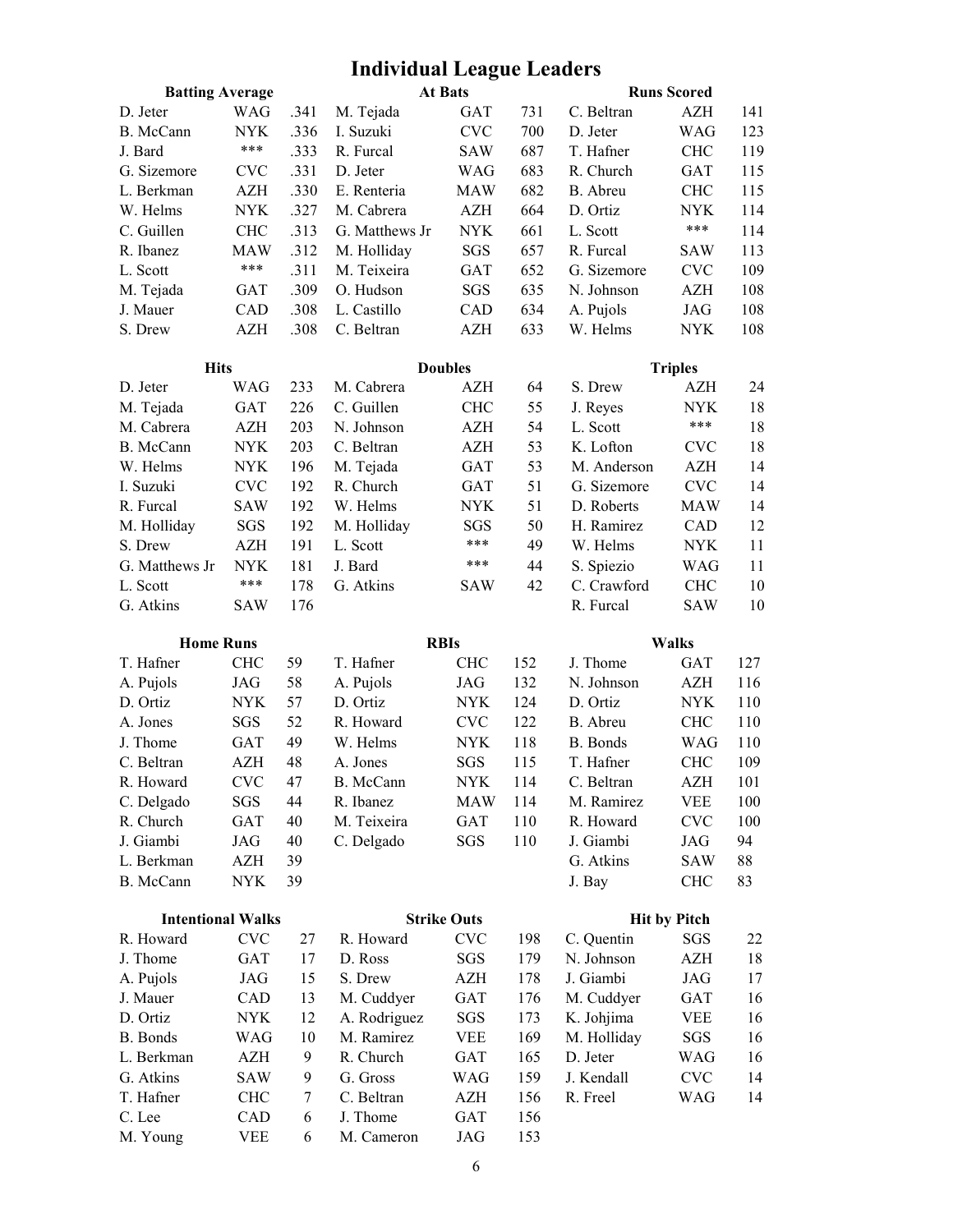# Individual League Leaders

| <b>Batting Average</b>   |            |      |                | At Bats                   |     |             | <b>Runs Scored</b>  |     |
|--------------------------|------------|------|----------------|---------------------------|-----|-------------|---------------------|-----|
| D. Jeter                 | WAG        | .341 | M. Tejada      | <b>GAT</b>                | 731 | C. Beltran  | AZH                 | 141 |
| B. McCann                | <b>NYK</b> | .336 | I. Suzuki      | <b>CVC</b>                | 700 | D. Jeter    | WAG                 | 123 |
| J. Bard                  | $***$      | .333 | R. Furcal      | SAW                       | 687 | T. Hafner   | <b>CHC</b>          | 119 |
| G. Sizemore              | <b>CVC</b> | .331 | D. Jeter       | <b>WAG</b>                | 683 | R. Church   | <b>GAT</b>          | 115 |
| L. Berkman               | AZH        | .330 | E. Renteria    | <b>MAW</b>                | 682 | B. Abreu    | <b>CHC</b>          | 115 |
| W. Helms                 | <b>NYK</b> | .327 | M. Cabrera     | AZH                       | 664 | D. Ortiz    | <b>NYK</b>          | 114 |
| C. Guillen               | <b>CHC</b> | .313 | G. Matthews Jr | $\ensuremath{\text{NYK}}$ | 661 | L. Scott    | ***                 | 114 |
| R. Ibanez                | <b>MAW</b> | .312 | M. Holliday    | SGS                       | 657 | R. Furcal   | <b>SAW</b>          | 113 |
| L. Scott                 | ***        | .311 | M. Teixeira    | GAT                       | 652 | G. Sizemore | <b>CVC</b>          | 109 |
| M. Tejada                | <b>GAT</b> | .309 | O. Hudson      | SGS                       | 635 | N. Johnson  | AZH                 | 108 |
| J. Mauer                 | CAD        | .308 | L. Castillo    | ${\rm CAD}$               | 634 | A. Pujols   | JAG                 | 108 |
| S. Drew                  | <b>AZH</b> | .308 | C. Beltran     | <b>AZH</b>                | 633 | W. Helms    | <b>NYK</b>          | 108 |
| <b>Hits</b>              |            |      |                | <b>Doubles</b>            |     |             | <b>Triples</b>      |     |
| D. Jeter                 | <b>WAG</b> | 233  | M. Cabrera     | <b>AZH</b>                | 64  | S. Drew     | AZH                 | 24  |
| M. Tejada                | <b>GAT</b> | 226  | C. Guillen     | <b>CHC</b>                | 55  | J. Reyes    | <b>NYK</b>          | 18  |
| M. Cabrera               | <b>AZH</b> | 203  | N. Johnson     | AZH                       | 54  | L. Scott    | ***                 | 18  |
| B. McCann                | <b>NYK</b> | 203  | C. Beltran     | <b>AZH</b>                | 53  | K. Lofton   | <b>CVC</b>          | 18  |
| W. Helms                 | <b>NYK</b> | 196  | M. Tejada      | GAT                       | 53  | M. Anderson | <b>AZH</b>          | 14  |
| I. Suzuki                | <b>CVC</b> | 192  | R. Church      | GAT                       | 51  | G. Sizemore | <b>CVC</b>          | 14  |
| R. Furcal                | <b>SAW</b> | 192  | W. Helms       | <b>NYK</b>                | 51  | D. Roberts  | <b>MAW</b>          | 14  |
| M. Holliday              | SGS        | 192  | M. Holliday    | SGS                       | 50  | H. Ramirez  | CAD                 | 12  |
| S. Drew                  | AZH        | 191  | L. Scott       | ***                       | 49  | W. Helms    | <b>NYK</b>          | 11  |
| G. Matthews Jr           | <b>NYK</b> | 181  | J. Bard        | ***                       | 44  | S. Spiezio  | <b>WAG</b>          | 11  |
| L. Scott                 | $***$      | 178  | G. Atkins      | <b>SAW</b>                | 42  | C. Crawford | <b>CHC</b>          | 10  |
| G. Atkins                | <b>SAW</b> | 176  |                |                           |     | R. Furcal   | <b>SAW</b>          | 10  |
|                          |            |      |                |                           |     |             |                     |     |
| <b>Home Runs</b>         |            |      |                | <b>RBIs</b>               |     |             | <b>Walks</b>        |     |
| T. Hafner                | <b>CHC</b> | 59   | T. Hafner      | <b>CHC</b>                | 152 | J. Thome    | <b>GAT</b>          | 127 |
| A. Pujols                | JAG        | 58   | A. Pujols      | JAG                       | 132 | N. Johnson  | <b>AZH</b>          | 116 |
| D. Ortiz                 | <b>NYK</b> | 57   | D. Ortiz       | <b>NYK</b>                | 124 | D. Ortiz    | <b>NYK</b>          | 110 |
| A. Jones                 | SGS        | 52   | R. Howard      | <b>CVC</b>                | 122 | B. Abreu    | <b>CHC</b>          | 110 |
| J. Thome                 | GAT        | 49   | W. Helms       | <b>NYK</b>                | 118 | B. Bonds    | <b>WAG</b>          | 110 |
| C. Beltran               | AZH        | 48   | A. Jones       | SGS                       | 115 | T. Hafner   | ${\rm CHC}$         | 109 |
| R. Howard                | <b>CVC</b> | 47   | B. McCann      | <b>NYK</b>                | 114 | C. Beltran  | <b>AZH</b>          | 101 |
| C. Delgado               | SGS        | 44   | R. Ibanez      | <b>MAW</b>                | 114 | M. Ramirez  | <b>VEE</b>          | 100 |
| R. Church                | GAT        | 40   | M. Teixeira    | GAT                       | 110 | R. Howard   | <b>CVC</b>          | 100 |
| J. Giambi                | JAG        | 40   | C. Delgado     | SGS                       | 110 | J. Giambi   | JAG                 | 94  |
| L. Berkman               | AZH        | 39   |                |                           |     | G. Atkins   | <b>SAW</b>          | 88  |
| B. McCann                | <b>NYK</b> | 39   |                |                           |     | J. Bay      | <b>CHC</b>          | 83  |
| <b>Intentional Walks</b> |            |      |                | <b>Strike Outs</b>        |     |             | <b>Hit by Pitch</b> |     |
| R. Howard                | <b>CVC</b> | 27   | R. Howard      | <b>CVC</b>                | 198 | C. Quentin  | SGS                 | 22  |
| J. Thome                 | GAT        | 17   | D. Ross        | SGS                       | 179 | N. Johnson  | <b>AZH</b>          | 18  |
| A. Pujols                | JAG        | 15   | S. Drew        | AZH                       | 178 | J. Giambi   | <b>JAG</b>          | 17  |
| J. Mauer                 | CAD        | 13   | M. Cuddyer     | GAT                       | 176 | M. Cuddyer  | GAT                 | 16  |
| D. Ortiz                 | <b>NYK</b> | 12   | A. Rodriguez   | SGS                       | 173 | K. Johjima  | <b>VEE</b>          | 16  |
| <b>B.</b> Bonds          | <b>WAG</b> | 10   | M. Ramirez     | <b>VEE</b>                | 169 | M. Holliday | SGS                 | 16  |
| L. Berkman               | AZH        | 9    | R. Church      | GAT                       | 165 | D. Jeter    | WAG                 | 16  |
| G. Atkins                | SAW        | 9    | G. Gross       | WAG                       | 159 | J. Kendall  | <b>CVC</b>          | 14  |
| T. Hafner                | <b>CHC</b> | 7    | C. Beltran     | AZH                       | 156 | R. Freel    | WAG                 | 14  |
| C. Lee                   | CAD        | 6    | J. Thome       | GAT                       | 156 |             |                     |     |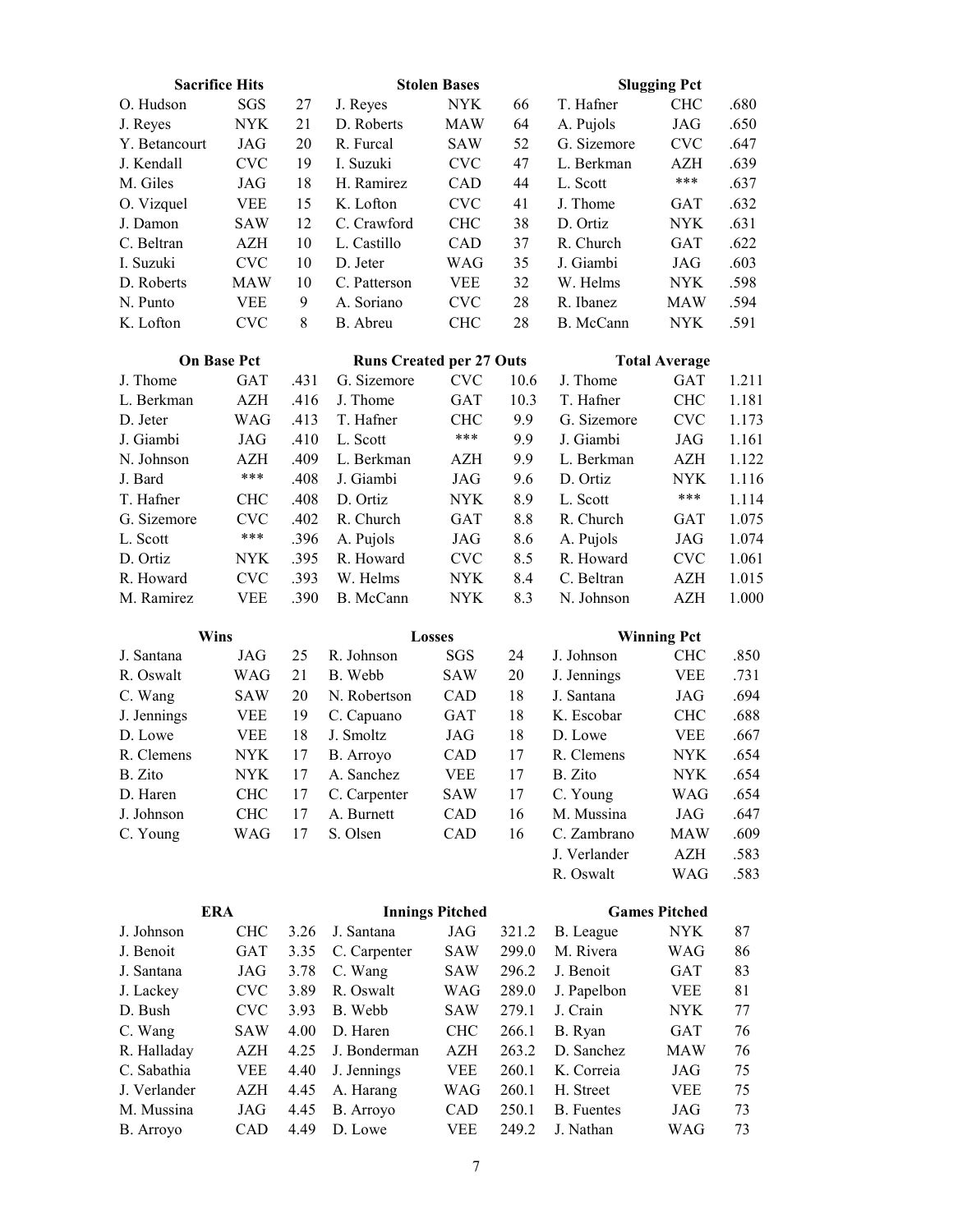| <b>Sacrifice Hits</b>  |                          |              |                                 | <b>Stolen Bases</b>    |                |                         | <b>Slugging Pct</b>              |              |
|------------------------|--------------------------|--------------|---------------------------------|------------------------|----------------|-------------------------|----------------------------------|--------------|
| O. Hudson              | SGS                      | 27           | J. Reyes                        | <b>NYK</b>             | 66             | T. Hafner               | <b>CHC</b>                       | .680         |
| J. Reyes               | <b>NYK</b>               | 21           | D. Roberts                      | <b>MAW</b>             | 64             | A. Pujols               | <b>JAG</b>                       | .650         |
| Y. Betancourt          | <b>JAG</b>               | 20           | R. Furcal                       | <b>SAW</b>             | 52             | G. Sizemore             | <b>CVC</b>                       | .647         |
| J. Kendall             | <b>CVC</b>               | 19           | I. Suzuki                       | <b>CVC</b>             | 47             | L. Berkman              | AZH                              | .639         |
| M. Giles               | JAG                      | 18           | H. Ramirez                      | CAD                    | 44             | L. Scott                | ***                              | .637         |
| O. Vizquel             | <b>VEE</b>               | 15           | K. Lofton                       | <b>CVC</b>             | 41             | J. Thome                | <b>GAT</b>                       | .632         |
| J. Damon               | <b>SAW</b>               | 12           | C. Crawford                     | <b>CHC</b>             | 38             | D. Ortiz                | <b>NYK</b>                       | .631         |
| C. Beltran             | <b>AZH</b>               | 10           | L. Castillo                     | CAD                    | 37             | R. Church               | <b>GAT</b>                       | .622         |
| I. Suzuki              | <b>CVC</b>               | $10\,$       | D. Jeter                        | <b>WAG</b>             | 35             | J. Giambi               | <b>JAG</b>                       | .603         |
| D. Roberts             | <b>MAW</b>               | 10           | C. Patterson                    | <b>VEE</b>             | 32             | W. Helms                | <b>NYK</b>                       | .598         |
| N. Punto               | <b>VEE</b>               | 9            | A. Soriano                      | <b>CVC</b>             | 28             | R. Ibanez               | <b>MAW</b>                       | .594         |
| K. Lofton              | <b>CVC</b>               | 8            | B. Abreu                        | <b>CHC</b>             | 28             | B. McCann               | <b>NYK</b>                       | .591         |
| <b>On Base Pct</b>     |                          |              | <b>Runs Created per 27 Outs</b> |                        |                |                         | <b>Total Average</b>             |              |
| J. Thome               | GAT                      | .431         | G. Sizemore                     | <b>CVC</b>             | 10.6           | J. Thome                | GAT                              | 1.211        |
| L. Berkman             | <b>AZH</b>               | .416         | J. Thome                        | GAT                    | 10.3           | T. Hafner               | <b>CHC</b>                       | 1.181        |
| D. Jeter               | <b>WAG</b>               | .413         | T. Hafner                       | <b>CHC</b>             | 9.9            | G. Sizemore             | <b>CVC</b>                       | 1.173        |
| J. Giambi              | JAG                      | .410         | L. Scott                        | ***                    | 9.9            | J. Giambi               | <b>JAG</b>                       | 1.161        |
| N. Johnson             | <b>AZH</b>               | .409         | L. Berkman                      | AZH                    | 9.9            | L. Berkman              | <b>AZH</b>                       | 1.122        |
| J. Bard                | ***                      | .408         | J. Giambi                       | JAG                    | 9.6            | D. Ortiz                | NYK                              | 1.116        |
| T. Hafner              | <b>CHC</b>               | .408         | D. Ortiz                        | <b>NYK</b>             | 8.9            | L. Scott                | ***                              | 1.114        |
| G. Sizemore            | <b>CVC</b>               | .402         | R. Church                       | GAT                    | 8.8            | R. Church               | <b>GAT</b>                       | 1.075        |
| L. Scott               | ***                      | .396         | A. Pujols                       | <b>JAG</b>             | 8.6            | A. Pujols               | JAG                              | 1.074        |
| D. Ortiz               | NYK                      | .395         | R. Howard                       | <b>CVC</b>             | 8.5            | R. Howard               | <b>CVC</b>                       | 1.061        |
| R. Howard              | <b>CVC</b>               | .393         | W. Helms                        | <b>NYK</b>             | 8.4            | C. Beltran              | <b>AZH</b>                       | 1.015        |
| M. Ramirez             | <b>VEE</b>               | .390         | B. McCann                       | <b>NYK</b>             | 8.3            | N. Johnson              | <b>AZH</b>                       | 1.000        |
|                        |                          |              |                                 |                        |                |                         |                                  |              |
|                        |                          |              |                                 |                        |                |                         |                                  |              |
| Wins<br>J. Santana     | JAG                      | 25           | R. Johnson                      | Losses<br><b>SGS</b>   | 24             | J. Johnson              | <b>Winning Pct</b><br><b>CHC</b> | .850         |
| R. Oswalt              |                          | 21           | B. Webb                         | <b>SAW</b>             | 20             |                         | <b>VEE</b>                       | .731         |
|                        | <b>WAG</b>               |              |                                 |                        |                | J. Jennings             |                                  |              |
| C. Wang                | <b>SAW</b>               | 20           | N. Robertson                    | CAD                    | 18             | J. Santana              | <b>JAG</b>                       | .694         |
| J. Jennings<br>D. Lowe | <b>VEE</b><br><b>VEE</b> | 19<br>18     | C. Capuano<br>J. Smoltz         | GAT<br>JAG             | 18<br>18       | K. Escobar<br>D. Lowe   | <b>CHC</b>                       | .688<br>.667 |
| R. Clemens             | <b>NYK</b>               | 17           |                                 | CAD                    | 17             | R. Clemens              | <b>VEE</b><br><b>NYK</b>         | .654         |
|                        |                          |              | B. Arroyo<br>A. Sanchez         |                        |                |                         |                                  |              |
| B. Zito                | <b>NYK</b><br><b>CHC</b> | 17           |                                 | <b>VEE</b>             | $17\,$         | B. Zito                 | $\ensuremath{\text{NYK}}$        | .654         |
| D. Haren<br>J. Johnson |                          | 17<br>17     | C. Carpenter<br>A. Burnett      | SAW<br>CAD             | 17<br>16       | C. Young<br>M. Mussina  | WAG<br>JAG                       | .654<br>.647 |
|                        | <b>CHC</b>               | 17           |                                 |                        |                | C. Zambrano             |                                  |              |
| C. Young               | <b>WAG</b>               |              | S. Olsen                        | CAD                    | 16             | J. Verlander            | MAW<br>AZH                       | .609         |
|                        |                          |              |                                 |                        |                | R. Oswalt               | WAG                              | .583<br>.583 |
| <b>ERA</b>             |                          |              |                                 |                        |                |                         |                                  |              |
|                        | <b>CHC</b>               |              |                                 | <b>Innings Pitched</b> |                |                         | <b>Games Pitched</b>             |              |
| J. Johnson             |                          | 3.26         | J. Santana                      | JAG                    | 321.2          | B. League               | <b>NYK</b>                       | 87           |
| J. Benoit              | GAT                      | 3.35         | C. Carpenter                    | SAW                    | 299.0          | M. Rivera               | <b>WAG</b>                       | 86           |
| J. Santana             | JAG<br><b>CVC</b>        | 3.78<br>3.89 | C. Wang<br>R. Oswalt            | SAW<br>WAG             | 296.2<br>289.0 | J. Benoit               | GAT                              | 83<br>81     |
| J. Lackey<br>D. Bush   |                          | 3.93         |                                 |                        | 279.1          | J. Papelbon<br>J. Crain | VEE                              | 77           |
| C. Wang                | <b>CVC</b><br>SAW        | 4.00         | B. Webb<br>D. Haren             | SAW<br><b>CHC</b>      | 266.1          | B. Ryan                 | <b>NYK</b><br>GAT                | 76           |
| R. Halladay            | AZH                      | 4.25         | J. Bonderman                    | AZH                    | 263.2          | D. Sanchez              | <b>MAW</b>                       | 76           |
| C. Sabathia            | <b>VEE</b>               | 4.40         |                                 | <b>VEE</b>             | 260.1          | K. Correia              | JAG                              | 75           |
| J. Verlander           | AZH                      | 4.45         | J. Jennings<br>A. Harang        | <b>WAG</b>             | 260.1          | H. Street               | VEE                              | 75           |
| M. Mussina             | JAG                      | 4.45         | B. Arroyo                       | CAD                    | 250.1          | <b>B.</b> Fuentes       | JAG                              | 73           |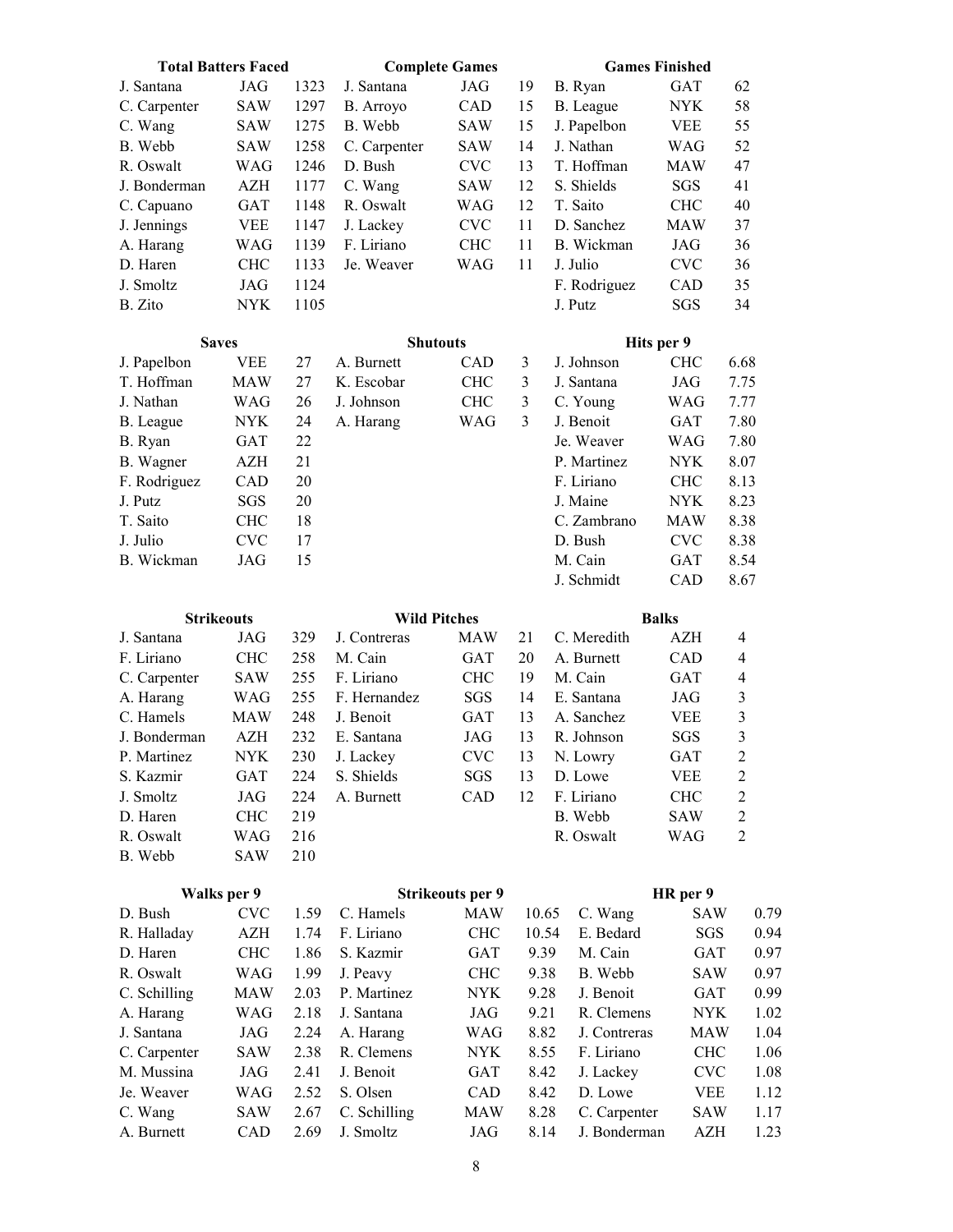| <b>Total Batters Faced</b> |            |      |              | <b>Complete Games</b>   |       | <b>Games Finished</b>    |            |                  |
|----------------------------|------------|------|--------------|-------------------------|-------|--------------------------|------------|------------------|
| J. Santana                 | JAG        | 1323 | J. Santana   | <b>JAG</b>              | 19    | B. Ryan                  | <b>GAT</b> | 62               |
| C. Carpenter               | <b>SAW</b> | 1297 | B. Arroyo    | CAD                     | 15    | B. League                | <b>NYK</b> | 58               |
| C. Wang                    | <b>SAW</b> | 1275 | B. Webb      | <b>SAW</b>              | 15    | J. Papelbon              | <b>VEE</b> | 55               |
| B. Webb                    | <b>SAW</b> | 1258 | C. Carpenter | <b>SAW</b>              | 14    | J. Nathan                | WAG        | 52               |
| R. Oswalt                  | WAG        | 1246 | D. Bush      | <b>CVC</b>              | 13    | T. Hoffman               | <b>MAW</b> | 47               |
| J. Bonderman               | <b>AZH</b> | 1177 | C. Wang      | <b>SAW</b>              | 12    | S. Shields               | SGS        | 41               |
| C. Capuano                 | GAT        | 1148 | R. Oswalt    | WAG                     | 12    | T. Saito                 | <b>CHC</b> | 40               |
| J. Jennings                | <b>VEE</b> | 1147 | J. Lackey    | <b>CVC</b>              | 11    | D. Sanchez               | <b>MAW</b> | 37               |
| A. Harang                  | <b>WAG</b> | 1139 | F. Liriano   | <b>CHC</b>              | 11    | B. Wickman               | <b>JAG</b> | 36               |
| D. Haren                   | <b>CHC</b> | 1133 | Je. Weaver   | <b>WAG</b>              | 11    | J. Julio                 | <b>CVC</b> | 36               |
| J. Smoltz                  | <b>JAG</b> | 1124 |              |                         |       | F. Rodriguez             | CAD        | 35               |
| B. Zito                    | <b>NYK</b> | 1105 |              |                         |       | J. Putz                  | SGS        | 34               |
|                            |            |      |              |                         |       |                          |            |                  |
| <b>Saves</b>               | <b>VEE</b> | 27   | A. Burnett   | <b>Shutouts</b><br>CAD  | 3     | Hits per 9<br>J. Johnson | <b>CHC</b> | 6.68             |
| J. Papelbon<br>T. Hoffman  | <b>MAW</b> | 27   | K. Escobar   | <b>CHC</b>              | 3     |                          |            | 7.75             |
| J. Nathan                  |            |      |              |                         | 3     | J. Santana               | JAG        |                  |
|                            | <b>WAG</b> | 26   | J. Johnson   | <b>CHC</b>              |       | C. Young                 | <b>WAG</b> | 7.77             |
| B. League                  | <b>NYK</b> | 24   | A. Harang    | <b>WAG</b>              | 3     | J. Benoit                | <b>GAT</b> | 7.80             |
| B. Ryan                    | <b>GAT</b> | 22   |              |                         |       | Je. Weaver               | <b>WAG</b> | 7.80             |
| B. Wagner                  | AZH        | 21   |              |                         |       | P. Martinez              | <b>NYK</b> | 8.07             |
| F. Rodriguez               | CAD        | 20   |              |                         |       | F. Liriano               | <b>CHC</b> | 8.13             |
| J. Putz                    | SGS        | 20   |              |                         |       | J. Maine                 | <b>NYK</b> | 8.23             |
| T. Saito                   | <b>CHC</b> | 18   |              |                         |       | C. Zambrano              | <b>MAW</b> | 8.38             |
| J. Julio                   | <b>CVC</b> | 17   |              |                         |       | D. Bush                  | <b>CVC</b> | 8.38             |
| B. Wickman                 | JAG        | 15   |              |                         |       | M. Cain                  | <b>GAT</b> | 8.54             |
|                            |            |      |              |                         |       | J. Schmidt               | CAD        | 8.67             |
| <b>Strikeouts</b>          |            |      |              | <b>Wild Pitches</b>     |       | <b>Balks</b>             |            |                  |
| J. Santana                 | JAG        | 329  | J. Contreras | <b>MAW</b>              | 21    | C. Meredith              | <b>AZH</b> | $\overline{4}$   |
| F. Liriano                 | <b>CHC</b> | 258  | M. Cain      | <b>GAT</b>              | 20    | A. Burnett               | CAD        | 4                |
| C. Carpenter               | <b>SAW</b> | 255  | F. Liriano   | <b>CHC</b>              | 19    | M. Cain                  | <b>GAT</b> | $\overline{4}$   |
| A. Harang                  | <b>WAG</b> | 255  | F. Hernandez | SGS                     | 14    | E. Santana               | <b>JAG</b> | 3                |
| C. Hamels                  | <b>MAW</b> | 248  | J. Benoit    | <b>GAT</b>              | 13    | A. Sanchez               | <b>VEE</b> | $\mathfrak{Z}$   |
| J. Bonderman               | AZH        | 232  | E. Santana   | JAG                     | 13    | R. Johnson               | SGS        | 3                |
| P. Martinez                | <b>NYK</b> | 230  | J. Lackey    | CVC                     | 13    | N. Lowry                 | GAT        | $\boldsymbol{2}$ |
| S. Kazmir                  | GAT        | 224  | S. Shields   | SGS                     | 13    | D. Lowe                  | VEE        | $\overline{c}$   |
| J. Smoltz                  | JAG        | 224  | A. Burnett   | CAD                     | 12    | F. Liriano               | <b>CHC</b> | $\overline{c}$   |
| D. Haren                   | <b>CHC</b> | 219  |              |                         |       | B. Webb                  | SAW        | $\boldsymbol{2}$ |
| R. Oswalt                  | WAG        | 216  |              |                         |       | R. Oswalt                | WAG        | $\sqrt{2}$       |
| B. Webb                    | SAW        | 210  |              |                         |       |                          |            |                  |
| Walks per 9                |            |      |              | <b>Strikeouts per 9</b> |       |                          | HR per 9   |                  |
| D. Bush                    | <b>CVC</b> | 1.59 | C. Hamels    | MAW                     | 10.65 | C. Wang                  | SAW        | 0.79             |
| R. Halladay                | AZH        | 1.74 | F. Liriano   | <b>CHC</b>              | 10.54 | E. Bedard                | SGS        | 0.94             |
| D. Haren                   | <b>CHC</b> | 1.86 | S. Kazmir    | GAT                     | 9.39  | M. Cain                  | GAT        | 0.97             |
| R. Oswalt                  | WAG        | 1.99 | J. Peavy     | <b>CHC</b>              | 9.38  | B. Webb                  | SAW        | 0.97             |
|                            |            |      |              |                         |       |                          |            |                  |
| C. Schilling               | MAW        | 2.03 | P. Martinez  | NYK.                    | 9.28  | J. Benoit                | GAT        | 0.99             |
| A. Harang                  | <b>WAG</b> | 2.18 | J. Santana   | JAG                     | 9.21  | R. Clemens               | <b>NYK</b> | 1.02             |
| J. Santana                 | JAG        | 2.24 | A. Harang    | WAG                     | 8.82  | J. Contreras             | <b>MAW</b> | 1.04             |
| C. Carpenter               | SAW        | 2.38 | R. Clemens   | <b>NYK</b>              | 8.55  | F. Liriano               | <b>CHC</b> | 1.06             |
| M. Mussina                 | JAG        | 2.41 | J. Benoit    | GAT                     | 8.42  | J. Lackey                | <b>CVC</b> | 1.08             |
| Je. Weaver                 | WAG        | 2.52 | S. Olsen     | CAD                     | 8.42  | D. Lowe                  | VEE        | 1.12             |
| C. Wang                    | SAW        | 2.67 | C. Schilling | MAW                     | 8.28  | C. Carpenter             | SAW        | 1.17             |
| A. Burnett                 | CAD        | 2.69 | J. Smoltz    | JAG                     | 8.14  | J. Bonderman             | AZH        | 1.23             |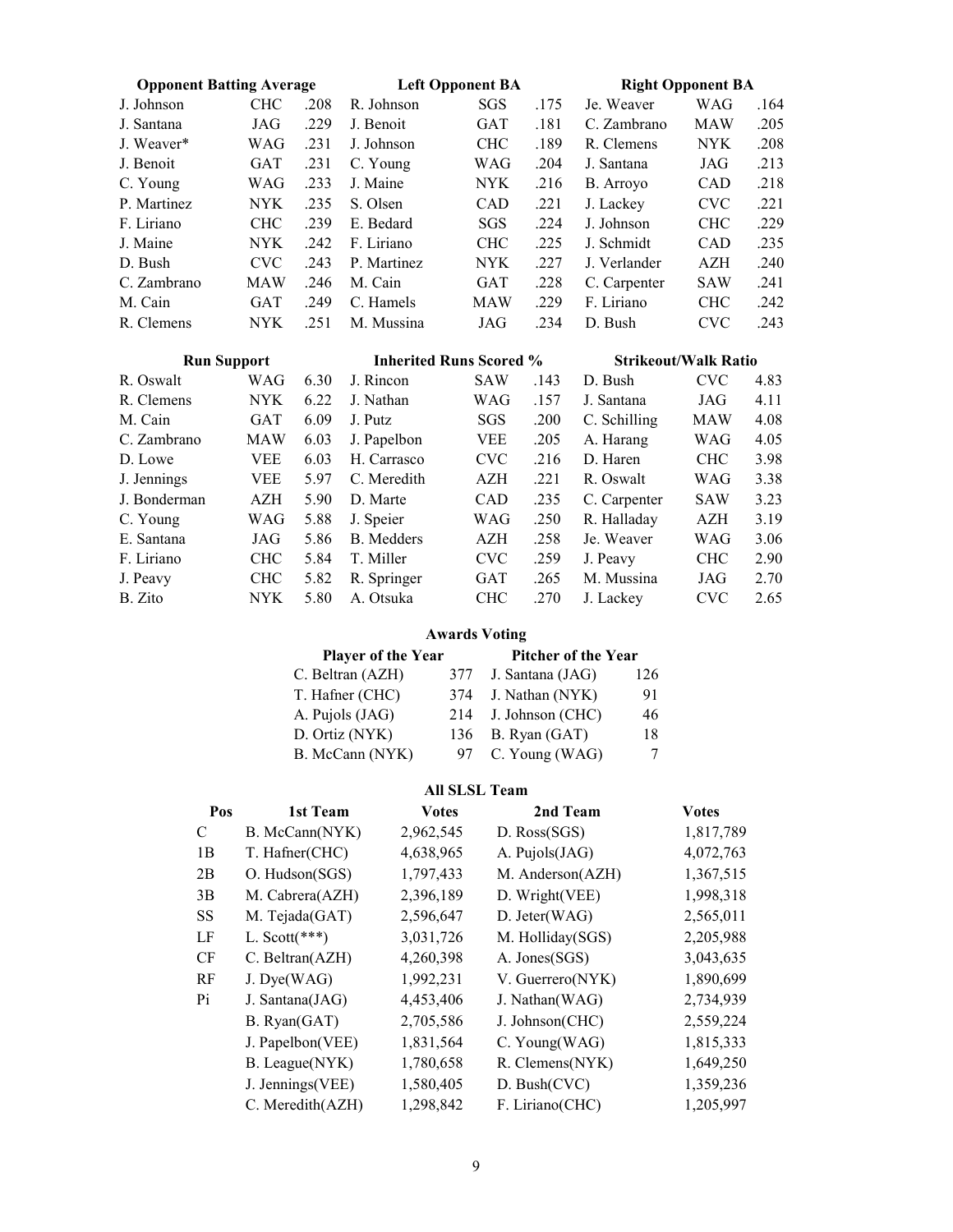| <b>Opponent Batting Average</b> |            |      |                                | <b>Left Opponent BA</b> |      |              | <b>Right Opponent BA</b>    |      |
|---------------------------------|------------|------|--------------------------------|-------------------------|------|--------------|-----------------------------|------|
| J. Johnson                      | <b>CHC</b> | .208 | R. Johnson                     | SGS                     | .175 | Je. Weaver   | WAG                         | .164 |
| J. Santana                      | JAG        | .229 | J. Benoit                      | <b>GAT</b>              | .181 | C. Zambrano  | <b>MAW</b>                  | .205 |
| J. Weaver*                      | WAG        | .231 | J. Johnson                     | <b>CHC</b>              | .189 | R. Clemens   | NYK.                        | .208 |
| J. Benoit                       | <b>GAT</b> | .231 | C. Young                       | WAG                     | .204 | J. Santana   | JAG                         | .213 |
| C. Young                        | WAG        | .233 | J. Maine                       | <b>NYK</b>              | .216 | B. Arroyo    | CAD                         | .218 |
| P. Martinez                     | <b>NYK</b> | .235 | S. Olsen                       | CAD                     | .221 | J. Lackey    | <b>CVC</b>                  | .221 |
| F. Liriano                      | <b>CHC</b> | .239 | E. Bedard                      | SGS                     | .224 | J. Johnson   | <b>CHC</b>                  | .229 |
| J. Maine                        | NYK        | .242 | F. Liriano                     | <b>CHC</b>              | .225 | J. Schmidt   | <b>CAD</b>                  | .235 |
| D. Bush                         | <b>CVC</b> | .243 | P. Martinez                    | <b>NYK</b>              | .227 | J. Verlander | AZH                         | .240 |
| C. Zambrano                     | <b>MAW</b> | .246 | M. Cain                        | <b>GAT</b>              | .228 | C. Carpenter | SAW                         | .241 |
| M. Cain                         | GAT        | .249 | C. Hamels                      | <b>MAW</b>              | .229 | F. Liriano   | <b>CHC</b>                  | .242 |
| R. Clemens                      | NYK.       | .251 | M. Mussina                     | JAG                     | .234 | D. Bush      | <b>CVC</b>                  | .243 |
|                                 |            |      |                                |                         |      |              |                             |      |
|                                 |            |      | <b>Inherited Runs Scored %</b> |                         |      |              | <b>Strikeout/Walk Ratio</b> |      |
| <b>Run Support</b><br>R. Oswalt | WAG        | 6.30 | J. Rincon                      | <b>SAW</b>              | .143 | D. Bush      | <b>CVC</b>                  | 4.83 |
| R. Clemens                      | <b>NYK</b> | 6.22 | J. Nathan                      | WAG                     | .157 | J. Santana   | JAG                         | 4.11 |
| M. Cain                         | <b>GAT</b> | 6.09 | J. Putz                        | <b>SGS</b>              | .200 | C. Schilling | <b>MAW</b>                  | 4.08 |
| C. Zambrano                     | <b>MAW</b> | 6.03 | J. Papelbon                    | <b>VEE</b>              | .205 | A. Harang    | WAG                         | 4.05 |
| D. Lowe                         | VEE        | 6.03 | H. Carrasco                    | <b>CVC</b>              | .216 | D. Haren     | <b>CHC</b>                  | 3.98 |
| J. Jennings                     | <b>VEE</b> | 5.97 | C. Meredith                    | AZH                     | .221 | R. Oswalt    | WAG                         | 3.38 |
| J. Bonderman                    | <b>AZH</b> | 5.90 | D. Marte                       | CAD                     | .235 | C. Carpenter | SAW                         | 3.23 |
| C. Young                        | WAG        | 5.88 | J. Speier                      | WAG                     | .250 | R. Halladay  | AZH                         | 3.19 |
| E. Santana                      | JAG        | 5.86 | <b>B.</b> Medders              | AZH                     | .258 | Je. Weaver   | WAG                         | 3.06 |
| F. Liriano                      | <b>CHC</b> | 5.84 | T. Miller                      | <b>CVC</b>              | .259 | J. Peavy     | <b>CHC</b>                  | 2.90 |
| J. Peavy                        | <b>CHC</b> | 5.82 | R. Springer                    | <b>GAT</b>              | .265 | M. Mussina   | JAG                         | 2.70 |

#### Awards Voting

| Player of the Year | <b>Pitcher of the Year</b> |                   |     |
|--------------------|----------------------------|-------------------|-----|
| C. Beltran (AZH)   | 377                        | J. Santana (JAG)  | 126 |
| T. Hafner (CHC)    | 374                        | J. Nathan (NYK)   | 91  |
| A. Pujols (JAG)    | 214                        | J. Johnson (CHC)  | 46  |
| D. Ortiz (NYK)     |                            | 136 B. Ryan (GAT) | 18  |
| B. McCann (NYK)    | 97                         | C. Young (WAG)    | 7   |

#### All SLSL Team

| Pos       | 1st Team         | <b>Votes</b> | 2nd Team         | <b>Votes</b> |
|-----------|------------------|--------------|------------------|--------------|
| C         | B. McCann(NYK)   | 2,962,545    | D. Ross(SGS)     | 1,817,789    |
| 1B        | T. Hafner(CHC)   | 4,638,965    | A. Pujols(JAG)   | 4,072,763    |
| 2B        | O. Hudson(SGS)   | 1,797,433    | M. Anderson(AZH) | 1,367,515    |
| 3B        | M. Cabrera(AZH)  | 2,396,189    | D. Wright(VEE)   | 1,998,318    |
| SS        | M. Tejada(GAT)   | 2,596,647    | D. Jeter(WAG)    | 2,565,011    |
| LF        | L. Scott $(***)$ | 3,031,726    | M. Holliday(SGS) | 2,205,988    |
| <b>CF</b> | C. Beltran(AZH)  | 4,260,398    | A. Jones(SGS)    | 3,043,635    |
| RF        | J. Dye(WAG)      | 1,992,231    | V. Guerrero(NYK) | 1,890,699    |
| Pi        | J. Santana(JAG)  | 4,453,406    | J. Nathan(WAG)   | 2,734,939    |
|           | B. Ryan(GAT)     | 2,705,586    | J. Johnson(CHC)  | 2,559,224    |
|           | J. Papelbon(VEE) | 1,831,564    | C. Young(WAG)    | 1,815,333    |
|           | B. League(NYK)   | 1,780,658    | R. Clemens(NYK)  | 1,649,250    |
|           | J. Jennings(VEE) | 1,580,405    | D. Bush(CVC)     | 1,359,236    |
|           | C. Meredith(AZH) | 1,298,842    | F. Liriano(CHC)  | 1,205,997    |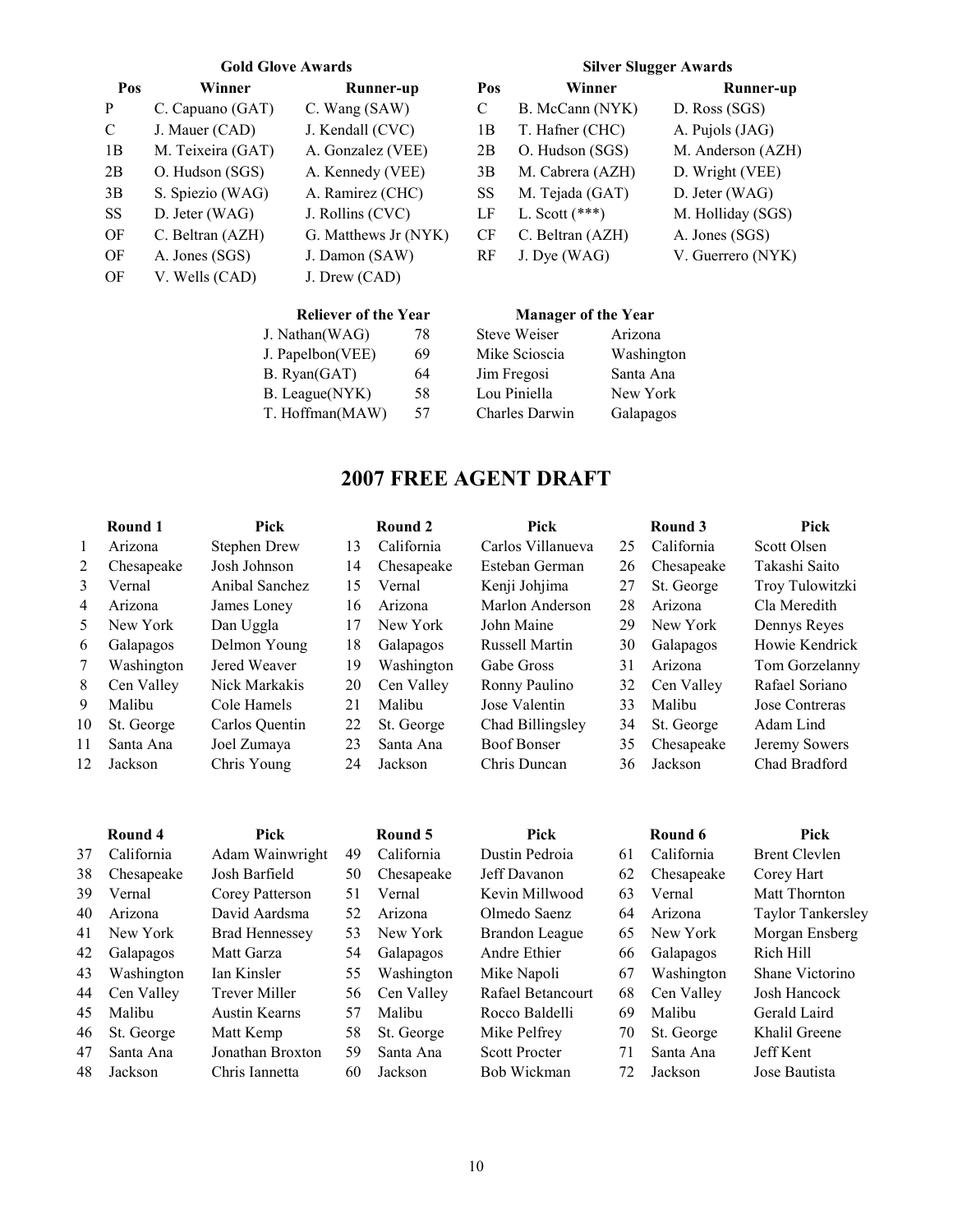| Pos           | Winner            | Runner-up            | Pos | Winner           | <b>Runner-up</b>  |
|---------------|-------------------|----------------------|-----|------------------|-------------------|
| P             | C. Capuano (GAT)  | C. Wang (SAW)        | C   | B. McCann (NYK)  | D. Ross (SGS)     |
| $\mathcal{C}$ | J. Mauer (CAD)    | J. Kendall (CVC)     | 1В  | T. Hafner (CHC)  | A. Pujols (JAG)   |
| 1B            | M. Teixeira (GAT) | A. Gonzalez (VEE)    | 2B  | O. Hudson (SGS)  | M. Anderson (AZH) |
| 2B            | O. Hudson (SGS)   | A. Kennedy (VEE)     | 3B  | M. Cabrera (AZH) | D. Wright (VEE)   |
| 3B            | S. Spiezio (WAG)  | A. Ramirez (CHC)     | SS  | M. Tejada (GAT)  | D. Jeter (WAG)    |
| SS            | D. Jeter (WAG)    | J. Rollins (CVC)     | LF  | L. Scott $(***)$ | M. Holliday (SGS) |
| OF            | C. Beltran (AZH)  | G. Matthews Jr (NYK) | CF  | C. Beltran (AZH) | A. Jones (SGS)    |
| OF            | A. Jones (SGS)    | J. Damon (SAW)       | RF  | J. Dye (WAG)     | V. Guerrero (NYK) |
| OF            | V. Wells (CAD)    | J. Drew (CAD)        |     |                  |                   |

#### Gold Glove Awards Silver Slugger Awards

| Pos | Winner           | Runner-up         |
|-----|------------------|-------------------|
| С   | B. McCann (NYK)  | D. Ross (SGS)     |
| 1B  | T. Hafner (CHC)  | A. Pujols (JAG)   |
| 2B  | O. Hudson (SGS)  | M. Anderson (AZH) |
| 3В  | M. Cabrera (AZH) | D. Wright (VEE)   |
| SS  | M. Tejada (GAT)  | D. Jeter (WAG)    |
| LF  | L. Scott $(***)$ | M. Holliday (SGS) |
| СF  | C. Beltran (AZH) | A. Jones (SGS)    |
| RF  | J. Dye (WAG)     | V. Guerrero (NYK) |

#### Reliever of the Year Manager of the Year

| J. Nathan(WAG)   | 78 |
|------------------|----|
| J. Papelbon(VEE) | 69 |
| B. Ryan(GAT)     | 64 |
| B. League(NYK)   | 58 |
| T. Hoffman(MAW)  | 57 |
|                  |    |

| 78 | <b>Steve Weiser</b>   | Arizona    |
|----|-----------------------|------------|
| 69 | Mike Scioscia         | Washington |
| 64 | Jim Fregosi           | Santa Ana  |
| 58 | Lou Piniella          | New York   |
| 57 | <b>Charles Darwin</b> | Galapagos  |
|    |                       |            |

# 2007 FREE AGENT DRAFT

|    | Round 1    | Pick           |    | Round 2    | Pick                  |    | Round 3    | Pick            |
|----|------------|----------------|----|------------|-----------------------|----|------------|-----------------|
| 1  | Arizona    | Stephen Drew   | 13 | California | Carlos Villanueva     | 25 | California | Scott Olsen     |
| 2  | Chesapeake | Josh Johnson   | 14 | Chesapeake | Esteban German        | 26 | Chesapeake | Takashi Saito   |
| 3  | Vernal     | Anibal Sanchez | 15 | Vernal     | Kenji Johjima         | 27 | St. George | Troy Tulowitzki |
| 4  | Arizona    | James Loney    | 16 | Arizona    | Marlon Anderson       | 28 | Arizona    | Cla Meredith    |
| 5  | New York   | Dan Uggla      | 17 | New York   | John Maine            | 29 | New York   | Dennys Reyes    |
| 6  | Galapagos  | Delmon Young   | 18 | Galapagos  | <b>Russell Martin</b> | 30 | Galapagos  | Howie Kendrick  |
| 7  | Washington | Jered Weaver   | 19 | Washington | Gabe Gross            | 31 | Arizona    | Tom Gorzelanny  |
| 8  | Cen Valley | Nick Markakis  | 20 | Cen Valley | Ronny Paulino         | 32 | Cen Valley | Rafael Soriano  |
| 9  | Malibu     | Cole Hamels    | 21 | Malibu     | Jose Valentin         | 33 | Malibu     | Jose Contreras  |
| 10 | St. George | Carlos Quentin | 22 | St. George | Chad Billingsley      | 34 | St. George | Adam Lind       |
| 11 | Santa Ana  | Joel Zumaya    | 23 | Santa Ana  | <b>Boof Bonser</b>    | 35 | Chesapeake | Jeremy Sowers   |
| 12 | Jackson    | Chris Young    | 24 | Jackson    | Chris Duncan          | 36 | Jackson    | Chad Bradford   |

|    | Round 4    | Pick                  |    | Round 5    | Pick                 |    | Round 6    | Pick                     |
|----|------------|-----------------------|----|------------|----------------------|----|------------|--------------------------|
| 37 | California | Adam Wainwright       | 49 | California | Dustin Pedroia       | 61 | California | <b>Brent Clevlen</b>     |
| 38 | Chesapeake | Josh Barfield         | 50 | Chesapeake | Jeff Davanon         | 62 | Chesapeake | Corey Hart               |
| 39 | Vernal     | Corey Patterson       | 51 | Vernal     | Kevin Millwood       | 63 | Vernal     | Matt Thornton            |
| 40 | Arizona    | David Aardsma         | 52 | Arizona    | Olmedo Saenz         | 64 | Arizona    | <b>Taylor Tankersley</b> |
| 41 | New York   | <b>Brad Hennessey</b> | 53 | New York   | Brandon League       | 65 | New York   | Morgan Ensberg           |
| 42 | Galapagos  | Matt Garza            | 54 | Galapagos  | Andre Ethier         | 66 | Galapagos  | Rich Hill                |
| 43 | Washington | Ian Kinsler           | 55 | Washington | Mike Napoli          | 67 | Washington | Shane Victorino          |
| 44 | Cen Valley | Trever Miller         | 56 | Cen Valley | Rafael Betancourt    | 68 | Cen Valley | Josh Hancock             |
| 45 | Malibu     | <b>Austin Kearns</b>  | 57 | Malibu     | Rocco Baldelli       | 69 | Malibu     | Gerald Laird             |
| 46 | St. George | Matt Kemp             | 58 | St. George | Mike Pelfrey         | 70 | St. George | Khalil Greene            |
| 47 | Santa Ana  | Jonathan Broxton      | 59 | Santa Ana  | <b>Scott Procter</b> | 71 | Santa Ana  | Jeff Kent                |
| 48 | Jackson    | Chris Iannetta        | 60 | Jackson    | Bob Wickman          | 72 | Jackson    | Jose Bautista            |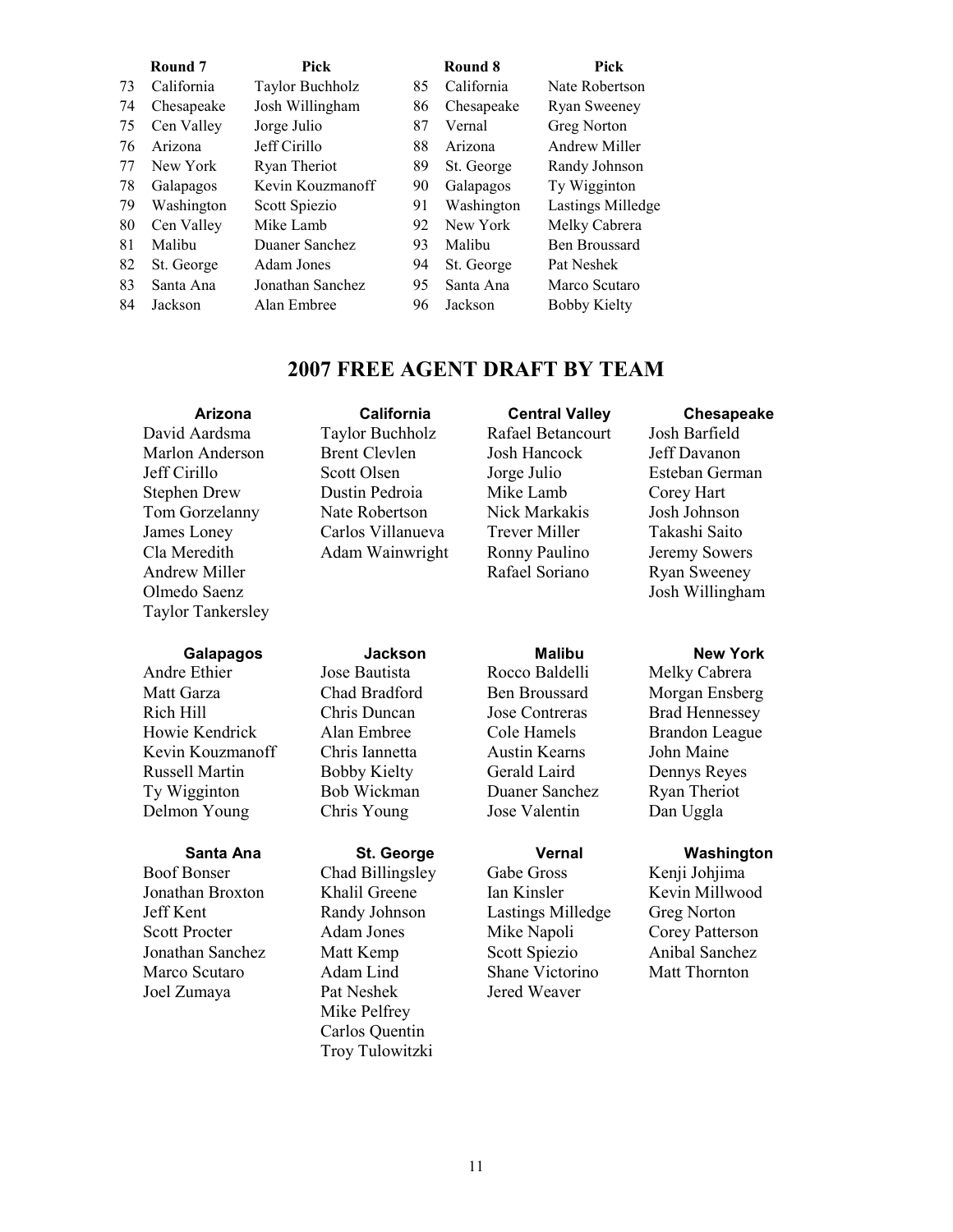|    | Round 7    | Pick             |    | Round 8    | <b>Pick</b>          |
|----|------------|------------------|----|------------|----------------------|
| 73 | California | Taylor Buchholz  | 85 | California | Nate Robertson       |
| 74 | Chesapeake | Josh Willingham  | 86 | Chesapeake | <b>Ryan Sweeney</b>  |
| 75 | Cen Valley | Jorge Julio      | 87 | Vernal     | Greg Norton          |
| 76 | Arizona    | Jeff Cirillo     | 88 | Arizona    | Andrew Miller        |
| 77 | New York   | Ryan Theriot     | 89 | St. George | Randy Johnson        |
| 78 | Galapagos  | Kevin Kouzmanoff | 90 | Galapagos  | Ty Wigginton         |
| 79 | Washington | Scott Spiezio    | 91 | Washington | Lastings Milledge    |
| 80 | Cen Valley | Mike Lamb        | 92 | New York   | Melky Cabrera        |
| 81 | Malibu     | Duaner Sanchez   | 93 | Malibu     | <b>Ben Broussard</b> |
| 82 | St. George | Adam Jones       | 94 | St. George | Pat Neshek           |
| 83 | Santa Ana  | Jonathan Sanchez | 95 | Santa Ana  | Marco Scutaro        |
| 84 | Jackson    | Alan Embree      | 96 | Jackson    | Bobby Kielty         |

### 2007 FREE AGENT DRAFT BY TEAM

David Aardsma Taylor Buchholz Rafael Betancourt Josh Barfield Marlon Anderson Brent Clevlen Josh Hancock Jeff Davanon Jeff Cirillo Scott Olsen Jorge Julio Esteban German Stephen Drew Dustin Pedroia Mike Lamb Corey Hart Tom Gorzelanny Nate Robertson Nick Markakis Josh Johnson James Loney Carlos Villanueva Trever Miller Takashi Saito Cla Meredith Adam Wainwright Ronny Paulino Jeremy Sowers

Andrew Miller **Rafael Soriano** Ryan Sweeney Olmedo Saenz Josh Willingham Taylor Tankersley

Matt Garza **Chad Bradford** Ben Broussard Morgan Ensberg Rich Hill Chris Duncan Jose Contreras Brad Hennessey Howie Kendrick Alan Embree Cole Hamels Brandon League Kevin Kouzmanoff Chris Iannetta Austin Kearns John Maine Russell Martin Bobby Kielty Gerald Laird Dennys Reyes Ty Wigginton Bob Wickman Duaner Sanchez Ryan Theriot Delmon Young Chris Young Jose Valentin Dan Uggla

Boof Bonser Chad Billingsley Gabe Gross Kenji Johjima Jonathan Broxton Khalil Greene Ian Kinsler Kevin Millwood Jeff Kent Randy Johnson Lastings Milledge Greg Norton Scott Procter Adam Jones Mike Napoli Corey Patterson<br>
Jonathan Sanchez Matt Kemp Scott Spiezio Anibal Sanchez Jonathan Sanchez Matt Kemp Scott Spiezio Marco Scutaro Adam Lind Shane Victorino Matt Thornton Joel Zumaya Pat Neshek Jered Weaver

Galapagos Jackson Malibu New York Andre Ethier Jose Bautista Rocco Baldelli Melky Cabrera

Santa Ana St. George **St. George** Vernal Washington<br>
Bonser Chad Billingslev Gabe Gross Kenii Johiima Mike Pelfrey Carlos Quentin Troy Tulowitzki

Arizona California Central Valley Chesapeake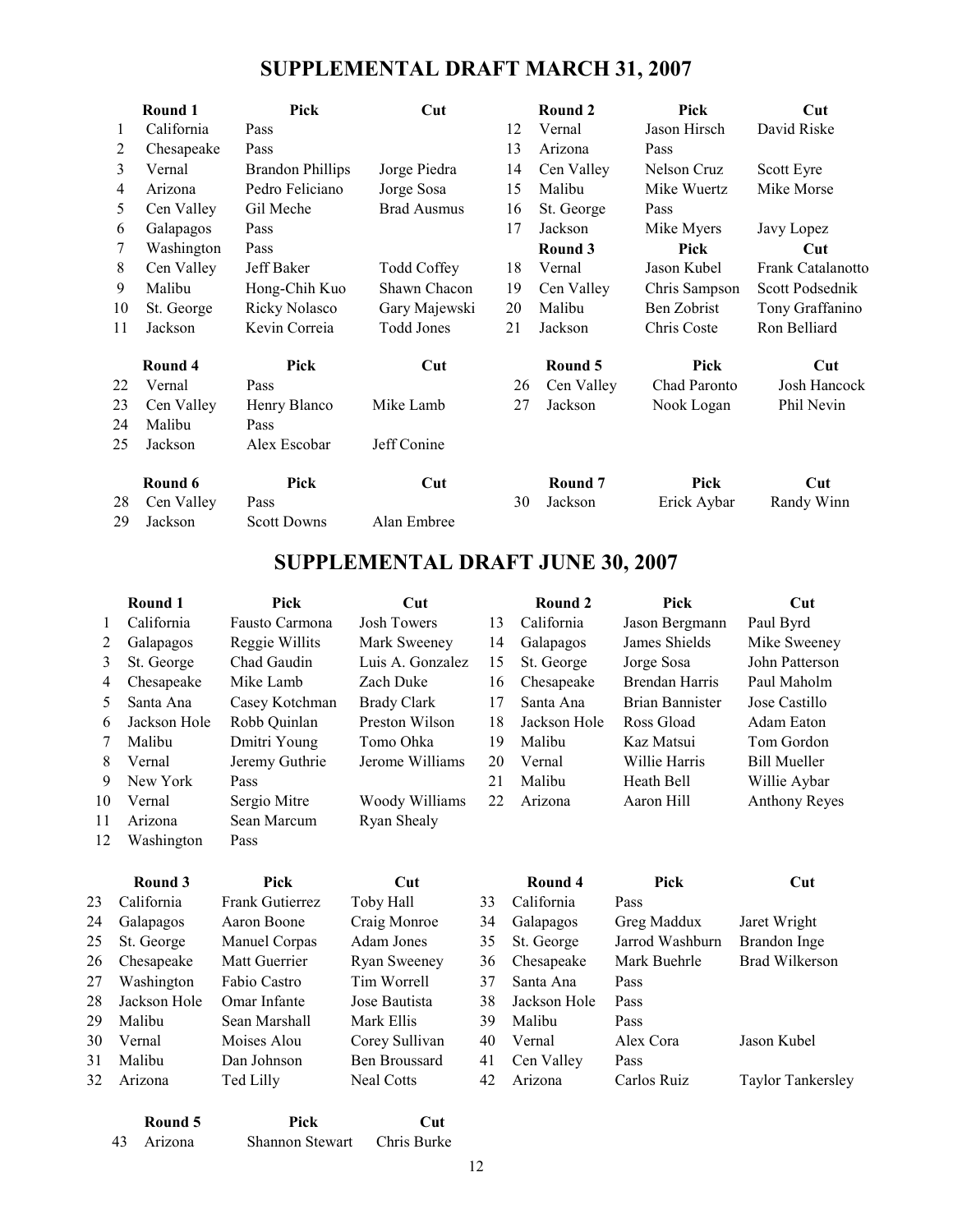# SUPPLEMENTAL DRAFT MARCH 31, 2007

|    | Round 1    | Pick                    | Cut                |    | Round 2    | Pick          | Cut               |
|----|------------|-------------------------|--------------------|----|------------|---------------|-------------------|
| 1  | California | Pass                    |                    | 12 | Vernal     | Jason Hirsch  | David Riske       |
| 2  | Chesapeake | Pass                    |                    | 13 | Arizona    | Pass          |                   |
| 3  | Vernal     | <b>Brandon Phillips</b> | Jorge Piedra       | 14 | Cen Valley | Nelson Cruz   | Scott Eyre        |
| 4  | Arizona    | Pedro Feliciano         | Jorge Sosa         | 15 | Malibu     | Mike Wuertz   | Mike Morse        |
| 5  | Cen Valley | Gil Meche               | <b>Brad Ausmus</b> | 16 | St. George | Pass          |                   |
| 6  | Galapagos  | Pass                    |                    | 17 | Jackson    | Mike Myers    | Javy Lopez        |
| 7  | Washington | Pass                    |                    |    | Round 3    | Pick          | Cut               |
| 8  | Cen Valley | Jeff Baker              | <b>Todd Coffey</b> | 18 | Vernal     | Jason Kubel   | Frank Catalanotto |
| 9  | Malibu     | Hong-Chih Kuo           | Shawn Chacon       | 19 | Cen Valley | Chris Sampson | Scott Podsednik   |
| 10 | St. George | Ricky Nolasco           | Gary Majewski      | 20 | Malibu     | Ben Zobrist   | Tony Graffanino   |
| 11 | Jackson    | Kevin Correia           | Todd Jones         | 21 | Jackson    | Chris Coste   | Ron Belliard      |
|    | Round 4    | Pick                    | Cut                |    | Round 5    | Pick          | Cut               |
| 22 | Vernal     | Pass                    |                    | 26 | Cen Valley | Chad Paronto  | Josh Hancock      |
| 23 | Cen Valley | Henry Blanco            | Mike Lamb          | 27 | Jackson    | Nook Logan    | Phil Nevin        |
| 24 | Malibu     | Pass                    |                    |    |            |               |                   |
| 25 | Jackson    | Alex Escobar            | Jeff Conine        |    |            |               |                   |
|    | Round 6    | Pick                    | Cut                |    | Round 7    | Pick          | Cut               |
| 28 | Cen Valley | Pass                    |                    | 30 | Jackson    | Erick Aybar   | Randy Winn        |
| 29 | Jackson    | <b>Scott Downs</b>      | Alan Embree        |    |            |               |                   |

# SUPPLEMENTAL DRAFT JUNE 30, 2007

|    | Round 1      | Pick           | $\bf{Cut}$         |    | Round 2      | Pick                   | Cut                  |
|----|--------------|----------------|--------------------|----|--------------|------------------------|----------------------|
|    | California   | Fausto Carmona | <b>Josh Towers</b> | 13 | California   | Jason Bergmann         | Paul Byrd            |
| 2  | Galapagos    | Reggie Willits | Mark Sweeney       | 14 | Galapagos    | James Shields          | Mike Sweeney         |
| 3  | St. George   | Chad Gaudin    | Luis A. Gonzalez   | 15 | St. George   | Jorge Sosa             | John Patterson       |
| 4  | Chesapeake   | Mike Lamb      | Zach Duke          | 16 | Chesapeake   | <b>Brendan Harris</b>  | Paul Maholm          |
| 5. | Santa Ana    | Casey Kotchman | <b>Brady Clark</b> | 17 | Santa Ana    | <b>Brian Bannister</b> | Jose Castillo        |
| 6  | Jackson Hole | Robb Quinlan   | Preston Wilson     | 18 | Jackson Hole | Ross Gload             | Adam Eaton           |
| 7  | Malibu       | Dmitri Young   | Tomo Ohka          | 19 | Malibu       | Kaz Matsui             | Tom Gordon           |
| 8  | Vernal       | Jeremy Guthrie | Jerome Williams    | 20 | Vernal       | Willie Harris          | <b>Bill Mueller</b>  |
| 9  | New York     | Pass           |                    | 21 | Malibu       | Heath Bell             | Willie Aybar         |
| 10 | Vernal       | Sergio Mitre   | Woody Williams     | 22 | Arizona      | Aaron Hill             | <b>Anthony Reyes</b> |
| 11 | Arizona      | Sean Marcum    | Ryan Shealy        |    |              |                        |                      |
| 12 | Washington   | Pass           |                    |    |              |                        |                      |

|      | Round 3      | Pick                   | Cut                 |    | Round 4      | Pick            | Cut                      |
|------|--------------|------------------------|---------------------|----|--------------|-----------------|--------------------------|
| 23.  | California   | <b>Frank Gutierrez</b> | Toby Hall           | 33 | California   | Pass            |                          |
| 24   | Galapagos    | Aaron Boone            | Craig Monroe        | 34 | Galapagos    | Greg Maddux     | Jaret Wright             |
| 25 - | St. George   | Manuel Corpas          | Adam Jones          | 35 | St. George   | Jarrod Washburn | Brandon Inge             |
| 26-  | Chesapeake   | Matt Guerrier          | <b>Ryan Sweeney</b> | 36 | Chesapeake   | Mark Buehrle    | Brad Wilkerson           |
| 27   | Washington   | Fabio Castro           | Tim Worrell         | 37 | Santa Ana    | Pass            |                          |
| 28.  | Jackson Hole | Omar Infante           | Jose Bautista       | 38 | Jackson Hole | Pass            |                          |
| 29.  | Malibu       | Sean Marshall          | Mark Ellis          | 39 | Malibu       | Pass            |                          |
| 30.  | Vernal       | Moises Alou            | Corey Sullivan      | 40 | Vernal       | Alex Cora       | Jason Kubel              |
| 31   | Malibu       | Dan Johnson            | Ben Broussard       | 41 | Cen Valley   | Pass            |                          |
| 32   | Arizona      | Ted Lilly              | <b>Neal Cotts</b>   | 42 | Arizona      | Carlos Ruiz     | <b>Taylor Tankersley</b> |
|      |              |                        |                     |    |              |                 |                          |

|    | Round 5 | Pick                   | - Cut       |
|----|---------|------------------------|-------------|
| 43 | Arizona | <b>Shannon Stewart</b> | Chris Burke |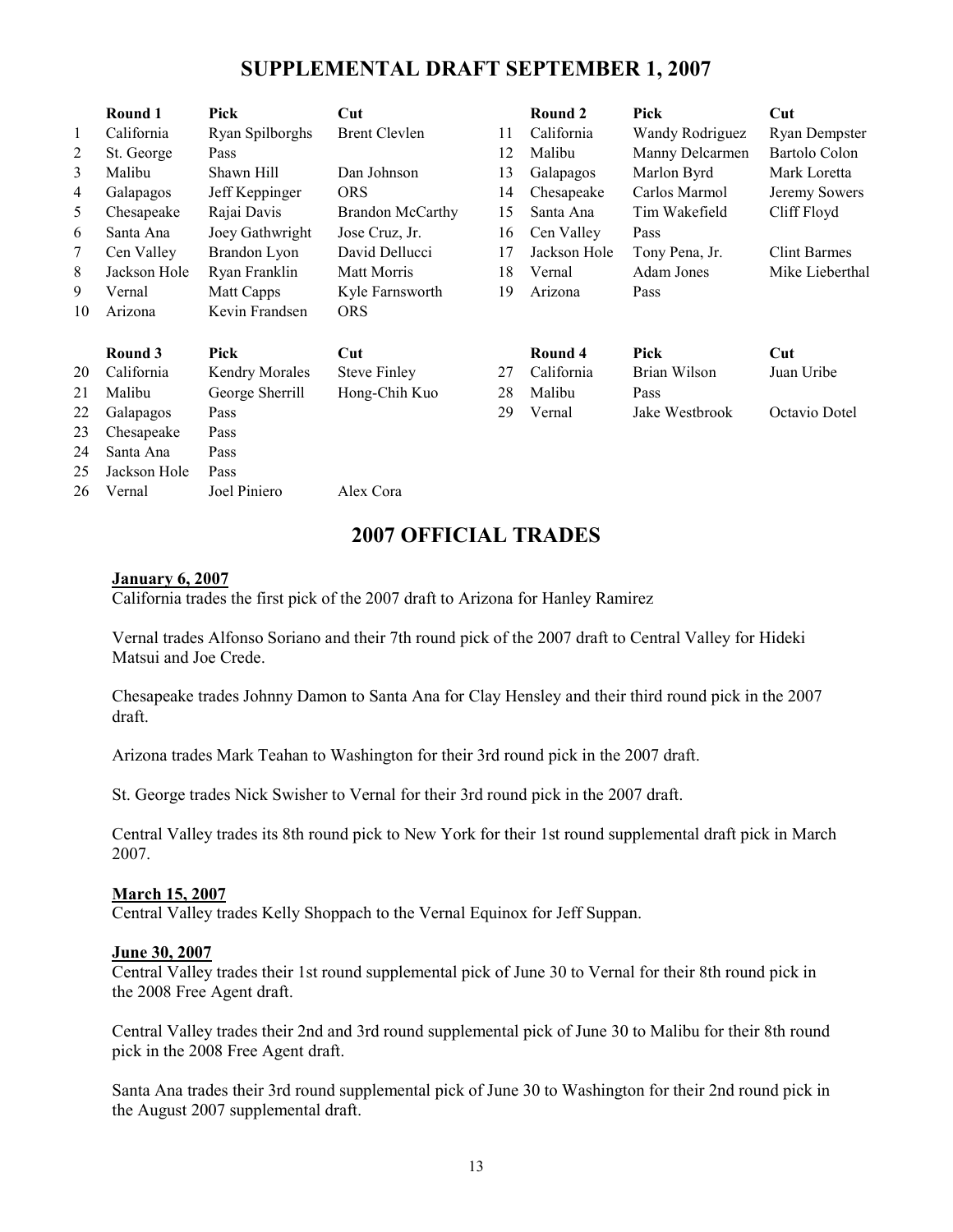### SUPPLEMENTAL DRAFT SEPTEMBER 1, 2007

|    | Round 1          | Pick                  | Cut                     |    | Round 2      | Pick            | Cut                  |
|----|------------------|-----------------------|-------------------------|----|--------------|-----------------|----------------------|
| 1  | California       | Ryan Spilborghs       | <b>Brent Clevlen</b>    | 11 | California   | Wandy Rodriguez | Ryan Dempster        |
| 2  | St. George       | Pass                  |                         | 12 | Malibu       | Manny Delcarmen | <b>Bartolo Colon</b> |
| 3  | Malibu           | Shawn Hill            | Dan Johnson             | 13 | Galapagos    | Marlon Byrd     | Mark Loretta         |
| 4  | Galapagos        | Jeff Keppinger        | <b>ORS</b>              | 14 | Chesapeake   | Carlos Marmol   | Jeremy Sowers        |
| 5  | Chesapeake       | Rajai Davis           | <b>Brandon McCarthy</b> | 15 | Santa Ana    | Tim Wakefield   | Cliff Floyd          |
| 6  | Santa Ana        | Joey Gathwright       | Jose Cruz, Jr.          | 16 | Cen Valley   | Pass            |                      |
| 7  | Cen Valley       | Brandon Lyon          | David Dellucci          | 17 | Jackson Hole | Tony Pena, Jr.  | <b>Clint Barmes</b>  |
| 8  | Jackson Hole     | Ryan Franklin         | Matt Morris             | 18 | Vernal       | Adam Jones      | Mike Lieberthal      |
| 9  | Vernal           | Matt Capps            | Kyle Farnsworth         | 19 | Arizona      | Pass            |                      |
| 10 | Arizona          | Kevin Frandsen        | <b>ORS</b>              |    |              |                 |                      |
|    | Round 3          | Pick                  | Cut                     |    | Round 4      | Pick            | Cut                  |
| 20 | California       | <b>Kendry Morales</b> | <b>Steve Finley</b>     | 27 | California   | Brian Wilson    | Juan Uribe           |
| 21 | Malibu           | George Sherrill       | Hong-Chih Kuo           | 28 | Malibu       | Pass            |                      |
| 22 | <b>Galapagos</b> | Pass                  |                         | 29 | Vernal       | Jake Westbrook  | Octavio Dotel        |
| 23 | Chesapeake       | Pass                  |                         |    |              |                 |                      |
| 24 | Santa Ana        | Pass                  |                         |    |              |                 |                      |
| 25 | Jackson Hole     | Pass                  |                         |    |              |                 |                      |
| 26 | Vernal           | Joel Piniero          | Alex Cora               |    |              |                 |                      |

### 2007 OFFICIAL TRADES

#### January 6, 2007

California trades the first pick of the 2007 draft to Arizona for Hanley Ramirez

Vernal trades Alfonso Soriano and their 7th round pick of the 2007 draft to Central Valley for Hideki Matsui and Joe Crede.

Chesapeake trades Johnny Damon to Santa Ana for Clay Hensley and their third round pick in the 2007 draft.

Arizona trades Mark Teahan to Washington for their 3rd round pick in the 2007 draft.

St. George trades Nick Swisher to Vernal for their 3rd round pick in the 2007 draft.

Central Valley trades its 8th round pick to New York for their 1st round supplemental draft pick in March 2007.

#### March 15, 2007

Central Valley trades Kelly Shoppach to the Vernal Equinox for Jeff Suppan.

#### June 30, 2007

Central Valley trades their 1st round supplemental pick of June 30 to Vernal for their 8th round pick in the 2008 Free Agent draft.

Central Valley trades their 2nd and 3rd round supplemental pick of June 30 to Malibu for their 8th round pick in the 2008 Free Agent draft.

Santa Ana trades their 3rd round supplemental pick of June 30 to Washington for their 2nd round pick in the August 2007 supplemental draft.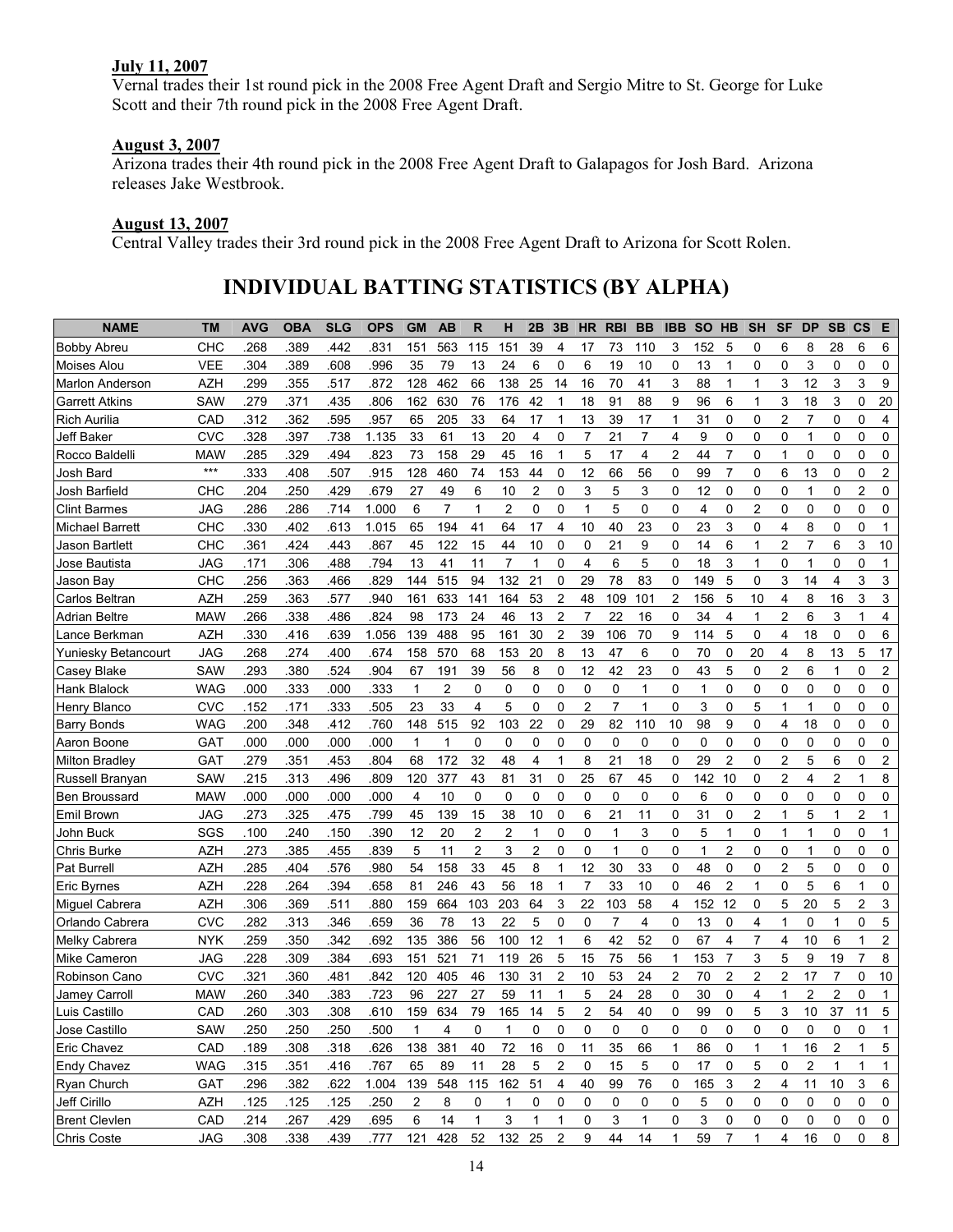### July 11, 2007

Vernal trades their 1st round pick in the 2008 Free Agent Draft and Sergio Mitre to St. George for Luke Scott and their 7th round pick in the 2008 Free Agent Draft.

#### August 3, 2007

Arizona trades their 4th round pick in the 2008 Free Agent Draft to Galapagos for Josh Bard. Arizona releases Jake Westbrook.

#### August 13, 2007

Central Valley trades their 3rd round pick in the 2008 Free Agent Draft to Arizona for Scott Rolen.

### INDIVIDUAL BATTING STATISTICS (BY ALPHA)

| <b>NAME</b>            | <b>TM</b>  | AVG  | <b>OBA</b> | <b>SLG</b> | <b>OPS</b> | <b>GM</b>    | AB             | R            | н                       | 2B                      | 3B             | <b>HR</b>      | <b>RBI</b>     | <b>BB</b>      | <b>IBB</b>     | <b>SO</b> | HB             | <b>SH</b>      | <b>SF</b>      | <b>DP</b>      | <b>SB</b>      | <b>CS</b>      | Е              |
|------------------------|------------|------|------------|------------|------------|--------------|----------------|--------------|-------------------------|-------------------------|----------------|----------------|----------------|----------------|----------------|-----------|----------------|----------------|----------------|----------------|----------------|----------------|----------------|
| <b>Bobby Abreu</b>     | CHC        | .268 | .389       | 442        | .831       | 151          | 563            | 115          | 151                     | 39                      | 4              | 17             | 73             | 110            | 3              | 152       | 5              | 0              | 6              | 8              | 28             | 6              | 6              |
| Moises Alou            | <b>VEE</b> | .304 | 389        | 608        | .996       | 35           | 79             | 13           | 24                      | 6                       | 0              | 6              | 19             | 10             | 0              | 13        | 1              | 0              | 0              | 3              | 0              | 0              | 0              |
| Marlon Anderson        | AZH        | .299 | .355       | 517        | .872       | 128          | 462            | 66           | 138                     | 25                      | 14             | 16             | 70             | 41             | 3              | 88        | 1              | 1              | 3              | 12             | 3              | 3              | 9              |
| <b>Garrett Atkins</b>  | SAW        | .279 | .371       | 435        | .806       | 162          | 630            | 76           | 176                     | 42                      | 1              | 18             | 91             | 88             | 9              | 96        | 6              | 1              | 3              | 18             | 3              | 0              | 20             |
| Rich Aurilia           | CAD        | .312 | 362        | 595        | .957       | 65           | 205            | 33           | 64                      | 17                      | 1              | 13             | 39             | 17             | 1              | 31        | 0              | 0              | 2              |                | 0              | 0              | 4              |
| <b>Jeff Baker</b>      | <b>CVC</b> | .328 | 397        | 738        | 1.135      | 33           | 61             | 13           | 20                      | $\overline{\mathbf{4}}$ | 0              | $\overline{7}$ | 21             | $\overline{7}$ | 4              | 9         | 0              | 0              | 0              | 1              | 0              | $\Omega$       | $\mathbf 0$    |
| Rocco Baldelli         | <b>MAW</b> | .285 | .329       | 494        | .823       | 73           | 158            | 29           | 45                      | 16                      | 1              | 5              | 17             | $\overline{4}$ | $\overline{2}$ | 44        | $\overline{7}$ | 0              | 1              | 0              | 0              | 0              | $\mathbf 0$    |
| Josh Bard              | $***$      | .333 | .408       | 507        | .915       | 128          | 460            | 74           | 153                     | 44                      | 0              | 12             | 66             | 56             | 0              | 99        | $\overline{7}$ | 0              | 6              | 13             | 0              | 0              | $\overline{2}$ |
| Josh Barfield          | CHC        | .204 | .250       | 429        | .679       | 27           | 49             | 6            | 10                      | $\overline{2}$          | 0              | 3              | 5              | 3              | 0              | 12        | 0              | 0              | 0              | 1              | 0              | $\overline{c}$ | $\mathbf 0$    |
| <b>Clint Barmes</b>    | JAG        | .286 | .286       | .714       | 1.000      | 6            | $\overline{7}$ | $\mathbf{1}$ | $\overline{2}$          | $\mathbf 0$             | 0              | $\mathbf{1}$   | 5              | $\mathbf 0$    | 0              | 4         | 0              | $\overline{c}$ | 0              | 0              | 0              | 0              | $\mathbf 0$    |
| <b>Michael Barrett</b> | CHC        | .330 | .402       | .613       | 1.015      | 65           | 194            | 41           | 64                      | 17                      | 4              | 10             | 40             | 23             | 0              | 23        | 3              | 0              | 4              | 8              | 0              | 0              | $\mathbf 1$    |
| Jason Bartlett         | CHC        | .361 | .424       | .443       | .867       | 45           | 122            | 15           | 44                      | 10                      | 0              | 0              | 21             | 9              | 0              | 14        | 6              | 1              | $\overline{c}$ | $\overline{7}$ | 6              | 3              | 10             |
| Jose Bautista          | <b>JAG</b> | .171 | .306       | 488        | .794       | 13           | 41             | 11           | $\overline{7}$          | 1                       | 0              | 4              | 6              | 5              | 0              | 18        | 3              | 1              | 0              | 1              | 0              | $\Omega$       | 1              |
| Jason Bay              | CHC        | 256  | .363       | 466        | .829       | 144          | 515            | 94           | 132                     | 21                      | 0              | 29             | 78             | 83             | 0              | 149       | 5              | 0              | 3              | 14             | 4              | 3              | 3              |
| Carlos Beltran         | <b>AZH</b> | .259 | .363       | .577       | .940       | 161          | 633            | 141          | 164                     | 53                      | 2              | 48             | 109            | 101            | $\overline{c}$ | 156       | 5              | 10             | 4              | 8              | 16             | 3              | 3              |
| <b>Adrian Beltre</b>   | <b>MAW</b> | 266  | .338       | 486        | .824       | 98           | 173            | 24           | 46                      | 13                      | 2              | 7              | 22             | 16             | 0              | 34        | 4              | 1              | 2              | 6              | 3              | 1              | 4              |
| Lance Berkman          | AZH        | .330 | .416       | 639        | 1.056      | 139          | 488            | 95           | 161                     | 30                      | $\overline{c}$ | 39             | 106            | 70             | 9              | 114       | 5              | 0              | 4              | 18             | 0              | 0              | 6              |
| Yuniesky Betancourt    | <b>JAG</b> | .268 | .274       | 400        | .674       | 158          | 570            | 68           | 153                     | 20                      | 8              | 13             | 47             | 6              | 0              | 70        | 0              | 20             | 4              | 8              | 13             | 5              | 17             |
| Casey Blake            | <b>SAW</b> | .293 | .380       | 524        | .904       | 67           | 191            | 39           | 56                      | 8                       | 0              | 12             | 42             | 23             | 0              | 43        | 5              | 0              | $\overline{c}$ | 6              | 1              | $\Omega$       | $\overline{2}$ |
| Hank Blalock           | <b>WAG</b> | .000 | 333        | .000       | .333       | 1            | 2              | 0            | 0                       | 0                       | 0              | 0              | 0              | 1              | 0              | 1         | 0              | 0              | 0              | 0              | 0              | 0              | $\mathbf 0$    |
| Henry Blanco           | <b>CVC</b> | .152 | .171       | 333        | .505       | 23           | 33             | 4            | 5                       | 0                       | 0              | $\overline{2}$ | $\overline{7}$ | 1              | 0              | 3         | 0              | 5              | 1              | 1              | 0              | 0              | $\mathbf 0$    |
| <b>Barry Bonds</b>     | <b>WAG</b> | .200 | .348       | 412        | .760       | 148          | 515            | 92           | 103                     | 22                      | 0              | 29             | 82             | 110            | 10             | 98        | 9              | 0              | 4              | 18             | 0              | 0              | $\mathbf 0$    |
| Aaron Boone            | GAT        | .000 | .000       | .000       | .000       | $\mathbf{1}$ | 1              | 0            | $\mathbf 0$             | 0                       | 0              | $\mathbf 0$    | 0              | $\mathbf 0$    | 0              | 0         | 0              | 0              | 0              | $\Omega$       | 0              | 0              | $\mathbf 0$    |
| <b>Milton Bradley</b>  | GAT        | .279 | 351        | 453        | .804       | 68           | 172            | 32           | 48                      | 4                       | 1              | 8              | 21             | 18             | 0              | 29        | $\overline{2}$ | 0              | $\overline{c}$ | 5              | 6              | 0              | $\overline{c}$ |
| Russell Branyan        | SAW        | .215 | .313       | 496        | .809       | 120          | 377            | 43           | 81                      | 31                      | 0              | 25             | 67             | 45             | 0              | 142       | 10             | 0              | $\overline{c}$ | 4              | 2              | 1              | 8              |
| <b>Ben Broussard</b>   | <b>MAW</b> | .000 | .000       | .000       | .000       | 4            | 10             | 0            | $\mathbf 0$             | $\mathbf 0$             | 0              | 0              | 0              | 0              | 0              | 6         | 0              | 0              | 0              | 0              | 0              | 0              | $\mathbf 0$    |
| Emil Brown             | JAG        | .273 | 325        | 475        | .799       | 45           | 139            | 15           | 38                      | 10                      | 0              | 6              | 21             | 11             | 0              | 31        | 0              | 2              | 1              | 5              | 1              | 2              | 1              |
| John Buck              | SGS        | .100 | 240        | .150       | .390       | 12           | 20             | 2            | $\overline{\mathbf{c}}$ | 1                       | 0              | 0              | 1              | 3              | 0              | 5         | 1              | 0              | 1              | 1              | 0              | 0              | 1              |
| <b>Chris Burke</b>     | AZH        | .273 | 385        | 455        | .839       | 5            | 11             | 2            | 3                       | $\overline{2}$          | 0              | 0              | 1              | $\mathbf 0$    | 0              | 1         | 2              | 0              | 0              | 1              | 0              | 0              | 0              |
| Pat Burrell            | AZH        | .285 | .404       | 576        | .980       | 54           | 158            | 33           | 45                      | 8                       | 1              | 12             | 30             | 33             | 0              | 48        | 0              | 0              | 2              | 5              | 0              | 0              | 0              |
| <b>Eric Byrnes</b>     | <b>AZH</b> | .228 | .264       | 394        | .658       | 81           | 246            | 43           | 56                      | 18                      | $\mathbf 1$    | $\overline{7}$ | 33             | 10             | 0              | 46        | $\overline{2}$ | $\mathbf{1}$   | 0              | 5              | 6              | 1              | 0              |
| Miguel Cabrera         | <b>AZH</b> | .306 | .369       | 511        | .880       | 159          | 664            | 103          | 203                     | 64                      | 3              | 22             | 103            | 58             | 4              | 152       | 12             | 0              | 5              | 20             | 5              | $\overline{2}$ | 3              |
| Orlando Cabrera        | <b>CVC</b> | .282 | .313       | 346        | .659       | 36           | 78             | 13           | 22                      | 5                       | 0              | 0              | $\overline{7}$ | 4              | 0              | 13        | 0              | 4              | 1              | 0              | $\mathbf{1}$   | 0              | 5              |
| Melky Cabrera          | <b>NYK</b> | .259 | 350        | 342        | .692       | 135          | 386            | 56           | 100                     | 12                      | 1              | 6              | 42             | 52             | 0              | 67        | 4              | 7              | 4              | 10             | 6              | 1              | $\overline{2}$ |
| Mike Cameron           | JAG        | .228 | .309       | .384       | .693       | 151          | 521            | 71           | 119                     | 26                      | 5              | 15             | 75             | 56             | 1              | 153       | $\overline{7}$ | 3              | 5              | 9              | 19             | $\overline{7}$ | 8              |
| Robinson Cano          | <b>CVC</b> | .321 | .360       | .481       | .842       | 120          | 405            | 46           | 130                     | 31                      | $\overline{2}$ | 10             | 53             | 24             | $\overline{c}$ | 70        | $\overline{2}$ | $\overline{c}$ | $\overline{c}$ | 17             | $\overline{7}$ | 0              | 10             |
| <b>Jamey Carroll</b>   | <b>MAW</b> | .260 | .340       | .383       | .723       | 96           | 227            | 27           | 59                      | 11                      | 1              | 5              | 24             | 28             | 0              | 30        | $\mathbf 0$    | 4              | 1              | 2              | $\overline{c}$ | 0              | 1              |
| Luis Castillo          | CAD        | .260 | .303       | .308       | .610       | 159          | 634            | 79           | 165                     | 14                      | 5              | $\overline{c}$ | 54             | 40             | 0              | 99        | 0              | 5              | 3              | $10$           | 37             | 11             | 5              |
| Jose Castillo          | SAW        | .250 | .250       | .250       | .500       | 1            | 4              | 0            | 1                       | 0                       | 0              | 0              | 0              | 0              | 0              | 0         | 0              | 0              | 0              | 0              | 0              | 0              | $\mathbf 1$    |
| Eric Chavez            | CAD        | .189 | .308       | .318       | .626       | 138          | 381            | 40           | 72                      | 16                      | 0              | 11             | 35             | 66             | 1              | 86        | 0              | 1              | 1              | 16             | 2              | 1              | 5              |
| <b>Endy Chavez</b>     | <b>WAG</b> | .315 | .351       | .416       | .767       | 65           | 89             | 11           | 28                      | 5                       | 2              | 0              | 15             | 5              | 0              | 17        | 0              | 5              | 0              | 2              | 1              | 1              | 1              |
| Ryan Church            | <b>GAT</b> | .296 | .382       | .622       | 1.004      | 139          | 548            | 115          | 162                     | 51                      | 4              | 40             | 99             | 76             | 0              | 165       | 3              | 2              | 4              | 11             | 10             | 3              | 6              |
| Jeff Cirillo           | <b>AZH</b> | .125 | .125       | .125       | .250       | 2            | 8              | 0            | 1                       | 0                       | 0              | 0              | 0              | 0              | 0              | 5         | 0              | 0              | 0              | 0              | 0              | 0              | 0              |
| <b>Brent Clevien</b>   | CAD        | .214 | .267       | .429       | .695       | 6            | 14             | 1            | 3                       | 1                       | 1              | 0              | 3              | 1              | 0              | 3         | 0              | 0              | 0              | 0              | 0              | 0              | 0              |
| <b>Chris Coste</b>     | <b>JAG</b> | .308 | .338       | .439       | .777       | 121          | 428            | 52           | 132 25                  |                         | $\overline{c}$ | 9              | 44             | 14             | 1              | 59        | 7              | 1              | 4              | 16             | 0              | 0              | 8              |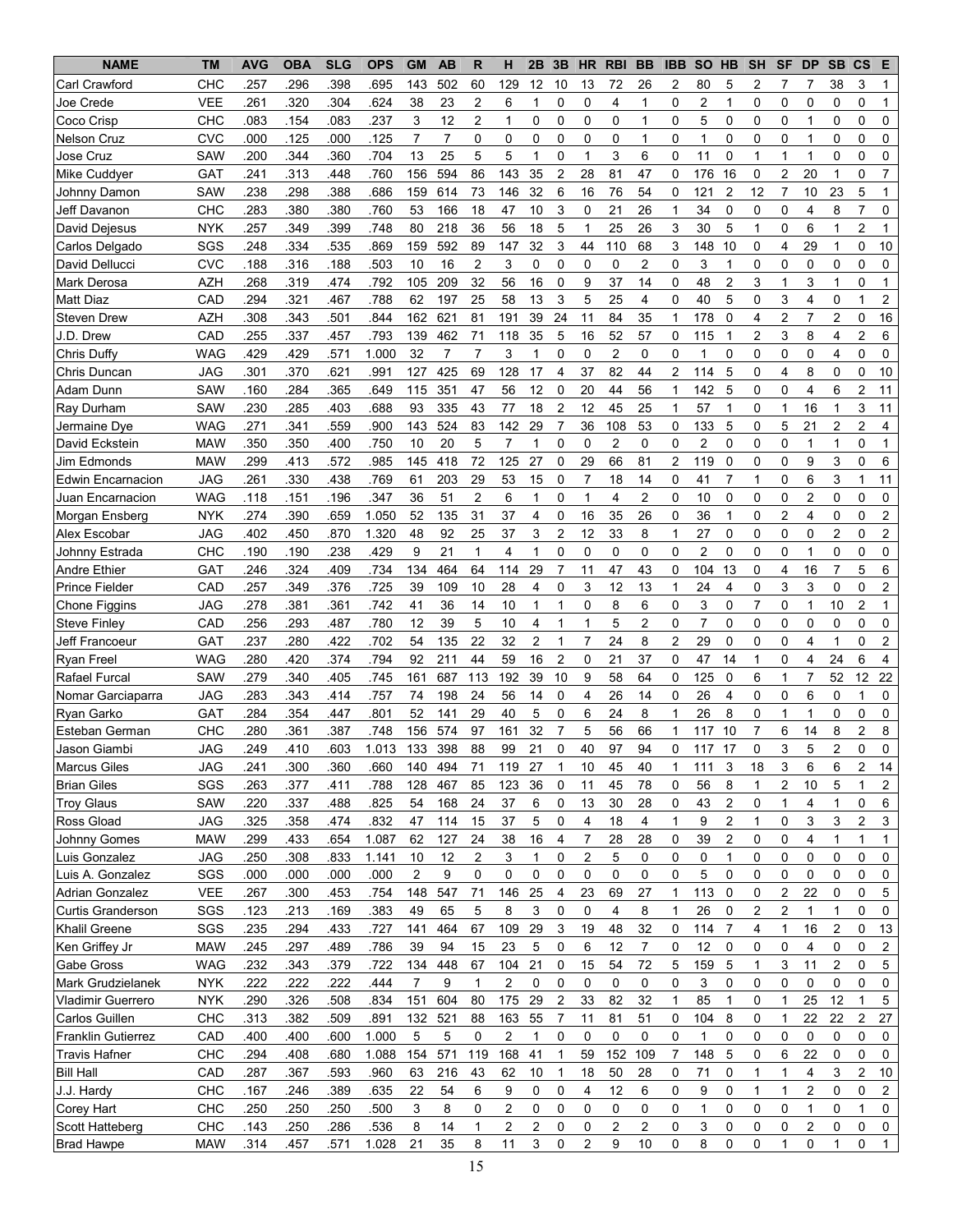| <b>NAME</b>                       | <b>TM</b>                | <b>AVG</b>   | <b>OBA</b>   | <b>SLG</b>   | <b>OPS</b>    | <b>GM</b>      | <b>AB</b>      | $\mathsf{R}$   | н                       | 2B                      | 3B             | <b>HR</b>      | <b>RBI</b>              | <b>BB</b>            | <b>IBB</b>     | <b>SO</b>      | HB                  | <b>SH</b>           | <b>SF</b>             | <b>DP</b>      | <b>SB</b>      | <b>CS</b>      | Е                       |
|-----------------------------------|--------------------------|--------------|--------------|--------------|---------------|----------------|----------------|----------------|-------------------------|-------------------------|----------------|----------------|-------------------------|----------------------|----------------|----------------|---------------------|---------------------|-----------------------|----------------|----------------|----------------|-------------------------|
| Carl Crawford                     | CHC                      | .257         | .296         | .398         | .695          | 143            | 502            | 60             | 129                     | 12                      | 10             | 13             | 72                      | 26                   | 2              | 80             | 5                   | 2                   | 7                     | 7              | 38             | 3              | 1                       |
| Joe Crede                         | <b>VEE</b>               | .261         | 320          | .304         | 624           | 38             | 23             | 2              | 6                       | 1                       | 0              | 0              | 4                       | 1                    | 0              | 2              | 1                   | 0                   | 0                     | 0              | 0              | 0              | 1                       |
| Coco Crisp                        | CHC                      | .083         | .154         | .083         | .237          | 3              | 12             | 2              | $\mathbf{1}$            | 0                       | 0              | 0              | $\mathbf 0$             | 1                    | 0              | 5              | 0                   | 0                   | 0                     | 1              | 0              | 0              | 0                       |
| <b>Nelson Cruz</b>                | <b>CVC</b>               | .000         | .125         | .000         | .125          | $\overline{7}$ | $\overline{7}$ | 0              | $\mathbf 0$             | 0                       | $\Omega$       | 0              | $\mathbf 0$             | 1                    | $\Omega$       | $\mathbf 1$    | $\Omega$            | 0                   | 0                     | 1              | 0              | 0              | 0                       |
| Jose Cruz                         | SAW                      | .200         | 344          | 360          | .704          | 13             | 25             | 5              | 5                       | 1                       | 0              | $\mathbf 1$    | 3                       | 6                    | 0              | 11             | 0                   | 1                   | 1                     | 1              | 0              | 0              | 0                       |
| Mike Cuddyer                      | GAT                      | .241         | .313         | .448         | .760          | 156            | 594            | 86             | 143                     | 35                      | $\overline{2}$ | 28             | 81                      | 47                   | $\Omega$       | 176            | 16                  | 0                   | $\overline{2}$        | 20             | $\mathbf{1}$   | $\mathbf 0$    | $\overline{7}$          |
| Johnny Damon                      | SAW                      | .238         | .298         | .388         | .686          | 159            | 614            | 73             | 146                     | 32                      | 6              | 16             | 76                      | 54                   | $\mathbf 0$    | 121            | $\overline{2}$      | 12                  | $\overline{7}$        | 10             | 23             | 5              | 1                       |
| Jeff Davanon                      | CHC                      | .283         | .380         | .380         | .760          | 53             | 166            | 18             | 47                      | 10                      | 3              | 0              | 21                      | 26                   | 1              | 34             | $\mathbf 0$         | 0                   | 0                     | 4              | 8              | $\overline{7}$ | 0                       |
| David Dejesus                     | <b>NYK</b>               | .257         | .349         | .399         | .748          | 80             | 218            | 36             | 56                      | 18                      | 5              | $\mathbf{1}$   | 25                      | 26                   | 3              | 30             | 5                   | $\mathbf{1}$        | 0                     | 6              | 1              | $\overline{c}$ | 1                       |
| Carlos Delgado                    | SGS                      | .248         | .334         | .535         | .869          | 159            | 592            | 89             | 147                     | 32                      | 3              | 44             | 110                     | 68                   | 3              | 148            | 10                  | 0                   | 4                     | 29             | $\mathbf{1}$   | 0              | 10                      |
| David Dellucci                    | <b>CVC</b>               | .188         | .316         | .188         | .503          | 10             | 16             | $\overline{2}$ | 3                       | 0                       | 0              | 0              | 0                       | 2                    | 0              | 3              | 1                   | 0                   | 0                     | 0              | 0              | 0              | 0                       |
| Mark Derosa                       | <b>AZH</b>               | .268         | 319          | .474         | .792          | 105            | 209            | 32             | 56                      | 16                      | 0              | 9              | 37                      | 14                   | 0              | 48             | $\overline{2}$      | 3                   | 1                     | 3              | 1              | 0              | 1                       |
| <b>Matt Diaz</b>                  | CAD                      | .294         | 321          | .467         | .788          | 62             | 197            | 25             | 58                      | 13                      | 3              | 5              | 25                      | 4                    | 0              | 40             | 5                   | 0                   | 3                     | 4              | 0              | 1              | 2                       |
| Steven Drew                       | <b>AZH</b>               | .308         | .343         | 501          | .844          | 162            | 621            | 81             | 191                     | 39                      | 24             | 11             | 84                      | 35                   | 1              | 178            | $\Omega$            | 4                   | $\overline{2}$        | $\overline{7}$ | $\overline{2}$ | 0              | 16                      |
| J.D. Drew                         | CAD                      | .255         | .337         | 457          | .793          | 139            | 462            | 71             | 118                     | 35                      | 5              | 16             | 52                      | 57                   | 0              | 115            | $\mathbf 1$         | $\overline{c}$      | 3                     | 8              | 4              | $\overline{2}$ | 6                       |
| Chris Duffy                       | <b>WAG</b>               | .429         | 429          | 571          | 1.000         | 32             | 7              | $\overline{7}$ | 3                       | 1                       | 0              | $\mathbf 0$    | 2                       | 0                    | 0              | 1              | $\mathbf 0$         | 0                   | 0                     | 0              | 4              | 0              | 0                       |
| Chris Duncan                      | JAG                      | .301         | 370          | .621         | .991          | 127            | 425            | 69             | 128                     | 17                      | 4              | 37             | 82                      | 44                   | $\overline{2}$ | 114            | 5                   | 0                   | 4                     | 8              | 0              | $\mathbf 0$    | 10                      |
| Adam Dunn                         | SAW                      | .160         | 284          | .365         | .649          | 115            | 351            | 47             | 56                      | 12                      | 0              | 20             | 44                      | 56                   | 1              | 142            | 5                   | 0                   | 0                     | 4              | 6              | $\overline{2}$ | 11                      |
| Ray Durham                        | SAW                      | .230         | 285          | .403         | .688          | 93             | 335            | 43             | 77                      | 18                      | $\overline{2}$ | 12             | 45                      | 25                   | 1              | 57             | 1                   | 0                   | $\mathbf{1}$          | 16             | $\mathbf{1}$   | 3              | 11                      |
| Jermaine Dye                      | <b>WAG</b>               | .271         | 341          | .559         | .900          | 143            | 524            | 83             | 142                     | 29                      | 7              | 36             | 108                     | 53                   | 0              | 133            | 5                   | 0                   | 5                     | 21             | $\overline{c}$ | $\overline{c}$ | $\overline{4}$          |
| David Eckstein                    | <b>MAW</b>               | .350         | .350         | .400         | .750          | 10             | 20             | 5              | $\overline{7}$          | $\mathbf 1$             | 0              | 0              | $\overline{2}$          | 0                    | $\mathbf 0$    | $\overline{2}$ | 0                   | 0                   | 0                     | 1              | $\mathbf{1}$   | 0              | $\mathbf{1}$            |
| Jim Edmonds                       | <b>MAW</b>               | .299         | .413         | .572         | .985          | 145            | 418            | 72             | 125                     | 27                      | 0              | 29             | 66                      | 81                   | $\overline{2}$ | 119            | 0                   | 0                   | 0                     | 9              | 3              | $\mathbf 0$    | 6                       |
| Edwin Encarnacion                 | JAG                      | .261         | .330         | .438         | .769          | 61             | 203            | 29             | 53                      | 15                      | 0              | $\overline{7}$ | 18                      | 14                   | 0              | 41             | $\overline{7}$      | $\mathbf{1}$        | 0                     | 6              | 3              | $\mathbf 1$    | 11                      |
| Juan Encarnacion                  | <b>WAG</b>               | .118         | .151         | .196         | .347          | 36             | 51             | $\overline{2}$ | 6                       | 1                       | 0              | $\mathbf 1$    | $\overline{4}$          | $\overline{c}$       | 0              | 10             | $\mathbf 0$         | 0                   | 0                     | $\overline{c}$ | 0              | 0              | 0                       |
| Morgan Ensberg                    | <b>NYK</b>               | .274         | .390         | .659         | 1.050         | 52             | 135            | 31             | 37                      | 4                       | 0              | 16             | 35                      | 26                   | 0              | 36             | 1                   | 0                   | $\overline{c}$        | 4              | 0              | 0              | 2                       |
| Alex Escobar                      | JAG                      | .402         | .450         | .870         | 1.320         | 48             | 92             | 25             | 37                      | 3                       | 2              | 12             | 33                      | 8                    | 1              | 27             | $\mathbf 0$         | 0                   | 0                     | 0              | 2              | 0              | 2                       |
| Johnny Estrada                    | снс                      | .190         | .190         | 238          | .429          | 9              | 21             | 1              | 4                       | 1                       | 0              | 0              | 0                       | 0                    | 0              | 2              | 0                   | 0                   | 0                     | 1              | 0              | 0              | 0                       |
| <b>Andre Ethier</b>               | GAT                      | .246         | .324         | 409          | .734          | 134            | 464            | 64             | 114                     | 29                      | $\overline{7}$ | 11             | 47                      | 43                   | 0              | 104            | 13                  | 0                   | 4                     | 16             | $\overline{7}$ | 5              | 6                       |
| <b>Prince Fielder</b>             | CAD                      | .257         | .349         | .376         | .725          | 39             | 109            | 10             | 28                      | 4                       | 0              | 3              | 12                      | 13                   | 1              | 24             | 4                   | 0                   | 3                     | 3              | 0              | 0              | $\overline{\mathbf{c}}$ |
| Chone Figgins                     | <b>JAG</b>               | .278         | .381         | 361          | .742          | 41             | 36             | 14             | 10                      | 1                       | 1              | 0              | 8                       | 6                    | 0              | 3              | 0                   | 7                   | 0                     | 1              | 10             | $\overline{2}$ | 1                       |
| <b>Steve Finley</b>               | CAD                      | .256         | 293          | 487          | .780          | 12             | 39             | 5              | 10                      | 4                       | 1              | 1              | 5                       | $\overline{2}$       | 0              | $\overline{7}$ | 0                   | 0                   | 0                     | 0              | 0              | 0              | 0                       |
| Jeff Francoeur                    | GAT                      | .237         | .280         | .422         | .702          | 54             | 135            | 22             | 32                      | $\overline{2}$          | 1              | $\overline{7}$ | 24                      | 8                    | $\overline{2}$ | 29             | $\mathbf 0$         | 0                   | 0                     | 4              | $\mathbf{1}$   | 0              | $\overline{2}$          |
| Ryan Freel                        | <b>WAG</b>               | .280         | .420         | .374         | .794          | 92             | 211            | 44             | 59                      | 16                      | $\overline{2}$ | $\mathbf 0$    | 21                      | 37                   | $\Omega$       | 47             | 14                  | $\mathbf{1}$        | 0                     | 4              | 24             | 6              | $\overline{4}$          |
| Rafael Furcal                     | SAW                      | .279         | .340         | .405         | .745          | 161            | 687            | 113            | 192                     | 39                      | 10             | 9              | 58                      | 64                   | $\mathbf 0$    | 125            | 0                   | 6                   | 1                     | $\overline{7}$ | 52             | 12             | 22                      |
| Nomar Garciaparra                 | JAG                      | .283         | .343         | .414         | .757          | 74             | 198            | 24             | 56                      | 14                      | 0              | 4              | 26                      | 14                   | 0              | 26             | 4                   | 0                   | 0                     | 6              | 0              | $\mathbf{1}$   | 0                       |
| Ryan Garko                        | GAT                      | .284         | 354          | .447         | .801          | 52             | 141            | 29             | 40                      | 5                       | 0              | 6              | 24                      | 8                    | $\mathbf{1}$   | 26             | 8                   | 0                   | $\mathbf{1}$          | 1              | 0              | 0              | 0                       |
| Esteban German                    | CHC                      | .280         | 361          | 387          | .748          | 156            | 574            | 97             | 161                     | 32                      | 7              | 5              | 56                      | 66                   | $\mathbf{1}$   | 117            | 10                  | $\overline{7}$      | 6                     | 14             | 8              | $\overline{2}$ | 8                       |
| Jason Giambi                      | JAG                      | 249          | 410          | 603          | 1.013         | 133            | 398            | 88             | 99                      | 21                      | $\Omega$       | 40             | 97                      | 94                   | 0              | 117            | 17                  | 0                   | 3                     | 5              | $\mathfrak{p}$ | $\Omega$       | 0                       |
| <b>Marcus Giles</b>               | <b>JAG</b>               | .241         | .300         | .360         | .660          | 140            | 494            | 71             |                         | 27                      | 1              | 10             | 45                      |                      | 1              |                | 3                   | 18                  | 3                     | 6              | 6              | $\overline{c}$ | 14                      |
| <b>Brian Giles</b>                | SGS                      | .263         | .377         | .411         | .788          | 128            | 467            | 85             | 119<br>123              | 36                      | 0              | 11             | 45                      | 40<br>78             | 0              | 111<br>56      |                     | 1                   |                       | 10             | 5              |                |                         |
|                                   |                          |              |              |              |               |                |                |                |                         |                         |                |                |                         |                      |                |                | 8                   |                     | 2                     |                |                |                | 2                       |
| <b>Troy Glaus</b>                 | <b>SAW</b>               | .220         | .337         | .488         | .825          | 54             | 168            | 24             | 37                      | 6                       | 0              | 13             | 30                      | 28                   | 0              | 43             | $\overline{c}$      | 0                   | 1                     | 4              | 1              | 0              | 6                       |
| Ross Gload<br><b>Johnny Gomes</b> | <b>JAG</b><br><b>MAW</b> | .325<br>.299 | .358<br>.433 | .474<br>.654 | .832<br>1.087 | 47<br>62       | 114<br>127     | 15<br>24       | 37                      | 5                       | 0              | 4<br>7         | 18<br>28                | 4<br>28              | 1<br>0         | 9<br>39        | 2<br>$\overline{2}$ | 1<br>0              | 0                     | 3<br>4         | 3<br>1         | 2              | 3                       |
|                                   | <b>JAG</b>               |              |              |              |               |                |                | $\overline{c}$ | 38                      | 16<br>$\mathbf{1}$      | 4<br>0         | $\overline{2}$ | 5                       | 0                    | 0              | 0              | 1                   |                     | 0<br>0                | 0              |                | 1<br>0         | 1<br>0                  |
| Luis Gonzalez                     |                          | .250         | .308         | .833<br>.000 | 1.141<br>.000 | 10<br>2        | 12<br>9        | $\mathbf 0$    | 3<br>0                  |                         | 0              | 0              | 0                       | 0                    | 0              | 5              | 0                   | 0<br>0              |                       | 0              | 0              |                |                         |
| Luis A. Gonzalez                  | SGS<br><b>VEE</b>        | .000         | .000         |              |               |                |                | 71             |                         | 0                       | 4              | 23             |                         |                      | 1              |                | 0                   |                     | 0                     | 22             | 0<br>0         | 0<br>0         | 0                       |
| Adrian Gonzalez                   | SGS                      | .267<br>.123 | .300<br>.213 | .453<br>.169 | .754<br>.383  | 148<br>49      | 547<br>65      | 5              | 146<br>8                | 25<br>3                 | $\mathbf 0$    | 0              | 69<br>4                 | 27<br>8              | $\mathbf{1}$   | 113<br>26      | 0                   | 0<br>$\overline{c}$ | 2<br>$\boldsymbol{2}$ | 1              | $\mathbf{1}$   | 0              | 5<br>0                  |
| <b>Curtis Granderson</b>          |                          |              |              |              |               |                |                |                |                         |                         |                |                |                         |                      |                |                | $\overline{7}$      |                     |                       |                |                |                |                         |
| Khalil Greene<br>Ken Griffey Jr   | SGS                      | .235         | .294         | .433         | .727          | 141<br>39      | 464            | 67<br>15       | 109<br>23               | 29                      | 3              | 19             | 48                      | 32<br>$\overline{7}$ | 0              | 114            |                     | 4                   | 1                     | 16             | 2              | 0<br>0         | 13                      |
|                                   | <b>MAW</b>               | .245         | .297         | .489         | .786          |                | 94             |                |                         | $\mathbf 5$             | 0              | 6              | 12                      |                      | 0              | 12             | 0                   | 0                   | 0                     | 4              | 0              |                | $\overline{c}$          |
| Gabe Gross                        | <b>WAG</b>               | .232         | .343         | .379         | .722          | 134            | 448            | 67             | 104                     | 21                      | 0              | 15             | 54                      | 72                   | 5              | 159            | 5                   | 1                   | 3                     | 11             | $\overline{c}$ | 0              | 5                       |
| Mark Grudzielanek                 | <b>NYK</b>               | .222         | .222         | .222         | .444          | 7              | 9              | 1              | $\overline{c}$          | 0                       | 0              | 0              | 0                       | 0                    | 0              | 3              | 0                   | 0                   | 0                     | 0              | 0              | 0              | 0                       |
| Vladimir Guerrero                 | <b>NYK</b>               | .290         | 326          | .508         | .834          | 151            | 604            | 80             | 175                     | 29                      | 2              | 33             | 82                      | 32                   | $\mathbf{1}$   | 85             | 1                   | 0                   | 1                     | 25             | 12             | 1              | 5                       |
| Carlos Guillen                    | <b>CHC</b>               | .313         | .382         | .509         | .891          | 132            | 521            | 88             | 163                     | 55                      | 7              | 11             | 81                      | 51                   | 0              | 104            | 8                   | 0                   | 1                     | 22             | 22             | 2              | 27                      |
| <b>Franklin Gutierrez</b>         | CAD                      | .400         | .400         | .600         | 1.000         | 5              | 5              | 0              | $\overline{\mathbf{c}}$ | 1                       | 0              | 0              | 0                       | 0                    | 0              | $\mathbf 1$    | 0                   | 0                   | 0                     | 0              | 0              | 0              | 0                       |
| Travis Hafner                     | CHC                      | .294         | .408         | .680         | 1.088         | 154            | 571            | 119            | 168                     | 41                      | 1              | 59             | 152                     | 109                  | 7              | 148            | 5                   | 0                   | 6                     | 22             | 0              | 0              | 0                       |
| <b>Bill Hall</b>                  | CAD                      | .287         | .367         | .593         | .960          | 63             | 216            | 43             | 62                      | 10                      | 1              | 18             | 50                      | 28                   | 0              | 71             | 0                   | 1                   | 1                     | 4              | 3              | 2              | 10                      |
| J.J. Hardy                        | CHC                      | .167         | .246         | .389         | .635          | 22             | 54             | 6              | 9                       | 0                       | $\mathbf 0$    | 4              | 12                      | 6                    | 0              | 9              | 0                   | $\mathbf{1}$        | 1                     | $\overline{c}$ | 0              | 0              | $\overline{2}$          |
| Corey Hart                        | <b>CHC</b>               | .250         | .250         | .250         | .500          | 3              | 8              | 0              | 2                       | 0                       | 0              | 0              | 0                       | 0                    | 0              | 1              | 0                   | 0                   | 0                     | 1              | 0              | 1              | 0                       |
| Scott Hatteberg                   | <b>CHC</b>               | .143         | .250         | .286         | .536          | 8              | 14             | 1              | 2                       | $\overline{\mathbf{c}}$ | 0              | 0              | $\overline{\mathbf{c}}$ | $\overline{c}$       | 0              | 3              | 0                   | 0                   | 0                     | 2              | 0              | 0              | 0                       |
| <b>Brad Hawpe</b>                 | <b>MAW</b>               | .314         | .457         | .571         | 1.028         | 21             | 35             | 8              | 11                      | 3                       | 0              | 2              | 9                       | 10                   | 0              | 8              | 0                   | 0                   | 1                     | 0              | $\mathbf{1}$   | 0              | $\mathbf{1}$            |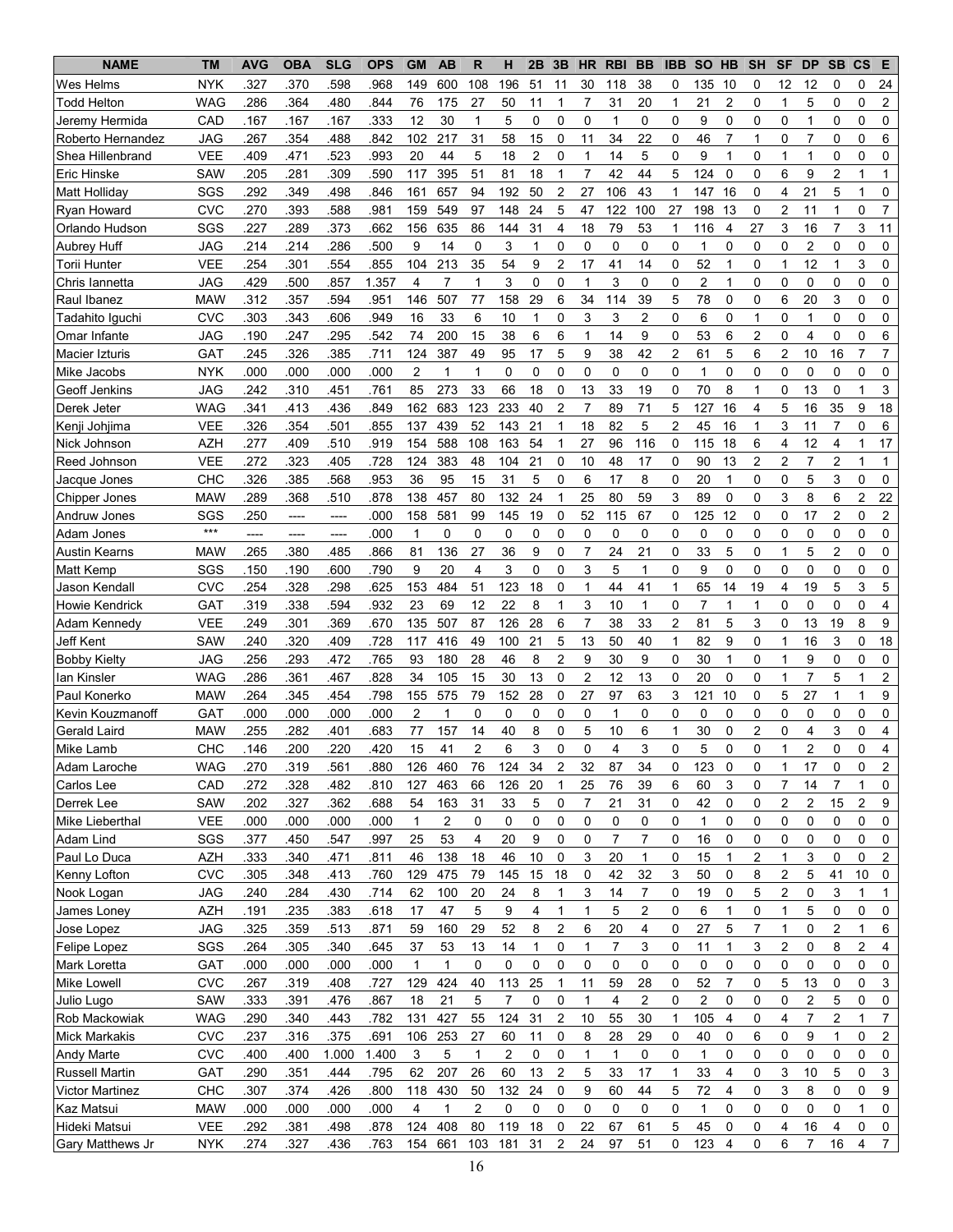| <b>NAME</b>                 | <b>TM</b>         | <b>AVG</b>   | <b>OBA</b>                                   | <b>SLG</b>   | <b>OPS</b>   | <b>GM</b>            | <b>AB</b>           | $\mathsf{R}$      | н                       | 2B             | 3B             | <b>HR</b>           | <b>RBI</b>         | <b>BB</b>               | <b>IBB</b>        | <b>SO</b>            | <b>HB</b>        | <b>SH</b>           | <b>SF</b>               | <b>DP</b>           | <b>SB</b>      | $\mathsf{cs}$    | Е                       |
|-----------------------------|-------------------|--------------|----------------------------------------------|--------------|--------------|----------------------|---------------------|-------------------|-------------------------|----------------|----------------|---------------------|--------------------|-------------------------|-------------------|----------------------|------------------|---------------------|-------------------------|---------------------|----------------|------------------|-------------------------|
| Wes Helms                   | NYK               | .327         | .370                                         | 598          | .968         | 149                  | 600                 | 108               | 196                     | 51             | 11             | 30                  | 118                | 38                      | 0                 | 135                  | 10               | 0                   | 12                      | 12                  | 0              | 0                | 24                      |
| Todd Helton                 | WAG               | .286         | .364                                         | 480          | .844         | 76                   | 175                 | 27                | 50                      | 11             | 1              | 7                   | 31                 | 20                      | 1                 | 21                   | $\overline{2}$   | 0                   | 1                       | 5                   | 0              | 0                | $\overline{\mathbf{c}}$ |
| Jeremy Hermida              | CAD               | .167         | .167                                         | .167         | .333         | 12                   | 30                  | 1                 | 5                       | 0              | 0              | 0                   | 1                  | 0                       | 0                 | 9                    | 0                | 0                   | 0                       | 1                   | 0              | 0                | 0                       |
| Roberto Hernandez           | JAG               | .267         | 354                                          | 488          | .842         | 102                  | 217                 | 31                | 58                      | 15             | 0              | 11                  | 34                 | 22                      | 0                 | 46                   | $\overline{7}$   | 1                   | 0                       | $\overline{7}$      | 0              | 0                | 6                       |
| Shea Hillenbrand            | <b>VEE</b>        | .409         | .471                                         | .523         | .993         | 20                   | 44                  | 5                 | 18                      | $\overline{c}$ | 0              | 1                   | 14                 | 5                       | 0                 | 9                    | 1                | 0                   | 1                       | 1                   | 0              | 0                | 0                       |
| <b>Eric Hinske</b>          | SAW               | .205         | .281                                         | 309          | .590         | 117                  | 395                 | 51                | 81                      | 18             | 1              | $\overline{7}$      | 42                 | 44                      | 5                 | 124                  | 0                | 0                   | 6                       | 9                   | $\overline{c}$ |                  | 1                       |
| Matt Holliday               | SGS               | .292         | 349                                          | .498         | .846         | 161                  | 657                 | 94                | 192                     | 50             | $\overline{2}$ | 27                  | 106                | 43                      | 1                 | 147                  | 16               | 0                   | 4                       | 21                  | 5              | 1                | 0                       |
| Ryan Howard                 | <b>CVC</b>        | .270         | .393                                         | .588         | .981         | 159                  | 549                 | 97                | 148                     | 24             | 5              | 47                  | 122                | 100                     | 27                | 198                  | 13               | 0                   | $\overline{2}$          | 11                  | $\mathbf{1}$   | 0                | 7                       |
| Orlando Hudson              | SGS               | .227         | .289                                         | .373         | .662         | 156                  | 635                 | 86                | 144                     | 31             | 4              | 18                  | 79                 | 53                      | 1                 | 116                  | 4                | 27                  | 3                       | 16                  | $\overline{7}$ | 3                | 11                      |
| <b>Aubrey Huff</b>          | <b>JAG</b>        | .214         | .214                                         | .286         | .500         | 9                    | 14                  | 0                 | 3                       | $\mathbf{1}$   | 0              | 0                   | 0                  | 0                       | 0                 | $\mathbf{1}$         | $\mathbf 0$      | 0                   | 0                       | 2                   | 0              | 0                | 0                       |
| Torii Hunter                | VEE               | .254         | .301                                         | 554          | .855         | 104                  | 213                 | 35                | 54                      | 9              | 2              | 17                  | 41                 | 14                      | 0                 | 52                   | 1                | 0                   | 1                       | 12                  | 1              | 3                | 0                       |
| Chris lannetta              | <b>JAG</b>        | .429         | 500                                          | .857         | 1.357        | 4                    | 7                   | 1                 | 3                       | 0              | 0              | $\mathbf{1}$        | 3                  | 0                       | 0                 | $\overline{2}$       | 1                | 0                   | 0                       | 0                   | 0              | 0                | 0                       |
| Raul Ibanez                 | <b>MAW</b>        | .312         | 357                                          | .594         | .951         | 146                  | 507                 | 77                | 158                     | 29             | 6              | 34                  | 114                | 39                      | 5                 | 78                   | 0                | 0                   | 6                       | 20                  | 3              | 0                | 0                       |
| Tadahito Iquchi             | <b>CVC</b>        | .303         | 343                                          | .606         | .949         | 16                   | 33                  | 6                 | 10                      | $\mathbf 1$    | 0              | 3                   | 3                  | 2                       | 0                 | 6                    | 0                | 1                   | 0                       | 1                   | 0              | 0                | 0                       |
| Omar Infante                | JAG               | .190         | .247                                         | .295         | .542         | 74                   | 200                 | 15                | 38                      | 6              | 6              | $\mathbf 1$         | 14                 | 9                       | 0                 | 53                   | 6                | $\overline{c}$      | 0                       | 4                   | 0              | 0                | 6                       |
| Macier Izturis              | GAT               | .245         | .326                                         | .385         | .711         | 124                  | 387                 | 49                | 95                      | 17             | 5              | 9                   | 38                 | 42                      | $\overline{c}$    | 61                   | 5                | 6                   | $\overline{2}$          | 10                  | 16             | 7                | $\overline{7}$          |
| Mike Jacobs                 | <b>NYK</b>        | .000         | .000                                         | .000         | .000         | $\overline{c}$       | $\mathbf{1}$        | 1                 | $\mathbf 0$             | 0              | 0              | 0                   | $\mathbf 0$        | 0                       | 0                 | $\mathbf{1}$         | $\mathbf 0$      | 0                   | 0                       | 0                   | 0              | $\mathbf 0$      | 0                       |
| Geoff Jenkins               | JAG               | 242          | .310                                         | 451          | .761         | 85                   | 273                 | 33                | 66                      | 18             | 0              | 13                  | 33                 | 19                      | 0                 | 70                   | 8                | 1                   | 0                       | 13                  | 0              | 1                | 3                       |
| Derek Jeter                 | <b>WAG</b>        | .341         | .413                                         | .436         | .849         | 162                  | 683                 | 123               | 233                     | 40             | $\overline{2}$ | $\overline{7}$      | 89                 | 71                      | 5                 | 127                  | 16               | 4                   | 5                       | 16                  | 35             | 9                | 18                      |
| Kenji Johjima               | <b>VEE</b>        | .326         | 354                                          | .501         | .855         | 137                  | 439                 | 52                | 143                     | 21             | 1              | 18                  | 82                 | 5                       | $\overline{2}$    | 45                   | 16               | 1                   | 3                       | 11                  | $\overline{7}$ | $\Omega$         | 6                       |
| Nick Johnson                | <b>AZH</b>        | .277         | .409                                         | .510         | .919         | 154                  | 588                 | 108               | 163                     | 54             | 1              | 27                  | 96                 | 116                     | 0                 | 115                  | 18               | 6                   | 4                       | 12                  | 4              | $\mathbf{1}$     | 17                      |
| Reed Johnson                | <b>VEE</b>        | .272         | 323                                          | .405         | .728         | 124                  | 383                 | 48                | 104                     | 21             | 0              | 10                  | 48                 | 17                      | 0                 | 90                   | 13               | $\overline{c}$      | $\overline{c}$          | $\overline{7}$      | $\overline{c}$ | 1                | $\mathbf{1}$            |
| Jacque Jones                | CHC               | .326         | 385                                          | .568         | .953         | 36                   | 95                  | 15                | 31                      | 5              | 0              | 6                   | 17                 | 8                       | 0                 | 20                   | $\mathbf{1}$     | 0                   | 0                       | 5                   | 3              | 0                | $\mathbf 0$             |
| Chipper Jones               | <b>MAW</b>        | .289         | .368                                         | .510         | .878         | 138                  | 457                 | 80                | 132                     | 24             | 1              | 25                  | 80                 | 59                      | 3                 | 89                   | 0                | 0                   | 3                       | 8                   | 6              | $\overline{2}$   | 22                      |
| Andruw Jones                | SGS               | .250         | $\hspace{1.5cm} \textbf{---} \hspace{1.5cm}$ |              | .000         | 158                  | 581                 | 99                | 145                     | 19             | 0              | 52                  | 115                | 67                      | 0                 | 125                  | 12               | 0                   | 0                       | 17                  | $\overline{c}$ | 0                | $\overline{\mathbf{c}}$ |
|                             | $***$             | ----         | ----                                         | ----         | .000         | 1                    | 0                   | 0                 | 0                       | 0              | 0              | $\mathbf 0$         | 0                  | 0                       | 0                 | 0                    | 0                | 0                   | 0                       | 0                   | 0              | 0                | 0                       |
| Adam Jones                  |                   |              |                                              | ----         |              |                      |                     |                   |                         | 9              | 0              | 7                   |                    |                         | 0                 |                      | 5                | 0                   |                         | 5                   | 2              | 0                |                         |
| <b>Austin Kearns</b>        | <b>MAW</b><br>SGS | .265         | .380                                         | 485          | .866<br>.790 | 81<br>9              | 136                 | 27<br>4           | 36<br>3                 | 0              | 0              | 3                   | 24<br>5            | 21<br>$\mathbf{1}$      | 0                 | 33<br>9              | 0                | 0                   | 1<br>$\mathbf 0$        | 0                   |                | 0                | 0<br>0                  |
| Matt Kemp                   |                   | .150<br>.254 | .190                                         | .600<br>.298 | .625         | 153                  | 20<br>484           | 51                | 123                     | 18             |                | 1                   | 44                 |                         | 1                 |                      |                  | 19                  |                         | 19                  | 0<br>5         | 3                | 5                       |
| Jason Kendall               | <b>CVC</b><br>GAT | .319         | .328<br>.338                                 | .594         | .932         | 23                   | 69                  | 12                | 22                      | 8              | 0<br>1         | 3                   | 10                 | 41<br>1                 | 0                 | 65<br>$\overline{7}$ | 14<br>1          | $\mathbf{1}$        | 4<br>0                  | 0                   | 0              | 0                | 4                       |
| Howie Kendrick              |                   |              | 301                                          | 369          |              |                      |                     |                   | 126                     | 28             |                | 7                   |                    |                         | $\overline{2}$    | 81                   |                  |                     |                         | 13                  | 19             | 8                |                         |
| Adam Kennedy<br>Jeff Kent   | VEE<br>SAW        | .249<br>.240 | 320                                          | .409         | .670<br>.728 | 135                  | 507<br>416          | 87<br>49          | 100                     | 21             | 6<br>5         | 13                  | 38<br>50           | 33<br>40                | 1                 | 82                   | 5<br>9           | 3<br>0              | 0<br>$\mathbf{1}$       | 16                  | 3              | 0                | 9                       |
| <b>Bobby Kielty</b>         | <b>JAG</b>        | .256         | .293                                         | .472         | .765         | 117                  |                     | 28                |                         |                | $\overline{c}$ |                     | 30                 | 9                       | $\mathbf 0$       | 30                   | $\mathbf{1}$     | 0                   | $\mathbf{1}$            |                     | 0              | 0                | 18                      |
|                             |                   |              |                                              | .467         |              | 93<br>34             | 180                 |                   | 46<br>30                | 8<br>13        | $\mathbf 0$    | 9<br>$\overline{2}$ | 12                 | 13                      | $\mathbf 0$       | 20                   |                  | 0                   |                         | 9<br>$\overline{7}$ | 5              |                  | 0<br>$\overline{c}$     |
| lan Kinsler<br>Paul Konerko | <b>WAG</b>        | .286         | .361<br>.345                                 |              | .828         |                      | 105                 | 15                | 152                     |                |                | 27                  |                    | 63                      |                   | 121                  | 0                |                     | 1                       | 27                  | $\mathbf{1}$   |                  | 9                       |
|                             | <b>MAW</b>        | .264         |                                              | .454         | .798         | 155                  | 575                 | 79                |                         | 28             | 0              |                     | 97                 |                         | 3                 |                      | 10               | 0                   | 5                       |                     |                | $\mathbf 1$      |                         |
| Kevin Kouzmanoff            | <b>GAT</b>        | .000<br>255  | .000<br>282                                  | .000<br>401  | .000<br>683  | $\overline{c}$<br>77 | $\mathbf{1}$<br>157 | $\mathbf 0$<br>14 | 0<br>40                 | 0<br>8         | 0<br>0         | 0<br>5              | $\mathbf{1}$<br>10 | 0<br>6                  | 0<br>$\mathbf{1}$ | 0<br>30              | 0<br>$\mathbf 0$ | 0<br>$\overline{c}$ | 0<br>$\mathbf 0$        | 0<br>4              | 0<br>3         | 0<br>$\mathbf 0$ | 0<br>4                  |
| <b>Gerald Laird</b>         | <b>MAW</b><br>CHC |              | 200                                          | 220          | 420          |                      |                     | 2                 |                         |                | $\Omega$       | 0                   | 4                  |                         |                   | 5                    |                  |                     |                         | $\overline{2}$      | $\Omega$       | $\Omega$         | 4                       |
| Mike Lamb                   |                   | 146          |                                              |              |              | 15                   | 41                  |                   | 6                       | 3              |                |                     |                    | 3                       | 0                 |                      | 0                | 0                   | 1                       |                     |                |                  |                         |
| Adam Laroche                | <b>WAG</b>        | .270         | 319                                          | .561         | .880         | 126                  | 460                 | 76                | 124                     | 34             | 2              | 32                  | 87                 | 34                      | 0                 | 123                  | 0                | 0                   | 1                       | 17                  | 0              | 0                | 2                       |
| Carlos Lee                  | CAD               | .272         | 328                                          | .482         | .810         | 127                  | 463                 | 66                | 126                     | 20             | 1              | 25                  | 76                 | 39                      | 6                 | 60                   | 3                | 0                   | 7                       | 14                  | 7              | 1                | 0                       |
| Derrek Lee                  | <b>SAW</b>        | .202         | .327                                         | .362         | .688         | 54                   | 163                 | 31                | 33                      | 5              | 0              | 7                   | 21                 | 31                      | 0                 | 42                   | 0                | 0                   | 2                       | 2                   | 15             | $\overline{c}$   | 9                       |
| Mike Lieberthal             | <b>VEE</b>        | .000         | .000                                         | .000         | .000         | 1                    | 2                   | 0                 | 0                       | 0              | 0              | 0                   | 0                  | 0                       | 0                 | 1                    | 0                | 0                   | 0                       | 0                   | 0              | 0                | 0                       |
| Adam Lind                   | SGS               | .377         | .450                                         | 547          | .997         | 25                   | 53                  | 4                 | 20                      | 9              | 0              | 0                   | 7                  | 7                       | 0                 | 16                   | 0                | 0                   | 0                       | 0                   | 0              | 0                | 0                       |
| Paul Lo Duca                | <b>AZH</b>        | .333         | .340                                         | .471         | .811         | 46                   | 138                 | 18                | 46                      | $10$           | 0              | 3                   | 20                 | $\mathbf{1}$            | 0                 | 15                   | $\mathbf{1}$     | $\overline{c}$      | 1                       | 3                   | 0              | 0                | $\overline{c}$          |
| Kenny Lofton                | <b>CVC</b>        | .305         | 348                                          | .413         | .760         | 129                  | 475                 | 79                | 145                     | 15             | 18             | 0                   | 42                 | 32                      | 3                 | 50                   | 0                | 8                   | $\overline{\mathbf{c}}$ | 5                   | 41             | 10               | 0                       |
| Nook Logan                  | <b>JAG</b>        | .240         | .284                                         | .430         | .714         | 62                   | 100                 | 20                | 24                      | 8              | 1              | 3<br>$\mathbf{1}$   | 14                 | 7                       | 0                 | 19                   | 0                | 5                   | $\overline{c}$          | 0                   | 3              | $\mathbf{1}$     | 1                       |
| James Loney                 | <b>AZH</b>        | .191         | .235                                         | .383         | .618         | 17                   | 47                  | 5                 | 9                       | 4              | $\mathbf{1}$   |                     | 5                  | $\overline{\mathbf{c}}$ | $\mathbf 0$       | 6                    | 1                | 0                   | 1                       | 5                   | 0              | 0                | 0                       |
| Jose Lopez                  | <b>JAG</b>        | .325         | .359                                         | .513         | .871         | 59                   | 160                 | 29                | 52                      | 8              | 2              | 6                   | 20                 | 4                       | 0                 | 27                   | 5                | 7                   | 1                       | 0                   | 2              | 1                | 6                       |
| Felipe Lopez                | SGS               | .264         | .305                                         | .340         | .645         | 37                   | 53                  | 13                | 14                      | 1              | 0              | $\mathbf{1}$        | $\overline{7}$     | 3                       | 0                 | 11                   | $\mathbf{1}$     | 3                   | $\overline{\mathbf{c}}$ | 0                   | 8              | $\overline{c}$   | 4                       |
| Mark Loretta                | GAT               | .000         | .000                                         | .000         | .000         | 1                    | $\mathbf{1}$        | 0                 | 0                       | 0              | 0              | 0                   | 0                  | 0                       | 0                 | 0                    | 0                | 0                   | 0                       | 0                   | 0              | 0                | 0                       |
| <b>Mike Lowell</b>          | <b>CVC</b>        | .267         | .319                                         | .408         | .727         | 129                  | 424                 | 40                | 113                     | 25             | 1              | 11                  | 59                 | 28                      | 0                 | 52                   | 7                | 0                   | 5                       | 13                  | 0              | 0                | 3                       |
| Julio Lugo                  | SAW               | .333         | .391                                         | .476         | .867         | 18                   | 21                  | 5                 | $\overline{7}$          | 0              | 0              | 1                   | 4                  | 2                       | 0                 | $\overline{c}$       | 0                | 0                   | 0                       | 2                   | 5              | 0                | 0                       |
| Rob Mackowiak               | <b>WAG</b>        | .290         | 340                                          | .443         | .782         | 131                  | 427                 | 55                | 124                     | 31             | 2              | 10                  | 55                 | 30                      | 1                 | 105                  | 4                | 0                   | 4                       | 7                   | 2              | 1                | 7                       |
| Mick Markakis               | CVC               | .237         | .316                                         | .375         | .691         | 106                  | 253                 | 27                | 60                      | 11             | 0              | 8                   | 28                 | 29                      | 0                 | 40                   | 0                | 6                   | 0                       | 9                   | 1              | 0                | 2                       |
| Andy Marte                  | <b>CVC</b>        | .400         | .400                                         | 1.000        | 1.400        | 3                    | 5                   | 1                 | $\overline{\mathbf{c}}$ | 0              | 0              | $\mathbf{1}$        | $\mathbf 1$        | 0                       | 0                 | 1                    | 0                | 0                   | 0                       | 0                   | 0              | 0                | 0                       |
| Russell Martin              | <b>GAT</b>        | .290         | .351                                         | .444         | .795         | 62                   | 207                 | 26                | 60                      | 13             | 2              | 5                   | 33                 | 17                      | 1                 | 33                   | 4                | 0                   | 3                       | 10                  | 5              | 0                | 3                       |
| <b>Victor Martinez</b>      | <b>CHC</b>        | .307         | .374                                         | .426         | .800         | 118                  | 430                 | 50                | 132                     | 24             | 0              | 9                   | 60                 | 44                      | 5                 | 72                   | $\overline{4}$   | 0                   | 3                       | 8                   | 0              | 0                | 9                       |
| Kaz Matsui                  | <b>MAW</b>        | .000         | .000                                         | .000         | .000         | 4                    | 1                   | $\overline{2}$    | 0                       | 0              | 0              | 0                   | 0                  | 0                       | 0                 | 1                    | 0                | 0                   | 0                       | 0                   | 0              | 1                | 0                       |
| Hideki Matsui               | <b>VEE</b>        | .292         | .381                                         | .498         | .878         | 124                  | 408                 | 80                | 119                     | 18             | $\mathbf 0$    | 22                  | 67                 | 61                      | 5                 | 45                   | 0                | 0                   | 4                       | 16                  | 4              | 0                | 0                       |
| Gary Matthews Jr            | <b>NYK</b>        | .274         | 327                                          | .436         | .763         | 154                  | 661                 | 103               | 181                     | 31             | 2              | 24                  | 97                 | 51                      | 0                 | 123                  | 4                | 0                   | 6                       | 7                   | 16             | 4                | $\overline{7}$          |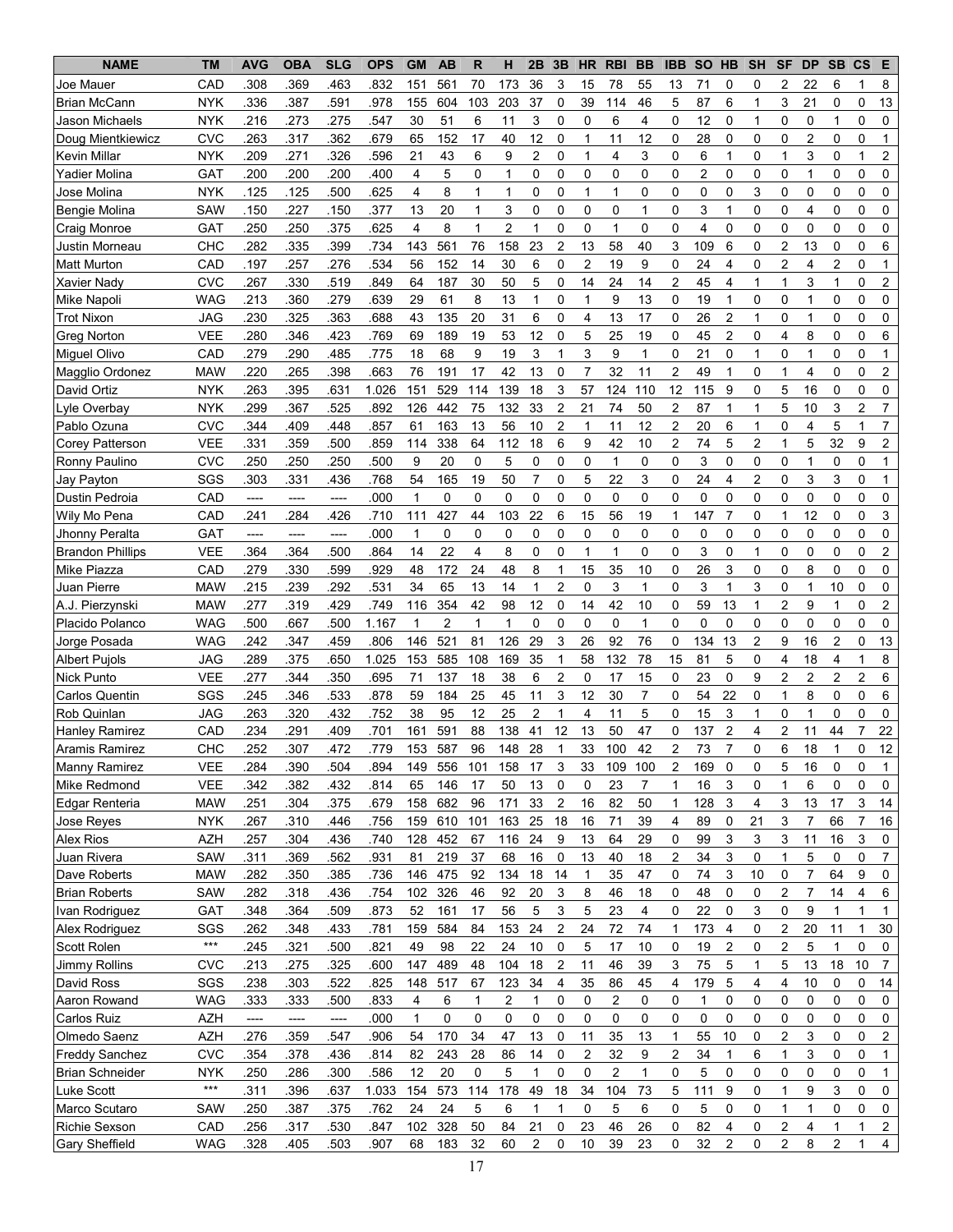| <b>NAME</b>             | <b>TM</b>           | <b>AVG</b> | <b>OBA</b> | <b>SLG</b> | <b>OPS</b> | <b>GM</b>    | <b>AB</b> | $\mathsf{R}$ | н                       | 2B             | 3B               | <b>HR</b>      | <b>RBI</b>              | <b>BB</b>      | <b>IBB</b>     | <b>SO</b>      | HB             | <b>SH</b>               | <b>SF</b>               | <b>DP</b>      | <b>SB</b>      | $\mathsf{cs}$  | Е                       |
|-------------------------|---------------------|------------|------------|------------|------------|--------------|-----------|--------------|-------------------------|----------------|------------------|----------------|-------------------------|----------------|----------------|----------------|----------------|-------------------------|-------------------------|----------------|----------------|----------------|-------------------------|
| Joe Mauer               | CAD                 | .308       | .369       | .463       | .832       | 151          | 561       | 70           | 173                     | 36             | 3                | 15             | 78                      | 55             | 13             | 71             | 0              | 0                       | 2                       | 22             | 6              | 1              | 8                       |
| <b>Brian McCann</b>     | <b>NYK</b>          | .336       | .387       | 591        | .978       | 155          | 604       | 103          | 203                     | 37             | $\mathbf 0$      | 39             | 114                     | 46             | 5              | 87             | 6              | 1                       | 3                       | 21             | 0              | 0              | 13                      |
| Jason Michaels          | <b>NYK</b>          | .216       | .273       | .275       | 547        | 30           | 51        | 6            | 11                      | 3              | 0                | 0              | 6                       | 4              | 0              | 12             | $\mathbf 0$    | $\mathbf{1}$            | 0                       | 0              | 1              | 0              | 0                       |
| Doug Mientkiewicz       | <b>CVC</b>          | .263       | .317       | 362        | .679       | 65           | 152       | 17           | 40                      | 12             | 0                | $\mathbf{1}$   | 11                      | 12             | 0              | 28             | $\mathbf 0$    | 0                       | 0                       | $\overline{2}$ | 0              | 0              | 1                       |
| <b>Kevin Millar</b>     | <b>NYK</b>          | .209       | 271        | 326        | .596       | 21           | 43        | 6            | 9                       | $\overline{2}$ | 0                | 1              | 4                       | 3              | 0              | 6              | 1              | 0                       | 1                       | 3              | 0              | 1              | $\overline{c}$          |
| Yadier Molina           | GAT                 | .200       | .200       | .200       | .400       | 4            | 5         | 0            | 1                       | 0              | 0                | $\mathbf 0$    | $\mathbf 0$             | $\mathbf 0$    | 0              | $\overline{c}$ | $\mathbf 0$    | 0                       | 0                       | 1              | 0              | 0              | 0                       |
| Jose Molina             | <b>NYK</b>          | .125       | .125       | .500       | .625       | 4            | 8         | 1            | $\mathbf{1}$            | 0              | 0                | 1              | $\mathbf{1}$            | 0              | 0              | $\mathbf 0$    | 0              | 3                       | 0                       | 0              | 0              | 0              | 0                       |
| Bengie Molina           | SAW                 | .150       | .227       | .150       | .377       | 13           | 20        | 1            | 3                       | 0              | 0                | 0              | 0                       | $\mathbf{1}$   | 0              | 3              | 1              | 0                       | 0                       | 4              | 0              | 0              | 0                       |
| Craig Monroe            | <b>GAT</b>          | .250       | .250       | .375       | .625       | 4            | 8         | 1            | $\overline{c}$          | 1              | 0                | 0              | 1                       | 0              | 0              | $\overline{4}$ | 0              | 0                       | 0                       | 0              | 0              | 0              | 0                       |
| Justin Morneau          | CHC                 | .282       | 335        | .399       | .734       | 143          | 561       | 76           | 158                     | 23             | 2                | 13             | 58                      | 40             | 3              | 109            | 6              | 0                       | $\overline{2}$          | 13             | 0              | 0              | 6                       |
| <b>Matt Murton</b>      | CAD                 | .197       | .257       | .276       | .534       | 56           | 152       | 14           | 30                      | 6              | 0                | 2              | 19                      | 9              | 0              | 24             | 4              | 0                       | $\overline{2}$          | 4              | 2              | 0              | 1                       |
| Xavier Nady             | <b>CVC</b>          | .267       | .330       | .519       | .849       | 64           | 187       | 30           | 50                      | 5              | 0                | 14             | 24                      | 14             | $\overline{c}$ | 45             | 4              | $\mathbf{1}$            | 1                       | 3              | $\mathbf{1}$   | 0              | $\overline{c}$          |
| Mike Napoli             | WAG                 | .213       | .360       | .279       | .639       | 29           | 61        | 8            | 13                      | 1              | 0                | 1              | 9                       | 13             | 0              | 19             | 1              | 0                       | 0                       | 1              | 0              | 0              | 0                       |
| <b>Trot Nixon</b>       | JAG                 | .230       | 325        | .363       | .688       | 43           | 135       | 20           | 31                      | 6              | 0                | $\overline{4}$ | 13                      | 17             | 0              | 26             | $\overline{2}$ | $\mathbf{1}$            | 0                       | 1              | 0              | 0              | 0                       |
| <b>Greg Norton</b>      | <b>VEE</b>          | .280       | .346       | .423       | .769       | 69           | 189       | 19           | 53                      | 12             | 0                | 5              | 25                      | 19             | 0              | 45             | $\overline{2}$ | 0                       | 4                       | 8              | 0              | 0              | 6                       |
| Miguel Olivo            | CAD                 | .279       | .290       | .485       | .775       | 18           | 68        | 9            | 19                      | 3              | 1                | 3              | 9                       | 1              | 0              | 21             | $\mathbf 0$    | 1                       | 0                       | 1              | 0              | 0              |                         |
| Magglio Ordonez         | <b>MAW</b>          | .220       | 265        | .398       | .663       | 76           | 191       | 17           | 42                      | 13             | $\mathbf 0$      | $\overline{7}$ | 32                      | 11             | $\overline{2}$ | 49             | $\mathbf{1}$   | 0                       | $\mathbf{1}$            | 4              | 0              | $\mathbf 0$    | $\overline{c}$          |
| David Ortiz             | <b>NYK</b>          | .263       | 395        | .631       | 1.026      | 151          | 529       | 114          | 139                     | 18             | 3                | 57             | 124                     | 110            | 12             | 115            | 9              | 0                       | 5                       | 16             | 0              | 0              | 0                       |
| Lyle Overbay            | <b>NYK</b>          | .299       | 367        | 525        | .892       | 126          | 442       | 75           | 132                     | 33             | $\overline{2}$   | 21             | 74                      | 50             | $\overline{2}$ | 87             | $\mathbf 1$    | $\mathbf{1}$            | 5                       | 10             | 3              | $\overline{c}$ | $\overline{7}$          |
| Pablo Ozuna             | <b>CVC</b>          | .344       | .409       | .448       | .857       | 61           | 163       | 13           | 56                      | 10             | $\overline{2}$   | $\mathbf{1}$   | 11                      | 12             | $\overline{2}$ | 20             | 6              | 1                       | 0                       | 4              | 5              | 1              | $\overline{7}$          |
| <b>Corey Patterson</b>  | <b>VEE</b>          | .331       | .359       | .500       | .859       | 114          | 338       | 64           | 112                     | 18             | 6                | 9              | 42                      | 10             | $\overline{2}$ | 74             | 5              | $\overline{c}$          | 1                       | 5              | 32             | 9              | $\overline{\mathbf{c}}$ |
| Ronny Paulino           | <b>CVC</b>          | .250       | .250       | .250       | .500       | 9            | 20        | 0            | 5                       | 0              | 0                | $\mathbf 0$    | $\mathbf{1}$            | 0              | 0              | 3              | $\mathbf 0$    | 0                       | 0                       | 1              | 0              | $\mathbf 0$    | 1                       |
| Jay Payton              | SGS                 | .303       | .331       | .436       | .768       | 54           | 165       | 19           | 50                      | $\overline{7}$ | 0                | 5              | 22                      | 3              | 0              | 24             | 4              | $\overline{\mathbf{c}}$ | 0                       | 3              | 3              | 0              | $\mathbf{1}$            |
| Dustin Pedroia          | CAD                 | ----       | $---$      | ----       | .000       | $\mathbf{1}$ | 0         | 0            | $\mathbf 0$             | 0              | 0                | 0              | $\mathbf 0$             | 0              | 0              | 0              | $\mathbf 0$    | 0                       | 0                       | 0              | 0              | 0              | 0                       |
| Wily Mo Pena            | CAD                 | .241       | .284       | 426        | .710       | 111          | 427       | 44           | 103                     | 22             | 6                | 15             | 56                      | 19             | 1              | 147            | $\overline{7}$ | 0                       | 1                       | 12             | 0              | 0              | 3                       |
| Jhonny Peralta          | <b>GAT</b>          | ----       | ----       | ----       | .000       | 1            | 0         | 0            | 0                       | 0              | 0                | 0              | 0                       | 0              | 0              | 0              | 0              | 0                       | 0                       | 0              | 0              | 0              | 0                       |
| <b>Brandon Phillips</b> | VEE                 | .364       | 364        | 500        | .864       | 14           | 22        | 4            | 8                       | 0              | 0                | 1              | 1                       | 0              | 0              | 3              | 0              | 1                       | 0                       | 0              | 0              | 0              | 2                       |
| Mike Piazza             | CAD                 | .279       | .330       | .599       | .929       | 48           | 172       | 24           | 48                      | 8              | 1                | 15             | 35                      | 10             | 0              | 26             | 3              | 0                       | 0                       | 8              | 0              | 0              | 0                       |
| Juan Pierre             | <b>MAW</b>          | .215       | .239       | .292       | .531       | 34           | 65        | 13           | 14                      | $\mathbf 1$    | 2                | 0              | 3                       | 1              | 0              | 3              | 1              | 3                       | 0                       | 1              | 10             | 0              | 0                       |
| A.J. Pierzynski         | <b>MAW</b>          | .277       | .319       | 429        | .749       | 116          | 354       | 42           | 98                      | 12             | 0                | 14             | 42                      | 10             | 0              | 59             | 13             | $\mathbf{1}$            | $\overline{c}$          | 9              | $\mathbf{1}$   | 0              | 2                       |
| Placido Polanco         | <b>WAG</b>          | .500       | 667        | .500       | 1.167      | 1            | 2         | 1            | 1                       | 0              | 0                | 0              | $\mathbf 0$             | 1              | 0              | $\mathbf 0$    | 0              | 0                       | 0                       | 0              | 0              | $\Omega$       | 0                       |
| Jorge Posada            | <b>WAG</b>          | 242        | 347        | .459       | .806       | 146          | 521       | 81           | 126                     | 29             | 3                | 26             | 92                      | 76             | 0              | 134            | 13             | $\overline{c}$          | 9                       | 16             | $\overline{c}$ | 0              | 13                      |
| <b>Albert Pujols</b>    | JAG                 | .289       | 375        | .650       | 1.025      | 153          | 585       | 108          | 169                     | 35             | 1                | 58             | 132                     | 78             | 15             | 81             | 5              | 0                       | 4                       | 18             | 4              | 1              | 8                       |
| <b>Nick Punto</b>       | <b>VEE</b>          | .277       | 344        | .350       | .695       | 71           | 137       | 18           | 38                      | 6              | $\overline{c}$   | 0              | 17                      | 15             | 0              | 23             | $\mathbf 0$    | 9                       | $\overline{c}$          | $\overline{c}$ | $\overline{2}$ | $\overline{c}$ | 6                       |
| Carlos Quentin          | SGS                 | .245       | .346       | .533       | .878       | 59           | 184       | 25           | 45                      | 11             | 3                | 12             | 30                      | $\overline{7}$ | 0              | 54             | 22             | 0                       | 1                       | 8              | 0              | $\mathbf 0$    | 6                       |
| Rob Quinlan             | <b>JAG</b>          | .263       | .320       | .432       | .752       | 38           | 95        | 12           | 25                      | $\overline{c}$ | 1                | 4              | 11                      | 5              | 0              | 15             | 3              | $\mathbf{1}$            | 0                       | 1              | 0              | 0              | 0                       |
| <b>Hanley Ramirez</b>   | CAD                 | .234       | .291       | .409       | .701       | 161          | 591       | 88           | 138                     | 41             | 12               | 13             | 50                      | 47             | 0              | 137            | $\overline{c}$ | 4                       | $\overline{2}$          | 11             | 44             | $\overline{7}$ | 22                      |
| Aramis Ramirez          | СНС                 | 252        | 307        | 472        | 779        | 153          | 587       | 96           | 148                     | 28             | 1                | 33             | 100                     | 42             | 2              | 73             | $\overline{7}$ | 0                       | 6                       | 18             | 1              | $\Omega$       | 12                      |
| Manny Ramirez           | <b>VEE</b>          | .284       | 390        | .504       | .894       | 149          | 556       | 101          | 158                     | 17             | 3                | 33             | 109                     | 100            | 2              | 169            | 0              | 0                       | 5                       | 16             | 0              | 0              | 1                       |
| Mike Redmond            | <b>VEE</b>          | .342       | 382        | .432       | .814       | 65           | 146       | 17           | 50                      | 13             | 0                | 0              | 23                      | $\overline{7}$ | 1              | 16             | 3              | 0                       | 1                       | 6              | 0              | 0              | 0                       |
| Edgar Renteria          | <b>MAW</b>          | .251       | .304       | .375       | .679       | 158          | 682       | 96           | 171                     | 33             | $\overline{2}$   | 16             | 82                      | 50             | 1              | 128            | 3              | 4                       | 3                       | 13             | 17             | 3              | 14                      |
| Jose Reyes              | <b>NYK</b>          | .267       | .310       | .446       | .756       | 159          | 610       | 101          | 163                     | 25             | 18               | 16             | 71                      | 39             | 4              | 89             | 0              | 21                      | 3                       | 7              | 66             | $\overline{7}$ | 16                      |
| Alex Rios               | <b>AZH</b>          | .257       | .304       | .436       | .740       | 128          | 452       | 67           | 116                     | 24             | 9                | 13             | 64                      | 29             | 0              | 99             | 3              | 3                       | 3                       | 11             | 16             | 3              | 0                       |
| Juan Rivera             | SAW                 | .311       | .369       | .562       | .931       | 81           | 219       | 37           | 68                      | 16             | $\mathsf 0$      | 13             | 40                      | 18             | $\overline{c}$ | 34             | 3              | 0                       | $\mathbf{1}$            | 5              | 0              | 0              | $\overline{7}$          |
| Dave Roberts            | <b>MAW</b>          | .282       | .350       | .385       | .736       | 146          | 475       | 92           | 134                     | 18             | 14               | 1              | 35                      | 47             | 0              | 74             | 3              | 10                      | 0                       | 7              | 64             | 9              | 0                       |
| <b>Brian Roberts</b>    | SAW                 | .282       | .318       | .436       | .754       | 102          | 326       | 46           | 92                      | 20             | 3                | 8              | 46                      | 18             | 0              | 48             | 0              | 0                       | 2                       | $\overline{7}$ | 14             | 4              | 6                       |
| Ivan Rodriguez          | GAT                 | .348       | .364       | .509       | .873       | 52           | 161       | 17           | 56                      | 5              | 3                | 5              | 23                      | $\overline{4}$ | $\mathbf 0$    | 22             | 0              | 3                       | 0                       | 9              | $\mathbf{1}$   | $\mathbf{1}$   | 1                       |
| Alex Rodriguez          | SGS                 | .262       | .348       | .433       | .781       | 159          | 584       | 84           | 153                     | 24             | $\boldsymbol{2}$ | 24             | 72                      | 74             | 1              | 173            | 4              | 0                       | 2                       | $20\,$         | 11             | 1              | 30                      |
| Scott Rolen             | $***$               | .245       | .321       | .500       | .821       | 49           | 98        | 22           | 24                      | $10$           | $\mathbf 0$      | 5              | 17                      | 10             | $\mathbf 0$    | 19             | $\overline{2}$ | 0                       | $\overline{\mathbf{c}}$ | 5              | $\mathbf{1}$   | 0              | 0                       |
| Jimmy Rollins           | <b>CVC</b>          | .213       | .275       | .325       | .600       | 147          | 489       | 48           | 104                     | 18             | 2                | 11             | 46                      | 39             | 3              | 75             | 5              | $\mathbf{1}$            | 5                       | 13             | 18             | 10             | $\overline{7}$          |
| David Ross              | SGS                 | .238       | .303       | .522       | .825       | 148          | 517       | 67           | 123                     | 34             | 4                | 35             | 86                      | 45             | 4              | 179            | 5              | 4                       | 4                       | 10             | 0              | 0              | 14                      |
| Aaron Rowand            | <b>WAG</b>          | .333       | .333       | .500       | .833       | 4            | 6         | 1            | $\overline{\mathbf{c}}$ | 1              | 0                | 0              | 2                       | 0              | 0              | $\mathbf{1}$   | 0              | 0                       | 0                       | 0              | 0              | 0              | 0                       |
| Carlos Ruiz             | <b>AZH</b>          | ----       | ----       | ----       | .000       | 1            | 0         | 0            | 0                       | 0              | 0                | 0              | 0                       | 0              | 0              | 0              | 0              | 0                       | 0                       | 0              | 0              | 0              | 0                       |
| Olmedo Saenz            | <b>AZH</b>          | .276       | .359       | 547        | .906       | 54           | 170       | 34           | 47                      | 13             | 0                | 11             | 35                      | 13             | 1              | 55             | 10             | 0                       | 2                       | 3              | 0              | 0              | 2                       |
| <b>Freddy Sanchez</b>   | <b>CVC</b>          | .354       | .378       | .436       | .814       | 82           | 243       | 28           | 86                      | 14             | 0                | $\overline{c}$ | 32                      | 9              | 2              | 34             | 1              | 6                       | 1                       | 3              | 0              | 0              | 1                       |
| <b>Brian Schneider</b>  | <b>NYK</b><br>$***$ | .250       | .286       | .300       | .586       | 12           | 20        | 0            | 5                       | 1              | 0                | 0              | $\overline{\mathbf{c}}$ | 1              | 0              | 5              | 0              | 0                       | 0                       | 0              | 0              | 0              | 1                       |
| Luke Scott              |                     | .311       | .396       | .637       | 1.033      | 154          | 573       | 114          | 178                     | 49             | 18               | 34             | 104                     | 73             | 5              | 111            | 9              | 0                       | 1                       | 9              | 3              | 0              | $\mathbf 0$             |
| Marco Scutaro           | SAW                 | .250       | .387       | .375       | .762       | 24           | 24        | 5            | 6                       | 1              | 1                | 0              | 5                       | 6              | 0              | 5              | 0              | 0                       | 1                       | 1              | 0              | 0              | 0                       |
| <b>Richie Sexson</b>    | CAD                 | .256       | 317        | .530       | .847       | 102          | 328       | 50           | 84                      | 21             | 0                | 23             | 46                      | 26             | 0              | 82             | 4              | 0                       | $\overline{\mathbf{c}}$ | 4              | 1              | 1              | $\overline{c}$          |
| <b>Gary Sheffield</b>   | <b>WAG</b>          | .328       | .405       | .503       | .907       | 68           | 183       | 32           | 60                      | 2              | 0                | 10             | 39                      | 23             | 0              | 32             | $\overline{2}$ | 0                       | 2                       | 8              | 2              | $\mathbf{1}$   | 4                       |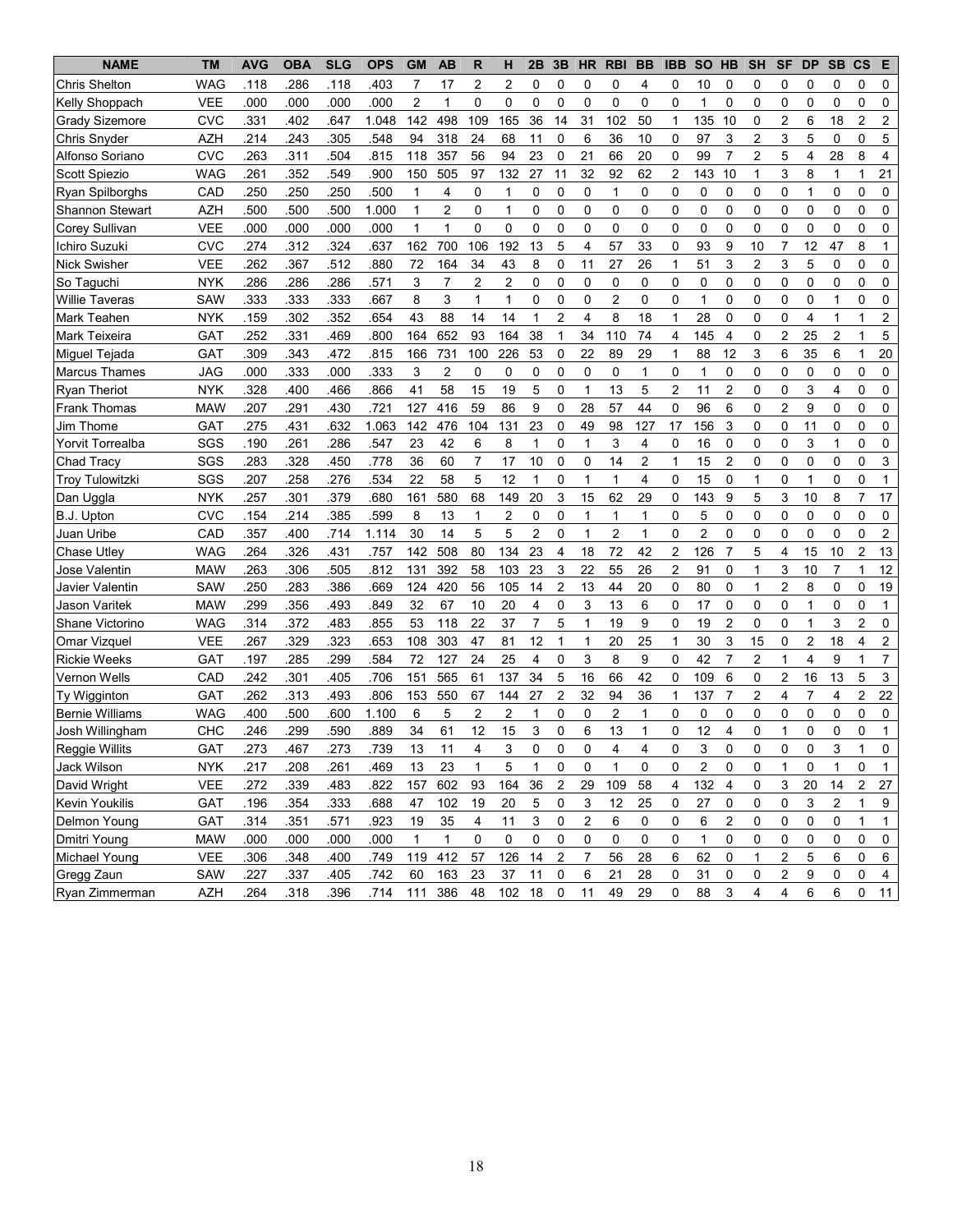| <b>NAME</b>            | <b>TM</b>  | <b>AVG</b> | <b>OBA</b> | <b>SLG</b> | <b>OPS</b> | <b>GM</b>      | <b>AB</b>               | R              | н                       | 2B             | 3B             | <b>HR</b>               | <b>RBI</b>              | <b>BB</b>      | <b>IBB</b>     | <b>SO</b>      | <b>HB</b>      | <b>SH</b>               | <b>SF</b>      | <b>DP</b>      | <b>SB</b>      | $\mathbf{c}\mathbf{s}$ | Е              |
|------------------------|------------|------------|------------|------------|------------|----------------|-------------------------|----------------|-------------------------|----------------|----------------|-------------------------|-------------------------|----------------|----------------|----------------|----------------|-------------------------|----------------|----------------|----------------|------------------------|----------------|
| <b>Chris Shelton</b>   | <b>WAG</b> | .118       | .286       | 118        | .403       | 7              | 17                      | 2              | 2                       | 0              | 0              | 0                       | 0                       | 4              | 0              | 10             | 0              | 0                       | 0              | 0              | 0              | 0                      | 0              |
| Kelly Shoppach         | VEE        | .000       | .000       | .000       | .000       | $\overline{c}$ | 1                       | 0              | 0                       | 0              | 0              | 0                       | 0                       | 0              | 0              | 1              | 0              | 0                       | 0              | 0              | 0              | 0                      | $\mathbf 0$    |
| Grady Sizemore         | <b>CVC</b> | .331       | .402       | 647        | 1.048      | 142            | 498                     | 109            | 165                     | 36             | 14             | 31                      | 102                     | 50             | 1              | 135            | 10             | 0                       | 2              | 6              | 18             | $\overline{2}$         | $\overline{2}$ |
| <b>Chris Snyder</b>    | <b>AZH</b> | .214       | .243       | .305       | .548       | 94             | 318                     | 24             | 68                      | 11             | 0              | 6                       | 36                      | 10             | 0              | 97             | 3              | 2                       | 3              | 5              | 0              | 0                      | 5              |
| Alfonso Soriano        | <b>CVC</b> | .263       | .311       | 504        | .815       | 118            | 357                     | 56             | 94                      | 23             | 0              | 21                      | 66                      | 20             | $\Omega$       | 99             | $\overline{7}$ | $\overline{2}$          | 5              | 4              | 28             | 8                      | 4              |
| Scott Spiezio          | <b>WAG</b> | 261        | 352        | 549        | .900       | 150            | 505                     | 97             | 132                     | 27             | 11             | 32                      | 92                      | 62             | 2              | 143            | 10             | 1                       | 3              | 8              | 1              | 1                      | 21             |
| Ryan Spilborghs        | CAD        | .250       | .250       | 250        | .500       | $\mathbf{1}$   | 4                       | 0              | $\mathbf{1}$            | $\mathbf 0$    | 0              | 0                       | 1                       | 0              | 0              | 0              | 0              | 0                       | $\mathbf 0$    | 1              | 0              | 0                      | 0              |
| <b>Shannon Stewart</b> | <b>AZH</b> | .500       | .500       | .500       | 1.000      | $\mathbf{1}$   | $\overline{\mathbf{c}}$ | 0              | $\mathbf{1}$            | 0              | 0              | 0                       | 0                       | $\mathbf 0$    | 0              | 0              | 0              | 0                       | $\mathbf 0$    | 0              | 0              | 0                      | $\mathbf 0$    |
| Corey Sullivan         | <b>VEE</b> | .000       | .000       | .000       | .000       | $\mathbf{1}$   | 1                       | 0              | 0                       | 0              | 0              | 0                       | 0                       | 0              | 0              | 0              | 0              | 0                       | 0              | 0              | 0              | 0                      | $\mathbf 0$    |
| Ichiro Suzuki          | <b>CVC</b> | .274       | .312       | 324        | .637       | 162            | 700                     | 106            | 192                     | 13             | 5              | 4                       | 57                      | 33             | 0              | 93             | 9              | 10                      | $\overline{7}$ | 12             | 47             | 8                      | 1              |
| <b>Nick Swisher</b>    | <b>VEE</b> | .262       | 367        | 512        | .880       | 72             | 164                     | 34             | 43                      | 8              | 0              | 11                      | 27                      | 26             | 1              | 51             | 3              | $\overline{\mathbf{c}}$ | 3              | 5              | 0              | $\Omega$               | $\Omega$       |
| So Taguchi             | <b>NYK</b> | .286       | .286       | .286       | .571       | 3              | $\overline{7}$          | 2              | $\overline{2}$          | 0              | 0              | 0                       | 0                       | 0              | 0              | 0              | 0              | 0                       | 0              | 0              | 0              | 0                      | $\mathbf 0$    |
| <b>Willie Taveras</b>  | <b>SAW</b> | .333       | .333       | .333       | .667       | 8              | 3                       | 1              | $\mathbf{1}$            | 0              | 0              | 0                       | $\overline{c}$          | 0              | 0              | $\mathbf{1}$   | 0              | 0                       | 0              | 0              | 1              | 0                      | $\mathbf 0$    |
| Mark Teahen            | NYK        | .159       | .302       | .352       | .654       | 43             | 88                      | 14             | 14                      | 1              | 2              | 4                       | 8                       | 18             | 1              | 28             | 0              | 0                       | 0              | 4              | 1              | 1                      | $\overline{2}$ |
| Mark Teixeira          | <b>GAT</b> | .252       | .331       | 469        | .800       | 164            | 652                     | 93             | 164                     | 38             | 1              | 34                      | 110                     | 74             | $\overline{4}$ | 145            | 4              | 0                       | $\overline{2}$ | 25             | $\overline{c}$ | 1                      | 5              |
| Miquel Tejada          | <b>GAT</b> | .309       | .343       | 472        | .815       | 166            | 731                     | 100            | 226                     | 53             | 0              | 22                      | 89                      | 29             | 1              | 88             | 12             | 3                       | 6              | 35             | 6              | 1                      | 20             |
| <b>Marcus Thames</b>   | <b>JAG</b> | .000       | .333       | .000       | .333       | 3              | 2                       | 0              | 0                       | 0              | 0              | 0                       | 0                       | $\mathbf{1}$   | 0              | 1              | 0              | 0                       | $\mathbf 0$    | 0              | 0              | 0                      | $\mathbf 0$    |
| <b>Ryan Theriot</b>    | <b>NYK</b> | .328       | .400       | 466        | .866       | 41             | 58                      | 15             | 19                      | 5              | 0              | $\mathbf{1}$            | 13                      | 5              | $\overline{2}$ | 11             | $\overline{2}$ | 0                       | 0              | 3              | 4              | 0                      | $\mathbf 0$    |
| <b>Frank Thomas</b>    | <b>MAW</b> | .207       | .291       | .430       | .721       | 127            | 416                     | 59             | 86                      | 9              | 0              | 28                      | 57                      | 44             | 0              | 96             | 6              | 0                       | $\overline{2}$ | 9              | 0              | 0                      | $\mathbf 0$    |
| Jim Thome              | GAT        | .275       | .431       | .632       | 1.063      | 142            | 476                     | 104            | 131                     | 23             | 0              | 49                      | 98                      | 127            | 17             | 156            | 3              | 0                       | $\mathbf 0$    | 11             | 0              | 0                      | $\mathbf 0$    |
| Yorvit Torrealba       | SGS        | .190       | .261       | 286        | .547       | 23             | 42                      | 6              | 8                       | 1              | 0              | $\mathbf{1}$            | 3                       | 4              | 0              | 16             | 0              | 0                       | $\mathbf 0$    | 3              | 1              | 0                      | $\mathbf 0$    |
| Chad Tracy             | SGS        | .283       | 328        | .450       | .778       | 36             | 60                      | $\overline{7}$ | 17                      | 10             | 0              | 0                       | 14                      | $\overline{2}$ | 1              | 15             | $\overline{2}$ | 0                       | 0              | 0              | 0              | 0                      | 3              |
| <b>Troy Tulowitzki</b> | SGS        | .207       | .258       | .276       | .534       | 22             | 58                      | 5              | 12                      | 1              | 0              | $\mathbf{1}$            | $\mathbf{1}$            | 4              | 0              | 15             | 0              | 1                       | 0              | 1              | 0              | 0                      | $\mathbf 1$    |
| Dan Uggla              | <b>NYK</b> | .257       | .301       | .379       | .680       | 161            | 580                     | 68             | 149                     | 20             | 3              | 15                      | 62                      | 29             | 0              | 143            | 9              | 5                       | 3              | 10             | 8              | 7                      | 17             |
| B.J. Upton             | CVC        | .154       | .214       | 385        | .599       | 8              | 13                      | 1              | $\overline{2}$          | 0              | 0              | 1                       | 1                       | 1              | 0              | 5              | 0              | 0                       | 0              | 0              | 0              | 0                      | 0              |
| Juan Uribe             | CAD        | .357       | .400       | .714       | 1.114      | 30             | 14                      | 5              | 5                       | $\overline{2}$ | 0              | 1                       | 2                       | 1              | 0              | $\overline{2}$ | 0              | 0                       | 0              | 0              | 0              | 0                      | $\overline{2}$ |
| <b>Chase Utley</b>     | <b>WAG</b> | .264       | 326        | 431        | .757       | 142            | 508                     | 80             | 134                     | 23             | 4              | 18                      | 72                      | 42             | 2              | 126            | $\overline{7}$ | 5                       | 4              | 15             | 10             | 2                      | 13             |
| Jose Valentin          | <b>MAW</b> | .263       | .306       | .505       | .812       | 131            | 392                     | 58             | 103                     | 23             | 3              | 22                      | 55                      | 26             | 2              | 91             | 0              | $\mathbf{1}$            | 3              | 10             | $\overline{7}$ | 1                      | 12             |
| Javier Valentin        | <b>SAW</b> | .250       | .283       | .386       | .669       | 124            | 420                     | 56             | 105                     | 14             | $\overline{2}$ | 13                      | 44                      | 20             | 0              | 80             | 0              | 1                       | $\overline{c}$ | 8              | 0              | 0                      | 19             |
| Jason Varitek          | <b>MAW</b> | .299       | .356       | 493        | .849       | 32             | 67                      | 10             | 20                      | 4              | 0              | 3                       | 13                      | 6              | 0              | 17             | 0              | 0                       | 0              | 1              | 0              | 0                      | $\mathbf{1}$   |
| Shane Victorino        | <b>WAG</b> | .314       | 372        | 483        | .855       | 53             | 118                     | 22             | 37                      | $\overline{7}$ | 5              | $\mathbf{1}$            | 19                      | 9              | $\Omega$       | 19             | $\overline{2}$ | 0                       | 0              | 1              | 3              | $\overline{2}$         | 0              |
| Omar Vizquel           | <b>VEE</b> | .267       | 329        | 323        | .653       | 108            | 303                     | 47             | 81                      | 12             | 1              | 1                       | 20                      | 25             | 1              | 30             | 3              | 15                      | 0              | 2              | 18             | $\overline{4}$         | $\overline{2}$ |
| <b>Rickie Weeks</b>    | GAT        | .197       | 285        | 299        | .584       | 72             | 127                     | 24             | 25                      | $\overline{4}$ | 0              | 3                       | 8                       | 9              | $\Omega$       | 42             | $\overline{7}$ | 2                       | 1              | 4              | 9              | $\mathbf 1$            | $\overline{7}$ |
| Vernon Wells           | CAD        | .242       | .301       | 405        | .706       | 151            | 565                     | 61             | 137                     | 34             | 5              | 16                      | 66                      | 42             | 0              | 109            | 6              | 0                       | $\overline{2}$ | 16             | 13             | 5                      | 3              |
| Ty Wigginton           | GAT        | .262       | .313       | 493        | .806       | 153            | 550                     | 67             | 144                     | 27             | $\overline{2}$ | 32                      | 94                      | 36             | 1              | 137            | $\overline{7}$ | 2                       | 4              | $\overline{7}$ | 4              | $\overline{c}$         | 22             |
| <b>Bernie Williams</b> | <b>WAG</b> | .400       | .500       | .600       | 1.100      | 6              | 5                       | $\overline{c}$ | $\overline{\mathbf{c}}$ | 1              | 0              | 0                       | $\overline{c}$          | $\mathbf{1}$   | 0              | 0              | 0              | 0                       | 0              | 0              | 0              | $\mathbf 0$            | $\mathbf 0$    |
| Josh Willingham        | CHC        | .246       | .299       | .590       | .889       | 34             | 61                      | 12             | 15                      | 3              | 0              | 6                       | 13                      | $\mathbf{1}$   | 0              | 12             | 4              | 0                       | 1              | 0              | 0              | 0                      | 1              |
| Reggie Willits         | GAT        | 273        | 467        | 273        | 739        | 13             | 11                      | 4              | 3                       | $\Omega$       | 0              | $\Omega$                | $\overline{\mathbf{4}}$ | 4              | $\Omega$       | 3              | 0              | 0                       | 0              | 0              | 3              | 1                      | $\Omega$       |
| Jack Wilson            | NYK        | .217       | .208       | .261       | .469       | 13             | 23                      | 1              | 5                       | 1              | 0              | 0                       | 1                       | 0              | 0              | 2              | 0              | 0                       | 1              | 0              | 1              | 0                      | $\mathbf{1}$   |
| David Wright           | <b>VEE</b> | .272       | .339       | .483       | .822       | 157            | 602                     | 93             | 164                     | $36\,$         | 2              | 29                      | 109                     | 58             | 4              | 132            | 4              | 0                       | 3              | 20             | 14             | 2                      | 27             |
| Kevin Youkilis         | <b>GAT</b> | .196       | .354       | .333       | .688       | 47             | 102                     | 19             | 20                      | 5              | 0              | 3                       | 12                      | 25             | 0              | 27             | 0              | 0                       | 0              | 3              | 2              | 1                      | 9              |
| Delmon Young           | <b>GAT</b> | .314       | .351       | .571       | .923       | 19             | 35                      | 4              | 11                      | 3              | 0              | $\overline{\mathbf{c}}$ | 6                       | 0              | 0              | 6              | 2              | 0                       | 0              | 0              | 0              | 1                      | 1              |
| Dmitri Young           | <b>MAW</b> | .000       | .000       | .000       | .000       | 1              | $\mathbf{1}$            | 0              | 0                       | 0              | 0              | 0                       | 0                       | 0              | 0              | 1              | 0              | 0                       | 0              | 0              | 0              | 0                      | 0              |
| Michael Young          | <b>VEE</b> | .306       | .348       | .400       | .749       | 119            | 412                     | 57             | 126                     | 14             | 2              | $\overline{7}$          | 56                      | 28             | 6              | 62             | 0              | 1                       | 2              | 5              | 6              | 0                      | 6              |
| Gregg Zaun             | SAW        | .227       | .337       | .405       | .742       | 60             | 163                     | 23             | 37                      | 11             | $\mathsf 0$    | 6                       | 21                      | 28             | 0              | 31             | 0              | 0                       | $\overline{c}$ | 9              | 0              | 0                      | 4              |
| Ryan Zimmerman         | <b>AZH</b> | .264       | .318       | .396       | .714       | 111            | 386                     | 48             | 102 18                  |                | $\mathsf 0$    | 11                      | 49                      | 29             | 0              | 88             | 3              | 4                       | 4              | 6              | 6              | 0                      | 11             |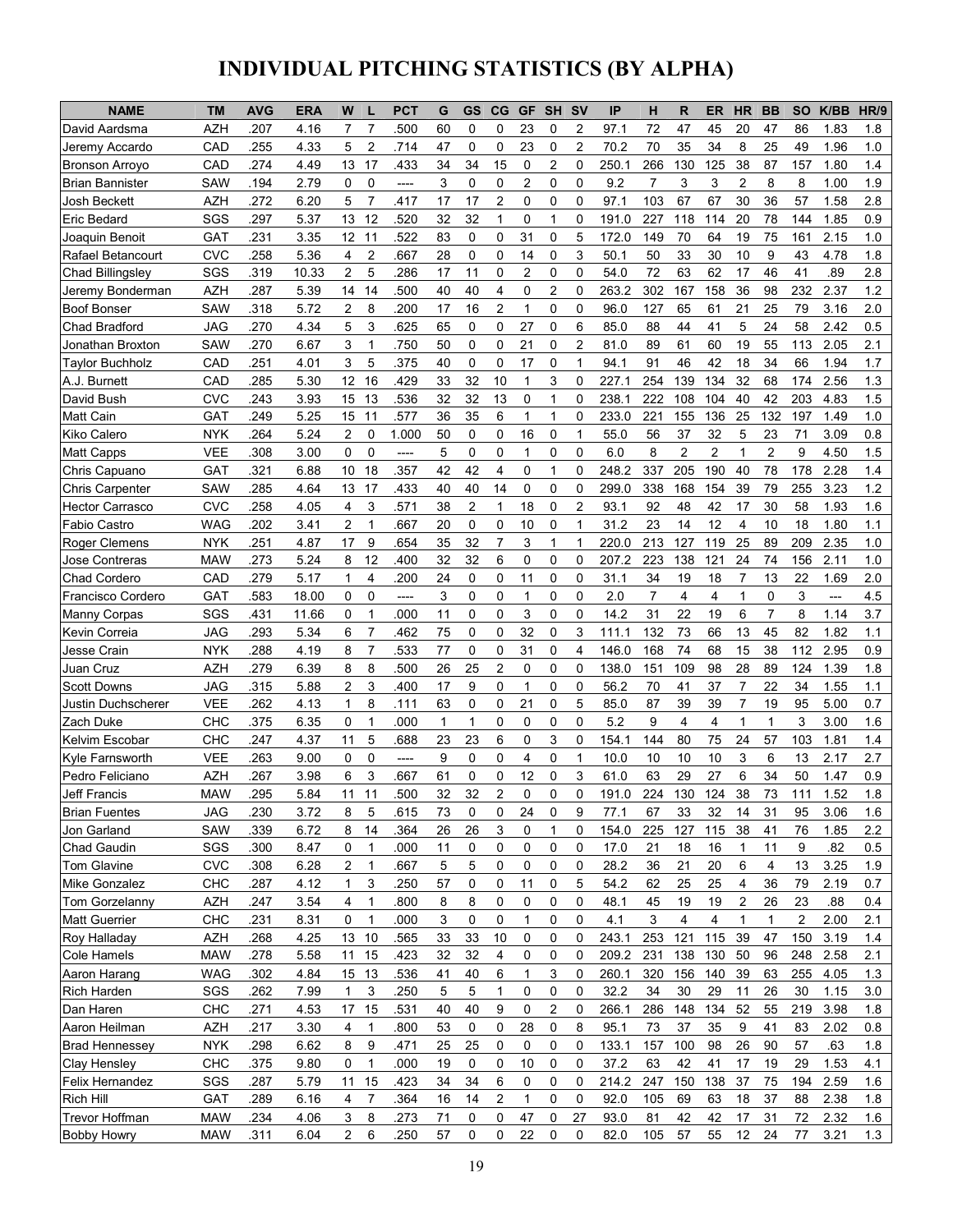# INDIVIDUAL PITCHING STATISTICS (BY ALPHA)

| <b>NAME</b>             | ТM         | <b>AVG</b> | <b>ERA</b> | W                   | <b>PCT</b> | G            | GS | CG             | <b>GF</b>      | <b>SH</b> | <b>SV</b>      | IP    | н              | R              | <b>ER</b>      | <b>HR</b>      | <b>BB</b>      | <b>SO</b> | K/BB                                | HR/9 |
|-------------------------|------------|------------|------------|---------------------|------------|--------------|----|----------------|----------------|-----------|----------------|-------|----------------|----------------|----------------|----------------|----------------|-----------|-------------------------------------|------|
| David Aardsma           | AZH        | .207       | 4.16       | 7<br>7              | 500        | 60           | 0  | 0              | 23             | 0         | 2              | 97.1  | 72             | 47             | 45             | 20             | 47             | 86        | 1.83                                | 1.8  |
| Jeremy Accardo          | CAD        | .255       | 4.33       | 5<br>$\overline{c}$ | .714       | 47           | 0  | 0              | 23             | 0         | $\overline{2}$ | 70.2  | 70             | 35             | 34             | 8              | 25             | 49        | 1.96                                | 1.0  |
| <b>Bronson Arroyo</b>   | CAD        | .274       | 4.49       | 13<br>17            | .433       | 34           | 34 | 15             | 0              | 2         | 0              | 250.1 | 266            | 130            | 125            | 38             | 87             | 157       | 1.80                                | 1.4  |
| <b>Brian Bannister</b>  | SAW        | .194       | 2.79       | 0<br>0              | ----       | 3            | 0  | 0              | $\overline{c}$ | 0         | $\mathbf 0$    | 9.2   | 7              | 3              | 3              | $\overline{2}$ | 8              | 8         | 1.00                                | 1.9  |
| Josh Beckett            | <b>AZH</b> | 272        | 6.20       | 5<br>7              | 417        | 17           | 17 | 2              | 0              | 0         | 0              | 97.1  | 103            | 67             | 67             | 30             | 36             | 57        | 1.58                                | 2.8  |
| Eric Bedard             | SGS        | .297       | 5.37       | 13<br>12            | 520        | 32           | 32 | 1              | 0              | 1         | $\mathbf 0$    | 191.0 | 227            | 118            | 114            | 20             | 78             | 144       | 1.85                                | 0.9  |
| Joaquin Benoit          | GAT        | .231       | 3.35       | 12<br>11            | 522        | 83           | 0  | 0              | 31             | 0         | 5              | 172.0 | 149            | 70             | 64             | 19             | 75             | 161       | 2.15                                | 1.0  |
| Rafael Betancourt       | <b>CVC</b> | .258       | 5.36       | $\overline{c}$<br>4 | 667        | 28           | 0  | 0              | 14             | 0         | 3              | 50.1  | 50             | 33             | 30             | 10             | 9              | 43        | 4.78                                | 1.8  |
| <b>Chad Billingsley</b> | SGS        | .319       | 10.33      | 2<br>5              | .286       | 17           | 11 | 0              | 2              | 0         | $\mathbf 0$    | 54.0  | 72             | 63             | 62             | 17             | 46             | 41        | .89                                 | 2.8  |
| Jeremy Bonderman        | <b>AZH</b> | .287       | 5.39       | 14<br>14            | 500        | 40           | 40 | 4              | 0              | 2         | 0              | 263.2 | 302            | 167            | 158            | 36             | 98             | 232       | 2.37                                | 1.2  |
| <b>Boof Bonser</b>      | SAW        | .318       | 5.72       | 2<br>8              | .200       | 17           | 16 | $\overline{2}$ | 1              | 0         | 0              | 96.0  | 127            | 65             | 61             | 21             | 25             | 79        | 3.16                                | 2.0  |
| Chad Bradford           | JAG        | .270       | 4.34       | 5<br>3              | 625        | 65           | 0  | 0              | 27             | 0         | 6              | 85.0  | 88             | 44             | 41             | 5              | 24             | 58        | 2.42                                | 0.5  |
| Jonathan Broxton        | SAW        | .270       | 6.67       | 3<br>1              | 750        | 50           | 0  | 0              | 21             | 0         | 2              | 81.0  | 89             | 61             | 60             | 19             | 55             | 113       | 2.05                                | 2.1  |
| <b>Taylor Buchholz</b>  | CAD        | 251        | 4.01       | 3<br>5              | 375        | 40           | 0  | 0              | 17             | 0         | 1              | 94.1  | 91             | 46             | 42             | 18             | 34             | 66        | 1.94                                | 1.7  |
| A.J. Burnett            | CAD        | .285       | 5.30       | 12<br>16            | 429        | 33           | 32 | 10             | 1              | 3         | 0              | 227.1 | 254            | 139            | 134            | 32             | 68             | 174       | 2.56                                | 1.3  |
| David Bush              | <b>CVC</b> | .243       | 3.93       | 15<br>13            | 536        | 32           | 32 | 13             | 0              | 1         | 0              | 238.1 | 222            | 108            | 104            | 40             | 42             | 203       | 4.83                                | 1.5  |
| <b>Matt Cain</b>        | GAT        | .249       | 5.25       | 15<br>11            | .577       | 36           | 35 | 6              | 1              | 1         | 0              | 233.0 | 221            | 155            | 136            | 25             | 132            | 197       | 1.49                                | 1.0  |
| <b>Kiko Calero</b>      | <b>NYK</b> | 264        | 5.24       | $\overline{c}$<br>0 | 1.000      | 50           | 0  | 0              | 16             | 0         | $\mathbf{1}$   | 55.0  | 56             | 37             | 32             | 5              | 23             | 71        | 3.09                                | 0.8  |
| Matt Capps              | <b>VEE</b> | 308        | 3.00       | 0<br>0              | ----       | 5            | 0  | 0              | 1              | 0         | $\mathbf 0$    | 6.0   | 8              | $\overline{c}$ | 2              | 1              | 2              | 9         | 4.50                                | 1.5  |
| Chris Capuano           | GAT        | 321        | 6.88       | 10<br>18            | 357        | 42           | 42 | 4              | 0              | 1         | $\mathbf 0$    | 248.2 | 337            | 205            | 190            | 40             | 78             | 178       | 2.28                                | 1.4  |
| <b>Chris Carpenter</b>  | <b>SAW</b> | .285       | 4.64       | 13<br>17            | .433       | 40           | 40 | 14             | 0              | 0         | 0              | 299.0 | 338            | 168            | 154            | 39             | 79             | 255       | 3.23                                | 1.2  |
| <b>Hector Carrasco</b>  | <b>CVC</b> | .258       | 4.05       | 3<br>4              | .571       | 38           | 2  | 1              | 18             | 0         | 2              | 93.1  | 92             | 48             | 42             | 17             | 30             | 58        | 1.93                                | 1.6  |
| <b>Fabio Castro</b>     | WAG        | .202       | 3.41       | 2<br>1              | 667        | 20           | 0  | 0              | 10             | 0         | $\mathbf{1}$   | 31.2  | 23             | 14             | 12             | 4              | 10             | 18        | 1.80                                | 1.1  |
| <b>Roger Clemens</b>    | <b>NYK</b> | .251       | 4.87       | 9<br>17             | 654        | 35           | 32 | $\overline{7}$ | 3              | 1         | 1              | 220.0 | 213            | 127            | 119            | 25             | 89             | 209       | 2.35                                | 1.0  |
| Jose Contreras          | <b>MAW</b> | .273       | 5.24       | 12<br>8             | 400        | 32           | 32 | 6              | 0              | 0         | 0              | 207.2 | 223            | 138            | 121            | 24             | 74             | 156       | 2.11                                | 1.0  |
| <b>Chad Cordero</b>     | CAD        | .279       | 5.17       | 4<br>1              | 200        | 24           | 0  | 0              | 11             | 0         | 0              | 31.1  | 34             | 19             | 18             | 7              | 13             | 22        | 1.69                                | 2.0  |
| Francisco Cordero       | GAT        | .583       | 18.00      | 0<br>0              | ----       | 3            | 0  | 0              | 1              | 0         | 0              | 2.0   | $\overline{7}$ | 4              | 4              | 1              | 0              | 3         | $\hspace{0.05cm}---\hspace{0.05cm}$ | 4.5  |
| Manny Corpas            | SGS        | .431       | 11.66      | 0<br>1              | .000       | 11           | 0  | 0              | 3              | 0         | 0              | 14.2  | 31             | 22             | 19             | 6              | $\overline{7}$ | 8         | 1.14                                | 3.7  |
| Kevin Correia           | JAG        | .293       | 5.34       | $\overline{7}$<br>6 | 462        | 75           | 0  | 0              | 32             | 0         | 3              | 111.1 | 132            | 73             | 66             | 13             | 45             | 82        | 1.82                                | 1.1  |
| Jesse Crain             | <b>NYK</b> | .288       | 4.19       | $\overline{7}$<br>8 | 533        | 77           | 0  | 0              | 31             | 0         | 4              | 146.0 | 168            | 74             | 68             | 15             | 38             | 112       | 2.95                                | 0.9  |
| Juan Cruz               | <b>AZH</b> | 279        | 6.39       | 8<br>8              | 500        | 26           | 25 | $\overline{2}$ | 0              | 0         | $\Omega$       | 138.0 | 151            | 109            | 98             | 28             | 89             | 124       | 1.39                                | 1.8  |
| <b>Scott Downs</b>      | JAG        | .315       | 5.88       | 2<br>3              | 400        | 17           | 9  | 0              | 1              | 0         | 0              | 56.2  | 70             | 41             | 37             | $\overline{7}$ | 22             | 34        | 1.55                                | 1.1  |
| Justin Duchscherer      | <b>VEE</b> | .262       | 4.13       | 8<br>1              | .111       | 63           | 0  | 0              | 21             | 0         | 5              | 85.0  | 87             | 39             | 39             | $\overline{7}$ | 19             | 95        | 5.00                                | 0.7  |
| Zach Duke               | CHC        | .375       | 6.35       | $\mathbf 0$<br>1    | .000       | $\mathbf{1}$ | 1  | 0              | 0              | 0         | $\Omega$       | 5.2   | 9              | 4              | $\overline{4}$ | 1              | 1              | 3         | 3.00                                | 1.6  |
| Kelvim Escobar          | CHC        | .247       | 4.37       | 5<br>11             | 688        | 23           | 23 | 6              | 0              | 3         | 0              | 154.1 | 144            | 80             | 75             | 24             | 57             | 103       | 1.81                                | 1.4  |
| Kyle Farnsworth         | <b>VEE</b> | .263       | 9.00       | 0<br>0              | ----       | 9            | 0  | 0              | 4              | 0         | $\mathbf{1}$   | 10.0  | 10             | 10             | 10             | 3              | 6              | 13        | 2.17                                | 2.7  |
| Pedro Feliciano         | <b>AZH</b> | .267       | 3.98       | 3<br>6              | 667        | 61           | 0  | 0              | 12             | 0         | 3              | 61.0  | 63             | 29             | 27             | 6              | 34             | 50        | 1.47                                | 0.9  |
| Jeff Francis            | <b>MAW</b> | .295       | 5.84       | 11<br>11            | 500        | 32           | 32 | 2              | 0              | 0         | $\Omega$       | 191.0 | 224            | 130            | 124            | 38             | 73             | 111       | 1.52                                | 1.8  |
| <b>Brian Fuentes</b>    | JAG        | .230       | 3.72       | 8<br>5              | 615        | 73           | 0  | 0              | 24             | 0         | 9              | 77.1  | 67             | 33             | 32             | 14             | 31             | 95        | 3.06                                | 1.6  |
| Jon Garland             | SAW        | .339       | 6.72       | 14<br>8             | 364        | 26           | 26 | 3              | 0              | 1         | 0              | 154.0 | 225            | 127            | 115            | 38             | 41             | 76        | 1.85                                | 2.2  |
| Chad Gaudin             | SGS        | .300       | 8.47       | 0<br>1              | .000       | 11           | 0  | 0              | 0              | 0         | 0              | 17.0  | 21             | 18             | 16             | 1              | 11             | 9         | .82                                 | 0.5  |
| <b>Tom Glavine</b>      | <b>CVC</b> | .308       | 6.28       | 2<br>1              | 667        | 5            | 5  | 0              | 0              | 0         | 0              | 28.2  | 36             | 21             | 20             | 6              | 4              | 13        | 3.25                                | 1.9  |
| Mike Gonzalez           | <b>CHC</b> | .287       | 4.12       | 3<br>1              | .250       | 57           | 0  | 0              | 11             | 0         | 5              | 54.2  | 62             | 25             | 25             | 4              | 36             | 79        | 2.19                                | 0.7  |
| Tom Gorzelanny          | <b>AZH</b> | .247       | 3.54       | 4<br>1              | .800       | 8            | 8  | 0              | 0              | 0         | 0              | 48.1  | 45             | 19             | 19             | 2              | 26             | 23        | .88                                 | 0.4  |
| <b>Matt Guerrier</b>    | <b>CHC</b> | .231       | 8.31       | 0<br>1              | .000       | 3            | 0  | 0              | 1              | 0         | 0              | 4.1   | 3              | 4              | 4              | $\mathbf{1}$   | 1              | 2         | 2.00                                | 2.1  |
| Roy Halladay            | <b>AZH</b> | .268       | 4.25       | 13 10               | 565        | 33           | 33 | 10             | 0              | 0         | 0              | 243.1 | 253            | 121            | 115            | 39             | 47             | 150       | 3.19                                | 1.4  |
| Cole Hamels             | <b>MAW</b> | .278       | 5.58       | 11<br>15            | .423       | 32           | 32 | 4              | 0              | 0         | 0              | 209.2 | 231            | 138            | 130            | 50             | 96             | 248       | 2.58                                | 2.1  |
| Aaron Harang            | <b>WAG</b> | .302       | 4.84       | 15 13               | .536       | 41           | 40 | 6              | 1              | 3         | 0              | 260.1 | 320            | 156            | 140            | 39             | 63             | 255       | 4.05                                | 1.3  |
| Rich Harden             | SGS        | .262       | 7.99       | 3<br>1              | .250       | 5            | 5  | 1              | 0              | 0         | 0              | 32.2  | 34             | 30             | 29             | 11             | 26             | 30        | 1.15                                | 3.0  |
| Dan Haren               | CHC        | .271       | 4.53       | 15<br>17            | .531       | 40           | 40 | 9              | 0              | 2         | 0              | 266.1 | 286            | 148            | 134            | 52             | 55             | 219       | 3.98                                | 1.8  |
| Aaron Heilman           | <b>AZH</b> | .217       | 3.30       | $\mathbf{1}$<br>4   | .800       | 53           | 0  | 0              | 28             | 0         | 8              | 95.1  | 73             | 37             | 35             | 9              | 41             | 83        | 2.02                                | 0.8  |
| <b>Brad Hennessey</b>   | <b>NYK</b> | .298       | 6.62       | 8<br>9              | .471       | 25           | 25 | 0              | 0              | 0         | 0              | 133.1 | 157            | 100            | 98             | 26             | 90             | 57        | .63                                 | 1.8  |
| Clay Hensley            | <b>CHC</b> | .375       | 9.80       | 0<br>1              | .000       | 19           | 0  | 0              | 10             | 0         | 0              | 37.2  | 63             | 42             | 41             | 17             | 19             | 29        | 1.53                                | 4.1  |
| Felix Hernandez         | SGS        | .287       | 5.79       | 11<br>15            | 423        | 34           | 34 | 6              | 0              | 0         | 0              | 214.2 | 247            | 150            | 138            | 37             | 75             | 194       | 2.59                                | 1.6  |
| Rich Hill               | <b>GAT</b> | .289       | 6.16       | 7<br>4              | .364       | 16           | 14 | 2              | 1              | 0         | 0              | 92.0  | 105            | 69             | 63             | 18             | 37             | 88        | 2.38                                | 1.8  |
| Trevor Hoffman          | <b>MAW</b> | .234       | 4.06       | 3<br>8              | .273       | 71           | 0  | 0              | 47             | 0         | 27             | 93.0  | 81             | 42             | 42             | 17             | 31             | $72\,$    | 2.32                                | 1.6  |
| <b>Bobby Howry</b>      | <b>MAW</b> | .311       | 6.04       | $\overline{2}$<br>6 | .250       | 57           | 0  | 0              | 22             | 0         | 0              | 82.0  | 105            | 57             | 55             | 12             | 24             | 77        | 3.21                                | 1.3  |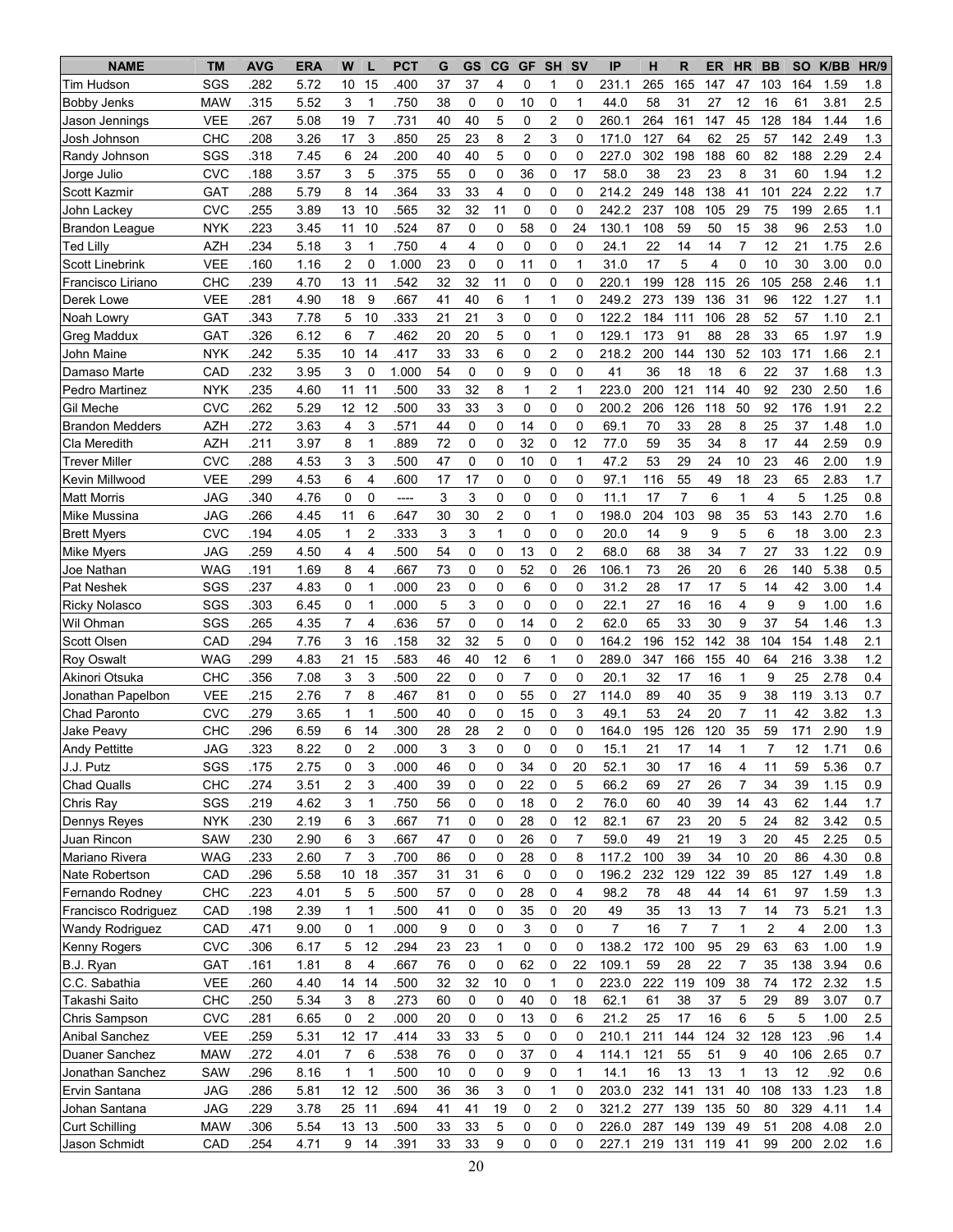| <b>NAME</b>            | <b>TM</b>  | <b>AVG</b> | <b>ERA</b> | W<br>L                         | <b>PCT</b> | G  | GS | $_{\rm CG}$    | GF             | <b>SH</b>      | <b>SV</b>               | IP             | н       | R   | <b>ER</b>      | <b>HR</b>      | <b>BB</b> | <b>SO</b> | K/BB | HR/9    |
|------------------------|------------|------------|------------|--------------------------------|------------|----|----|----------------|----------------|----------------|-------------------------|----------------|---------|-----|----------------|----------------|-----------|-----------|------|---------|
| Tim Hudson             | SGS        | 282        | 5.72       | 15<br>10                       | 400        | 37 | 37 | 4              | 0              | 1              | 0                       | 231.1          | 265     | 165 | 147            | 47             | 103       | 164       | 1.59 | 1.8     |
| Bobby Jenks            | <b>MAW</b> | 315        | 5.52       | 3<br>1                         | .750       | 38 | 0  | 0              | 10             | 0              | 1                       | 44.0           | 58      | 31  | 27             | 12             | 16        | 61        | 3.81 | $2.5\,$ |
| Jason Jennings         | <b>VEE</b> | 267        | 5.08       | $\overline{7}$<br>19           | .731       | 40 | 40 | 5              | 0              | $\overline{2}$ | 0                       | 260.1          | 264     | 161 | 147            | 45             | 128       | 184       | 1.44 | 1.6     |
| Josh Johnson           | CHC        | 208        | 3.26       | 3<br>17                        | .850       | 25 | 23 | 8              | 2              | 3              | $\mathbf 0$             | 171.0          | 127     | 64  | 62             | 25             | 57        | 142       | 2.49 | 1.3     |
| Randy Johnson          | SGS        | .318       | 7.45       | 6<br>24                        | .200       | 40 | 40 | 5              | 0              | 0              | $\mathbf 0$             | 227.0          | 302     | 198 | 188            | 60             | 82        | 188       | 2.29 | 2.4     |
| Jorge Julio            | <b>CVC</b> | .188       | 3.57       | 3<br>5                         | 375        | 55 | 0  | 0              | 36             | 0              | 17                      | 58.0           | 38      | 23  | 23             | 8              | 31        | 60        | 1.94 | 1.2     |
| Scott Kazmir           | GAT        | .288       | 5.79       | 8<br>14                        | .364       | 33 | 33 | 4              | 0              | 0              | $\mathbf 0$             | 214.2          | 249     | 148 | 138            | 41             | 101       | 224       | 2.22 | 1.7     |
| John Lackey            | <b>CVC</b> | .255       | 3.89       | 13<br>10                       | .565       | 32 | 32 | 11             | 0              | 0              | 0                       | 242.2          | 237     | 108 | 105            | 29             | 75        | 199       | 2.65 | 1.1     |
| <b>Brandon League</b>  | <b>NYK</b> | .223       | 3.45       | 10<br>11                       | .524       | 87 | 0  | 0              | 58             | 0              | 24                      | 130.1          | 108     | 59  | 50             | 15             | 38        | 96        | 2.53 | 1.0     |
| <b>Ted Lilly</b>       | <b>AZH</b> | .234       | 5.18       | 3<br>$\mathbf{1}$              | .750       | 4  | 4  | 0              | 0              | $\mathbf 0$    | 0                       | 24.1           | 22      | 14  | 14             | $\overline{7}$ | 12        | 21        | 1.75 | 2.6     |
| <b>Scott Linebrink</b> | <b>VEE</b> | .160       | 1.16       | 2<br>0                         | 1.000      | 23 | 0  | 0              | 11             | 0              | 1                       | 31.0           | 17      | 5   | 4              | 0              | 10        | 30        | 3.00 | 0.0     |
| Francisco Liriano      | CHC        | .239       | 4.70       | 13<br>11                       | .542       | 32 | 32 | 11             | 0              | 0              | 0                       | 220.1          | 199     | 128 | 115            | 26             | 105       | 258       | 2.46 | 1.1     |
| Derek Lowe             | VEE        | .281       | 4.90       | 9<br>18                        | 667        | 41 | 40 | 6              | 1              | 1              | $\Omega$                | 249.2          | 273     | 139 | 136            | 31             | 96        | 122       | 1.27 | 1.1     |
| Noah Lowry             | GAT        | .343       | 7.78       | 10<br>5                        | .333       | 21 | 21 | 3              | 0              | 0              | 0                       | 122.2          | 184     | 111 | 106            | 28             | 52        | 57        | 1.10 | 2.1     |
| Greg Maddux            | GAT        | 326        | 6.12       | 6<br>$\overline{7}$            | 462        | 20 | 20 | 5              | 0              | 1              | $\mathbf 0$             | 129.1          | 173     | 91  | 88             | 28             | 33        | 65        | 1.97 | 1.9     |
| John Maine             | <b>NYK</b> | 242        | 5.35       | 10<br>14                       | 417        | 33 | 33 | 6              | 0              | 2              | $\mathbf 0$             | 218.2          | 200     | 144 | 130            | 52             | 103       | 171       | 1.66 | 2.1     |
| Damaso Marte           | CAD        | 232        | 3.95       | 3<br>0                         | 1.000      | 54 | 0  | 0              | 9              | 0              | $\mathbf 0$             | 41             | 36      | 18  | 18             | 6              | 22        | 37        | 1.68 | 1.3     |
| Pedro Martinez         | <b>NYK</b> | 235        | 4.60       | 11<br>11                       | .500       | 33 | 32 | 8              | 1              | 2              | 1                       | 223.0          | 200     | 121 | 114            | 40             | 92        | 230       | 2.50 | 1.6     |
| Gil Meche              | <b>CVC</b> | .262       | 5.29       | 12<br>12                       | .500       | 33 | 33 | 3              | 0              | 0              | $\mathbf 0$             | 200.2          | 206     | 126 | 118            | 50             | 92        | 176       | 1.91 | 2.2     |
| <b>Brandon Medders</b> | <b>AZH</b> | .272       | 3.63       | 3<br>4                         | 571        | 44 | 0  | 0              | 14             | $\pmb{0}$      | $\mathbf 0$             | 69.1           | 70      | 33  | 28             | 8              | 25        | 37        | 1.48 | 1.0     |
| Cla Meredith           | <b>AZH</b> | .211       | 3.97       | 8<br>$\mathbf{1}$              | .889       | 72 | 0  | 0              | 32             | 0              | 12                      | 77.0           | 59      | 35  | 34             | 8              | 17        | 44        | 2.59 | 0.9     |
| <b>Trever Miller</b>   | <b>CVC</b> | .288       | 4.53       | 3<br>3                         | .500       | 47 | 0  | 0              | 10             | 0              | $\mathbf{1}$            | 47.2           | 53      | 29  | 24             | 10             | 23        | 46        | 2.00 | 1.9     |
| Kevin Millwood         | <b>VEE</b> | .299       | 4.53       | 4<br>6                         | .600       | 17 | 17 | 0              | 0              | $\mathbf 0$    | $\mathbf 0$             | 97.1           | 116     | 55  | 49             | 18             | 23        | 65        | 2.83 | 1.7     |
| <b>Matt Morris</b>     | <b>JAG</b> | 340        | 4.76       | 0<br>0                         | $---$      | 3  | 3  | 0              | 0              | 0              | 0                       | 11.1           | 17      | 7   | 6              | 1              | 4         | 5         | 1.25 | 0.8     |
| Mike Mussina           | JAG        | 266        | 4.45       | 11<br>6                        | 647        | 30 | 30 | $\overline{2}$ | 0              | $\mathbf{1}$   | 0                       | 198.0          | 204     | 103 | 98             | 35             | 53        | 143       | 2.70 | 1.6     |
| <b>Brett Myers</b>     | <b>CVC</b> | .194       | 4.05       | $\overline{c}$<br>1            | .333       | 3  | 3  | 1              | 0              | 0              | 0                       | 20.0           | 14      | 9   | 9              | 5              | 6         | 18        | 3.00 | 2.3     |
| Mike Myers             | JAG        | .259       | 4.50       | 4<br>4                         | 500        | 54 | 0  | 0              | 13             | $\mathbf 0$    | $\overline{c}$          | 68.0           | 68      | 38  | 34             | $\overline{7}$ | 27        | 33        | 1.22 | 0.9     |
| Joe Nathan             | <b>WAG</b> | .191       | 1.69       | 8<br>4                         | .667       | 73 | 0  | 0              | 52             | 0              | 26                      | 106.1          | 73      | 26  | 20             | 6              | 26        | 140       | 5.38 | 0.5     |
| Pat Neshek             | SGS        | .237       | 4.83       | 0<br>$\mathbf{1}$              | .000       | 23 | 0  | 0              | 6              | 0              | 0                       | 31.2           | 28      | 17  | 17             | 5              | 14        | 42        | 3.00 | 1.4     |
| <b>Ricky Nolasco</b>   | SGS        | 303        | 6.45       | 0<br>$\mathbf{1}$              | .000       | 5  | 3  | 0              | 0              | 0              | 0                       | 22.1           | 27      | 16  | 16             | 4              | 9         | 9         | 1.00 | 1.6     |
| Wil Ohman              | SGS        | 265        | 4.35       | $\overline{7}$<br>4            | 636        | 57 | 0  | 0              | 14             | $\mathbf 0$    | $\overline{c}$          | 62.0           | 65      | 33  | 30             | 9              | 37        | 54        | 1.46 | 1.3     |
| <b>Scott Olsen</b>     | CAD        | .294       | 7.76       | 3<br>16                        | .158       | 32 | 32 | 5              | 0              | 0              | $\mathbf 0$             | 164.2          | 196     | 152 | 142            | 38             | 104       | 154       | 1.48 | 2.1     |
| <b>Roy Oswalt</b>      | <b>WAG</b> | .299       | 4.83       | 21<br>15                       | .583       | 46 | 40 | 12             | 6              | $\mathbf{1}$   | $\mathbf 0$             | 289.0          | 347     | 166 | 155            | 40             | 64        | 216       | 3.38 | 1.2     |
| Akinori Otsuka         | CHC        | .356       | 7.08       | 3<br>3                         | .500       | 22 | 0  | 0              | $\overline{7}$ | $\pmb{0}$      | 0                       | 20.1           | 32      | 17  | 16             | $\mathbf{1}$   | 9         | 25        | 2.78 | 0.4     |
| Jonathan Papelbon      | <b>VEE</b> | 215        | 2.76       | $\overline{7}$<br>8            | 467        | 81 | 0  | 0              | 55             | 0              | 27                      | 114.0          | 89      | 40  | 35             | 9              | 38        | 119       | 3.13 | 0.7     |
| Chad Paronto           | <b>CVC</b> | .279       | 3.65       | $\mathbf{1}$<br>1              | .500       | 40 | 0  | 0              | 15             | $\mathbf 0$    | 3                       | 49.1           | 53      | 24  | 20             | $\overline{7}$ | 11        | 42        | 3.82 | 1.3     |
| Jake Peavy             | CHC        | 296        | 6.59       | 6<br>14                        | .300       | 28 | 28 | $\overline{2}$ | 0              | 0              | 0                       | 164.0          | 195     | 126 | 120            | 35             | 59        | 171       | 2.90 | 1.9     |
| <b>Andy Pettitte</b>   | <b>JAG</b> | 323        | 8.22       | $\overline{c}$<br>0            | .000       | 3  | 3  | $\Omega$       | 0              | $\Omega$       | $\Omega$                | 15.1           | 21      | 17  | 14             | 1              | 7         | 12        | 1.71 | 0.6     |
| J.J. Putz              | SGS        | .175       | 2.75       | 0<br>3                         | .000       | 46 | 0  | 0              | 34             | 0              | 20                      | 52.1           | 30      | 17  | 16             | 4              | 11        | 59        | 5.36 | 0.7     |
| <b>Chad Qualls</b>     | CHC        | .274       | 3.51       | 3<br>2                         | .400       | 39 | 0  | 0              | 22             | 0              | 5                       | 66.2           | 69      | 27  | 26             | 7              | 34        | 39        | 1.15 | 0.9     |
| Chris Ray              | SGS        | .219       | 4.62       | $\ensuremath{\mathsf{3}}$<br>1 | .750       | 56 | 0  | 0              | 18             | 0              | $\overline{\mathbf{c}}$ | 76.0           | 60      | 40  | 39             | 14             | 43        | 62        | 1.44 | 1.7     |
| Dennys Reyes           | <b>NYK</b> | .230       | 2.19       | 6<br>3                         | .667       | 71 | 0  | 0              | 28             | 0              | 12                      | 82.1           | 67      | 23  | 20             | 5              | 24        | 82        | 3.42 | 0.5     |
| Juan Rincon            | SAW        | .230       | 2.90       | $\mathsf 3$<br>6               | .667       | 47 | 0  | 0              | 26             | 0              | $\overline{7}$          | 59.0           | 49      | 21  | 19             | 3              | 20        | 45        | 2.25 | 0.5     |
| Mariano Rivera         | <b>WAG</b> | 233        | 2.60       | $\overline{7}$<br>3            | .700       | 86 | 0  | 0              | 28             | 0              | 8                       | 117.2          | 100     | 39  | 34             | 10             | 20        | 86        | 4.30 | 0.8     |
| Nate Robertson         | CAD        | .296       | 5.58       | 18<br>10 <sup>°</sup>          | 357        | 31 | 31 | 6              | 0              | 0              | 0                       | 196.2          | 232     | 129 | 122            | 39             | 85        | 127       | 1.49 | 1.8     |
| Fernando Rodney        | CHC        | .223       | 4.01       | 5<br>5                         | .500       | 57 | 0  | 0              | 28             | 0              | 4                       | 98.2           | 78      | 48  | 44             | 14             | 61        | 97        | 1.59 | 1.3     |
| Francisco Rodriguez    | CAD        | .198       | 2.39       | $\mathbf{1}$<br>1              | .500       | 41 | 0  | 0              | 35             | 0              | 20                      | 49             | 35      | 13  | 13             | $\overline{7}$ | 14        | 73        | 5.21 | 1.3     |
| Wandy Rodriguez        | CAD        | .471       | 9.00       | 0<br>1                         | .000       | 9  | 0  | 0              | 3              | 0              | $\mathbf 0$             | $\overline{7}$ | 16      | 7   | $\overline{7}$ | 1              | 2         | 4         | 2.00 | 1.3     |
| Kenny Rogers           | <b>CVC</b> | .306       | 6.17       | 12<br>5                        | .294       | 23 | 23 | $\mathbf{1}$   | 0              | 0              | 0                       | 138.2          | 172     | 100 | 95             | 29             | 63        | 63        | 1.00 | 1.9     |
| B.J. Ryan              | GAT        | .161       | 1.81       | $\overline{\mathbf{4}}$<br>8   | .667       | 76 | 0  | 0              | 62             | 0              | 22                      | 109.1          | 59      | 28  | 22             | $\overline{7}$ | 35        | 138       | 3.94 | 0.6     |
| C.C. Sabathia          | <b>VEE</b> | .260       | 4.40       | 14<br>14                       | .500       | 32 | 32 | 10             | 0              | 1              | 0                       | 223.0          | 222     | 119 | 109            | 38             | 74        | 172       | 2.32 | 1.5     |
| Takashi Saito          | <b>CHC</b> | .250       | 5.34       | 3<br>8                         | .273       | 60 | 0  | 0              | 40             | 0              | 18                      | 62.1           | 61      | 38  | 37             | 5              | 29        | 89        | 3.07 | 0.7     |
| Chris Sampson          | <b>CVC</b> | .281       | 6.65       | 0<br>$\overline{c}$            | .000       | 20 | 0  | 0              | 13             | 0              | 6                       | 21.2           | 25      | 17  | 16             | 6              | 5         | 5         | 1.00 | 2.5     |
| <b>Anibal Sanchez</b>  | <b>VEE</b> | .259       | 5.31       | 17<br>12                       | .414       | 33 | 33 | 5              | 0              | 0              | 0                       | 210.1          | 211     | 144 | 124            | 32             | 128       | 123       | .96  | 1.4     |
| Duaner Sanchez         | <b>MAW</b> | 272        | 4.01       | $\overline{7}$<br>6            | 538        | 76 | 0  | 0              | 37             | 0              | 4                       | 114.1          | 121     | 55  | 51             | 9              | 40        | 106       | 2.65 | 0.7     |
| Jonathan Sanchez       | SAW        | .296       | 8.16       | $\mathbf{1}$<br>1              | .500       | 10 | 0  | 0              | 9              | 0              | $\mathbf{1}$            | 14.1           | 16      | 13  | 13             | $\mathbf{1}$   | 13        | 12        | .92  | 0.6     |
| Ervin Santana          | <b>JAG</b> | .286       | 5.81       | 12 12                          | .500       | 36 | 36 | 3              | 0              | 1              | 0                       | 203.0          | 232     | 141 | 131            | 40             | 108       | 133       | 1.23 | 1.8     |
| Johan Santana          | <b>JAG</b> | 229        | 3.78       | 25 11                          | .694       | 41 | 41 | 19             | 0              | 2              | 0                       | 321.2          | 277     | 139 | 135            | 50             | 80        | 329       | 4.11 | 1.4     |
| <b>Curt Schilling</b>  | <b>MAW</b> | .306       | 5.54       | 13<br>13                       | .500       | 33 | 33 | 5              | 0              | 0              | 0                       | 226.0          | 287     | 149 | 139            | 49             | 51        | 208       | 4.08 | 2.0     |
| Jason Schmidt          | CAD        | .254       | 4.71       | 9<br>14                        | .391       | 33 | 33 | 9              | 0              | 0              | 0                       | 227.1          | 219 131 |     | 119            | 41             | 99        | 200       | 2.02 | 1.6     |
|                        |            |            |            |                                |            |    |    |                |                |                |                         |                |         |     |                |                |           |           |      |         |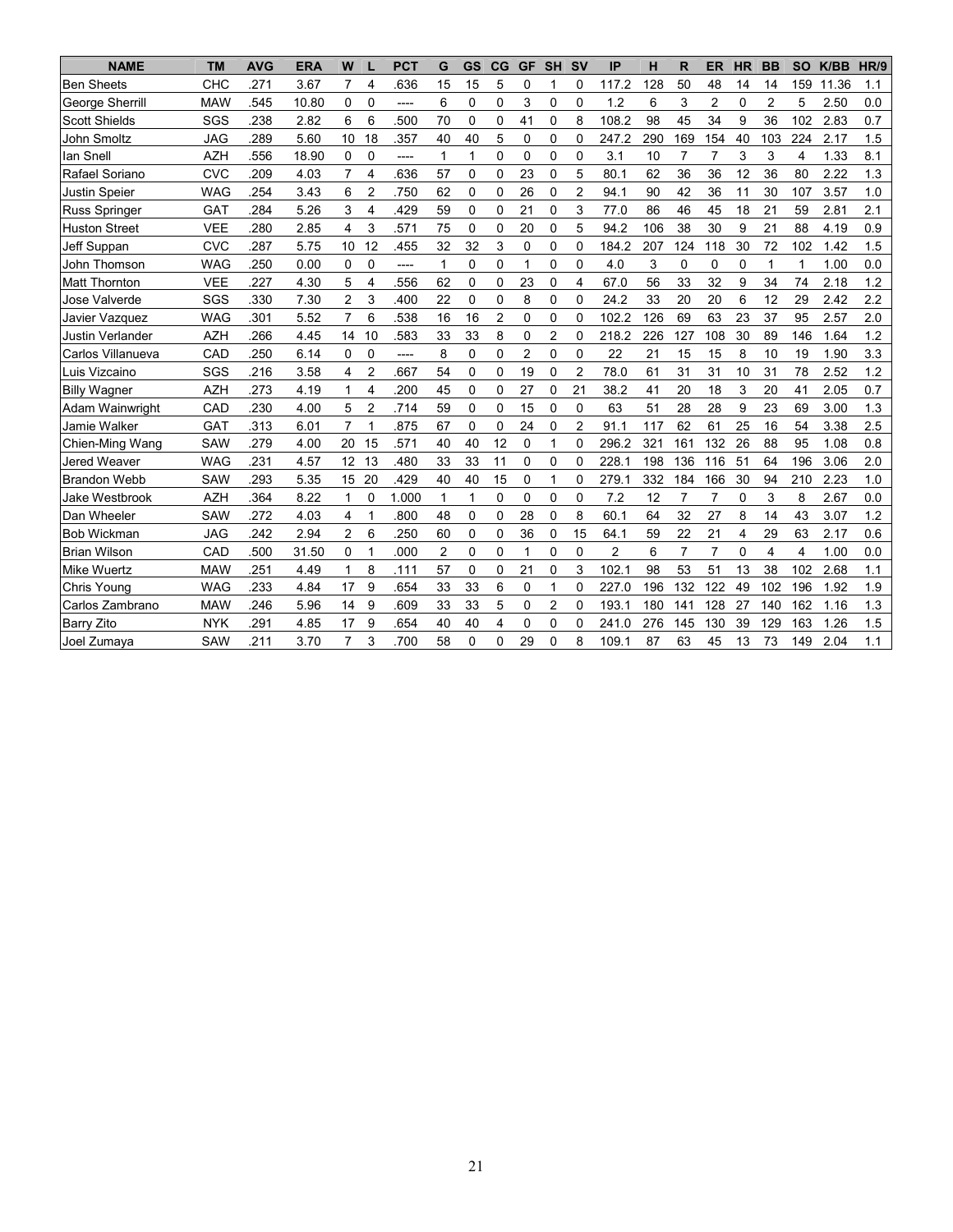| <b>NAME</b>          | <b>TM</b>  | <b>AVG</b> | <b>ERA</b> | W               | L                       | <b>PCT</b> | G              | <b>GS</b>    | CG             | <b>GF</b>      | <b>SH</b>      | <b>SV</b>      | IP             | н   | $\mathsf{R}$   | <b>ER</b>      | <b>HR</b>   | <b>BB</b>      | <b>SO</b>      | K/BB  | <b>HR/9</b> |
|----------------------|------------|------------|------------|-----------------|-------------------------|------------|----------------|--------------|----------------|----------------|----------------|----------------|----------------|-----|----------------|----------------|-------------|----------------|----------------|-------|-------------|
| <b>Ben Sheets</b>    | CHC        | .271       | 3.67       | $\overline{7}$  | 4                       | 636        | 15             | 15           | 5              | 0              | 1              | $\mathbf 0$    | 117.2          | 128 | 50             | 48             | 14          | 14             | 159            | 11.36 | 1.1         |
| George Sherrill      | <b>MAW</b> | 545        | 10.80      | 0               | $\Omega$                | ----       | 6              | 0            | $\Omega$       | 3              | 0              | $\mathbf{0}$   | 1.2            | 6   | 3              | $\overline{2}$ | 0           | $\overline{2}$ | 5              | 2.50  | 0.0         |
| <b>Scott Shields</b> | SGS        | .238       | 2.82       | 6               | 6                       | 500        | 70             | $\mathbf 0$  | $\Omega$       | 41             | $\Omega$       | 8              | 108.2          | 98  | 45             | 34             | 9           | 36             | 102            | 2.83  | 0.7         |
| John Smoltz          | <b>JAG</b> | .289       | 5.60       | 10              | 18                      | .357       | 40             | 40           | 5              | 0              | 0              | 0              | 247.2          | 290 | 169            | 154            | 40          | 103            | 224            | 2.17  | 1.5         |
| lan Snell            | <b>AZH</b> | 556        | 18.90      | 0               | $\Omega$                | ----       | $\mathbf{1}$   | 1            | $\Omega$       | 0              | $\mathbf 0$    | $\mathbf{0}$   | 3.1            | 10  | $\overline{7}$ | $\overline{7}$ | 3           | 3              | 4              | 1.33  | 8.1         |
| Rafael Soriano       | <b>CVC</b> | .209       | 4.03       | $\overline{7}$  | 4                       | 636        | 57             | 0            | $\mathbf 0$    | 23             | 0              | 5              | 80.1           | 62  | 36             | 36             | 12          | 36             | 80             | 2.22  | 1.3         |
| <b>Justin Speier</b> | <b>WAG</b> | 254        | 3.43       | 6               | $\overline{2}$          | .750       | 62             | 0            | $\mathbf 0$    | 26             | 0              | $\overline{2}$ | 94.1           | 90  | 42             | 36             | 11          | 30             | 107            | 3.57  | 1.0         |
| Russ Springer        | GAT        | .284       | 5.26       | 3               | $\overline{\mathbf{4}}$ | .429       | 59             | $\mathbf{0}$ | $\Omega$       | 21             | 0              | 3              | 77.0           | 86  | 46             | 45             | 18          | 21             | 59             | 2.81  | 2.1         |
| <b>Huston Street</b> | <b>VEE</b> | 280        | 2.85       | 4               | 3                       | .571       | 75             | $\mathbf 0$  | $\mathbf 0$    | 20             | 0              | 5              | 94.2           | 106 | 38             | 30             | 9           | 21             | 88             | 4.19  | 0.9         |
| Jeff Suppan          | <b>CVC</b> | .287       | 5.75       | 10              | 12                      | .455       | 32             | 32           | 3              | 0              | 0              | $\mathbf 0$    | 184.2          | 207 | 124            | 118            | 30          | 72             | 102            | 1.42  | 1.5         |
| John Thomson         | <b>WAG</b> | .250       | 0.00       | 0               | $\Omega$                | ----       | 1              | 0            | $\mathbf 0$    | 1              | $\Omega$       | $\mathbf 0$    | 4.0            | 3   | 0              | 0              | 0           | 1              | 1              | 1.00  | 0.0         |
| <b>Matt Thornton</b> | <b>VEE</b> | .227       | 4.30       | 5               | 4                       | 556        | 62             | $\mathbf 0$  | $\mathbf 0$    | 23             | 0              | 4              | 67.0           | 56  | 33             | 32             | 9           | 34             | 74             | 2.18  | 1.2         |
| Jose Valverde        | SGS        | 330        | 7.30       | $\overline{2}$  | 3                       | .400       | 22             | $\mathbf 0$  | $\mathbf 0$    | 8              | 0              | $\mathbf 0$    | 24.2           | 33  | 20             | 20             | 6           | 12             | 29             | 2.42  | 2.2         |
| Javier Vazquez       | <b>WAG</b> | .301       | 5.52       | $\overline{7}$  | 6                       | 538        | 16             | 16           | $\overline{2}$ | 0              | $\Omega$       | $\Omega$       | 102.2          | 126 | 69             | 63             | 23          | 37             | 95             | 2.57  | 2.0         |
| Justin Verlander     | <b>AZH</b> | .266       | 4.45       | 14              | 10                      | .583       | 33             | 33           | 8              | 0              | 2              | 0              | 218.2          | 226 | 127            | 108            | 30          | 89             | 146            | 1.64  | 1.2         |
| Carlos Villanueva    | CAD        | .250       | 6.14       | 0               | $\Omega$                | ----       | 8              | 0            | 0              | $\overline{c}$ | 0              | $\Omega$       | 22             | 21  | 15             | 15             | 8           | 10             | 19             | 1.90  | 3.3         |
| Luis Vizcaino        | SGS        | 216        | 3.58       | 4               | $\overline{2}$          | 667        | 54             | $\mathbf 0$  | $\mathbf 0$    | 19             | 0              | $\overline{2}$ | 78.0           | 61  | 31             | 31             | 10          | 31             | 78             | 2.52  | 1.2         |
| <b>Billy Wagner</b>  | <b>AZH</b> | .273       | 4.19       | 1               | 4                       | .200       | 45             | $\mathbf 0$  | 0              | 27             | 0              | 21             | 38.2           | 41  | 20             | 18             | 3           | 20             | 41             | 2.05  | 0.7         |
| Adam Wainwright      | CAD        | .230       | 4.00       | 5               | $\overline{2}$          | .714       | 59             | $\Omega$     | $\Omega$       | 15             | $\Omega$       | $\mathbf 0$    | 63             | 51  | 28             | 28             | 9           | 23             | 69             | 3.00  | 1.3         |
| Jamie Walker         | GAT        | .313       | 6.01       | $\overline{7}$  | 1                       | .875       | 67             | 0            | $\Omega$       | 24             | $\Omega$       | $\overline{2}$ | 91.1           | 117 | 62             | 61             | 25          | 16             | 54             | 3.38  | 2.5         |
| Chien-Ming Wang      | <b>SAW</b> | 279        | 4.00       | 20              | 15                      | 571        | 40             | 40           | 12             | 0              | 1              | 0              | 296.2          | 321 | 161            | 132            | 26          | 88             | 95             | 1.08  | 0.8         |
| Jered Weaver         | <b>WAG</b> | .231       | 4.57       | 12 <sup>°</sup> | 13                      | .480       | 33             | 33           | 11             | 0              | 0              | $\Omega$       | 228.1          | 198 | 136            | 116            | 51          | 64             | 196            | 3.06  | 2.0         |
| <b>Brandon Webb</b>  | <b>SAW</b> | .293       | 5.35       | 15              | 20                      | .429       | 40             | 40           | 15             | 0              | 1              | $\mathbf 0$    | 279.1          | 332 | 184            | 166            | 30          | 94             | 210            | 2.23  | 1.0         |
| Jake Westbrook       | <b>AZH</b> | .364       | 8.22       | 1               | 0                       | 1.000      | $\mathbf{1}$   | 1            | 0              | 0              | 0              | $\mathbf 0$    | 7.2            | 12  | $\overline{7}$ | 7              | 0           | 3              | 8              | 2.67  | 0.0         |
| Dan Wheeler          | <b>SAW</b> | .272       | 4.03       | 4               | 1                       | .800       | 48             | $\mathbf 0$  | $\Omega$       | 28             | 0              | 8              | 60.1           | 64  | 32             | 27             | 8           | 14             | 43             | 3.07  | 1.2         |
| <b>Bob Wickman</b>   | <b>JAG</b> | 242        | 2.94       | $\overline{2}$  | 6                       | .250       | 60             | 0            | 0              | 36             | 0              | 15             | 64.1           | 59  | 22             | 21             | 4           | 29             | 63             | 2.17  | 0.6         |
| <b>Brian Wilson</b>  | CAD        | .500       | 31.50      | 0               | $\mathbf{1}$            | .000       | $\overline{c}$ | 0            | $\mathbf 0$    | 1              | 0              | $\mathbf 0$    | $\overline{2}$ | 6   | $\overline{7}$ | $\overline{7}$ | $\mathbf 0$ | 4              | $\overline{4}$ | 1.00  | 0.0         |
| <b>Mike Wuertz</b>   | <b>MAW</b> | .251       | 4.49       | 1               | 8                       | .111       | 57             | $\mathbf 0$  | $\Omega$       | 21             | $\mathbf 0$    | 3              | 102.1          | 98  | 53             | 51             | 13          | 38             | 102            | 2.68  | 1.1         |
| Chris Young          | <b>WAG</b> | .233       | 4.84       | 17              | 9                       | 654        | 33             | 33           | 6              | 0              | 1              | $\mathbf 0$    | 227.0          | 196 | 132            | 122            | 49          | 102            | 196            | 1.92  | 1.9         |
| Carlos Zambrano      | <b>MAW</b> | 246        | 5.96       | 14              | 9                       | .609       | 33             | 33           | 5              | 0              | $\overline{2}$ | $\Omega$       | 193.1          | 180 | 141            | 128            | 27          | 140            | 162            | 1.16  | 1.3         |
| <b>Barry Zito</b>    | <b>NYK</b> | .291       | 4.85       | 17              | 9                       | 654        | 40             | 40           | 4              | 0              | 0              | 0              | 241.0          | 276 | 145            | 130            | 39          | 129            | 163            | 1.26  | 1.5         |
| Joel Zumaya          | SAW        | .211       | 3.70       | $\overline{7}$  | 3                       | .700       | 58             | 0            | $\Omega$       | 29             | $\mathbf 0$    | 8              | 109.1          | 87  | 63             | 45             | 13          | 73             | 149            | 2.04  | 1.1         |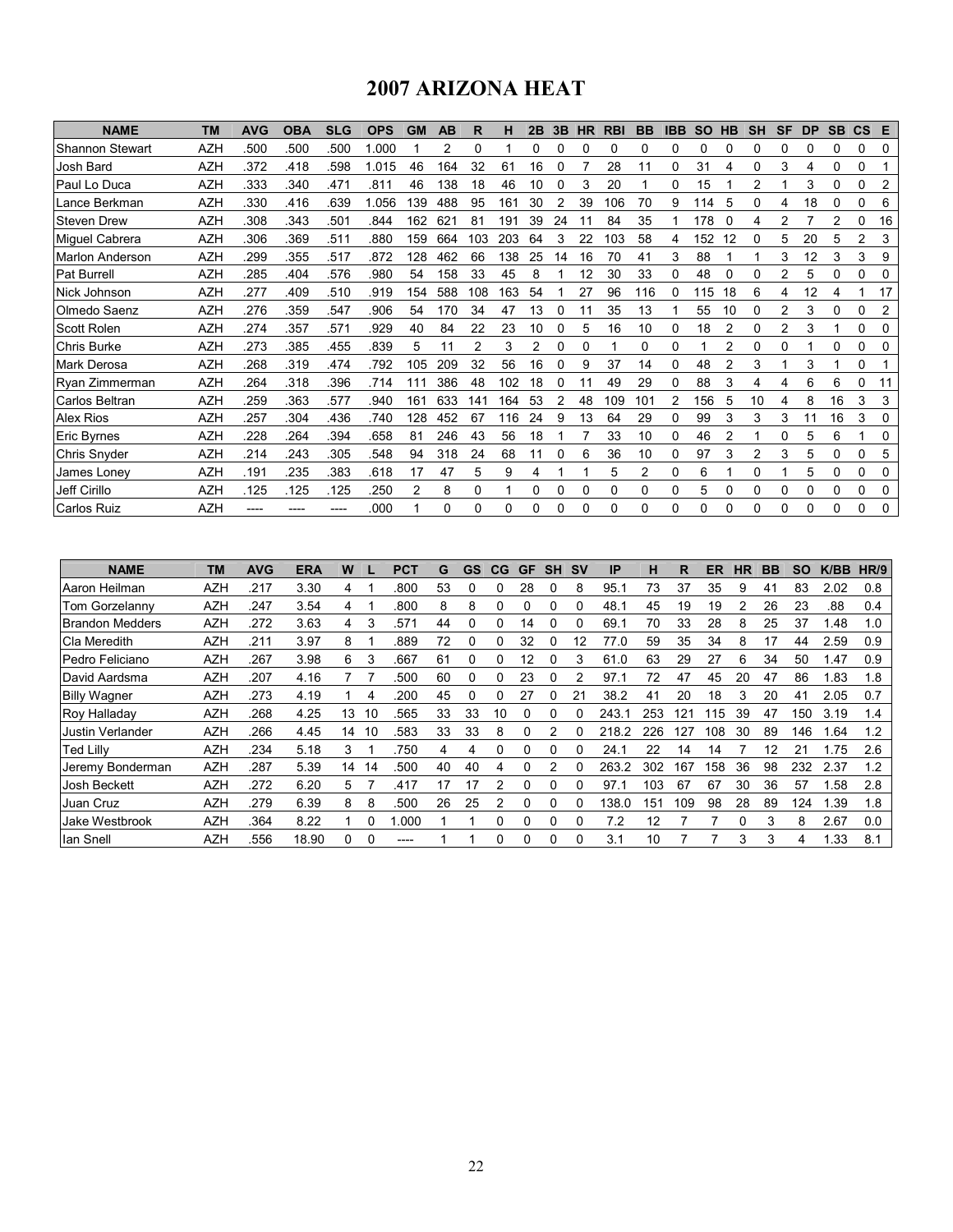# 2007 ARIZONA HEAT

| <b>NAME</b>            | <b>TM</b>  | <b>AVG</b> | <b>OBA</b> | <b>SLG</b> | <b>OPS</b> | <b>GM</b> | AB           | R              | н   | 2B       | 3B | <b>HR</b> | <b>RBI</b> | <b>BB</b> | <b>IBB</b> | <b>SO</b> | <b>HB</b> | <b>SH</b> | <b>SF</b>      | <b>DP</b> | <b>SB</b>   | $\mathsf{CS}$ | E            |
|------------------------|------------|------------|------------|------------|------------|-----------|--------------|----------------|-----|----------|----|-----------|------------|-----------|------------|-----------|-----------|-----------|----------------|-----------|-------------|---------------|--------------|
| <b>Shannon Stewart</b> | <b>AZH</b> | .500       | .500       | .500       | .000       |           |              | 0              |     |          |    |           |            | 0         | ი          | ი         |           | 0         |                |           |             | 0             | 0            |
| Josh Bard              | <b>AZH</b> | .372       | .418       | 598        | 1.015      | 46        | 164          | 32             | 61  | 16       |    |           | 28         | 11        | 0          | 31        | 4         | 0         | 3              | 4         | $\mathbf 0$ | 0             |              |
| Paul Lo Duca           | <b>AZH</b> | .333       | .340       | .471       | .811       | 46        | 138          | 18             | 46  | 10       | 0  | 3         | 20         |           | 0          | 15        |           | 2         |                | 3         | 0           | 0             | 2            |
| Lance Berkman          | <b>AZH</b> | .330       | .416       | .639       | 1.056      | 139       | 488          | 95             | 161 | 30       |    | 39        | 106        | 70        | 9          | 114       |           | 0         |                | 18        |             | 0             | 6            |
| <b>Steven Drew</b>     | <b>AZH</b> | .308       | .343       | 501        | .844       | 162       | $62^{\circ}$ | 81             | 191 | 39       | 24 |           | 84         | 35        |            | 178       |           | 4         | 2              |           | 2           | 0             | 16           |
| Miguel Cabrera         | <b>AZH</b> | .306       | .369       | .511       | .880       | 159       | 664          | 103            | 203 | 64       | 3  | 22        | 103        | 58        | 4          | 152       | 12        | 0         | 5              | 20        | 5           | 2             | 3            |
| <b>Marlon Anderson</b> | <b>AZH</b> | 299        | .355       | .517       | .872       | 128       | 462          | 66             | 138 | 25       | 14 | 16        | 70         | 41        | 3          | 88        |           |           | 3              | 12        | 3           | 3             | 9            |
| <b>Pat Burrell</b>     | <b>AZH</b> | .285       | .404       | .576       | .980       | 54        | 158          | 33             | 45  | 8        |    | 12        | 30         | 33        | 0          | 48        |           | 0         | $\overline{2}$ | 5         | 0           | 0             |              |
| Nick Johnson           | <b>AZH</b> | .277       | .409       | .510       | .919       | 154       | 588          | 108            | 163 | 54       |    | 27        | 96         | 116       | 0          | 115       | 18        | 6         | 4              | 12        | 4           |               | 17           |
| Olmedo Saenz           | <b>AZH</b> | 276        | .359       | .547       | .906       | 54        | 170          | 34             | 47  | 13       | 0  | 11        | 35         | 13        |            | 55        | 10        | 0         | 2              | 3         | 0           | 0             | 2            |
| <b>Scott Rolen</b>     | <b>AZH</b> | .274       | .357       | 571        | .929       | 40        | 84           | 22             | 23  | 10       | 0  | 5         | 16         | 10        | 0          | 18        | 2         | 0         | 2              | 3         |             | 0             | <sup>0</sup> |
| Chris Burke            | <b>AZH</b> | .273       | .385       | 455        | .839       | 5         |              | $\overline{2}$ | 3   | 2        |    | 0         |            | $\Omega$  | 0          |           | 2         | 0         | 0              |           | $\Omega$    | 0             | 0            |
| Mark Derosa            | <b>AZH</b> | .268       | .319       | .474       | .792       | 105       | 209          | 32             | 56  | 16       | 0  | 9         | 37         | 14        | 0          | 48        |           | 3         |                | 3         |             | 0             |              |
| Ryan Zimmerman         | AZH        | .264       | .318       | .396       | .714       | 111       | 386          | 48             | 102 | 18       |    | 11        | 49         | 29        | 0          | 88        | 3         | 4         | 4              | 6         | 6           | 0             | 11           |
| Carlos Beltran         | <b>AZH</b> | 259        | 363        | .577       | .940       | 161       | 633          | 141            | 164 | 53       |    | 48        | 109        | 101       |            | 156       | 5         | 10        | 4              | 8         | 16          | 3             | 3            |
| <b>Alex Rios</b>       | <b>AZH</b> | .257       | .304       | .436       | .740       | 128       | 452          | 67             | 116 | 24       | 9  | 13        | 64         | 29        | 0          | 99        | 3         | 3         | 3              | 11        | 16          | 3             | 0            |
| Eric Byrnes            | <b>AZH</b> | .228       | .264       | .394       | .658       | 81        | 246          | 43             | 56  | 18       |    |           | 33         | 10        | 0          | 46        |           |           | 0              | 5         | 6           |               | 0            |
| Chris Snyder           | <b>AZH</b> | .214       | 243        | .305       | .548       | 94        | 318          | 24             | 68  | 11       | 0  | 6         | 36         | 10        | 0          | 97        | 3         | 2         | 3              | 5         | $\Omega$    | 0             | 5            |
| James Lonev            | <b>AZH</b> | .191       | 235        | .383       | .618       | 17        | 47           | 5              | 9   | 4        |    |           | 5          | 2         | 0          | 6         |           | 0         |                | 5         | 0           | 0             | 0            |
| Jeff Cirillo           | <b>AZH</b> | .125       | .125       | .125       | .250       | 2         | 8            | 0              |     | 0        | 0  | 0         | 0          | 0         | 0          | 5         |           | 0         | 0              | 0         | 0           | 0             | 0            |
| Carlos Ruiz            | AZH        |            |            |            | .000       |           | 0            | 0              | 0   | $\Omega$ |    | 0         | 0          | 0         | 0          | 0         | O         | 0         | 0              | 0         | $\Omega$    | 0             | 0            |

| <b>NAME</b>             | ТM         | <b>AVG</b> | <b>ERA</b> | W  |    | <b>PCT</b> | G  | GS | CG | <b>GF</b> | <b>SH</b> | <b>SV</b> | IP    | н   | R   | ER  | HR | BB | SΟ  | K/BB | HR/9 |
|-------------------------|------------|------------|------------|----|----|------------|----|----|----|-----------|-----------|-----------|-------|-----|-----|-----|----|----|-----|------|------|
| Aaron Heilman           | <b>AZH</b> | .217       | 3.30       | 4  |    | .800       | 53 |    | 0  | 28        |           | 8         | 95.1  | 73  | 37  | 35  | 9  | 41 | 83  | 2.02 | 0.8  |
| Tom Gorzelannv          | <b>AZH</b> | .247       | 3.54       | 4  |    | .800       | 8  | 8  | 0  | 0         | 0         | $\Omega$  | 48.1  | 45  | 19  | 19  | 2  | 26 | 23  | .88  | 0.4  |
| <b>Brandon Medders</b>  | <b>AZH</b> | 272        | 3.63       | 4  | 3  | 57         | 44 |    |    | 14        |           |           | 69.1  | 70  | 33  | 28  | 8  | 25 | 37  | .48  | 1.0  |
| ICla Meredith           | <b>AZH</b> | .211       | 3.97       | 8  |    | .889       | 72 | 0  | 0  | 32        |           | 12        | 77.0  | 59  | 35  | 34  | 8  | 17 | 44  | 2.59 | 0.9  |
| IPedro Feliciano        | <b>AZH</b> | .267       | 3.98       | 6  | 3  | .667       | 61 | 0  | 0  | 12        | 0         | 3         | 61.0  | 63  | 29  | 27  | 6  | 34 | 50  | 1.47 | 0.9  |
| David Aardsma           | <b>AZH</b> | 207        | 4.16       |    |    | 500        | 60 | 0  |    | 23        |           | 2         | 97.1  | 72  | 47  | 45  | 20 | 47 | 86  | 1.83 | 1.8  |
| <b>Billy Wagner</b>     | <b>AZH</b> | 273        | 4.19       |    | 4  | 200        | 45 | 0  | 0  | 27        |           | 21        | 38.2  | 41  | 20  | 18  | 3  | 20 | 41  | 2.05 | 0.7  |
| Roy Halladay            | <b>AZH</b> | 268        | 4.25       | 13 | 10 | 565        | 33 | 33 | 10 | 0         | 0         | 0         | 243.1 | 253 | 121 | 15  | 39 | 47 | 150 | 3.19 | 1.4  |
| <b>Justin Verlander</b> | <b>AZH</b> | .266       | 4.45       | 14 | 10 | 583        | 33 | 33 | 8  | 0         | 2         |           | 218.2 | 226 | 127 | 108 | 30 | 89 | 146 | .64  | 1.2  |
| <b>Ted Lilly</b>        | <b>AZH</b> | 234        | 5.18       | 3  |    | .750       | 4  | 4  | 0  | 0         |           |           | 24.1  | 22  | 14  | 14  |    | 12 | 21  | 1.75 | 2.6  |
| Jeremy Bonderman        | <b>AZH</b> | 287        | 5.39       | 14 | 14 | 500        | 40 | 40 | 4  | 0         | 2         | 0         | 263.2 | 302 | 167 | 58  | 36 | 98 | 232 | 2.37 | 1.2  |
| Josh Beckett            | <b>AZH</b> | .272       | 6.20       | 5  |    | .417       | 17 | 17 | 2  | ი         |           |           | 97.1  | 103 | 67  | 67  | 30 | 36 | 57  | .58  | 2.8  |
| Juan Cruz               | <b>AZH</b> | .279       | 6.39       | 8  | 8  | .500       | 26 | 25 | 2  | 0         |           | 0         | 138.0 | 151 | 109 | 98  | 28 | 89 | 124 | 1.39 | 1.8  |
| Jake Westbrook          | <b>AZH</b> | .364       | 8.22       |    | ი  | .000       |    |    | 0  | 0         |           | 0         | 7.2   | 12  |     |     | ŋ  | 3  | 8   | 2.67 | 0.0  |
| lan Snell               | <b>AZH</b> | 556        | 18.90      |    |    |            |    |    | O  | 0         |           | 0         | 3.1   | 10  |     |     | 3  | 3  | 4   | .33  | 8.1  |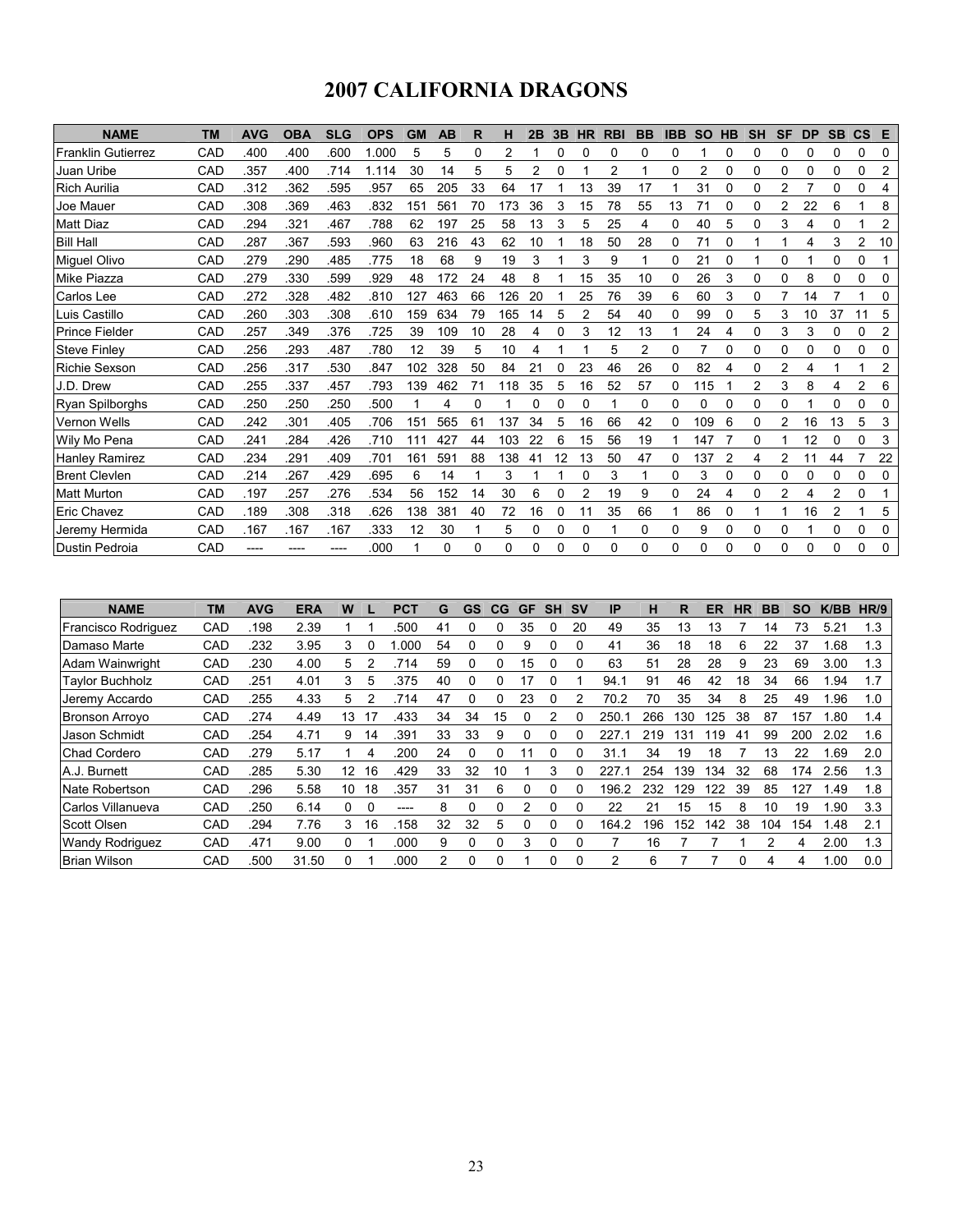# 2007 CALIFORNIA DRAGONS

| <b>NAME</b>               | <b>TM</b> | <b>AVG</b> | <b>OBA</b> | <b>SLG</b> | <b>OPS</b> | <b>GM</b> | AB       | R  | н        | 2B | 3B | <b>HR</b> | <b>RBI</b> | <b>BB</b>      | <b>IBB</b> | <b>SO</b> | <b>HB</b> | <b>SH</b> | <b>SF</b>      | <b>DP</b> | <b>SB</b>   | $\mathsf{cs}$ | E              |
|---------------------------|-----------|------------|------------|------------|------------|-----------|----------|----|----------|----|----|-----------|------------|----------------|------------|-----------|-----------|-----------|----------------|-----------|-------------|---------------|----------------|
| <b>Franklin Gutierrez</b> | CAD       | .400       | .400       | .600       | 1.000      | 5         | 5        | 0  | 2        |    | 0  | 0         | 0          | 0              | 0          |           | 0         | 0         | 0              | 0         | 0           | 0             | 0              |
| Juan Uribe                | CAD       | .357       | .400       | .714       | 1.114      | 30        | 14       | 5  | 5        | 2  | 0  |           | 2          |                | 0          | 2         | 0         | 0         | 0              | 0         | 0           | 0             | $\overline{c}$ |
| <b>Rich Aurilia</b>       | CAD       | .312       | .362       | .595       | .957       | 65        | 205      | 33 | 64       | 17 |    | 13        | 39         | 17             |            | 31        |           | 0         | 2              | 7         | 0           | 0             | 4              |
| Joe Mauer                 | CAD       | .308       | .369       | .463       | .832       | 151       | 561      | 70 | 173      | 36 | 3  | 15        | 78         | 55             | 13         |           |           | 0         | 2              | 22        | 6           |               | 8              |
| <b>Matt Diaz</b>          | CAD       | .294       | .321       | .467       | .788       | 62        | 197      | 25 | 58       | 13 | 3  | 5         | 25         | 4              | 0          | 40        | 5         | $\Omega$  | 3              | 4         | 0           |               | 2              |
| <b>Bill Hall</b>          | CAD       | .287       | .367       | .593       | .960       | 63        | 216      | 43 | 62       | 10 |    | 18        | 50         | 28             | 0          | 71        | 0         |           |                | 4         | 3           | 2             | 10             |
| Miguel Olivo              | CAD       | .279       | .290       | .485       | .775       | 18        | 68       | 9  | 19       | 3  |    | 3         | 9          |                | 0          | 21        |           |           | 0              |           | 0           | 0             |                |
| Mike Piazza               | CAD       | .279       | .330       | .599       | .929       | 48        | 172      | 24 | 48       | 8  |    | 15        | 35         | 10             | 0          | 26        | 3         | 0         | $\Omega$       | 8         | $\Omega$    | 0             | 0              |
| Carlos Lee                | CAD       | .272       | 328        | .482       | .810       | 127       | 463      | 66 | 126      | 20 |    | 25        | 76         | 39             | 6          | 60        | 3         | 0         |                | 14        |             |               | 0              |
| Luis Castillo             | CAD       | 260        | .303       | .308       | .610       | 159       | 634      | 79 | 165      | 14 | 5  | 2         | 54         | 40             | 0          | 99        | 0         | 5         | 3              | 10        | 37          |               | 5              |
| <b>Prince Fielder</b>     | CAD       | 257        | .349       | .376       | .725       | 39        | 109      | 10 | 28       | 4  | 0  | 3         | 12         | 13             |            | 24        | 4         | 0         | 3              | 3         | 0           | 0             | 2              |
| <b>Steve Finley</b>       | CAD       | 256        | 293        | .487       | .780       | 12        | 39       | 5  | 10       | 4  |    |           | 5          | $\overline{2}$ | 0          | 7         | $\Omega$  | $\Omega$  | 0              | 0         | $\mathbf 0$ | 0             | 0              |
| Richie Sexson             | CAD       | .256       | .317       | .530       | .847       | 102       | 328      | 50 | 84       | 21 |    | 23        | 46         | 26             | 0          | 82        |           | 0         | $\overline{2}$ | 4         |             |               | 2              |
| J.D. Drew                 | CAD       | .255       | .337       | .457       | .793       | 139       | 462      | 71 | 118      | 35 | 5  | 16        | 52         | 57             | 0          | 115       |           | 2         | 3              | 8         | 4           | 2             | 6              |
| Ryan Spilborghs           | CAD       | .250       | .250       | .250       | .500       |           | 4        | 0  |          | 0  | 0  | 0         |            | 0              | 0          | 0         |           | 0         | 0              |           | 0           | 0             | 0              |
| Vernon Wells              | CAD       | .242       | .301       | .405       | .706       | 151       | 565      | 61 | 137      | 34 | 5  | 16        | 66         | 42             | 0          | 109       | 6         | 0         | 2              | 16        | 13          | 5             | 3              |
| Wily Mo Pena              | CAD       | .241       | 284        | .426       | .710       | 111       | 427      | 44 | 103      | 22 | 6  | 15        | 56         | 19             |            | 147       |           | 0         |                | 12        | 0           | 0             | 3              |
| <b>Hanley Ramirez</b>     | CAD       | .234       | .291       | .409       | .701       | 161       | 591      | 88 | 138      | 41 | 12 | 13        | 50         | 47             | 0          | 137       |           | 4         |                | 11        | 44          |               | 22             |
| <b>Brent Clevlen</b>      | CAD       | .214       | .267       | .429       | .695       | 6         | 14       |    | 3        |    |    | 0         | 3          | 1              | 0          | 3         | 0         | 0         | $\Omega$       | 0         | $\Omega$    | 0             | 0              |
| <b>Matt Murton</b>        | CAD       | .197       | 257        | 276        | .534       | 56        | 152      | 14 | 30       | 6  | 0  | 2         | 19         | 9              | 0          | 24        | 4         | 0         | $\overline{2}$ | 4         | 2           | 0             |                |
| Eric Chavez               | CAD       | .189       | .308       | .318       | .626       | 138       | 381      | 40 | 72       | 16 | 0  | 11        | 35         | 66             |            | 86        | $\Omega$  |           |                | 16        | 2           |               | 5              |
| Jeremy Hermida            | CAD       | .167       | .167       | .167       | .333       | 12        | 30       |    | 5        | 0  | 0  | 0         |            | 0              | 0          | 9         | 0         | 0         | 0              |           | 0           | 0             | 0              |
| Dustin Pedroia            | CAD       | ----       |            | ----       | .000       |           | $\Omega$ | 0  | $\Omega$ | 0  | 0  | 0         | 0          | $\Omega$       | 0          | 0         | ŋ         | 0         | $\Omega$       | 0         | $\Omega$    | 0             | 0              |

| <b>NAME</b>            | <b>TM</b> | <b>AVG</b> | <b>ERA</b> | W  |    | <b>PCT</b> | G  | <b>GS</b> | CG <sub>1</sub> | <b>GF</b> | <b>SH</b> | <b>SV</b> | IP    | н   | R   | ER  | ΗR | BB  | <b>SO</b> | K/BB | HR/9 |
|------------------------|-----------|------------|------------|----|----|------------|----|-----------|-----------------|-----------|-----------|-----------|-------|-----|-----|-----|----|-----|-----------|------|------|
| Francisco Rodriguez    | CAD       | .198       | 2.39       |    |    | .500       | 41 | ŋ         | U               | 35        | 0         | 20        | 49    | 35  | 13  | 13  |    | 14  | 73        | 5.21 | 1.3  |
| Damaso Marte           | CAD       | 232        | 3.95       | 3  | 0  | .000       | 54 | 0         | 0               | 9         |           |           | 41    | 36  | 18  | 18  | 6  | 22  | 37        | 1.68 | 1.3  |
| Adam Wainwright        | CAD       | .230       | 4.00       | 5  | 2  | 714        | 59 | 0         | <sup>0</sup>    | 15        | 0         |           | 63    | 51  | 28  | 28  | 9  | 23  | 69        | 3.00 | 1.3  |
| <b>Taylor Buchholz</b> | CAD       | 251        | 4.01       | 3  | 5  | 375        | 40 | 0         | 0               | 17        |           |           | 94.1  | 91  | 46  | 42  | 18 | 34  | 66        | 1.94 | 1.7  |
| Jeremy Accardo         | CAD       | .255       | 4.33       | 5  |    | 714        | 47 | ŋ         | O               | 23        | 0         |           | 70.2  | 70  | 35  | 34  | 8  | 25  | 49        | 1.96 | 1.0  |
| <b>Bronson Arrovo</b>  | CAD       | 274        | 4.49       | 13 | 17 | .433       | 34 | 34        | 15              | υ         |           |           | 250.  | 266 | 130 | 125 | 38 | 87  | 157       | 1.80 | 1.4  |
| Jason Schmidt          | CAD       | 254        | 4.71       | 9  | 14 | .391       | 33 | 33        | 9               | 0         | 0         |           | 227.  | 219 | 131 | 119 | 41 | 99  | 200       | 2.02 | 1.6  |
| <b>Chad Cordero</b>    | CAD       | .279       | 5.17       |    | 4  | 200        | 24 | 0         | 0               |           |           |           | 31.1  | 34  | 19  | 18  |    | 13  | 22        | 1.69 | 2.0  |
| A.J. Burnett           | CAD       | 285        | 5.30       | 12 | 16 | .429       | 33 | 32        | 10              |           | 3         |           | 227.  | 254 | 139 | 134 | 32 | 68  | 174       | 2.56 | 1.3  |
| Nate Robertson         | CAD       | 296        | 5.58       | 10 | 18 | 357        | 31 | 31        | 6               | U         | 0         |           | 196.2 | 232 | 29  | 122 | 39 | 85  | 127       | l.49 | 1.8  |
| Carlos Villanueva      | CAD       | 250        | 6.14       | 0  | 0  | -----      | 8  | 0         | 0               | 2         | 0         |           | 22    | 21  | 15  | 15  | 8  | 10  | 19        | 1.90 | 3.3  |
| <b>Scott Olsen</b>     | CAD       | 294        | 7.76       | 3  | 16 | 158        | 32 | 32        | 5               | 0         | 0         |           | 164.2 | 196 | 152 | 142 | 38 | 104 | 154       | 1.48 | 2.1  |
| <b>Wandy Rodriguez</b> | CAD       | .471       | 9.00       | 0  |    | .000       | 9  | 0         | U               | 3         | 0         |           |       | 16  |     |     |    | 2   | 4         | 2.00 | 1.3  |
| <b>Brian Wilson</b>    | CAD       | .500       | 31.50      | 0  |    | .000       | 2  | 0         |                 |           | 0         |           | 2     | 6   |     |     |    | 4   | 4         | 1.00 | 0.0  |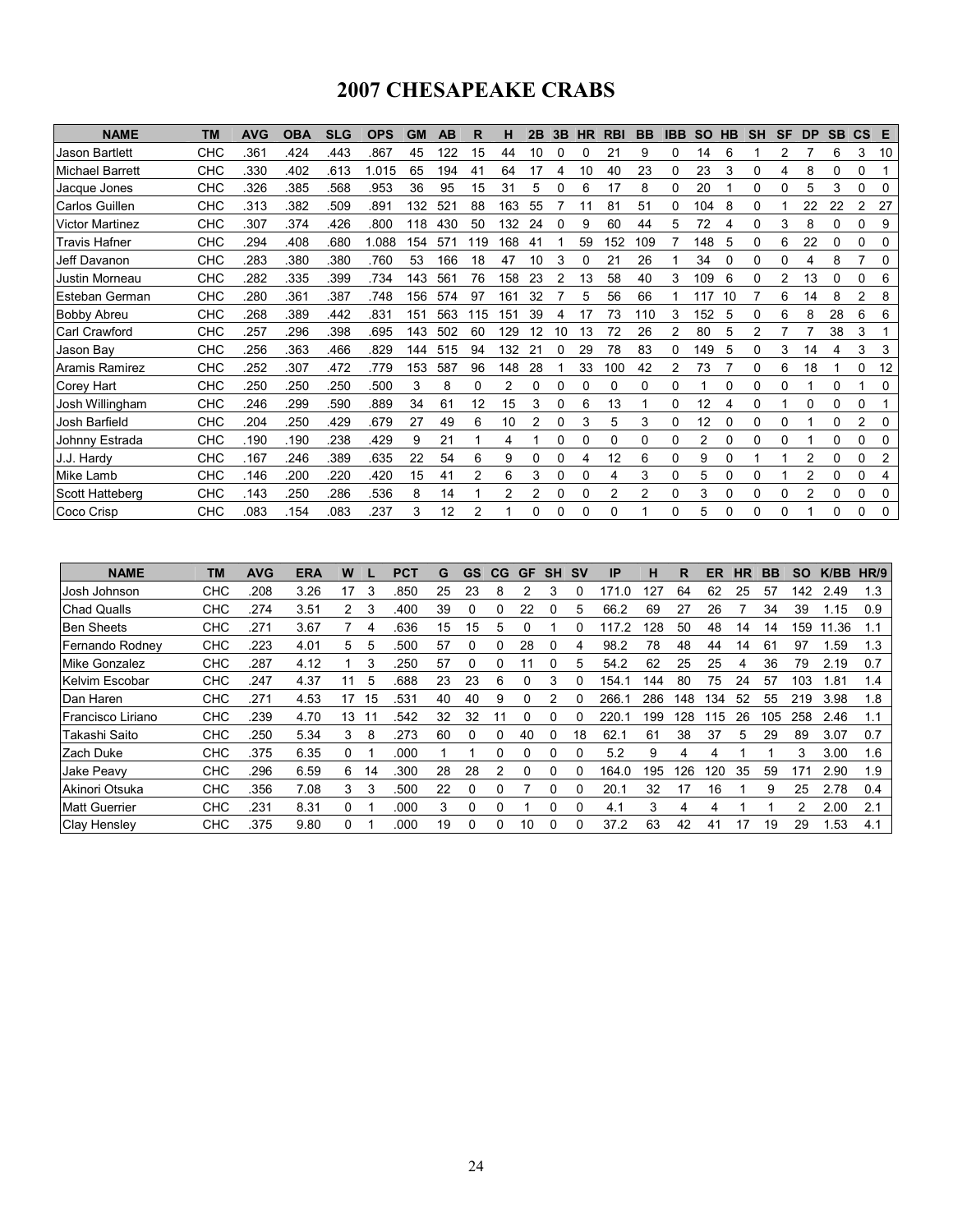# 2007 CHESAPEAKE CRABS

| <b>NAME</b>            | <b>TM</b> | <b>AVG</b> | <b>OBA</b> | <b>SLG</b> | <b>OPS</b> | <b>GM</b> | AB  | R              | н   | 2B | 3B | <b>HR</b> | <b>RBI</b> | <b>BB</b> | <b>IBB</b> | <b>SO</b> | <b>HB</b> | <b>SH</b> | SF | <b>DP</b> | <b>SB</b> | $\mathsf{cs}$ | Е  |
|------------------------|-----------|------------|------------|------------|------------|-----------|-----|----------------|-----|----|----|-----------|------------|-----------|------------|-----------|-----------|-----------|----|-----------|-----------|---------------|----|
| <b>Jason Bartlett</b>  | снс       | .361       | .424       | .443       | .867       | 45        | 122 | 15             | 44  | 10 |    | 0         | 21         | 9         | 0          | 14        | 6         |           |    |           | 6         | 3             | 10 |
| <b>Michael Barrett</b> | CHC       | .330       | .402       | .613       | 1.015      | 65        | 194 | 41             | 64  | 17 |    | 10        | 40         | 23        | 0          | 23        | 3         | 0         | 4  | 8         | 0         | 0             |    |
| Jacque Jones           | CHC       | .326       | .385       | 568        | .953       | 36        | 95  | 15             | 31  | 5  |    | 6         | 17         | 8         | 0          | 20        |           | 0         | 0  | 5         | 3         | 0             | 0  |
| Carlos Guillen         | CHC       | .313       | .382       | .509       | .891       | 132       | 521 | 88             | 163 | 55 |    |           | 81         | 51        | 0          | 104       | 8         | 0         |    | 22        | 22        | 2             | 27 |
| <b>Victor Martinez</b> | CHC       | .307       | .374       | .426       | .800       | 118       | 430 | 50             | 132 | 24 |    | 9         | 60         | 44        | 5          | 72        | 4         | 0         | 3  | 8         | 0         | 0             | 9  |
| Travis Hafner          | CHC       | 294        | .408       | .680       | 1.088      | 154       | 571 | 119            | 168 | 41 |    | 59        | 152        | 109       |            | 148       | 5         | 0         | 6  | 22        | 0         | 0             | 0  |
| Jeff Davanon           | CHC       | .283       | .380       | .380       | .760       | 53        | 166 | 18             | 47  | 10 | 3  | 0         | 21         | 26        |            | 34        |           | 0         | 0  | 4         | 8         |               | 0  |
| Justin Morneau         | CHC       | .282       | .335       | .399       | .734       | 143       | 561 | 76             | 158 | 23 |    | 13        | 58         | 40        | 3          | 109       | 6         | 0         | 2  | 13        |           | 0             | 6  |
| Esteban German         | снс       | .280       | .361       | .387       | .748       | 156       | 574 | 97             | 161 | 32 |    | 5         | 56         | 66        |            | 117       | 10        |           | 6  | 14        | 8         | 2             | 8  |
| <b>Bobby Abreu</b>     | CHC       | 268        | .389       | .442       | .831       | 151       | 563 | 115            | 15٬ | 39 |    | 17        | 73         | 110       | 3          | 152       | 5         | 0         | 6  | 8         | 28        | 6             | 6  |
| <b>Carl Crawford</b>   | CHC       | .257       | 296        | .398       | .695       | 143       | 502 | 60             | 129 | 12 | 10 | 13        | 72         | 26        | 2          | 80        | 5         | 2         |    |           | 38        | 3             |    |
| Jason Bay              | CHC       | .256       | .363       | .466       | .829       | 144       | 515 | 94             | 132 | 21 |    | 29        | 78         | 83        | 0          | 149       | 5         | 0         | 3  | 14        | 4         | 3             | 3  |
| Aramis Ramirez         | CHC       | 252        | .307       | .472       | .779       | 153       | 587 | 96             | 148 | 28 |    | 33        | 100        | 42        |            | 73        |           | 0         | 6  | 18        |           | 0             | 12 |
| Corey Hart             | CHC       | .250       | 250        | 250        | .500       | 3         | 8   | 0              | 2   | 0  | 0  | 0         | 0          | 0         | 0          |           |           | 0         | 0  |           | 0         |               | 0  |
| Josh Willingham        | CHC       | .246       | 299        | .590       | .889       | 34        | 61  | 12             | 15  | 3  | 0  | 6         | 13         |           | 0          | 12        | 4         | $\Omega$  |    | 0         | $\Omega$  | 0             |    |
| Josh Barfield          | CHC       | .204       | 250        | .429       | .679       | 27        | 49  | 6              | 10  |    | 0  | 3         | 5          | 3         | 0          | 12        |           | 0         | 0  |           | 0         | 2             | 0  |
| Johnny Estrada         | CHC       | .190       | .190       | 238        | .429       | 9         | 21  |                | 4   |    | 0  | 0         | 0          | 0         | 0          | 2         | 0         | 0         | 0  |           | 0         | 0             | 0  |
| J.J. Hardy             | CHC       | .167       | 246        | 389        | .635       | 22        | 54  | 6              | 9   | 0  | 0  | 4         | 12         | 6         | 0          | 9         | 0         |           |    | 2         | $\Omega$  | 0             | 2  |
| Mike Lamb              | CHC       | .146       | 200        | 220        | .420       | 15        | 41  | $\overline{2}$ | 6   | 3  | 0  | 0         | 4          | 3         | 0          | 5         | O         | 0         |    | 2         | 0         | 0             |    |
| Scott Hatteberg        | CHC       | .143       | 250        | 286        | .536       | 8         | 14  |                | 2   |    | 0  | 0         | 2          | 2         | 0          | 3         | 0         | 0         | 0  | 2         | 0         | 0             | 0  |
| Coco Crisp             | CHC       | .083       | .154       | .083       | 237        | 3         | 12  | 2              |     | 0  |    | 0         | 0          |           | 0          | 5         |           | 0         | 0  |           | 0         | 0             | 0  |

| <b>NAME</b>              | <b>TM</b>  | <b>AVG</b> | <b>ERA</b> | W  |    | <b>PCT</b> | G  | GS | CG | GF | <b>SH</b> | <b>SV</b> | <b>IP</b> | н   | R   | ER  | HR | BB  | SΟ  | K/BB  | HR/9 |
|--------------------------|------------|------------|------------|----|----|------------|----|----|----|----|-----------|-----------|-----------|-----|-----|-----|----|-----|-----|-------|------|
| Josh Johnson             | <b>CHC</b> | 208        | 3.26       | 17 | 3  | .850       | 25 | 23 | 8  |    | 3         |           | 171.0     | 127 | 64  | 62  | 25 | 57  | 142 | 2.49  | 1.3  |
| <b>Chad Qualls</b>       | <b>CHC</b> | 274        | 3.51       | 2  | 3  | .400       | 39 | 0  | 0  | 22 |           | 5         | 66.2      | 69  | 27  | 26  |    | 34  | 39  | 1.15  | 0.9  |
| <b>Ben Sheets</b>        | <b>CHC</b> | 271        | 3.67       |    | 4  | .636       | 15 | 15 | 5  |    |           |           | 117.2     | 128 | 50  | 48  | 14 | 14  | 159 | 11.36 | 1.1  |
| Fernando Rodnev          | <b>CHC</b> | .223       | 4.01       | 5. | 5  | .500       | 57 | 0  | 0  | 28 |           | 4         | 98.2      | 78  | 48  | 44  | 14 | 61  | 97  | 1.59  | 1.3  |
| Mike Gonzalez            | <b>CHC</b> | .287       | 4.12       |    | 3  | .250       | 57 | 0  | 0  | 11 | 0         | 5         | 54.2      | 62  | 25  | 25  | 4  | 36  | 79  | 2.19  | 0.7  |
| Kelvim Escobar           | <b>CHC</b> | .247       | 4.37       | 11 | 5  | .688       | 23 | 23 | 6  | ი  | 3         |           | 154.      | 144 | 80  | 75  | 24 | 57  | 103 | 1.81  | 1.4  |
| Dan Haren                | <b>CHC</b> | .271       | 4.53       | 17 | 15 | .531       | 40 | 40 | 9  | 0  | 2         |           | 266.      | 286 | 148 | 134 | 52 | 55  | 219 | 3.98  | 1.8  |
| <b>Francisco Liriano</b> | <b>CHC</b> | 239        | 4.70       | 13 | 11 | .542       | 32 | 32 |    | 0  |           |           | 220.      | 199 | 128 | 115 | 26 | 105 | 258 | 2.46  | 1.1  |
| Takashi Saito            | <b>CHC</b> | 250        | 5.34       | 3  | 8  | .273       | 60 | 0  | 0  | 40 |           | 18        | 62.1      | 61  | 38  | 37  | 5  | 29  | 89  | 3.07  | 0.7  |
| Zach Duke                | <b>CHC</b> | .375       | 6.35       | 0  |    | .000       |    |    | 0  | 0  | 0         |           | 5.2       | 9   | 4   | 4   |    |     | 3   | 3.00  | 1.6  |
| Jake Peavv               | <b>CHC</b> | .296       | 6.59       | 6  | 14 | .300       | 28 | 28 | 2  | 0  | 0         |           | 164.0     | 195 | 126 | 120 | 35 | 59  | 171 | 2.90  | 1.9  |
| Akinori Otsuka           | <b>CHC</b> | .356       | 7.08       | 3  | 3  | .500       | 22 | 0  | 0  |    | 0         |           | 20.1      | 32  | 17  | 16  |    | 9   | 25  | 2.78  | 0.4  |
| <b>Matt Guerrier</b>     | <b>CHC</b> | 231        | 8.31       | 0  |    | .000       | 3  | 0  | 0  |    |           |           | 4.1       | 3   | 4   | 4   |    |     | 2   | 2.00  | 2.1  |
| <b>Clay Hensley</b>      | <b>CHC</b> | .375       | 9.80       | 0  |    | .000       | 19 | 0  | 0  | 10 |           |           | 37.2      | 63  | 42  | 41  | 17 | 19  | 29  | 1.53  | 4.1  |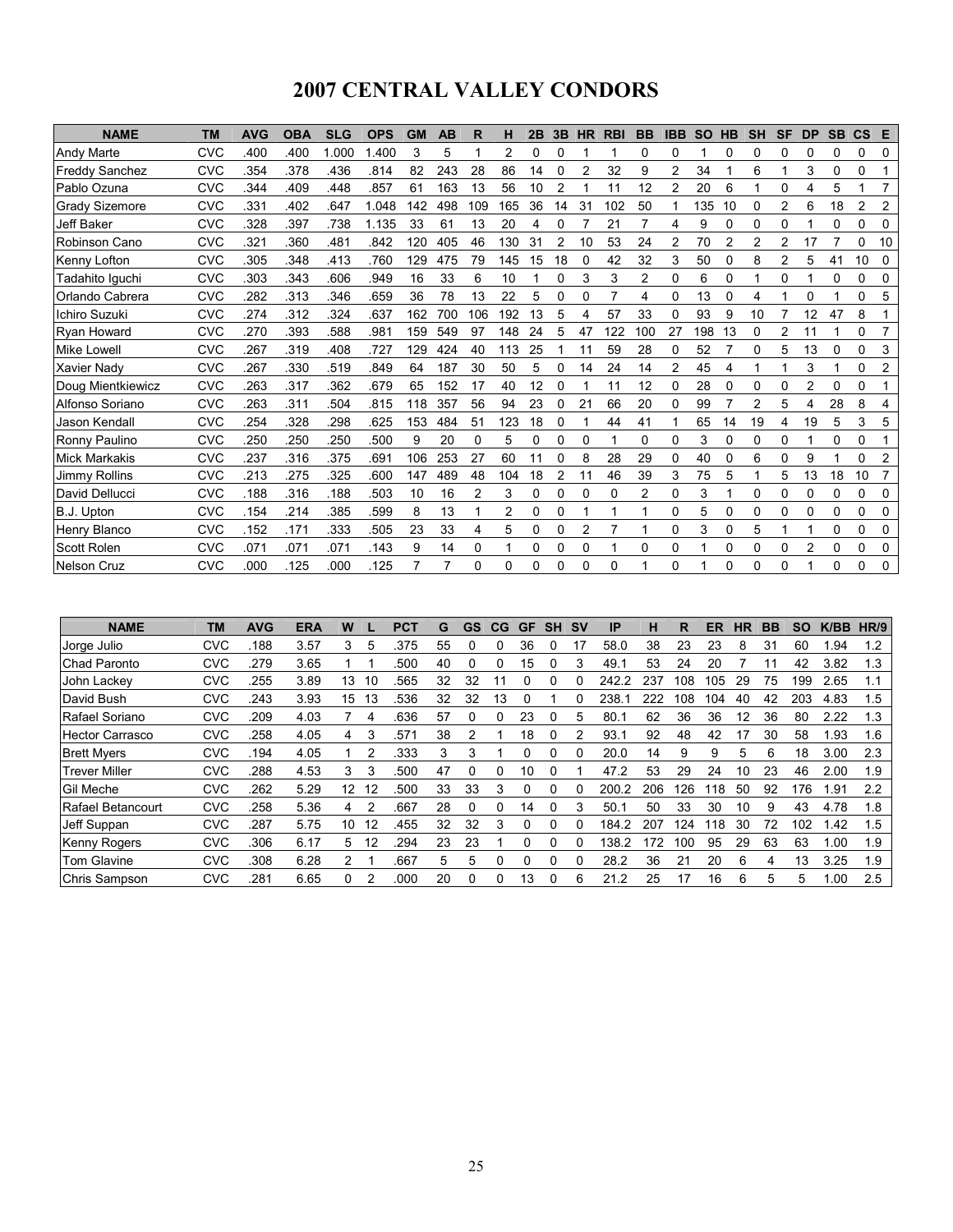# 2007 CENTRAL VALLEY CONDORS

| <b>NAME</b>           | <b>TM</b>  | <b>AVG</b> | <b>OBA</b> | <b>SLG</b> | <b>OPS</b> | <b>GM</b> | <b>AB</b> | R              | н        | 2B       | 3B | <b>HR</b> | <b>RBI</b> | <b>BB</b>      | <b>IBB</b>     | <b>SO</b> | <b>HB</b> | <b>SH</b>      | <b>SF</b>     | <b>DP</b>      | <b>SB</b> | $\mathbf{c}\mathbf{s}$ | E              |
|-----------------------|------------|------------|------------|------------|------------|-----------|-----------|----------------|----------|----------|----|-----------|------------|----------------|----------------|-----------|-----------|----------------|---------------|----------------|-----------|------------------------|----------------|
| Andy Marte            | CVC        | .400       | .400       | 1.000      | 1.400      | 3         | 5         |                | 2        | $\Omega$ | 0  |           |            | 0              | 0              |           | 0         | 0              | 0             | 0              | 0         | 0                      | 0              |
| <b>Freddy Sanchez</b> | <b>CVC</b> | .354       | .378       | .436       | .814       | 82        | 243       | 28             | 86       | 14       | 0  | 2         | 32         | 9              | $\overline{2}$ | 34        |           | 6              |               | 3              | 0         | 0                      |                |
| Pablo Ozuna           | CVC        | .344       | .409       | 448        | .857       | 61        | 163       | 13             | 56       | 10       | 2  |           | 11         | 12             | 2              | 20        | 6         | 1              | $\Omega$      | 4              | 5         |                        | $\overline{7}$ |
| <b>Grady Sizemore</b> | CVC        | .331       | .402       | .647       | 1.048      | 142       | 498       | 109            | 165      | 36       | 14 | 31        | 102        | 50             |                | 135       | 10        | 0              | 2             | 6              | 18        | 2                      | 2              |
| Jeff Baker            | CVC        | .328       | .397       | 738        | 1.135      | 33        | 61        | 13             | 20       | 4        | 0  |           | 21         | 7              | 4              | 9         | 0         | $\Omega$       | 0             |                | $\Omega$  | 0                      | 0              |
| Robinson Cano         | CVC        | .321       | .360       | .481       | .842       | 120       | 405       | 46             | 130      | 31       | 2  | 10        | 53         | 24             | $\overline{2}$ | 70        | 2         | $\overline{2}$ | $\mathcal{P}$ | 17             |           | 0                      | 10             |
| <b>Kenny Lofton</b>   | CVC        | .305       | .348       | .413       | .760       | 129       | 475       | 79             | 145      | 15       | 18 | 0         | 42         | 32             | 3              | 50        | 0         | 8              | 2             | 5              | 41        | 10                     | 0              |
| Tadahito Iguchi       | CVC        | .303       | .343       | .606       | .949       | 16        | 33        | 6              | 10       |          | 0  | 3         | 3          | 2              | 0              | 6         | 0         |                | 0             |                | 0         | 0                      | 0              |
| Orlando Cabrera       | <b>CVC</b> | 282        | .313       | 346        | .659       | 36        | 78        | 13             | 22       | 5        | 0  | 0         |            | 4              | 0              | 13        | 0         | 4              |               | 0              |           | 0                      | 5              |
| Ichiro Suzuki         | CVC        | .274       | .312       | .324       | .637       | 162       | 700       | 106            | 192      | 13       | 5  | 4         | 57         | 33             | 0              | 93        | 9         | 10             |               | 12             | 47        | 8                      |                |
| <b>Ryan Howard</b>    | <b>CVC</b> | .270       | .393       | .588       | .981       | 159       | 549       | 97             | 148      | 24       | 5  | 47        | 122        | 100            | 27             | 198       | 13        | 0              | 2             | 11             |           | 0                      |                |
| <b>Mike Lowell</b>    | CVC        | 267        | .319       | .408       | .727       | 129       | 424       | 40             | 113      | 25       |    | 11        | 59         | 28             | 0              | 52        |           | 0              | 5             | 13             | 0         | 0                      | 3              |
| <b>Xavier Nady</b>    | CVC        | 267        | .330       | .519       | .849       | 64        | 187       | 30             | 50       | 5        | 0  | 14        | 24         | 14             | 2              | 45        | 4         |                |               | 3              |           | 0                      | 2              |
| Doug Mientkiewicz     | CVC        | 263        | .317       | .362       | .679       | 65        | 152       | 17             | 40       | 12       |    |           | 11         | 12             | 0              | 28        |           | 0              | 0             | 2              | 0         | 0                      |                |
| Alfonso Soriano       | CVC        | 263        | .311       | 504        | .815       | 118       | 357       | 56             | 94       | 23       | 0  | 21        | 66         | 20             | 0              | 99        |           | 2              | 5             | 4              | 28        | 8                      | 4              |
| Jason Kendall         | CVC        | .254       | .328       | .298       | .625       | 153       | 484       | 51             | 123      | 18       | 0  |           | 44         | 41             |                | 65        | 14        | 19             | 4             | 19             | 5         | 3                      | 5              |
| Ronny Paulino         | CVC        | .250       | .250       | .250       | .500       | 9         | 20        | 0              | 5        | $\Omega$ | 0  | 0         |            | $\Omega$       | 0              | 3         | 0         | 0              | $\Omega$      |                | 0         | 0                      |                |
| <b>Mick Markakis</b>  | CVC        | .237       | .316       | .375       | .691       | 106       | 253       | 27             | 60       |          |    | 8         | 28         | 29             | 0              | 40        | 0         | 6              | 0             | 9              |           | 0                      | $\overline{c}$ |
| Jimmy Rollins         | <b>CVC</b> | .213       | .275       | .325       | .600       | 147       | 489       | 48             | 104      | 18       | 2  | 11        | 46         | 39             | 3              | 75        | 5         |                | 5             | 13             | 18        | 10                     | 7              |
| David Dellucci        | CVC        | .188       | .316       | .188       | .503       | 10        | 16        | $\overline{c}$ | 3        | 0        | 0  | 0         | $\Omega$   | $\overline{2}$ | 0              | 3         |           | 0              | 0             | 0              | 0         | 0                      | $\Omega$       |
| B.J. Upton            | <b>CVC</b> | .154       | 214        | 385        | .599       | 8         | 13        |                | 2        | $\Omega$ | 0  |           |            |                | 0              | 5         | 0         | 0              | $\Omega$      | 0              | 0         | 0                      | 0              |
| Henry Blanco          | CVC        | .152       | .171       | 333        | .505       | 23        | 33        | 4              | 5        | $\Omega$ | 0  | 2         |            | 1              | 0              | 3         | 0         | 5              |               |                | 0         | 0                      | 0              |
| <b>Scott Rolen</b>    | CVC        | .071       | .071       | .071       | .143       | 9         | 14        | 0              | 1        | 0        | 0  | 0         |            | $\Omega$       | 0              |           | 0         | $\Omega$       | 0             | $\overline{c}$ | 0         | 0                      | 0              |
| Nelson Cruz           | <b>CVC</b> | .000       | .125       | .000       | .125       | 7         |           | 0              | $\Omega$ | $\Omega$ | 0  | 0         | $\Omega$   |                | 0              |           | 0         | $\Omega$       | $\Omega$      |                | $\Omega$  | 0                      | 0              |

| <b>NAME</b>            | <b>TM</b>  | <b>AVG</b> | <b>ERA</b> | W  |    | <b>PCT</b> | G  | GS | CG | GF | <b>SH</b> | <b>SV</b> | IP    | н   | R   | ER  | HR | BB | SΟ  | K/BB | HR/9 |
|------------------------|------------|------------|------------|----|----|------------|----|----|----|----|-----------|-----------|-------|-----|-----|-----|----|----|-----|------|------|
| Uorge Julio            | <b>CVC</b> | 188        | 3.57       | 3  | 5  | .375       | 55 | 0  | 0  | 36 |           | 17        | 58.0  | 38  | 23  | 23  | 8  | 31 | 60  | 1.94 | 1.2  |
| Chad Paronto           | <b>CVC</b> | 279        | 3.65       |    |    | .500       | 40 | 0  | 0  | 15 |           |           | 49.1  | 53  | 24  | 20  |    |    | 42  | 3.82 | 1.3  |
| John Lackev            | <b>CVC</b> | 255        | 3.89       | 13 | 10 | .565       | 32 | 32 |    | U  |           |           | 242.2 | 237 | 108 | 105 | 29 | 75 | 199 | 2.65 | 1.1  |
| David Bush             | <b>CVC</b> | .243       | 3.93       | 15 | 13 | 536        | 32 | 32 | 13 |    |           |           | 238.  | 222 | 108 | 104 | 40 | 42 | 203 | 4.83 | 1.5  |
| Rafael Soriano         | <b>CVC</b> | 209        | 4.03       |    | 4  | .636       | 57 | 0  | 0  | 23 |           | 5         | 80.1  | 62  | 36  | 36  | 12 | 36 | 80  | 2.22 | 1.3  |
| <b>Hector Carrasco</b> | <b>CVC</b> | .258       | 4.05       | 4  | 3  | .571       | 38 | 2  |    | 18 |           |           | 93.1  | 92  | 48  | 42  | 17 | 30 | 58  | 1.93 | 1.6  |
| <b>Brett Myers</b>     | <b>CVC</b> | .194       | 4.05       |    | 2  | .333       | 3  | 3  |    | 0  |           |           | 20.0  | 14  | 9   | 9   | 5  | 6  | 18  | 3.00 | 2.3  |
| <b>Trever Miller</b>   | <b>CVC</b> | .288       | 4.53       | 3  | 3  | .500       | 47 | 0  | 0  | 10 |           |           | 47.2  | 53  | 29  | 24  | 10 | 23 | 46  | 2.00 | 1.9  |
| <b>Gil Meche</b>       | <b>CVC</b> | .262       | 5.29       | 12 | 12 | .500       | 33 | 33 | 3  | 0  |           |           | 200.2 | 206 | 126 | 118 | 50 | 92 | 176 | 1.91 | 2.2  |
| Rafael Betancourt      | <b>CVC</b> | 258        | 5.36       | 4  | 2  | .667       | 28 | 0  | 0  | 14 | 0         |           | 50.1  | 50  | 33  | 30  | 10 | 9  | 43  | 4.78 | 1.8  |
| Jeff Suppan            | <b>CVC</b> | 287        | 5.75       | 10 | 12 | .455       | 32 | 32 | 3  | 0  |           |           | 184.2 | 207 | 124 | 118 | 30 | 72 | 102 | 1.42 | 1.5  |
| <b>Kenny Rogers</b>    | <b>CVC</b> | .306       | 6.17       | 5. | 12 | 294        | 23 | 23 |    | 0  | 0         |           | 138.2 | 172 | 100 | 95  | 29 | 63 | 63  | 1.00 | 1.9  |
| Tom Glavine            | <b>CVC</b> | .308       | 6.28       | 2  |    | .667       | 5  | 5  | 0  | 0  |           |           | 28.2  | 36  | 21  | 20  | 6  | 4  | 13  | 3.25 | 1.9  |
| Chris Sampson          | <b>CVC</b> | 281        | 6.65       | 0  | 2  | .000       | 20 | 0  | O  | 13 |           | 6         | 21.2  | 25  | 17  | 16  | 6  | 5  | 5   | 1.00 | 2.5  |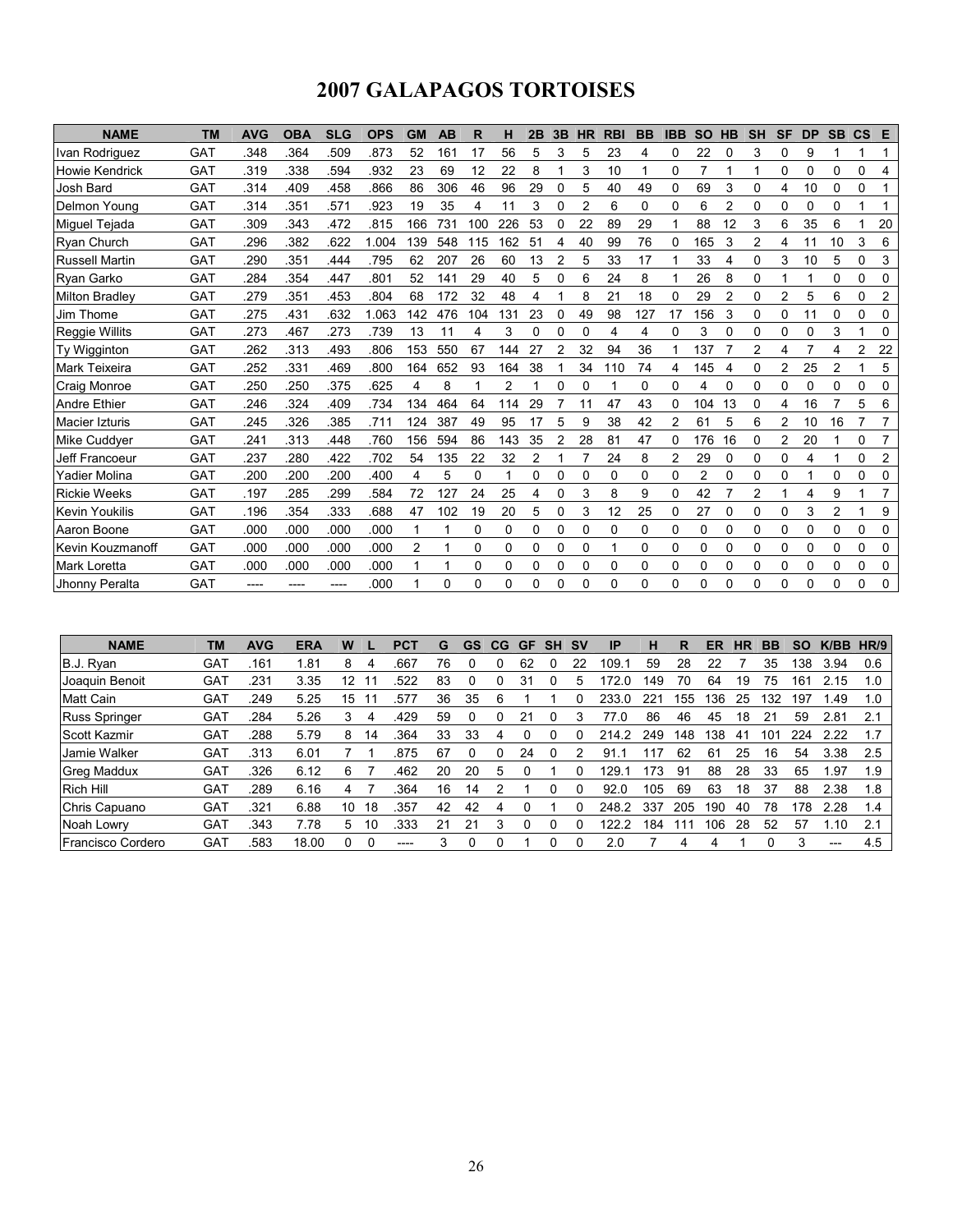# 2007 GALAPAGOS TORTOISES

| <b>NAME</b>           | <b>TM</b>  | <b>AVG</b> | <b>OBA</b> | <b>SLG</b> | <b>OPS</b> | <b>GM</b> | AB  | R   | н   | 2Β | 3B       | <b>HR</b> | <b>RBI</b> | <b>BB</b> | <b>IBB</b> | <b>SO</b>      | HB             | <b>SH</b> | <b>SF</b> | <b>DP</b> | <b>SB</b>      | $\mathsf{cs}$ | Е              |
|-----------------------|------------|------------|------------|------------|------------|-----------|-----|-----|-----|----|----------|-----------|------------|-----------|------------|----------------|----------------|-----------|-----------|-----------|----------------|---------------|----------------|
| Ivan Rodriguez        | GAT        | 348        | .364       | 509        | .873       | 52        | 161 | 17  | 56  | 5  | 3        | 5         | 23         | 4         | 0          | 22             | $\mathbf 0$    | 3         | $\Omega$  | 9         |                |               | 1              |
| <b>Howie Kendrick</b> | <b>GAT</b> | .319       | .338       | 594        | .932       | 23        | 69  | 12  | 22  | 8  |          | 3         | 10         |           | 0          | 7              |                |           | 0         | $\Omega$  | 0              | 0             | 4              |
| Josh Bard             | <b>GAT</b> | .314       | .409       | .458       | .866       | 86        | 306 | 46  | 96  | 29 | 0        | 5         | 40         | 49        | 0          | 69             | 3              | 0         | 4         | 10        | 0              | 0             |                |
| Delmon Young          | <b>GAT</b> | .314       | .351       | .571       | .923       | 19        | 35  | 4   | 11  | 3  | 0        | 2         | 6          | 0         | 0          | 6              | 2              | 0         | 0         | 0         | 0              |               |                |
| Miguel Tejada         | <b>GAT</b> | .309       | .343       | .472       | .815       | 166       | 731 | 100 | 226 | 53 |          | 22        | 89         | 29        |            | 88             | 12             | 3         | 6         | 35        | 6              |               | 20             |
| <b>Ryan Church</b>    | <b>GAT</b> | .296       | .382       | .622       | 1.004      | 139       | 548 | 115 | 162 | 51 | 4        | 40        | 99         | 76        | 0          | 165            | 3              | 2         | 4         | 11        | 10             | 3             | 6              |
| <b>Russell Martin</b> | <b>GAT</b> | .290       | .351       | 444        | .795       | 62        | 207 | 26  | 60  | 13 |          | 5         | 33         | 17        |            | 33             |                | 0         | 3         | 10        | 5              | 0             | 3              |
| <b>Ryan Garko</b>     | GAT        | 284        | .354       | 447        | .801       | 52        | 141 | 29  | 40  | 5  | $\Omega$ | 6         | 24         | 8         |            | 26             | 8              | 0         |           |           | 0              | 0             | $\Omega$       |
| <b>Milton Bradley</b> | <b>GAT</b> | 279        | .351       | 453        | .804       | 68        | 172 | 32  | 48  | 4  |          | 8         | 21         | 18        | 0          | 29             | $\overline{2}$ | 0         | 2         | 5         | 6              | 0             | $\overline{c}$ |
| Jim Thome             | <b>GAT</b> | 275        | .431       | .632       | 1.063      | 142       | 476 | 104 | 131 | 23 | 0        | 49        | 98         | 127       | 17         | 156            | 3              | 0         | $\Omega$  | 11        | 0              | 0             | 0              |
| Reggie Willits        | <b>GAT</b> | 273        | .467       | .273       | .739       | 13        | 11  | 4   | 3   | 0  | 0        | 0         | 4          | 4         | 0          | 3              | 0              | 0         | 0         | 0         | 3              |               | 0              |
| Ty Wigginton          | <b>GAT</b> | 262        | .313       | .493       | .806       | 153       | 550 | 67  | 144 | 27 | 2        | 32        | 94         | 36        |            | 137            |                | 2         | 4         |           | 4              | 2             | 22             |
| Mark Teixeira         | <b>GAT</b> | 252        | .331       | 469        | .800       | 164       | 652 | 93  | 164 | 38 |          | 34        | 110        | 74        | 4          | 145            |                | 0         | 2         | 25        | $\overline{2}$ |               | 5              |
| <b>Craig Monroe</b>   | GAT        | .250       | .250       | .375       | .625       | 4         | 8   |     | 2   |    | 0        | 0         |            | 0         | 0          | 4              | 0              | 0         | 0         | 0         | 0              | 0             | 0              |
| <b>Andre Ethier</b>   | <b>GAT</b> | 246        | 324        | .409       | .734       | 134       | 464 | 64  | 114 | 29 |          | 11        | 47         | 43        | 0          | 104            | 13             | 0         | 4         | 16        | 7              | 5             | 6              |
| Macier Izturis        | <b>GAT</b> | .245       | 326        | 385        | .711       | 124       | 387 | 49  | 95  | 17 | 5        | 9         | 38         | 42        | 2          | 61             | 5              | 6         | 2         | 10        | 16             |               |                |
| <b>Mike Cuddver</b>   | <b>GAT</b> | .241       | .313       | 448        | .760       | 156       | 594 | 86  | 143 | 35 |          | 28        | 81         | 47        | 0          | 176            | 16             | 0         | 2         | 20        |                | 0             |                |
| Jeff Francoeur        | <b>GAT</b> | .237       | .280       | 422        | .702       | 54        | 135 | 22  | 32  |    |          |           | 24         | 8         | 2          | 29             | 0              | 0         | 0         | 4         |                | 0             | $\overline{2}$ |
| Yadier Molina         | <b>GAT</b> | 200        | .200       | .200       | .400       | 4         | 5   | 0   |     | 0  | 0        | 0         | 0          | 0         | 0          | $\overline{2}$ | 0              | 0         | 0         |           | 0              | 0             | 0              |
| <b>Rickie Weeks</b>   | <b>GAT</b> | .197       | .285       | 299        | .584       | 72        | 127 | 24  | 25  | 4  | 0        | 3         | 8          | 9         | 0          | 42             |                | 2         |           | 4         | 9              |               |                |
| Kevin Youkilis        | <b>GAT</b> | .196       | .354       | .333       | .688       | 47        | 102 | 19  | 20  | 5  | 0        | 3         | 12         | 25        | 0          | 27             | 0              | 0         | $\Omega$  | 3         | $\overline{2}$ |               | 9              |
| Aaron Boone           | <b>GAT</b> | .000       | .000       | .000       | .000       |           |     | 0   | 0   | 0  | $\Omega$ | 0         | $\Omega$   | 0         | 0          | 0              | 0              | 0         | $\Omega$  | 0         | 0              | 0             | $\Omega$       |
| Kevin Kouzmanoff      | <b>GAT</b> | .000       | .000       | .000       | .000       | 2         |     | 0   | 0   | 0  | 0        | 0         |            | 0         | 0          | $\Omega$       | 0              | 0         | $\Omega$  | 0         | 0              | 0             | 0              |
| <b>Mark Loretta</b>   | <b>GAT</b> | .000       | .000       | .000       | .000       |           | 1   | 0   | 0   | 0  | $\Omega$ | 0         | 0          | 0         | 0          | 0              | 0              | 0         | 0         | 0         | 0              | 0             | 0              |
| Jhonny Peralta        | <b>GAT</b> |            |            |            | .000       |           | 0   | 0   | 0   | 0  | 0        | 0         | 0          | $\Omega$  | 0          | 0              | 0              | 0         | $\Omega$  | 0         | 0              | 0             | 0              |

| <b>NAME</b>          | <b>TM</b>  | <b>AVG</b> | <b>ERA</b> | W  |    | PC1  | G  | GS | CG | GF | <b>SH</b> | <b>SV</b> | ΙP    | н   | R   | ER  | HR | BВ  | SO  | K/BB  | HR/9 |
|----------------------|------------|------------|------------|----|----|------|----|----|----|----|-----------|-----------|-------|-----|-----|-----|----|-----|-----|-------|------|
| B.J. Ryan            | <b>GAT</b> | .161       | 1.81       | 8  | 4  | .667 | 76 |    |    | 62 |           | 22        | 109.  | 59  | 28  | 22  |    | 35  | 138 | 3.94  | 0.6  |
| IJoaguin Benoit      | <b>GAT</b> | .231       | 3.35       | 12 |    | .522 | 83 |    |    | 31 |           |           | 172   | 149 | 70  | 64  | 19 | 75  | 161 | 2.15  | 1.0  |
| <b>Matt Cain</b>     | <b>GAT</b> | .249       | 5.25       | 15 |    | .57  | 36 | 35 | 6  |    |           |           | 233   | 221 | 155 | 36  | 25 | 132 | 197 | .49   | 1.0  |
| <b>Russ Springer</b> | <b>GAT</b> | .284       | 5.26       | 3  | 4  | .429 | 59 |    |    | 21 |           |           | 77.0  | 86  | 46  | 45  | 18 | 21  | 59  | 2.81  | 2.1  |
| Scott Kazmir         | GAT        | .288       | 5.79       | 8  | 14 | .364 | 33 | 33 | 4  |    |           |           | 214.2 | 249 | 148 | 38  | 41 | 101 | 224 | 2.22  |      |
| Jamie Walker         | <b>GAT</b> | .313       | 6.01       |    |    | .875 | 67 |    |    | 24 |           |           | 91.1  | -17 | 62  | 61  | 25 | 16  | 54  | 3.38  | 2.5  |
| <b>Greg Maddux</b>   | <b>GAT</b> | .326       | 6.12       | 6  |    | .462 | 20 | 20 | 5  |    |           |           | 129.  | 173 | 91  | 88  | 28 | 33  | 65  | 1.97  | 1.9  |
| <b>Rich Hill</b>     | GAT        | .289       | 6.16       | 4  |    | .364 | 16 | 14 |    |    |           |           | 92.0  | 105 | 69  | 63  | 18 | 37  | 88  | 2.38  | 1.8  |
| Chris Capuano        | <b>GAT</b> | .321       | 6.88       | 10 | 18 | .357 | 42 | 42 | 4  |    |           |           | 248.2 | 337 | 205 | 190 | 40 | 78  | 178 | 2.28  | 1.4  |
| Noah Lowry           | GAT        | .343       | 7.78       | 5  | 10 | .333 | 21 | 21 | 3  |    |           |           | 122.2 | 184 |     | 106 | 28 | 52  | 57  | .10   | 2.1  |
| Francisco Cordero    | <b>GAT</b> | .583       | 18.00      | 0  |    | ---- | 3  |    |    |    |           |           | 2.0   |     | 4   |     |    |     | 3   | $---$ | 4.5  |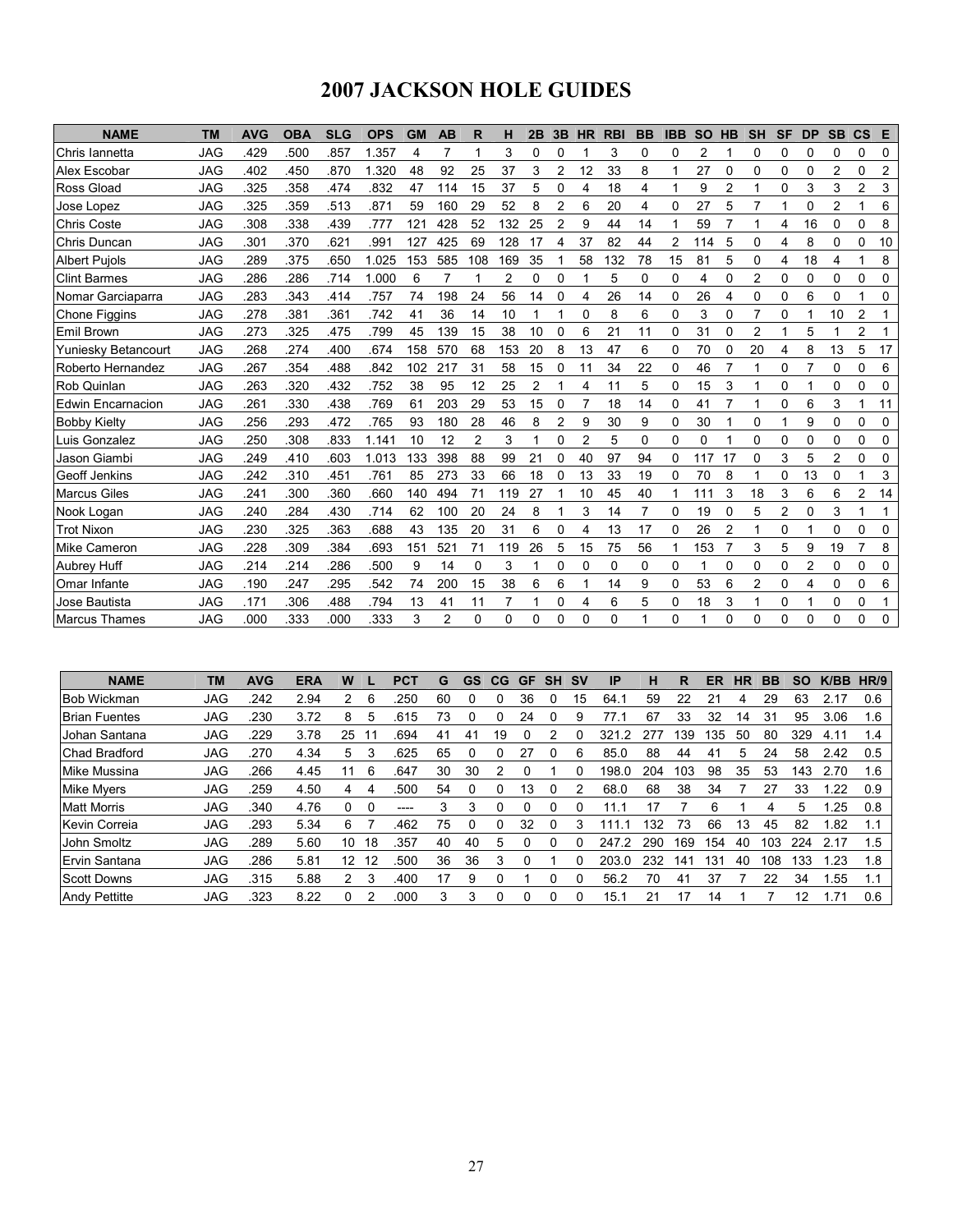# 2007 JACKSON HOLE GUIDES

| <b>NAME</b>          | <b>TM</b>  | <b>AVG</b> | <b>OBA</b> | <b>SLG</b> | <b>OPS</b> | <b>GM</b> | <b>AB</b> | R              | н              | 2B | 3B       | <b>HR</b>      | <b>RBI</b> | <b>BB</b>   | <b>IBB</b> | <b>SO</b> | <b>HB</b>      | <b>SH</b>      | <b>SF</b> | <b>DP</b> | <b>SB</b>      | $\mathbf{c}\mathbf{s}$ | Е  |
|----------------------|------------|------------|------------|------------|------------|-----------|-----------|----------------|----------------|----|----------|----------------|------------|-------------|------------|-----------|----------------|----------------|-----------|-----------|----------------|------------------------|----|
| Chris Iannetta       | <b>JAG</b> | .429       | .500       | .857       | 1.357      | 4         | 7         | 1              | 3              | 0  | $\Omega$ |                | 3          | 0           | 0          | 2         |                | 0              | 0         | 0         | 0              | 0                      | 0  |
| Alex Escobar         | <b>JAG</b> | .402       | .450       | .870       | 1.320      | 48        | 92        | 25             | 37             | 3  | 2        | 12             | 33         | 8           |            | 27        | 0              | 0              | 0         | 0         | $\overline{2}$ | 0                      | 2  |
| Ross Gload           | <b>JAG</b> | .325       | .358       | 474        | .832       | 47        | 114       | 15             | 37             | 5  | 0        | 4              | 18         | 4           |            | 9         | $\overline{2}$ | 1              | 0         | 3         | 3              | $\overline{c}$         | 3  |
| Jose Lopez           | <b>JAG</b> | .325       | 359        | .513       | .871       | 59        | 160       | 29             | 52             | 8  | 2        | 6              | 20         | 4           | 0          | 27        | 5              | 7              |           | 0         | $\overline{2}$ |                        | 6  |
| <b>Chris Coste</b>   | <b>JAG</b> | .308       | .338       | .439       | .777       | 121       | 428       | 52             | 132            | 25 | 2        | 9              | 44         | 14          |            | 59        | 7              | 1              | 4         | 16        | 0              | 0                      | 8  |
| Chris Duncan         | <b>JAG</b> | .301       | 370        | .621       | .991       | 127       | 425       | 69             | 128            | 17 | 4        | 37             | 82         | 44          | 2          | 114       | 5              | 0              | 4         | 8         | 0              | 0                      | 10 |
| <b>Albert Pujols</b> | JAG        | .289       | .375       | .650       | 1.025      | 153       | 585       | 108            | 169            | 35 |          | 58             | 132        | 78          | 15         | 81        | 5              | 0              | 4         | 18        | 4              |                        | 8  |
| <b>Clint Barmes</b>  | <b>JAG</b> | .286       | .286       | .714       | 1.000      | 6         | 7         | 1              | $\overline{2}$ | 0  | $\Omega$ | 1              | 5          | $\Omega$    | 0          | 4         | 0              | 2              | 0         | 0         | 0              | 0                      | 0  |
| Nomar Garciaparra    | JAG        | .283       | .343       | .414       | .757       | 74        | 198       | 24             | 56             | 14 | 0        | 4              | 26         | 14          | 0          | 26        | 4              | 0              | 0         | 6         | 0              | 1                      | 0  |
| <b>Chone Figgins</b> | <b>JAG</b> | .278       | .381       | .361       | .742       | 41        | 36        | 14             | 10             |    |          | 0              | 8          | 6           | 0          | 3         | 0              | $\overline{7}$ | 0         |           | 10             | $\overline{c}$         | 1  |
| Emil Brown           | <b>JAG</b> | .273       | .325       | .475       | .799       | 45        | 139       | 15             | 38             | 10 | 0        | 6              | 21         | 11          | 0          | 31        | 0              | 2              |           | 5         |                | 2                      | 1  |
| Yuniesky Betancourt  | <b>JAG</b> | .268       | 274        | .400       | .674       | 158       | 570       | 68             | 153            | 20 | 8        | 13             | 47         | 6           | 0          | 70        | 0              | 20             | 4         | 8         | 13             | 5                      | 17 |
| Roberto Hernandez    | <b>JAG</b> | .267       | .354       | .488       | .842       | 102       | 217       | 31             | 58             | 15 | 0        | 11             | 34         | 22          | 0          | 46        | 7              | 1              | 0         |           | 0              | 0                      | 6  |
| Rob Quinlan          | <b>JAG</b> | .263       | .320       | .432       | .752       | 38        | 95        | 12             | 25             | 2  |          | 4              | 11         | 5           | 0          | 15        | 3              | 1              | 0         |           | 0              | 0                      | 0  |
| Edwin Encarnacion    | <b>JAG</b> | .261       | .330       | .438       | .769       | 61        | 203       | 29             | 53             | 15 | 0        | $\overline{7}$ | 18         | 14          | 0          | 41        | $\overline{7}$ | 1              | 0         | 6         | 3              | 1                      | 11 |
| <b>Bobby Kielty</b>  | <b>JAG</b> | .256       | .293       | .472       | .765       | 93        | 180       | 28             | 46             | 8  | 2        | 9              | 30         | 9           | 0          | 30        |                | 0              |           | 9         | 0              | 0                      | 0  |
| Luis Gonzalez        | <b>JAG</b> | .250       | .308       | .833       | 1.141      | 10        | 12        | $\overline{2}$ | 3              | 1  | 0        | $\overline{2}$ | 5          | $\mathbf 0$ | 0          | 0         |                | 0              | 0         | 0         | 0              | 0                      | 0  |
| Jason Giambi         | <b>JAG</b> | .249       | .410       | .603       | 1.013      | 133       | 398       | 88             | 99             | 21 | $\Omega$ | 40             | 97         | 94          | 0          | 117       | 17             | 0              | 3         | 5         | 2              | 0                      | 0  |
| <b>Geoff Jenkins</b> | <b>JAG</b> | .242       | .310       | .451       | .761       | 85        | 273       | 33             | 66             | 18 | 0        | 13             | 33         | 19          | 0          | 70        | 8              | 1              | 0         | 13        | 0              | 1                      | 3  |
| <b>Marcus Giles</b>  | <b>JAG</b> | .241       | .300       | .360       | .660       | 140       | 494       | 71             | 119            | 27 |          | 10             | 45         | 40          |            | 111       | 3              | 18             | 3         | 6         | 6              | 2                      | 14 |
| Nook Logan           | <b>JAG</b> | .240       | .284       | .430       | .714       | 62        | 100       | 20             | 24             | 8  | 1        | 3              | 14         | 7           | 0          | 19        | 0              | 5              | 2         | 0         | 3              | 1                      | 1  |
| <b>Trot Nixon</b>    | <b>JAG</b> | .230       | .325       | .363       | .688       | 43        | 135       | 20             | 31             | 6  | 0        | 4              | 13         | 17          | 0          | 26        | $\overline{2}$ | 1              | 0         |           | 0              | 0                      | 0  |
| <b>Mike Cameron</b>  | <b>JAG</b> | .228       | .309       | 384        | .693       | 151       | 521       | 71             | 119            | 26 | 5        | 15             | 75         | 56          |            | 153       |                | 3              | 5         | 9         | 19             | 7                      | 8  |
| Aubrey Huff          | <b>JAG</b> | .214       | 214        | .286       | .500       | 9         | 14        | 0              | 3              |    | 0        | 0              | 0          | 0           | 0          | 1         | 0              | 0              | 0         | 2         | 0              | 0                      | 0  |
| Omar Infante         | <b>JAG</b> | .190       | .247       | .295       | .542       | 74        | 200       | 15             | 38             | 6  | 6        | 1              | 14         | 9           | 0          | 53        | 6              | $\overline{2}$ | 0         | 4         | 0              | 0                      | 6  |
| Jose Bautista        | <b>JAG</b> | .171       | .306       | .488       | .794       | 13        | 41        | 11             | 7              |    | 0        | 4              | 6          | 5           | 0          | 18        | 3              | 1              | 0         |           | 0              | 0                      | 1  |
| <b>Marcus Thames</b> | <b>JAG</b> | .000       | .333       | .000       | .333       | 3         | 2         | $\Omega$       | 0              | 0  | $\Omega$ | 0              | 0          | 1           | 0          | 1         | 0              | 0              | 0         | 0         | 0              | 0                      | 0  |

| <b>NAME</b>          | <b>TM</b> | <b>AVG</b> | <b>ERA</b> | W                 |    | <b>PCT</b> | G  | GS | $_{\rm CG}$ | GF | <b>SH</b> | <b>SV</b> | IP       | н   | R   | ER  | ΗR | BB  | <b>SO</b> | K/BB | HR/9 |
|----------------------|-----------|------------|------------|-------------------|----|------------|----|----|-------------|----|-----------|-----------|----------|-----|-----|-----|----|-----|-----------|------|------|
| <b>Bob Wickman</b>   | JAG       | .242       | 2.94       |                   | 6  | 250        | 60 |    |             | 36 |           | 15        | 64       | 59  | 22  |     |    | 29  | 63        | 2.17 | 0.6  |
| <b>Brian Fuentes</b> | JAG       | .230       | 3.72       | 8                 | 5  | .615       | 73 |    |             | 24 |           | 9         | 77.      | 67  | 33  | 32  | 14 | 31  | 95        | 3.06 | 1.6  |
| Johan Santana        | JAG       | .229       | 3.78       | 25                |    | 694        | 41 | 41 | 19          |    |           |           | 321<br>2 |     | 39  | 35  | 50 | 80  | 329       | 4.11 | 1.4  |
| Chad Bradford        | JAG       | .270       | 4.34       | 5                 | 3  | 625        | 65 | 0  | O           | 27 |           | 6         | 85.0     | 88  | 44  | 41  | 5  | 24  | 58        | 2.42 | 0.5  |
| Mike Mussina         | JAG       | .266       | 4.45       | 11                | 6  | 647        | 30 | 30 | 2           |    |           |           | 198.0    | 204 | 103 | 98  | 35 | 53  | 143       | 2.70 | 1.6  |
| Mike Mvers           | JAG       | .259       | 4.50       | 4                 | 4  | .500       | 54 |    | 0           | 13 |           |           | 68.0     | 68  | 38  | 34  |    | 27  | 33        | .22  | 0.9  |
| <b>Matt Morris</b>   | JAG       | .340       | 4.76       | 0                 |    | -----      | 3  | 3  |             | 0  |           |           | 11.1     | 17  |     |     |    |     | 5         | .25  | 0.8  |
| Kevin Correia        | JAG       | .293       | 5.34       | 6                 |    | .462       | 75 |    |             | 32 |           | 3         | 11،      | 132 | 73  | 66  | 13 | 45  | 82        | 1.82 | 1.1  |
| John Smoltz          | JAG       | .289       | 5.60       | 10                | 18 | .357       | 40 | 40 | 5           |    |           |           | 247      | 290 | 69  | 54  | 40 | 103 | 224       | 2.17 | 1.5  |
| Ervin Santana        | JAG       | .286       | 5.81       | $12 \overline{ }$ | 12 | .500       | 36 | 36 | 3           |    |           |           | 203.0    | 232 | 141 | 131 | 40 | 108 | 133       | 1.23 | 1.8  |
| <b>Scott Downs</b>   | JAG       | .315       | 5.88       | 2                 | 3  | .400       | 17 | 9  |             |    |           |           | 56.2     | 70  | 41  | 37  |    | 22  | 34        | .55  | 1.1  |
| <b>Andy Pettitte</b> | JAG       | .323       | 8.22       | 0                 |    | 000        | 3  | 3  | 0           | 0  |           |           | 15.1     | 21  | 17  | 14  |    |     | 12        | .71  | 0.6  |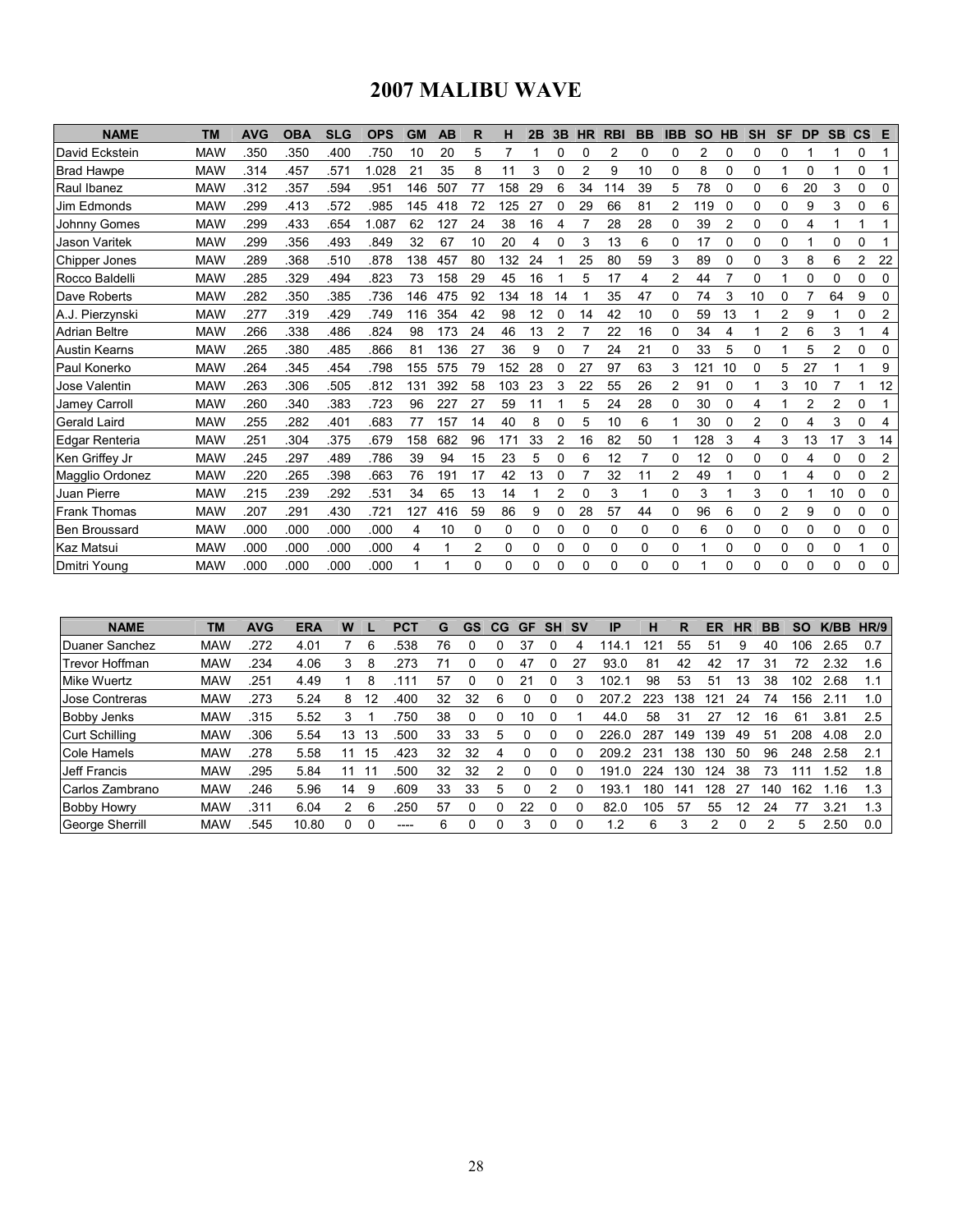## 2007 MALIBU WAVE

| <b>NAME</b>          | <b>TM</b>  | <b>AVG</b> | <b>OBA</b> | <b>SLG</b> | <b>OPS</b> | <b>GM</b> | <b>AB</b> | R  | н   | 2B       | 3B | <b>HR</b>      | <b>RBI</b> | <b>BB</b> | <b>IBB</b>     | <b>SO</b> | <b>HB</b> | <b>SH</b> | <b>SF</b> | <b>DP</b>      | <b>SB</b> | $\mathbf{c}\mathbf{s}$ | E              |
|----------------------|------------|------------|------------|------------|------------|-----------|-----------|----|-----|----------|----|----------------|------------|-----------|----------------|-----------|-----------|-----------|-----------|----------------|-----------|------------------------|----------------|
| David Eckstein       | <b>MAW</b> | .350       | 350        | .400       | .750       | 10        | 20        | 5  | 7   |          | 0  | 0              | 2          | 0         | 0              | 2         | 0         | 0         | 0         |                |           | 0                      |                |
| <b>Brad Hawpe</b>    | <b>MAW</b> | .314       | .457       | .571       | 1.028      | 21        | 35        | 8  | 11  | 3        | 0  | $\overline{2}$ | 9          | 10        | 0              | 8         | 0         | $\Omega$  |           | 0              |           | 0                      |                |
| Raul Ibanez          | <b>MAW</b> | .312       | 357        | .594       | .951       | 146       | 507       | 77 | 158 | 29       | 6  | 34             | 114        | 39        | 5              | 78        | 0         | 0         | 6         | 20             | 3         | 0                      | 0              |
| Jim Edmonds          | <b>MAW</b> | 299        | .413       | .572       | .985       | 145       | 418       | 72 | 125 | 27       | 0  | 29             | 66         | 81        | $\overline{2}$ | 119       | 0         | 0         | 0         | 9              | 3         | 0                      | 6              |
| <b>Johnny Gomes</b>  | <b>MAW</b> | 299        | .433       | .654       | 1.087      | 62        | 127       | 24 | 38  | 16       | 4  | 7              | 28         | 28        | 0              | 39        | 2         | 0         | 0         | 4              | 1         | 1                      | 1              |
| <b>Jason Varitek</b> | <b>MAW</b> | 299        | 356        | .493       | .849       | 32        | 67        | 10 | 20  | 4        | 0  | 3              | 13         | 6         | 0              | 17        | 0         | $\Omega$  | 0         |                | $\Omega$  | 0                      |                |
| Chipper Jones        | <b>MAW</b> | 289        | .368       | .510       | .878       | 138       | 457       | 80 | 132 | 24       |    | 25             | 80         | 59        | 3              | 89        | $\Omega$  | $\Omega$  | 3         | 8              | 6         | $\overline{2}$         | 22             |
| Rocco Baldelli       | <b>MAW</b> | 285        | 329        | .494       | .823       | 73        | 158       | 29 | 45  | 16       |    | 5              | 17         | 4         | $\overline{2}$ | 44        |           | $\Omega$  |           | 0              | $\Omega$  | 0                      | 0              |
| Dave Roberts         | <b>MAW</b> | .282       | .350       | .385       | .736       | 146       | 475       | 92 | 134 | 18       | 14 |                | 35         | 47        | 0              | 74        | 3         | 10        | 0         | 7              | 64        | 9                      | 0              |
| A.J. Pierzynski      | <b>MAW</b> | .277       | 319        | .429       | .749       | 116       | 354       | 42 | 98  | 12       | 0  | 14             | 42         | 10        | 0              | 59        | 13        |           | 2         | 9              |           | 0                      | 2              |
| <b>Adrian Beltre</b> | <b>MAW</b> | .266       | .338       | .486       | .824       | 98        | 173       | 24 | 46  | 13       | 2  |                | 22         | 16        | 0              | 34        | 4         | 1         | 2         | 6              | 3         | 1                      | 4              |
| <b>Austin Kearns</b> | <b>MAW</b> | .265       | .380       | .485       | .866       | 81        | 136       | 27 | 36  | 9        |    |                | 24         | 21        | 0              | 33        | 5         | $\Omega$  |           | 5              | 2         | 0                      | 0              |
| Paul Konerko         | <b>MAW</b> | .264       | .345       | .454       | .798       | 155       | 575       | 79 | 152 | 28       |    | 27             | 97         | 63        | 3              | 121       | 10        | $\Omega$  | 5         | 27             |           |                        | 9              |
| Jose Valentin        | <b>MAW</b> | .263       | .306       | .505       | .812       | 131       | 392       | 58 | 103 | 23       | 3  | 22             | 55         | 26        | 2              | 91        |           |           | 3         | 10             |           |                        | 12             |
| Jamey Carroll        | <b>MAW</b> | .260       | .340       | .383       | .723       | 96        | 227       | 27 | 59  | 11       |    | 5              | 24         | 28        | 0              | 30        | 0         | 4         |           | $\overline{2}$ | 2         | 0                      |                |
| <b>Gerald Laird</b>  | <b>MAW</b> | .255       | .282       | .401       | .683       | 77        | 157       | 14 | 40  | 8        | 0  | 5              | 10         | 6         |                | 30        | 0         | 2         | 0         | 4              | 3         | 0                      | 4              |
| Edgar Renteria       | <b>MAW</b> | .251       | .304       | .375       | .679       | 158       | 682       | 96 | 171 | 33       | 2  | 16             | 82         | 50        |                | 128       | 3         | 4         | 3         | 13             | 17        | 3                      | 14             |
| Ken Griffey Jr       | <b>MAW</b> | .245       | .297       | .489       | .786       | 39        | 94        | 15 | 23  | 5        | 0  | 6              | 12         |           | 0              | 12        |           | 0         | 0         | 4              | 0         | 0                      | $\overline{c}$ |
| Magglio Ordonez      | <b>MAW</b> | .220       | .265       | .398       | .663       | 76        | 191       | 17 | 42  | 13       | 0  | 7              | 32         | 11        | $\overline{2}$ | 49        |           | $\Omega$  |           | 4              | $\Omega$  | 0                      | 2              |
| Juan Pierre          | <b>MAW</b> | .215       | .239       | .292       | .531       | 34        | 65        | 13 | 14  |          | 2  | 0              | 3          |           | 0              | 3         |           | 3         | 0         |                | 10        | 0                      | 0              |
| <b>Frank Thomas</b>  | <b>MAW</b> | .207       | .291       | .430       | .721       | 127       | 416       | 59 | 86  | 9        | 0  | 28             | 57         | 44        | 0              | 96        | 6         | 0         | 2         | 9              | 0         | 0                      | 0              |
| <b>Ben Broussard</b> | <b>MAW</b> | .000       | .000       | .000       | .000       | 4         | 10        | 0  | 0   | 0        | 0  | 0              | 0          | 0         | 0              | 6         | 0         | 0         | 0         | 0              | 0         | 0                      | 0              |
| <b>Kaz Matsui</b>    | <b>MAW</b> | .000       | .000       | .000       | .000       | 4         |           | 2  | 0   | 0        | 0  | 0              | 0          | 0         | 0              |           | 0         | 0         | 0         | 0              | 0         |                        | 0              |
| <b>IDmitri Young</b> | <b>MAW</b> | .000       | .000       | .000       | .000       |           |           | 0  | 0   | $\Omega$ | 0  | 0              | 0          | 0         | 0              |           | 0         | 0         | 0         | 0              | 0         | 0                      | 0              |

| <b>NAME</b>           | <b>TM</b>  | <b>AVG</b> | <b>ERA</b> | W  |    | <b>PCT</b> | G  | <b>GS</b> | CG | <b>GF</b> | <b>SH</b> | .SV | ΙP              | н            | R   | ER              | НR | <b>BB</b> | <b>SO</b> | K/BB | HR/9 |
|-----------------------|------------|------------|------------|----|----|------------|----|-----------|----|-----------|-----------|-----|-----------------|--------------|-----|-----------------|----|-----------|-----------|------|------|
| Duaner Sanchez        | <b>MAW</b> | .272       | 4.01       |    | 6  | .538       | 76 |           |    | 37        |           |     | 114.            | $2^{\prime}$ | 55  | -51             | 9  | 40        | 106       | 2.65 | 0.7  |
| Trevor Hoffman        | <b>MAW</b> | .234       | 4.06       | 3  | 8  | 273        |    |           |    | 47        |           | 27  | 93.0            | 81           | 42  | 42              | 17 | 31        | 72        | 2.32 | 1.6  |
| Mike Wuertz           | <b>MAW</b> | 251        | 4.49       |    | 8  |            | 57 |           |    | 21        |           |     | 102.            | 98           | 53  | -51             | 13 | 38        | 102       | 2.68 |      |
| <b>Jose Contreras</b> | <b>MAW</b> | .273       | 5.24       | 8  |    | .400       | 32 | 32        | 6  |           |           |     | 207             | 223          | 38  | 12 <sup>1</sup> | 24 | 74        | 156       | 2.11 |      |
| <b>Bobby Jenks</b>    | <b>MAW</b> | .315       | 5.52       | 3  |    | 750        | 38 |           |    | 10        |           |     | 44.0            | 58           | 31  | 27              | 12 | 16        | 61        | 3.81 | 2.5  |
| Curt Schilling        | <b>MAW</b> | .306       | 5.54       | 13 | 13 | .500       | 33 | 33        | 5  |           |           |     | 226.0           | 287          | 149 | 139             | 49 | 51        | 208       | 4.08 | 2.0  |
| Cole Hamels           | <b>MAW</b> | .278       | 5.58       | 11 | 15 | .423       | 32 | 32        | 4  |           |           |     | 209.2           | 231          | 38  | 130             | 50 | 96        | 248       | 2.58 | 2.1  |
| Jeff Francis          | <b>MAW</b> | .295       | 5.84       | 11 |    | .500       | 32 | 32        |    |           |           |     | 191<br>$\Omega$ | 224          | 30  | 124             | 38 | 73        | 111       | .52  | 1.8  |
| Carlos Zambrano       | <b>MAW</b> | 246        | 5.96       | 14 | 9  | .609       | 33 | 33        | 5  |           |           |     | 193.            | 180          | 141 | 128             | 27 | 140       | 162       | 1.16 | 1.3  |
| <b>Bobby Howry</b>    | <b>MAW</b> | .311       | 6.04       |    | 6  | 250        | 57 |           |    | 22        |           |     | 82.0            | 105          | 57  | 55              | 12 | 24        |           | 3.21 | 1.3  |
| George Sherrill       | <b>MAW</b> | 545        | 10.80      | 0  |    | -----      | 6  |           |    | 3         |           |     | I.2             | 6            | 3   | 2               |    | 2         | 5         | 2.50 | 0.0  |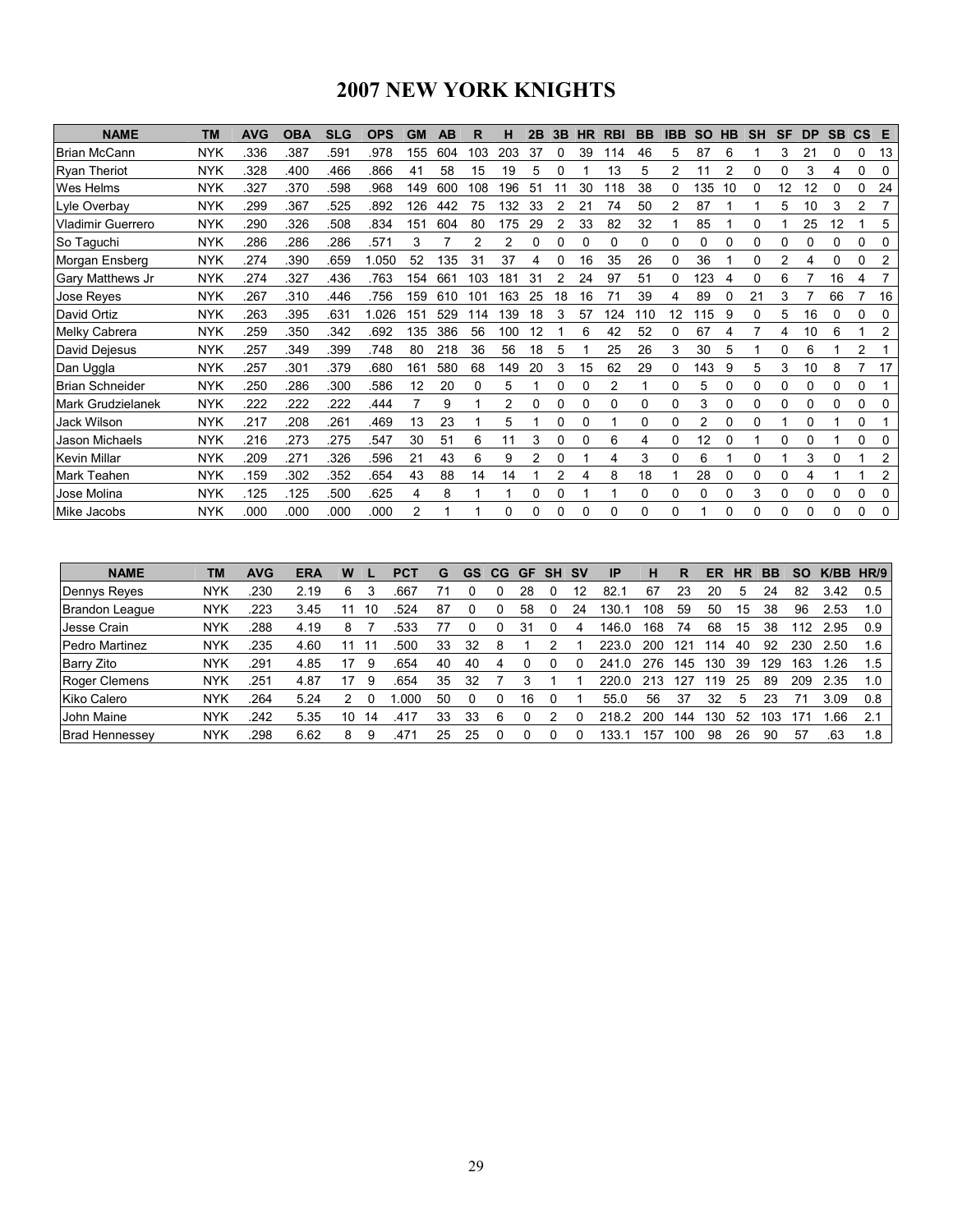# 2007 NEW YORK KNIGHTS

| <b>NAME</b>             | <b>TM</b>  | <b>AVG</b> | <b>OBA</b> | <b>SLG</b> | <b>OPS</b> | GМ  | AB  | R   | н   | 2B       | 3B | <b>HR</b> | <b>RBI</b> | <b>BB</b> | <b>IBB</b> | <b>SO</b>      | <b>HB</b> | <b>SH</b> | <b>SF</b> | <b>DP</b> | <b>SB</b> | $\mathsf{cs}$ | Е              |
|-------------------------|------------|------------|------------|------------|------------|-----|-----|-----|-----|----------|----|-----------|------------|-----------|------------|----------------|-----------|-----------|-----------|-----------|-----------|---------------|----------------|
| <b>Brian McCann</b>     | <b>NYK</b> | .336       | .387       | .591       | .978       | 155 | 604 | 103 | 203 | 37       |    | 39        | 14         | 46        | 5          | 87             | 6         |           | 3         | 21        | 0         | 0             | 13             |
| <b>Ryan Theriot</b>     | <b>NYK</b> | .328       | .400       | .466       | .866       | 41  | 58  | 15  | 19  | 5        |    |           | 13         | 5         | 2          | 11             | 2         | 0         | 0         | 3         | 4         | 0             | 0              |
| <b>Wes Helms</b>        | <b>NYK</b> | .327       | .370       | 598        | .968       | 149 | 600 | 108 | 196 | 51       | 11 | 30        | 118        | 38        | 0          | 135            | 10        | 0         | 12        | 12        | 0         | 0             | 24             |
| Lyle Overbay            | <b>NYK</b> | 299        | .367       | .525       | .892       | 126 | 442 | 75  | 132 | 33       |    | 21        | 74         | 50        | 2          | 87             |           |           | 5         | 10        | 3         | 2             |                |
| Vladimir Guerrero       | <b>NYK</b> | .290       | 326        | .508       | .834       | 151 | 604 | 80  | 175 | 29       |    | 33        | 82         | 32        |            | 85             |           | 0         |           | 25        | 12        |               | 5              |
| So Taguchi              | <b>NYK</b> | .286       | 286        | 286        | .571       | 3   |     | 2   | 2   | 0        | 0  | 0         | 0          | 0         | 0          | 0              | 0         | 0         | 0         | 0         | 0         | 0             | 0              |
| Morgan Ensberg          | <b>NYK</b> | .274       | 390        | .659       | .050       | 52  | 35  | 31  | 37  |          |    | 16        | 35         | 26        | 0          | 36             |           | 0         |           | 4         | 0         | ი             |                |
| <b>Gary Matthews Jr</b> | <b>NYK</b> | .274       | .327       | .436       | .763       | 154 | 66' | 103 | 181 | 31       |    | 24        | 97         | 51        | 0          | 123            |           | 0         | 6         |           | 16        | 4             |                |
| Jose Reyes              | <b>NYK</b> | .267       | .310       | .446       | .756       | 159 | 610 | 101 | 163 | 25       | 18 | 16        |            | 39        | 4          | 89             | 0         | 21        | 3         |           | 66        |               | 16             |
| David Ortiz             | <b>NYK</b> | .263       | .395       | .631       | 1.026      | 151 | 529 | 114 | 139 | 18       | 3  | 57        | 124        | 110       | 12         | 115            | 9         | 0         | 5         | 16        | 0         | 0             | 0              |
| Melky Cabrera           | <b>NYK</b> | .259       | .350       | .342       | .692       | 135 | 386 | 56  | 100 | 12       |    | 6         | 42         | 52        | 0          | 67             |           |           | 4         | 10        | 6         |               | 2              |
| David Dejesus           | <b>NYK</b> | .257       | .349       | .399       | .748       | 80  | 218 | 36  | 56  | 18       | 5  |           | 25         | 26        | 3          | 30             | 5         |           | 0         | 6         |           | 2             |                |
| Dan Uggla               | <b>NYK</b> | .257       | .301       | .379       | .680       | 161 | 580 | 68  | 149 | 20       | 3  | 15        | 62         | 29        | 0          | 143            | 9         | 5         | 3         | 10        | 8         |               | 17             |
| <b>Brian Schneider</b>  | <b>NYK</b> | .250       | .286       | .300       | .586       | 12  | 20  | 0   | 5   |          | 0  | 0         | 2          |           | 0          | 5              | 0         | 0         | 0         | 0         | 0         | 0             |                |
| Mark Grudzielanek       | <b>NYK</b> | 222        | 222        | 222        | .444       | 7   | 9   |     | 2   | 0        |    | 0         | Ω          | 0         | 0          | 3              | 0         | 0         | 0         | 0         | $\Omega$  | 0             | 0              |
| Jack Wilson             | <b>NYK</b> | .217       | 208        | .261       | .469       | 13  | 23  |     | 5   |          |    | 0         |            | 0         | 0          | $\overline{2}$ | 0         | $\Omega$  |           | 0         |           | 0             |                |
| Jason Michaels          | <b>NYK</b> | .216       | .273       | .275       | .547       | 30  | 51  | 6   | 11  | 3        | 0  | 0         | 6          | 4         | 0          | 12             |           |           | 0         | 0         |           | 0             | 0              |
| <b>Kevin Millar</b>     | <b>NYK</b> | .209       | 271        | 326        | .596       | 21  | 43  | 6   | 9   | 2        |    |           | 4          | 3         | 0          | 6              |           | 0         |           | 3         | $\Omega$  |               | $\overline{2}$ |
| <b>Mark Teahen</b>      | <b>NYK</b> | .159       | .302       | .352       | .654       | 43  | 88  | 14  | 14  |          | 2  | 4         | 8          | 18        |            | 28             | 0         | 0         | 0         | 4         |           |               | 2              |
| Jose Molina             | <b>NYK</b> | .125       | .125       | .500       | .625       | 4   | 8   |     |     | 0        |    |           |            | 0         | 0          | 0              | 0         | 3         | 0         | U         | 0         | 0             |                |
| Mike Jacobs             | <b>NYK</b> | .000       | .000       | .000       | .000       | 2   |     |     | 0   | $\Omega$ |    | O         | U          | 0         | 0          |                | 0         | 0         | 0         | 0         | 0         | 0             | 0              |

| <b>NAME</b>           | ΤM         | <b>AVG</b> | ERA  | W        | <b>PCT</b> | G  | GS | <b>CG</b> | <b>GF</b> | <b>SH</b> | .sv | ΙP              | н   | R     | ER  | HR | BВ  | SO  | K/BB | HR/9 |
|-----------------------|------------|------------|------|----------|------------|----|----|-----------|-----------|-----------|-----|-----------------|-----|-------|-----|----|-----|-----|------|------|
| Dennys Reyes          | <b>NYK</b> | .230       | 2.19 | 6        | .66        |    |    |           | 28        |           |     | 82.             | 67  | 23    | 20  | 5  | 24  | 82  | 3.42 | 0.5  |
| Brandon League        | <b>NYK</b> | .223       | 3.45 | 16       | .524       | 87 |    |           | 58        |           | 24  | 130.            | 108 | 59    | 50  | 15 | 38  | 96  | 2.53 |      |
| Jesse Crain           | <b>NYK</b> | .288       | 4.19 | 8        | .533       |    |    |           | 31        |           |     | 146.U           | 168 | 74    | 68  | 15 | 38  | 12  | 2.95 | 0.9  |
| <b>Pedro Martinez</b> | <b>NYK</b> | .235       | 4.60 | 11       | .500       | 33 | 32 | 8         |           |           |     | 223.0           | 200 | 21    | 14  | 40 | 92  | 230 | 2.50 | 1.6  |
| Barry Zito            | <b>NYK</b> | .291       | 4.85 | 17<br>9  | .654       | 40 | 40 | 4         |           |           |     | $\Omega$<br>241 | 276 | 145   | 130 | 39 | 129 | 163 | 1.26 | 1.5  |
| Roger Clemens         | <b>NYK</b> | 251        | 4.87 | 17<br>9  | .654       | 35 | 32 |           |           |           |     | 220 O           | 213 | 127   | 119 | 25 | 89  | 209 | 2.35 | 1.0  |
| Kiko Calero           | <b>NYK</b> | 264        | 5.24 |          | റററ        | 50 |    |           | 16        |           |     | 55.0            | 56  | 37    | 32  | 5  | 23  |     | 3.09 | 0.8  |
| John Maine            | <b>NYK</b> | 242        | 5.35 | 10<br>14 | .417       | 33 | 33 | 6         |           |           |     | 218             | 200 | 144   | 130 | 52 | 103 |     | .66  | 2.1  |
| <b>Brad Hennessey</b> | <b>NYK</b> | .298       | 6.62 | 8<br>9   | .471       | 25 | 25 |           |           |           |     | 133.            | 157 | 1 O C | 98  | 26 | 90  | 57  | .63  | 1.8  |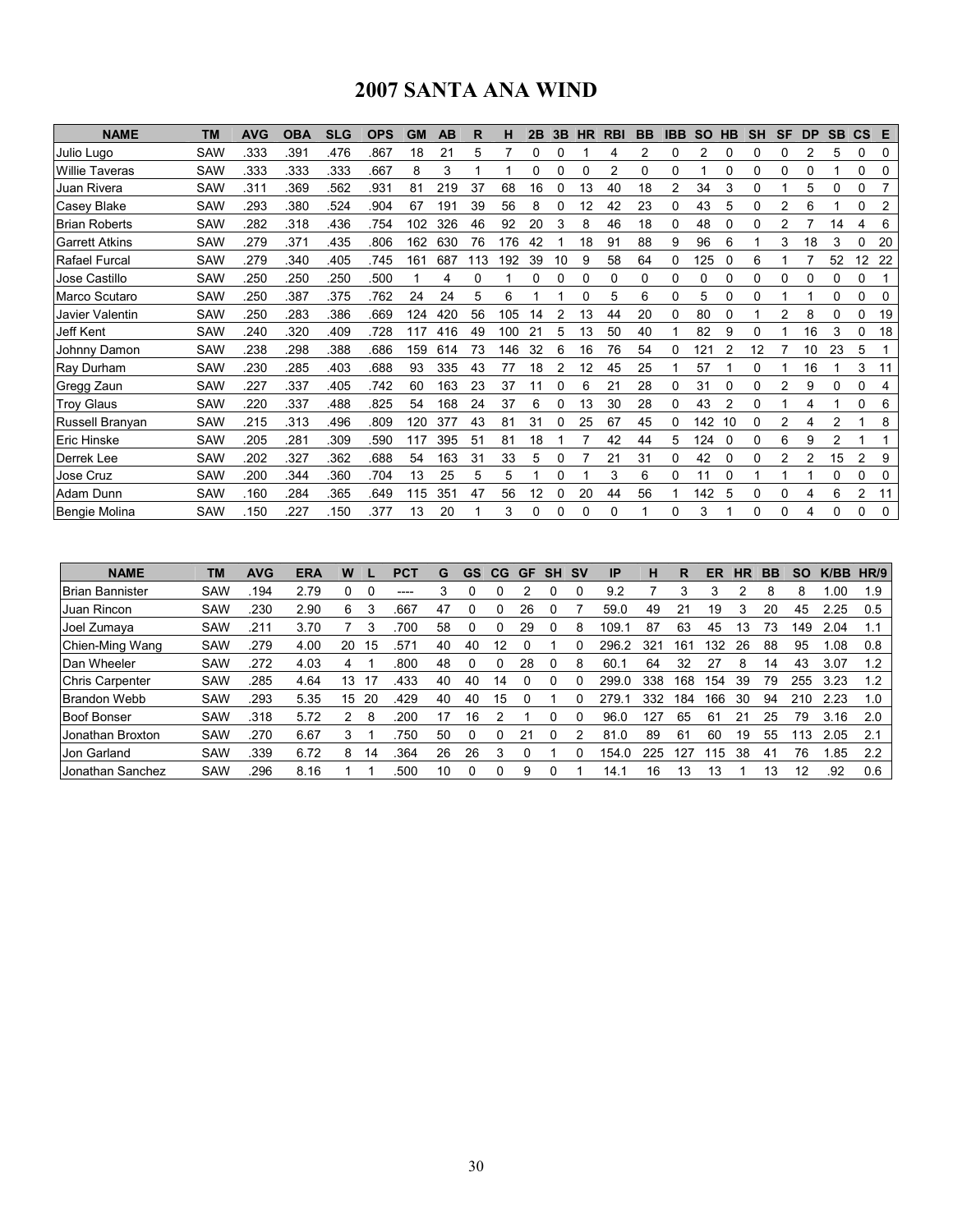# 2007 SANTA ANA WIND

| <b>NAME</b>           | <b>TM</b>  | <b>AVG</b> | <b>OBA</b> | <b>SLG</b> | <b>OPS</b> | <b>GM</b> | AB  | R  | н   | 2B       | 3B | <b>HR</b> | <b>RBI</b> | <b>BB</b> | <b>IBB</b> | <b>SO</b> | <b>HB</b> | <b>SH</b> | SF             | <b>DP</b>      | <b>SB</b> | $\mathsf{cs}$  | Е        |
|-----------------------|------------|------------|------------|------------|------------|-----------|-----|----|-----|----------|----|-----------|------------|-----------|------------|-----------|-----------|-----------|----------------|----------------|-----------|----------------|----------|
| Julio Lugo            | SAW        | .333       | .391       | .476       | .867       | 18        | 21  | 5  |     | 0        | 0  |           | 4          | 2         | 0          | 2         |           | 0         | 0              | 2              | 5         | 0              | 0        |
| <b>Willie Taveras</b> | SAW        | .333       | .333       | .333       | .667       | 8         | 3   |    |     | $\Omega$ | ი  | 0         | 2          | 0         | 0          |           | 0         | 0         | $\Omega$       | ი              |           | 0              | 0        |
| Juan Rivera           | <b>SAW</b> | .311       | .369       | .562       | .931       | 81        | 219 | 37 | 68  | 16       | 0  | 13        | 40         | 18        | 2          | 34        | 3         | 0         |                | 5              | 0         | 0              |          |
| <b>Casey Blake</b>    | SAW        | .293       | .380       | .524       | .904       | 67        | 191 | 39 | 56  | 8        |    | 12        | 42         | 23        | 0          | 43        | 5         | 0         |                | 6              |           | 0              | 2        |
| <b>Brian Roberts</b>  | <b>SAW</b> | 282        | .318       | .436       | .754       | 102       | 326 | 46 | 92  | 20       | 3  | 8         | 46         | 18        | 0          | 48        | 0         | 0         |                |                | 14        | 4              | 6        |
| <b>Garrett Atkins</b> | <b>SAW</b> | .279       | .371       | 435        | .806       | 162       | 630 | 76 | 176 | 42       |    | 18        | 91         | 88        | 9          | 96        | 6         |           | 3              | 18             | 3         | 0              | 20       |
| Rafael Furcal         | SAW        | 279        | .340       | .405       | .745       | 161       | 687 | 13 | 192 | 39       | 10 | 9         | 58         | 64        | 0          | 125       |           | 6         |                |                | 52        | 12             | 22       |
| Jose Castillo         | SAW        | .250       | .250       | 250        | .500       |           | 4   | 0  |     | 0        | 0  | 0         | 0          | 0         | 0          | 0         | 0         | 0         | $\Omega$       | 0              | 0         | 0              |          |
| Marco Scutaro         | <b>SAW</b> | 250        | .387       | .375       | .762       | 24        | 24  | 5  | 6   |          |    | 0         | 5          | 6         | 0          | 5         | 0         | 0         |                |                | 0         | 0              | 0        |
| Javier Valentin       | <b>SAW</b> | 250        | .283       | .386       | .669       | 124       | 420 | 56 | 105 | 14       | 2  | 13        | 44         | 20        | 0          | 80        |           |           |                | 8              | 0         | 0              | 19       |
| Jeff Kent             | <b>SAW</b> | .240       | 320        | .409       | .728       | 117       | 416 | 49 | 100 | 21       | 5  | 13        | 50         | 40        |            | 82        | 9         | 0         |                | 16             | 3         | 0              | 18       |
| Johnny Damon          | SAW        | 238        | .298       | .388       | .686       | 159       | 614 | 73 | 146 | 32       | 6  | 16        | 76         | 54        | 0          | 121       |           | 12        |                | 10             | 23        | 5              |          |
| Ray Durham            | SAW        | 230        | .285       | .403       | .688       | 93        | 335 | 43 | 77  | 18       | 2  | 12        | 45         | 25        |            | 57        |           | 0         |                | 16             |           | 3              | 11       |
| Gregg Zaun            | <b>SAW</b> | 227        | .337       | .405       | .742       | 60        | 163 | 23 | 37  |          | ი  | 6         | 21         | 28        | 0          | 31        |           | 0         |                | 9              | 0         | Ω              | 4        |
| <b>Troy Glaus</b>     | <b>SAW</b> | 220        | 337        | .488       | .825       | 54        | 168 | 24 | 37  | 6        | 0  | 13        | 30         | 28        | 0          | 43        |           | 0         |                | 4              |           | 0              | 6        |
| Russell Branyan       | SAW        | 215        | .313       | .496       | .809       | 120       | 377 | 43 | 81  | 31       | 0  | 25        | 67         | 45        | 0          | 142       | 10        | 0         |                | 4              | 2         |                | 8        |
| <b>Eric Hinske</b>    | <b>SAW</b> | .205       | .281       | .309       | .590       | 117       | 395 | 51 | 81  | 18       |    |           | 42         | 44        | 5          | 124       |           | 0         | 6              | 9              | 2         |                |          |
| Derrek Lee            | SAW        | 202        | 327        | .362       | .688       | 54        | 163 | 31 | 33  | 5        | 0  |           | 21         | 31        | 0          | 42        | 0         | 0         | $\overline{2}$ | $\overline{2}$ | 15        | $\overline{2}$ | 9        |
| Jose Cruz             | <b>SAW</b> | 200        | .344       | .360       | .704       | 13        | 25  | 5  | 5   |          | 0  |           | 3          | 6         | 0          | 11        |           |           |                |                | 0         | 0              | 0        |
| Adam Dunn             | <b>SAW</b> | .160       | .284       | .365       | .649       | 115       | 351 | 47 | 56  | 12       | 0  | 20        | 44         | 56        |            | 142       | 5         | 0         | 0              | 4              | 6         | 2              | 11       |
| Bengie Molina         | <b>SAW</b> | 150        | 227        | .150       | .377       | 13        | 20  |    | 3   | $\Omega$ | 0  | 0         | 0          |           | 0          | 3         |           | 0         | $\Omega$       | 4              | O         | $\Omega$       | $\Omega$ |

| <b>NAME</b>            | <b>TM</b>  | <b>AVG</b> | <b>ERA</b> | W  |    | PC1  | G  | GS | CG | GF | <b>SH</b> | .SV | ΙP    | н   | R   | ER  | HR | BВ | SO  | K/BB | HR/9 |
|------------------------|------------|------------|------------|----|----|------|----|----|----|----|-----------|-----|-------|-----|-----|-----|----|----|-----|------|------|
| <b>Brian Bannister</b> | <b>SAW</b> | .194       | 2.79       | 0  |    | ---- |    |    |    |    |           |     | 9.2   |     |     |     |    | 8  | 8   | .00  | 1.9  |
| Juan Rincon            | SAW        | .230       | 2.90       | 6  |    | .667 | 47 |    |    | 26 |           |     | 59.0  | 49  | 21  | 19  | 3  | 20 | 45  | 2.25 | 0.5  |
| Joel Zumaya            | <b>SAW</b> | .211       | 3.70       |    |    | 700  | 58 |    |    | 29 |           | 8   | 109.  | 87  | 63  | 45  | 13 | 73 | 149 | 2.04 | 1.1  |
| Chien-Ming Wang        | SAW        | 279        | 4.00       | 20 | 15 | .571 | 40 | 40 | 12 |    |           |     | 296.  | 321 | 161 | 132 | 26 | 88 | 95  | 1.08 | 0.8  |
| Dan Wheeler            | <b>SAW</b> | 272        | 4.03       | 4  |    | 800  | 48 |    |    | 28 |           | 8   | 60.1  | 64  | 32  | 27  | 8  | 14 | 43  | 3.07 | 1.2  |
| <b>Chris Carpenter</b> | <b>SAW</b> | .285       | 4.64       | 13 |    | 433  | 40 | 40 | 14 |    |           |     | 299   | 338 | 168 | 154 | 39 | 79 | 255 | 3.23 | 1.2  |
| <b>Brandon Webb</b>    | <b>SAW</b> | 293        | 5.35       | 15 | 20 | .429 | 40 | 40 | 15 |    |           |     | 279.  | 332 | 184 | 166 | 30 | 94 | 210 | 2.23 | 1.0  |
| <b>Boof Bonser</b>     | <b>SAW</b> | .318       | 5.72       | 2  | 8  | 200  | 17 | 16 |    |    |           |     | 96.0  | 127 | 65  | 61  | 21 | 25 | 79  | 3.16 | 2.0  |
| Jonathan Broxton       | SAW        | .270       | 6.67       | 3  |    | 750  | 50 |    |    | 21 |           |     | 81.0  | 89  | 61  | 60  | 19 | 55 | 113 | 2.05 | 2.1  |
| Jon Garland            | <b>SAW</b> | .339       | 6.72       | 8  | 14 | .364 | 26 | 26 | 3  |    |           |     | 154.0 | 225 | 127 | 115 | 38 | 41 | 76  | .85  | 2.2  |
| Jonathan Sanchez       | SAW        | 296        | 8.16       |    |    | .500 | 10 |    |    | 9  |           |     | 14.1  | 16  | 13  | 13  |    | 13 | 12  | .92  | 0.6  |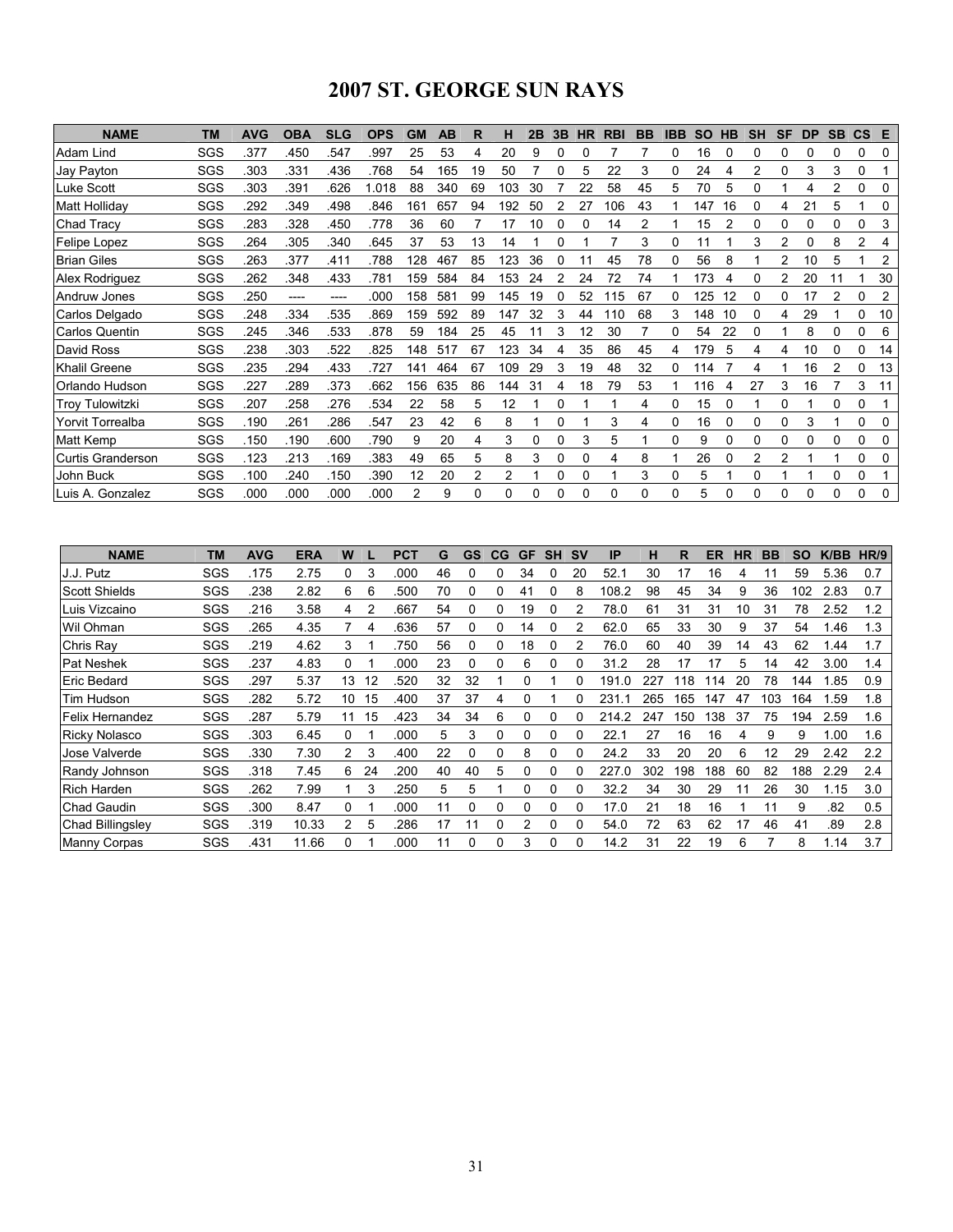# 2007 ST. GEORGE SUN RAYS

| <b>NAME</b>              | <b>TM</b> | <b>AVG</b> | <b>OBA</b> | <b>SLG</b> | <b>OPS</b> | <b>GM</b>      | AB  | R  | н        | 2B       | 3B | <b>HR</b> | <b>RBI</b> | <b>BB</b> | <b>IBB</b> | <b>SO</b> | HB | <b>SH</b> | <b>SF</b> | <b>DP</b> | <b>SB</b>   | $\mathsf{CS}$  | E  |
|--------------------------|-----------|------------|------------|------------|------------|----------------|-----|----|----------|----------|----|-----------|------------|-----------|------------|-----------|----|-----------|-----------|-----------|-------------|----------------|----|
| Adam Lind                | SGS       | .377       | .450       | 547        | .997       | 25             | 53  | 4  | 20       | 9        |    |           |            |           | 0          | 16        |    | 0         | 0         |           |             | 0              | 0  |
| Jay Payton               | SGS       | .303       | .331       | .436       | .768       | 54             | 165 | 19 | 50       |          | 0  | 5         | 22         | 3         | 0          | 24        |    | 2         | 0         | 3         | 3           | 0              |    |
| Luke Scott               | SGS       | .303       | .391       | .626       | 1.018      | 88             | 340 | 69 | 103      | 30       |    | 22        | 58         | 45        | 5          | 70        | 5  | 0         |           | 4         | 2           | 0              | 0  |
| Matt Holliday            | SGS       | .292       | .349       | .498       | .846       | 161            | 657 | 94 | 192      | 50       |    | 27        | 106        | 43        |            | 147       | 16 | 0         | 4         | 21        | 5           |                | 0  |
| <b>Chad Tracy</b>        | SGS       | .283       | .328       | .450       | .778       | 36             | 60  |    | 17       | 10       |    | 0         | 14         | 2         |            | 15        |    | 0         | 0         | 0         |             | 0              | 3  |
| Felipe Lopez             | SGS       | .264       | .305       | .340       | .645       | 37             | 53  | 13 | 14       |          | 0  |           |            | 3         | 0          | 11        |    | 3         | 2         | 0         | 8           | $\overline{2}$ | 4  |
| <b>Brian Giles</b>       | SGS       | .263       | .377       | .411       | .788       | 128            | 467 | 85 | 123      | 36       |    |           | 45         | 78        | 0          | 56        | 8  |           | 2         | 10        | 5           |                | 2  |
| Alex Rodriguez           | SGS       | .262       | .348       | .433       | .781       | 159            | 584 | 84 | 153      | 24       |    | 24        | 72         | 74        |            | 173       | 4  | 0         | 2         | 20        |             |                | 30 |
| Andruw Jones             | SGS       | 250        | ----       | ----       | .000       | 158            | 581 | 99 | 145      | 19       |    | 52        | 115        | 67        | 0          | 125       | 12 | 0         | 0         | 17        |             | 0              | 2  |
| Carlos Delgado           | SGS       | .248       | .334       | .535       | .869       | 159            | 592 | 89 | 147      | 32       | 3  | 44        | 110        | 68        | 3          | 148       | 10 | 0         |           | 29        |             | 0              | 10 |
| <b>Carlos Quentin</b>    | SGS       | .245       | 346        | .533       | .878       | 59             | 184 | 25 | 45       | 11       | 3  | 12        | 30         |           | 0          | 54        | 22 | 0         |           | 8         | 0           | 0              | 6  |
| David Ross               | SGS       | .238       | .303       | 522        | .825       | 148            | 517 | 67 | 123      | 34       | 4  | 35        | 86         | 45        | 4          | 179       | 5  | 4         | 4         | 10        | 0           | 0              | 14 |
| Khalil Greene            | SGS       | .235       | 294        | .433       | .727       | 141            | 464 | 67 | 109      | 29       | 3  | 19        | 48         | 32        | 0          | 114       |    | 4         |           | 16        | 2           | 0              | 13 |
| Orlando Hudson           | SGS       | .227       | 289        | .373       | .662       | 156            | 635 | 86 | 144      | 31       |    | 18        | 79         | 53        |            | 116       |    | 27        | 3         | 16        |             | 3              | 11 |
| <b>Troy Tulowitzki</b>   | SGS       | .207       | 258        | .276       | .534       | 22             | 58  | 5  | 12       |          |    |           |            | 4         | 0          | 15        |    |           | 0         |           | $\Omega$    | 0              |    |
| Yorvit Torrealba         | SGS       | .190       | .261       | 286        | .547       | 23             | 42  | 6  | 8        |          | 0  |           | 3          | 4         | 0          | 16        | 0  | 0         | 0         | 3         |             | 0              | 0  |
| Matt Kemp                | SGS       | .150       | .190       | .600       | .790       | 9              | 20  | 4  | 3        | 0        | 0  | 3         | 5          |           | 0          | 9         |    | 0         | 0         | 0         |             | 0              | 0  |
| <b>Curtis Granderson</b> | SGS       | .123       | .213       | .169       | .383       | 49             | 65  | 5  | 8        | 3        | 0  | 0         | 4          | 8         |            | 26        |    | 2         |           |           |             | 0              | 0  |
| John Buck                | SGS       | .100       | 240        | .150       | .390       | 12             | 20  | 2  | 2        |          | 0  | 0         |            | 3         | 0          | 5         |    | 0         |           |           | $\mathbf 0$ | 0              |    |
| Luis A. Gonzalez         | SGS       | .000       | .000       | .000       | .000       | $\overline{2}$ | 9   | 0  | $\Omega$ | $\Omega$ | 0  | 0         | 0          | $\Omega$  | 0          | 5         | 0  | 0         | $\Omega$  | 0         | $\Omega$    | 0              | 0  |

| <b>NAME</b>             | <b>TM</b> | <b>AVG</b> | <b>ERA</b> | W              |    | <b>PCT</b> | G  | GS | CG | <b>GF</b> | <b>SH</b> | <b>SV</b> | IP        | н   | R   | ER  | ΗR | <b>BB</b> | <b>SO</b> | K/BB | HR/9 |
|-------------------------|-----------|------------|------------|----------------|----|------------|----|----|----|-----------|-----------|-----------|-----------|-----|-----|-----|----|-----------|-----------|------|------|
| J.J. Putz               | SGS       | 175        | 2.75       | 0              | 3  | .000       | 46 | 0  |    | 34        |           | 20        | 52.1      | 30  | 17  | 16  | 4  | 11        | 59        | 5.36 | 0.7  |
| <b>Scott Shields</b>    | SGS       | .238       | 2.82       | 6              | 6  | .500       | 70 | 0  | 0  | 41        |           | 8         | 108.2     | 98  | 45  | 34  | 9  | 36        | 102       | 2.83 | 0.7  |
| Luis Vizcaino           | SGS       | .216       | 3.58       | 4              | 2  | .667       | 54 | 0  | 0  | 19        |           |           | 78.0      | 61  | 31  | 31  | 10 | 31        | 78        | 2.52 | 1.2  |
| Wil Ohman               | SGS       | 265        | 4.35       |                | 4  | .636       | 57 | 0  | 0  | 14        | 0         | 2         | 62.0      | 65  | 33  | 30  | 9  | 37        | 54        | 1.46 | 1.3  |
| Chris Ray               | SGS       | .219       | 4.62       | 3              |    | 750        | 56 | 0  | 0  | 18        |           |           | 76.0      | 60  | 40  | 39  | 14 | 43        | 62        | .44  | 1.7  |
| Pat Neshek              | SGS       | .237       | 4.83       | 0              |    | .000       | 23 | 0  | 0  | 6         |           |           | 31.2      | 28  | 17  | 17  | 5  | 14        | 42        | 3.00 | 1.4  |
| Eric Bedard             | SGS       | .297       | 5.37       | 13             | 12 | .520       | 32 | 32 |    | 0         |           | $\Omega$  | 191<br>.0 | 227 | 18  | 14  | 20 | 78        | 144       | 1.85 | 0.9  |
| Tim Hudson              | SGS       | .282       | 5.72       | 10             | 15 | .400       | 37 | 37 | 4  | 0         |           |           | 231       | 265 | 165 | 147 | 47 | 103       | 164       | .59  | 1.8  |
| Felix Hernandez         | SGS       | .287       | 5.79       | 11             | 15 | .423       | 34 | 34 | 6  | 0         | $\Omega$  | $\Omega$  | 214.2     | 247 | 150 | 138 | 37 | 75        | 194       | 2.59 | 1.6  |
| <b>Ricky Nolasco</b>    | SGS       | .303       | 6.45       | 0              |    | .000       | 5  | 3  | 0  | 0         | O         | 0         | 22.1      | 27  | 16  | 16  | 4  | 9         | 9         | 1.00 | 1.6  |
| Jose Valverde           | SGS       | .330       | 7.30       | $\overline{2}$ | 3  | .400       | 22 | 0  | 0  | 8         |           |           | 24.2      | 33  | 20  | 20  | 6  | 12        | 29        | 2.42 | 2.2  |
| Randy Johnson           | SGS       | .318       | 7.45       | 6              | 24 | 200        | 40 | 40 | 5  | 0         | 0         |           | 227<br>.0 | 302 | 198 | 188 | 60 | 82        | 188       | 2.29 | 2.4  |
| <b>Rich Harden</b>      | SGS       | .262       | 7.99       |                | 3  | .250       | 5  | 5  |    | 0         | 0         | 0         | 32.2      | 34  | 30  | 29  | 11 | 26        | 30        | 1.15 | 3.0  |
| <b>Chad Gaudin</b>      | SGS       | .300       | 8.47       | 0              |    | .000       | 11 | 0  | 0  | 0         | 0         | $\Omega$  | 17.0      | 21  | 18  | 16  |    | 11        | 9         | .82  | 0.5  |
| <b>Chad Billingsley</b> | SGS       | .319       | 10.33      | $\overline{2}$ | 5  | 286        | 17 | 11 | 0  | 2         | 0         | $\Omega$  | 54.0      | 72  | 63  | 62  | 17 | 46        | 41        | .89  | 2.8  |
| <b>Manny Corpas</b>     | SGS       | .431       | 11.66      | 0              |    | .000       | 11 | 0  |    | 3         |           |           | 14.2      | 31  | 22  | 19  | 6  |           | 8         | 1.14 | 3.7  |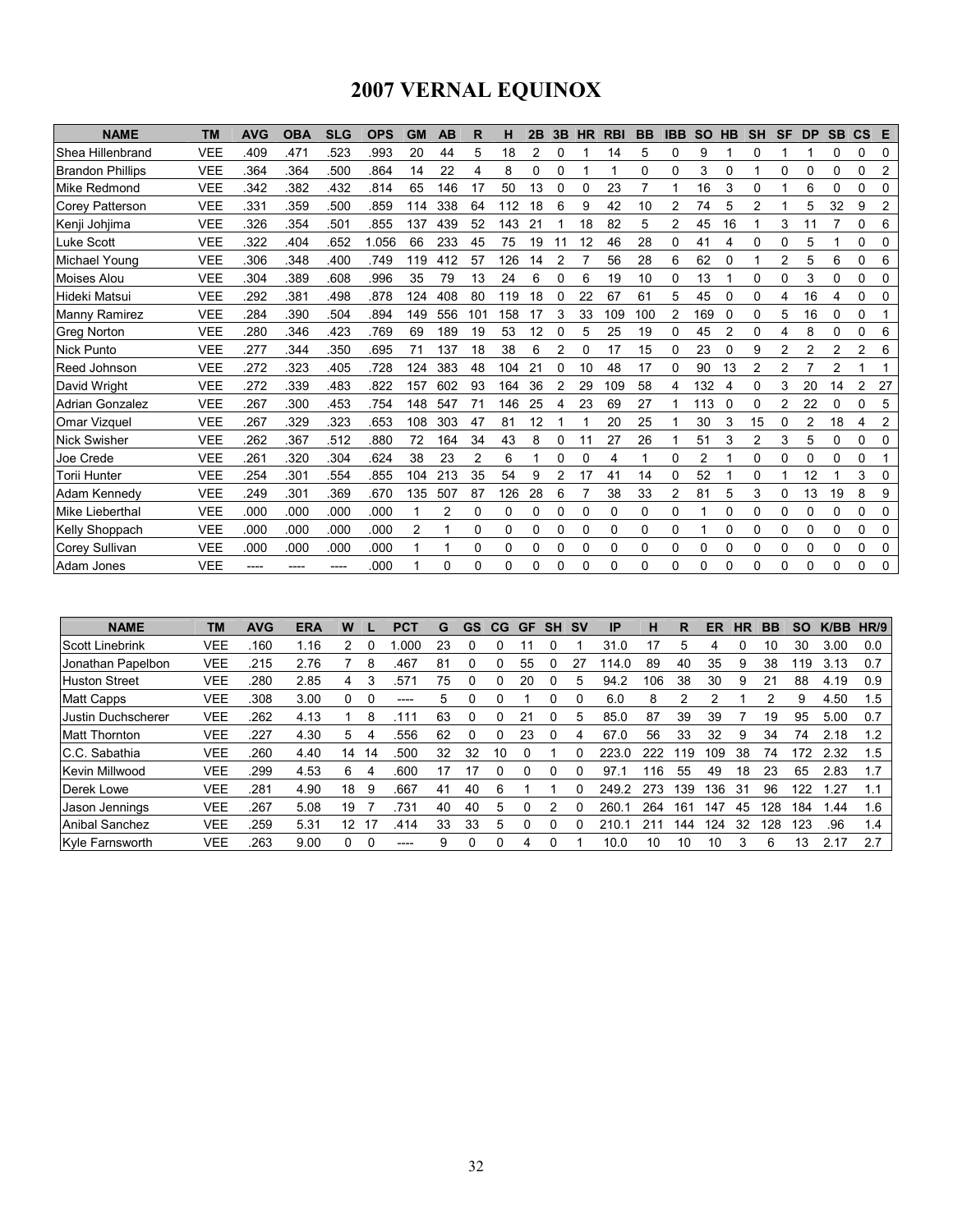# 2007 VERNAL EQUINOX

| <b>NAME</b>             | <b>TM</b>  | <b>AVG</b> | <b>OBA</b> | <b>SLG</b> | <b>OPS</b> | <b>GM</b> | <b>AB</b>    | R   | н   | 2B | 3B             | <b>HR</b> | <b>RBI</b> | <b>BB</b> | <b>IBB</b>     | <b>SO</b>      | <b>HB</b> | <b>SH</b>      | <b>SF</b>      | <b>DP</b> | <b>SB</b> | $\mathbf{c}\mathbf{s}$ | E              |
|-------------------------|------------|------------|------------|------------|------------|-----------|--------------|-----|-----|----|----------------|-----------|------------|-----------|----------------|----------------|-----------|----------------|----------------|-----------|-----------|------------------------|----------------|
| Shea Hillenbrand        | <b>VEE</b> | .409       | .471       | 523        | .993       | 20        | 44           | 5   | 18  | 2  | 0              |           | 14         | 5         | 0              | 9              |           | $\Omega$       |                |           | 0         | 0                      | 0              |
| <b>Brandon Phillips</b> | <b>VEE</b> | 364        | .364       | 500        | .864       | 14        | 22           | 4   | 8   | 0  | 0              |           |            | 0         | 0              | 3              | 0         |                | $\Omega$       | 0         | $\Omega$  | 0                      | $\overline{c}$ |
| Mike Redmond            | <b>VEE</b> | 342        | 382        | 432        | .814       | 65        | 146          | 17  | 50  | 13 | 0              | 0         | 23         | 7         |                | 16             | 3         | 0              |                | 6         | $\Omega$  | 0                      | 0              |
| <b>Corey Patterson</b>  | <b>VEE</b> | .331       | .359       | 500        | .859       | 114       | 338          | 64  | 112 | 18 | 6              | 9         | 42         | 10        | 2              | 74             | 5         | $\overline{c}$ |                | 5         | 32        | 9                      | 2              |
| Kenji Johjima           | <b>VEE</b> | 326        | .354       | .501       | .855       | 137       | 439          | 52  | 143 | 21 |                | 18        | 82         | 5         | $\overline{c}$ | 45             | 16        |                | 3              | 11        | 7         | 0                      | 6              |
| <b>Luke Scott</b>       | <b>VEE</b> | 322        | .404       | .652       | 1.056      | 66        | 233          | 45  | 75  | 19 | 11             | 12        | 46         | 28        | 0              | 41             | 4         | 0              | $\Omega$       | 5         |           | 0                      | 0              |
| Michael Young           | <b>VEE</b> | 306        | 348        | .400       | .749       | 119       | 412          | 57  | 126 | 14 | 2              |           | 56         | 28        | 6              | 62             | 0         | 1              | $\overline{2}$ | 5         | 6         | 0                      | 6              |
| <b>Moises Alou</b>      | <b>VEE</b> | .304       | .389       | .608       | .996       | 35        | 79           | 13  | 24  | 6  | 0              | 6         | 19         | 10        | 0              | 13             |           | 0              | $\Omega$       | 3         | 0         | 0                      | 0              |
| Hideki Matsui           | <b>VEE</b> | 292        | .381       | .498       | .878       | 124       | 408          | 80  | 119 | 18 |                | 22        | 67         | 61        | 5              | 45             | 0         | $\Omega$       | 4              | 16        | 4         | 0                      | 0              |
| Manny Ramirez           | <b>VEE</b> | 284        | 390        | 504        | .894       | 149       | 556          | 101 | 158 | 17 | 3              | 33        | 109        | 100       | 2              | 169            | 0         | 0              | 5              | 16        | $\Omega$  | 0                      |                |
| <b>Greg Norton</b>      | <b>VEE</b> | 280        | 346        | .423       | .769       | 69        | 189          | 19  | 53  | 12 | 0              | 5         | 25         | 19        | 0              | 45             | 2         | $\Omega$       | 4              | 8         | $\Omega$  | 0                      | 6              |
| <b>Nick Punto</b>       | <b>VEE</b> | 277        | 344        | 350        | .695       | 71        | 137          | 18  | 38  | 6  | 2              | 0         | 17         | 15        | 0              | 23             | 0         | 9              | 2              | 2         | 2         | 2                      | 6              |
| Reed Johnson            | <b>VEE</b> | 272        | 323        | .405       | 728        | 124       | 383          | 48  | 104 | 21 | 0              | 10        | 48         | 17        | 0              | 90             | 13        | 2              | 2              |           | 2         |                        |                |
| David Wright            | <b>VEE</b> | 272        | .339       | .483       | .822       | 157       | 602          | 93  | 164 | 36 | 2              | 29        | 109        | 58        | 4              | 132            | 4         | 0              | 3              | 20        | 14        | 2                      | 27             |
| <b>Adrian Gonzalez</b>  | <b>VEE</b> | .267       | 300        | .453       | .754       | 148       | 547          | 71  | 146 | 25 | 4              | 23        | 69         | 27        |                | 113            | 0         | $\Omega$       | 2              | 22        | $\Omega$  | 0                      | 5              |
| <b>Omar Vizquel</b>     | <b>VEE</b> | .267       | .329       | .323       | .653       | 108       | 303          | 47  | 81  | 12 |                |           | 20         | 25        |                | 30             | 3         | 15             | $\Omega$       | 2         | 18        | 4                      | 2              |
| <b>Nick Swisher</b>     | <b>VEE</b> | 262        | .367       | .512       | .880       | 72        | 164          | 34  | 43  | 8  | 0              | 11        | 27         | 26        |                | 51             | 3         | $\overline{2}$ | 3              | 5         | $\Omega$  | 0                      | 0              |
| Joe Crede               | <b>VEE</b> | 261        | 320        | 304        | .624       | 38        | 23           | 2   | 6   |    | 0              | 0         | 4          | 1         | 0              | $\overline{2}$ |           | $\Omega$       | 0              | 0         | 0         | 0                      |                |
| Torii Hunter            | <b>VEE</b> | 254        | .301       | 554        | .855       | 104       | 213          | 35  | 54  | 9  | $\overline{2}$ | 17        | 41         | 14        | 0              | 52             |           | 0              |                | 12        |           | 3                      | 0              |
| Adam Kennedy            | <b>VEE</b> | .249       | .301       | 369        | .670       | 135       | 507          | 87  | 126 | 28 | 6              |           | 38         | 33        | 2              | 81             | 5         | 3              | 0              | 13        | 19        | 8                      | 9              |
| Mike Lieberthal         | <b>VEE</b> | .000       | .000       | .000       | .000       | 1         | 2            | 0   | 0   | 0  | 0              | 0         | 0          | $\Omega$  | 0              | 1              | 0         | 0              | $\Omega$       | 0         | $\Omega$  | 0                      | 0              |
| Kelly Shoppach          | <b>VEE</b> | .000       | .000       | .000       | .000       | 2         |              | 0   | 0   | 0  | 0              | 0         | 0          | 0         | 0              |                | 0         | 0              | 0              | 0         | 0         | 0                      | 0              |
| Corey Sullivan          | <b>VEE</b> | .000       | .000       | .000       | .000       |           |              | 0   | 0   | 0  | 0              | 0         | 0          | 0         | 0              | 0              | 0         | 0              | 0              | 0         | 0         | 0                      | 0              |
| Adam Jones              | <b>VEE</b> |            |            |            | .000       |           | <sup>0</sup> | 0   | 0   | 0  | 0              | 0         | 0          | $\Omega$  | 0              | 0              | ŋ         | 0              | 0              | 0         | 0         | 0                      | 0              |

| <b>NAME</b>            | <b>TM</b>  | <b>AVG</b> | <b>ERA</b> | w                 |    | <b>PCT</b> | G  | GS | CG | GF | <b>SH</b> | .SV | <b>IP</b> | н   | R   | ER  | ΗR | BВ  | SO  | K/BB | HR/9 |
|------------------------|------------|------------|------------|-------------------|----|------------|----|----|----|----|-----------|-----|-----------|-----|-----|-----|----|-----|-----|------|------|
| <b>Scott Linebrink</b> | VEE        | 160        | 1.16       |                   |    | .000       | 23 |    |    |    |           |     | 31.0      |     | 5   |     |    | 10  | 30  | 3.00 | 0.0  |
| Jonathan Papelbon      | <b>VEE</b> | .215       | 2.76       |                   | 8  | .467       | 81 |    |    | 55 |           | 27  | 14.0      | 89  | 40  | 35  | 9  | 38  | 119 | 3.13 | 0.7  |
| <b>Huston Street</b>   | VEE        | 280        | 2.85       | 4                 | 3  | .57        | 75 | 0  | 0  | 20 |           | 5   | 94.2      | 106 | 38  | 30  | 9  | 21  | 88  | 4.19 | 0.9  |
| <b>Matt Capps</b>      | VEE        | .308       | 3.00       | 0                 |    | ----       | 5  | 0  | 0  |    |           |     | 6.0       | 8   | 2   |     |    | 2   | 9   | 4.50 | 1.5  |
| IJustin Duchscherer    | VEE        | .262       | 4.13       |                   | 8  |            | 63 | 0  | 0  | 21 |           | 5   | 85.0      | 87  | 39  | 39  |    | 19  | 95  | 5.00 | 0.7  |
| <b>Matt Thornton</b>   | VEE        | .227       | 4.30       | 5.                | 4  | .556       | 62 | 0  | 0  | 23 |           | 4   | 67.0      | 56  | 33  | 32  | 9  | 34  | 74  | 2.18 | 1.2  |
| IC.C. Sabathia         | VEE        | 260        | 4.40       | 14                | 14 | .500       | 32 | 32 | 10 |    |           |     | 223.0     | 222 | 119 | 109 | 38 | 74  | 172 | 2.32 | 1.5  |
| Kevin Millwood         | VEE        | .299       | 4.53       | 6                 | 4  | .600       | 17 | 17 | 0  | 0  |           |     | 97.1      | 16  | 55  | 49  | 18 | 23  | 65  | 2.83 | 1.7  |
| Derek Lowe             | VEE        | .281       | 4.90       | 18                | 9  | .667       | 41 | 40 | 6  |    |           |     | 249.2     | 273 | 139 | 136 | 31 | 96  | 122 | 1.27 | 1.1  |
| Jason Jennings         | VEE        | .267       | 5.08       | 19                |    | .731       | 40 | 40 | 5  |    |           |     | 260.      | 264 | 161 | 147 | 45 | 128 | 184 | 1.44 | 1.6  |
| Anibal Sanchez         | <b>VEE</b> | 259        | 5.31       | $12 \overline{ }$ |    | .414       | 33 | 33 | 5  |    |           |     | 210.      | 211 | 144 | 124 | 32 | 128 | 123 | .96  | 1.4  |
| Kyle Farnsworth        | VEE        | 263        | 9.00       | 0                 |    | ----       | 9  | 0  | O  | 4  |           |     | 10.0      | 10  | 10  | 10  | 3  | 6   | 13  | 2.17 | 2.7  |